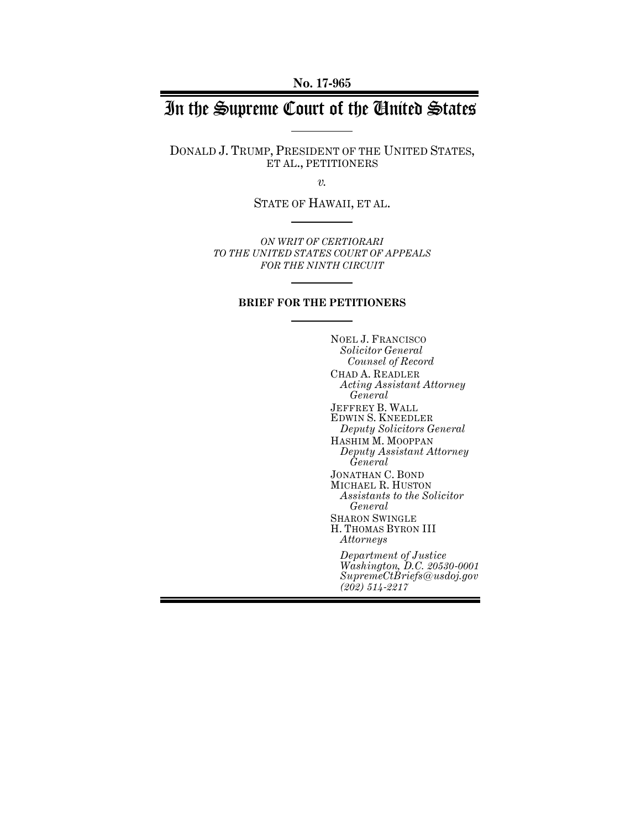**No. 17-965**

# In the Supreme Court of the United States

DONALD J. TRUMP, PRESIDENT OF THE UNITED STATES, ET AL., PETITIONERS

*v.*

STATE OF HAWAII, ET AL.

*ON WRIT OF CERTIORARI TO THE UNITED STATES COURT OF APPEALS FOR THE NINTH CIRCUIT*

## **BRIEF FOR THE PETITIONERS**

NOEL J. FRANCISCO *Solicitor General Counsel of Record* CHAD A. READLER *Acting Assistant Attorney General* JEFFREY B. WALL EDWIN S. KNEEDLER *Deputy Solicitors General* HASHIM M. MOOPPAN *Deputy Assistant Attorney General* JONATHAN C. BOND MICHAEL R. HUSTON *Assistants to the Solicitor General* SHARON SWINGLE H. THOMAS BYRON III *Attorneys Department of Justice Washington, D.C. 20530-0001 SupremeCtBriefs@usdoj.gov (202) 514-2217*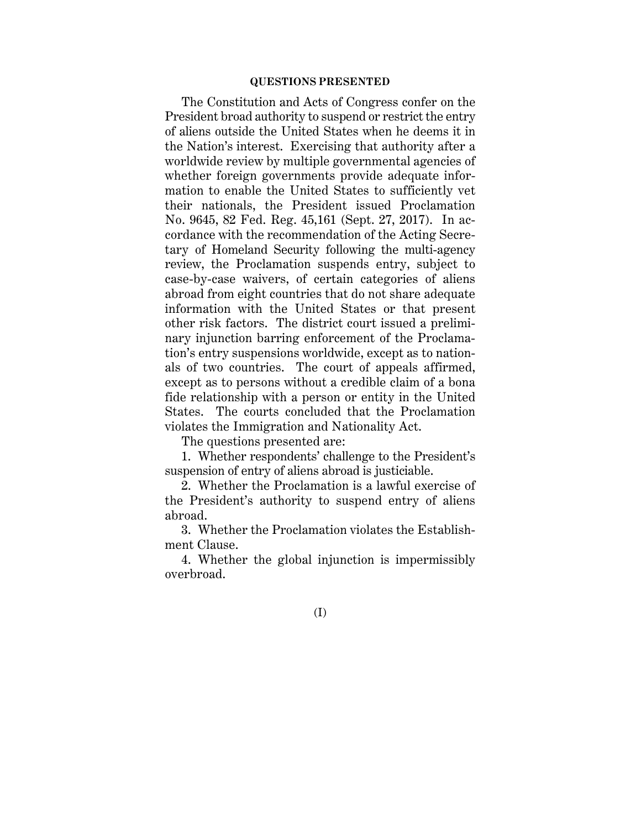## **QUESTIONS PRESENTED**

The Constitution and Acts of Congress confer on the President broad authority to suspend or restrict the entry of aliens outside the United States when he deems it in the Nation's interest. Exercising that authority after a worldwide review by multiple governmental agencies of whether foreign governments provide adequate information to enable the United States to sufficiently vet their nationals, the President issued Proclamation No. 9645, 82 Fed. Reg. 45,161 (Sept. 27, 2017). In accordance with the recommendation of the Acting Secretary of Homeland Security following the multi-agency review, the Proclamation suspends entry, subject to case-by-case waivers, of certain categories of aliens abroad from eight countries that do not share adequate information with the United States or that present other risk factors. The district court issued a preliminary injunction barring enforcement of the Proclamation's entry suspensions worldwide, except as to nationals of two countries. The court of appeals affirmed, except as to persons without a credible claim of a bona fide relationship with a person or entity in the United States. The courts concluded that the Proclamation violates the Immigration and Nationality Act.

The questions presented are:

1. Whether respondents' challenge to the President's suspension of entry of aliens abroad is justiciable.

2. Whether the Proclamation is a lawful exercise of the President's authority to suspend entry of aliens abroad.

3. Whether the Proclamation violates the Establishment Clause.

4. Whether the global injunction is impermissibly overbroad.

(I)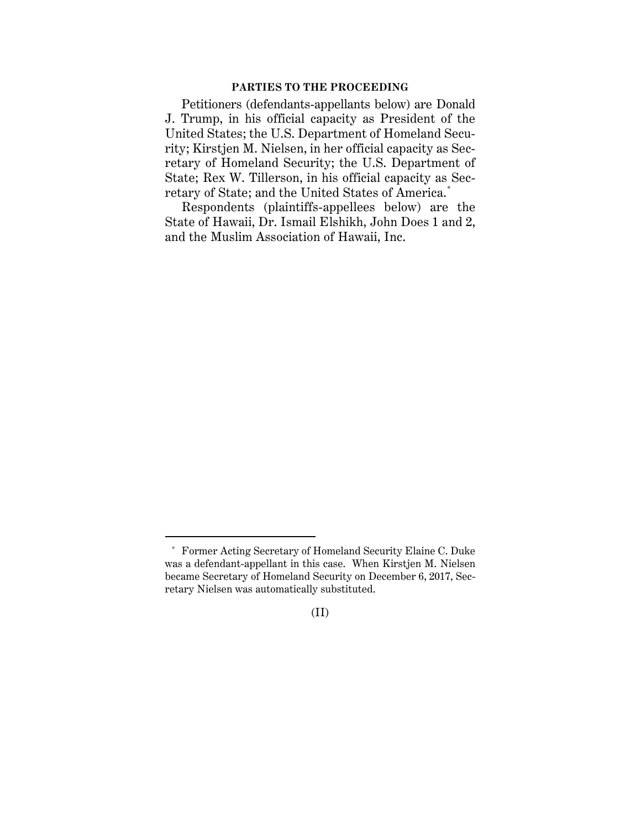## **PARTIES TO THE PROCEEDING**

Petitioners (defendants-appellants below) are Donald J. Trump, in his official capacity as President of the United States; the U.S. Department of Homeland Security; Kirstjen M. Nielsen, in her official capacity as Secretary of Homeland Security; the U.S. Department of State; Rex W. Tillerson, in his official capacity as Secretary of State; and the United States of America.\*

Respondents (plaintiffs-appellees below) are the State of Hawaii, Dr. Ismail Elshikh, John Does 1 and 2, and the Muslim Association of Hawaii, Inc.

<sup>\*</sup> Former Acting Secretary of Homeland Security Elaine C. Duke was a defendant-appellant in this case. When Kirstjen M. Nielsen became Secretary of Homeland Security on December 6, 2017, Secretary Nielsen was automatically substituted.

<sup>(</sup>II)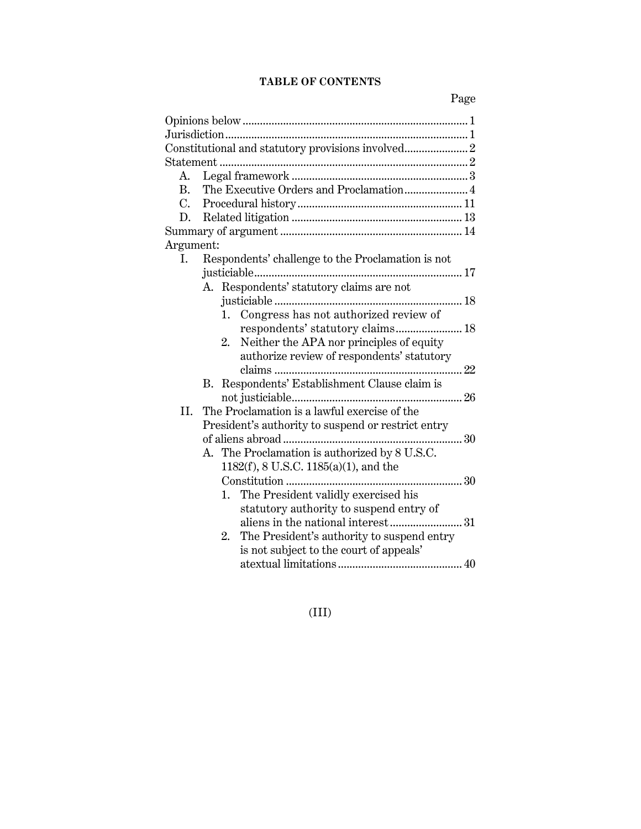# **TABLE OF CONTENTS**

|               | Constitutional and statutory provisions involved 2 |
|---------------|----------------------------------------------------|
|               |                                                    |
| А.            |                                                    |
| B.            |                                                    |
| $C_{\bullet}$ |                                                    |
| D.            |                                                    |
|               |                                                    |
| Argument:     |                                                    |
| Ι.            | Respondents' challenge to the Proclamation is not  |
|               |                                                    |
|               | A. Respondents' statutory claims are not           |
|               |                                                    |
|               | Congress has not authorized review of<br>1.        |
|               | respondents' statutory claims 18                   |
|               | Neither the APA nor principles of equity<br>2.     |
|               | authorize review of respondents' statutory         |
|               |                                                    |
|               | B. Respondents' Establishment Clause claim is      |
|               |                                                    |
| II.           | The Proclamation is a lawful exercise of the       |
|               | President's authority to suspend or restrict entry |
|               |                                                    |
|               | A. The Proclamation is authorized by 8 U.S.C.      |
|               | $1182(f)$ , 8 U.S.C. $1185(a)(1)$ , and the        |
|               |                                                    |
|               | The President validly exercised his<br>1.          |
|               | statutory authority to suspend entry of            |
|               |                                                    |
|               | The President's authority to suspend entry<br>2.   |
|               | is not subject to the court of appeals'            |
|               |                                                    |

(III)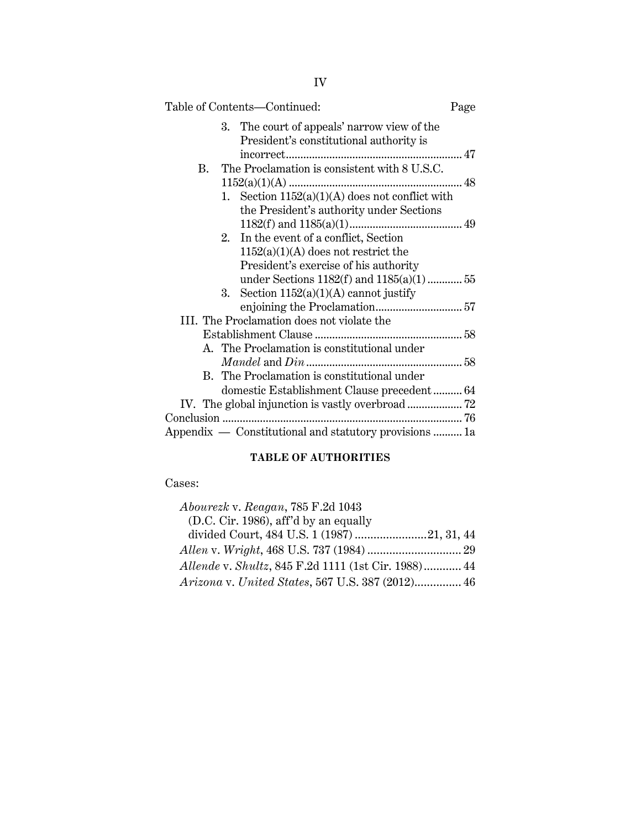| Table of Contents-Continued:                           | Page |
|--------------------------------------------------------|------|
| 3. The court of appeals' narrow view of the            |      |
| President's constitutional authority is                |      |
|                                                        |      |
| The Proclamation is consistent with 8 U.S.C.<br>B.     |      |
|                                                        |      |
| 1. Section $1152(a)(1)(A)$ does not conflict with      |      |
| the President's authority under Sections               |      |
|                                                        |      |
| 2. In the event of a conflict, Section                 |      |
| $1152(a)(1)(A)$ does not restrict the                  |      |
| President's exercise of his authority                  |      |
| under Sections $1182(f)$ and $1185(a)(1)$ 55           |      |
| Section $1152(a)(1)(A)$ cannot justify<br>3.           |      |
|                                                        |      |
| III. The Proclamation does not violate the             |      |
|                                                        |      |
| A. The Proclamation is constitutional under            |      |
|                                                        |      |
| B. The Proclamation is constitutional under            |      |
| domestic Establishment Clause precedent 64             |      |
|                                                        |      |
|                                                        |      |
| Appendix — Constitutional and statutory provisions  1a |      |
|                                                        |      |

# **TABLE OF AUTHORITIES**

# Cases:

| Abourezk v. Reagan, 785 F.2d 1043                   |  |
|-----------------------------------------------------|--|
| (D.C. Cir. 1986), aff'd by an equally               |  |
|                                                     |  |
|                                                     |  |
| Allende v. Shultz, 845 F.2d 1111 (1st Cir. 1988) 44 |  |
| Arizona v. United States, 567 U.S. 387 (2012) 46    |  |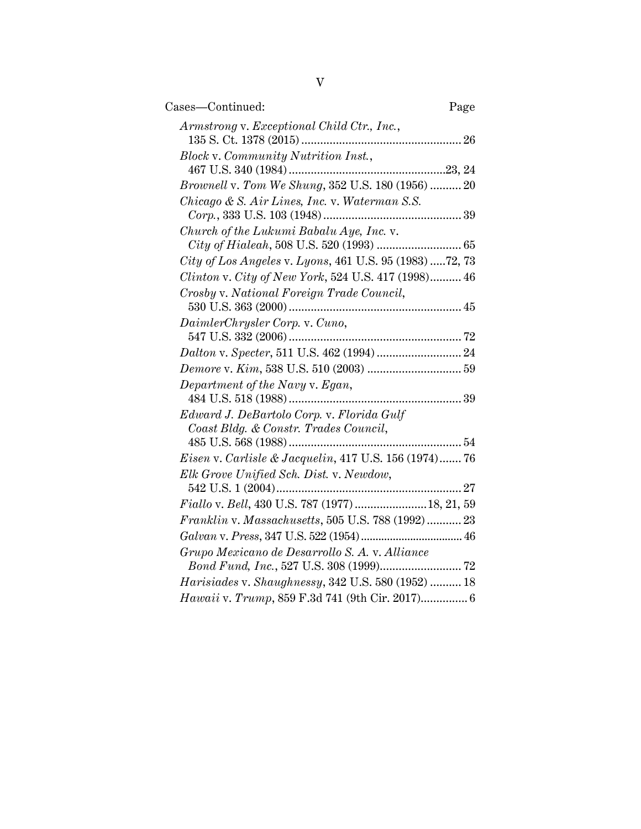| Cases-Continued:                                                                   | Page |
|------------------------------------------------------------------------------------|------|
| Armstrong v. Exceptional Child Ctr., Inc.,                                         |      |
| Block v. Community Nutrition Inst.,                                                |      |
| <i>Brownell v. Tom We Shung</i> , 352 U.S. 180 (1956)  20                          |      |
| Chicago & S. Air Lines, Inc. v. Waterman S.S.                                      |      |
| Church of the Lukumi Babalu Aye, Inc. v.                                           |      |
| City of Los Angeles v. Lyons, 461 U.S. 95 (1983) 72, 73                            |      |
| Clinton v. City of New York, 524 U.S. 417 (1998) 46                                |      |
| Crosby v. National Foreign Trade Council,                                          |      |
|                                                                                    |      |
| DaimlerChrysler Corp. v. Cuno,                                                     |      |
|                                                                                    |      |
|                                                                                    |      |
| Department of the Navy v. Egan,                                                    |      |
| Edward J. DeBartolo Corp. v. Florida Gulf<br>Coast Bldg. & Constr. Trades Council, |      |
| <i>Eisen v. Carlisle &amp; Jacquelin, 417 U.S. 156 (1974) 76</i>                   |      |
| Elk Grove Unified Sch. Dist. v. Newdow,                                            |      |
|                                                                                    |      |
| Fiallo v. Bell, 430 U.S. 787 (1977)  18, 21, 59                                    |      |
| Franklin v. Massachusetts, 505 U.S. 788 (1992) 23                                  |      |
|                                                                                    |      |
| Grupo Mexicano de Desarrollo S. A. v. Alliance                                     |      |
|                                                                                    |      |
| Harisiades v. Shaughnessy, 342 U.S. 580 (1952)  18                                 |      |
| Hawaii v. Trump, 859 F.3d 741 (9th Cir. 2017) 6                                    |      |
|                                                                                    |      |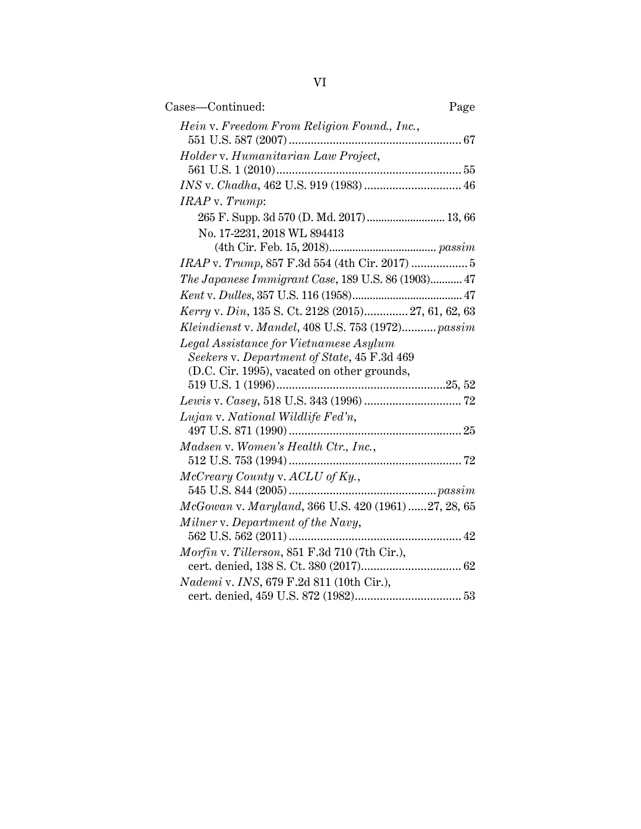| Cases-Continued:                                        | Page |
|---------------------------------------------------------|------|
| Hein v. Freedom From Religion Found., Inc.,             |      |
| Holder v. Humanitarian Law Project,                     |      |
|                                                         |      |
|                                                         |      |
| IRAP v. Trump:                                          |      |
| 265 F. Supp. 3d 570 (D. Md. 2017)  13, 66               |      |
| No. 17-2231, 2018 WL 894413                             |      |
|                                                         |      |
| IRAP v. Trump, 857 F.3d 554 (4th Cir. 2017)  5          |      |
| The Japanese Immigrant Case, 189 U.S. 86 (1903) 47      |      |
|                                                         |      |
| Kerry v. Din, 135 S. Ct. 2128 (2015) 27, 61, 62, 63     |      |
| Kleindienst v. Mandel, 408 U.S. 753 (1972) passim       |      |
| Legal Assistance for Vietnamese Asylum                  |      |
| Seekers v. Department of State, 45 F.3d 469             |      |
| (D.C. Cir. 1995), vacated on other grounds,             |      |
|                                                         |      |
|                                                         |      |
| Lujan v. National Wildlife Fed'n,                       |      |
|                                                         |      |
| Madsen v. Women's Health Ctr., Inc.,                    |      |
|                                                         |      |
| McCreary County v. ACLU of Ky.,                         |      |
|                                                         |      |
| McGowan v. Maryland, 366 U.S. 420 (1961) 27, 28, 65     |      |
| Milner v. Department of the Navy,                       |      |
| Morfin v. Tillerson, 851 F.3d 710 (7th Cir.),           |      |
|                                                         |      |
| <i>Nademi</i> v. <i>INS</i> , 679 F.2d 811 (10th Cir.), |      |
|                                                         |      |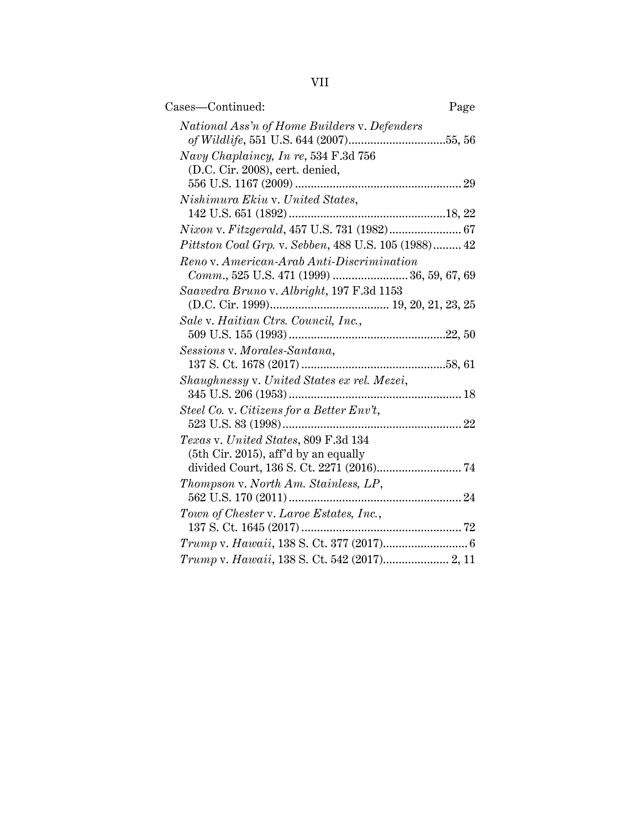VII

| Cases-Continued:                                                             | Page |
|------------------------------------------------------------------------------|------|
| National Ass'n of Home Builders v. Defenders                                 |      |
| Navy Chaplaincy, In re, 534 F.3d 756<br>(D.C. Cir. 2008), cert. denied,      |      |
| Nishimura Ekiu v. United States,                                             |      |
|                                                                              |      |
| Nixon v. Fitzgerald, 457 U.S. 731 (1982) 67                                  |      |
| Pittston Coal Grp. v. Sebben, 488 U.S. 105 (1988) 42                         |      |
| Reno v. American-Arab Anti-Discrimination                                    |      |
| Comm., 525 U.S. 471 (1999)  36, 59, 67, 69                                   |      |
| Saavedra Bruno v. Albright, 197 F.3d 1153                                    |      |
| Sale v. Haitian Ctrs. Council, Inc.,                                         |      |
| Sessions v. Morales-Santana,                                                 |      |
| Shaughnessy v. United States ex rel. Mezei,                                  |      |
| Steel Co. v. Citizens for a Better Env't,                                    |      |
|                                                                              |      |
| Texas v. United States, 809 F.3d 134<br>(5th Cir. 2015), aff'd by an equally |      |
|                                                                              |      |
| Thompson v. North Am. Stainless, LP,                                         |      |
|                                                                              |      |
| Town of Chester v. Laroe Estates, Inc.,                                      |      |
|                                                                              |      |
|                                                                              |      |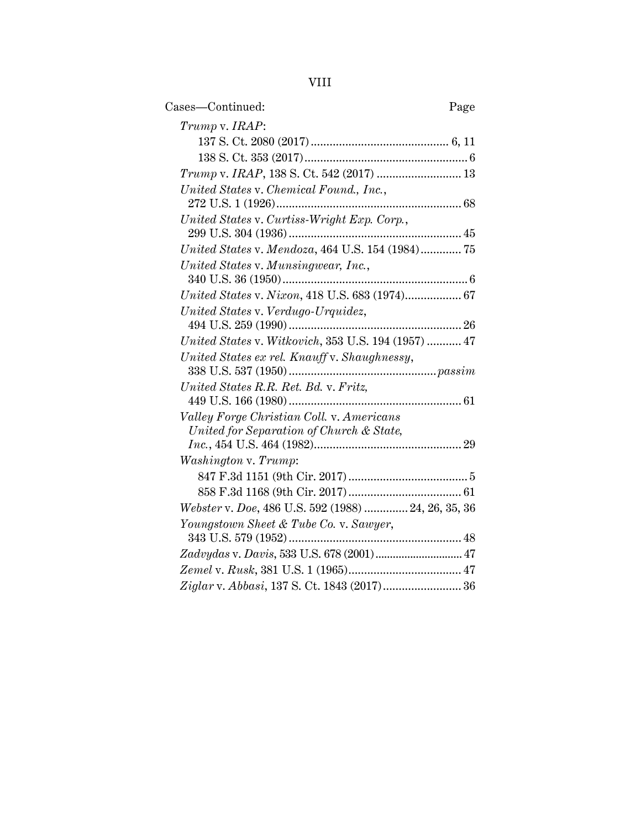VIII

| Cases-Continued:                                    | Page |
|-----------------------------------------------------|------|
| Trump v. IRAP:                                      |      |
|                                                     |      |
|                                                     |      |
|                                                     |      |
| United States v. Chemical Found., Inc.,             |      |
|                                                     |      |
| United States v. Curtiss-Wright Exp. Corp.,         |      |
|                                                     |      |
| United States v. Mendoza, 464 U.S. 154 (1984) 75    |      |
| United States v. Munsingwear, Inc.,                 |      |
|                                                     |      |
| United States v. Nixon, 418 U.S. 683 (1974) 67      |      |
| United States v. Verdugo-Urquidez,                  |      |
| United States v. Witkovich, 353 U.S. 194 (1957)  47 |      |
| United States ex rel. Knauff v. Shaughnessy,        |      |
|                                                     |      |
| United States R.R. Ret. Bd. v. Fritz,               |      |
|                                                     |      |
| Valley Forge Christian Coll. v. Americans           |      |
| United for Separation of Church & State,            |      |
|                                                     |      |
| Washington v. Trump:                                |      |
|                                                     |      |
|                                                     |      |
| Webster v. Doe, 486 U.S. 592 (1988)  24, 26, 35, 36 |      |
| Youngstown Sheet & Tube Co. v. Sawyer,              |      |
| Zadvydas v. Davis, 533 U.S. 678 (2001) 47           |      |
|                                                     |      |
| Ziglar v. Abbasi, 137 S. Ct. 1843 (2017) 36         |      |
|                                                     |      |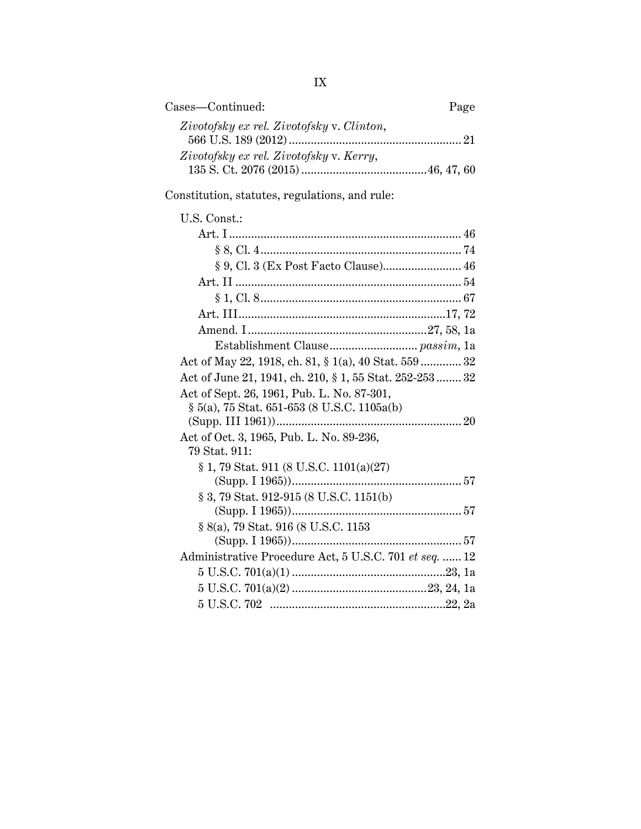| Cases—Continued:                          | Page |
|-------------------------------------------|------|
| Zivotofsky ex rel. Zivotofsky v. Clinton, |      |
| Zivotofsky ex rel. Zivotofsky v. Kerry,   |      |

Constitution, statutes, regulations, and rule:

| U.S. Const.:                                            |  |
|---------------------------------------------------------|--|
|                                                         |  |
|                                                         |  |
|                                                         |  |
|                                                         |  |
|                                                         |  |
|                                                         |  |
|                                                         |  |
|                                                         |  |
| Act of May 22, 1918, ch. 81, § 1(a), 40 Stat. 559  32   |  |
| Act of June 21, 1941, ch. 210, § 1, 55 Stat. 252-253 32 |  |
| Act of Sept. 26, 1961, Pub. L. No. 87-301,              |  |
| § 5(a), 75 Stat. 651-653 (8 U.S.C. 1105a(b)             |  |
|                                                         |  |
| Act of Oct. 3, 1965, Pub. L. No. 89-236,                |  |
| 79 Stat. 911:                                           |  |
| § 1, 79 Stat. 911 (8 U.S.C. 1101(a)(27)                 |  |
|                                                         |  |
| § 3, 79 Stat. 912-915 (8 U.S.C. 1151(b)                 |  |
|                                                         |  |
| § 8(a), 79 Stat. 916 (8 U.S.C. 1153                     |  |
|                                                         |  |
| Administrative Procedure Act, 5 U.S.C. 701 et seq.  12  |  |
| $5 \text{ U.S.C. } 701(a)(1) \dots 123, 1a$             |  |
|                                                         |  |
|                                                         |  |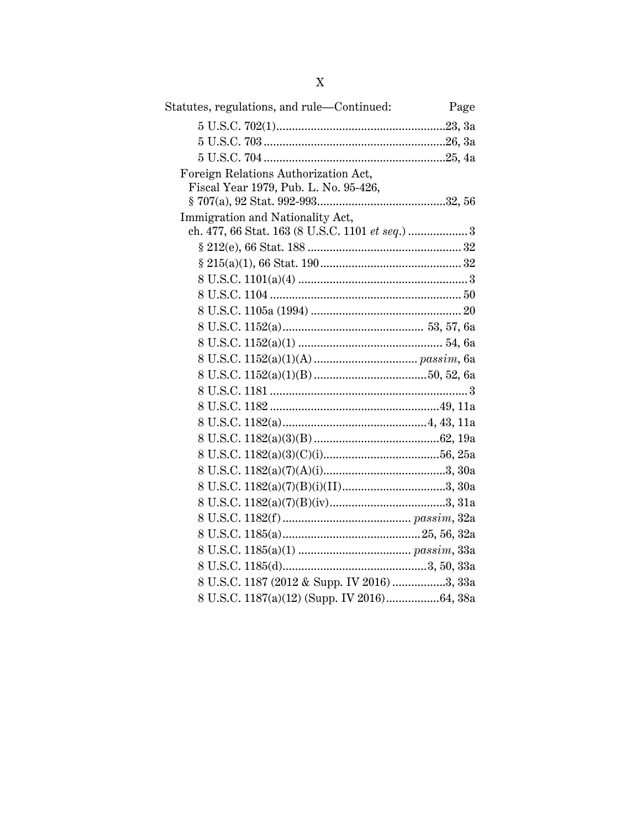| Statutes, regulations, and rule—Continued:  | Page |
|---------------------------------------------|------|
|                                             |      |
|                                             |      |
|                                             |      |
| Foreign Relations Authorization Act,        |      |
| Fiscal Year 1979, Pub. L. No. 95-426,       |      |
|                                             |      |
| Immigration and Nationality Act,            |      |
|                                             |      |
|                                             |      |
|                                             |      |
|                                             |      |
|                                             |      |
|                                             |      |
|                                             |      |
|                                             |      |
|                                             |      |
|                                             |      |
|                                             |      |
|                                             |      |
|                                             |      |
|                                             |      |
|                                             |      |
|                                             |      |
|                                             |      |
|                                             |      |
|                                             |      |
|                                             |      |
|                                             |      |
|                                             |      |
| 8 U.S.C. 1187 (2012 & Supp. IV 2016) 3, 33a |      |
| 8 U.S.C. 1187(a)(12) (Supp. IV 2016)64, 38a |      |
|                                             |      |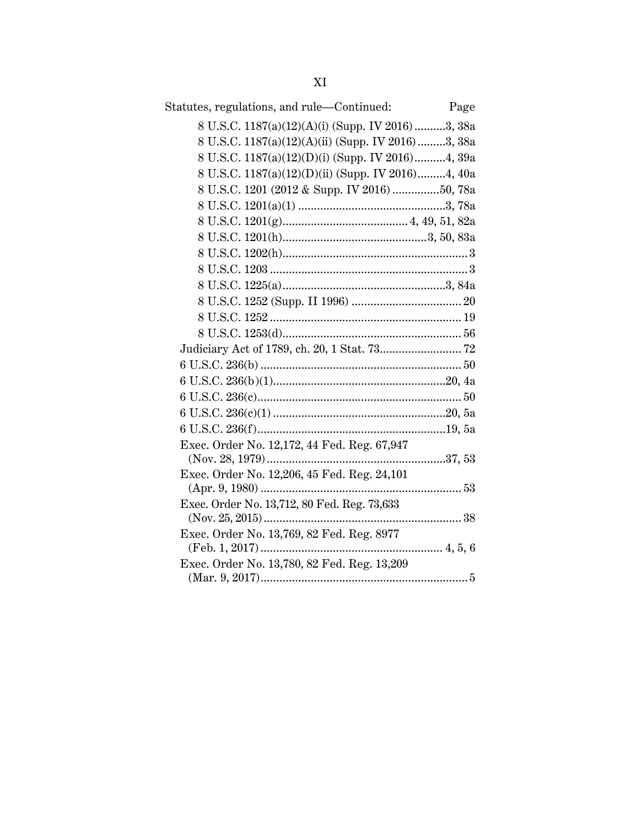| Statutes, regulations, and rule—Continued:        | Page |
|---------------------------------------------------|------|
| 8 U.S.C. 1187(a)(12)(A)(i) (Supp. IV 2016)3, 38a  |      |
| 8 U.S.C. 1187(a)(12)(A)(ii) (Supp. IV 2016)3, 38a |      |
| 8 U.S.C. 1187(a)(12)(D)(i) (Supp. IV 2016)4, 39a  |      |
| 8 U.S.C. 1187(a)(12)(D)(ii) (Supp. IV 2016)4, 40a |      |
| 8 U.S.C. 1201 (2012 & Supp. IV 2016) 50, 78a      |      |
|                                                   |      |
|                                                   |      |
|                                                   |      |
|                                                   |      |
|                                                   |      |
|                                                   |      |
|                                                   |      |
|                                                   |      |
|                                                   |      |
|                                                   |      |
|                                                   |      |
|                                                   |      |
|                                                   |      |
|                                                   |      |
|                                                   |      |
| Exec. Order No. 12,172, 44 Fed. Reg. 67,947       |      |
|                                                   |      |
| Exec. Order No. 12,206, 45 Fed. Reg. 24,101       |      |
| Exec. Order No. 13,712, 80 Fed. Reg. 73,633       |      |
| (Nov. 25, 2015)                                   |      |
| Exec. Order No. 13,769, 82 Fed. Reg. 8977         |      |
|                                                   |      |
| Exec. Order No. 13,780, 82 Fed. Reg. 13,209       |      |
|                                                   |      |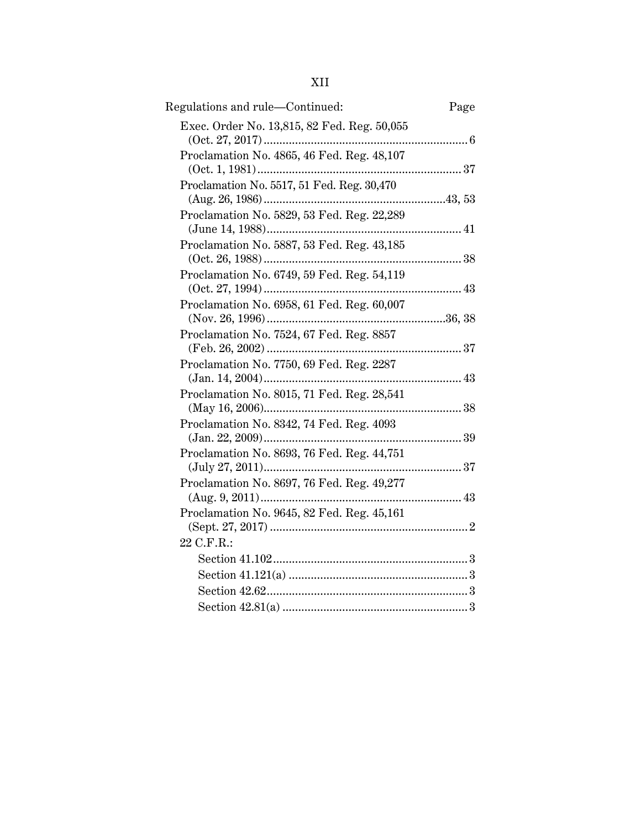# XII

| Regulations and rule—Continued:             | Page |
|---------------------------------------------|------|
| Exec. Order No. 13,815, 82 Fed. Reg. 50,055 |      |
| Proclamation No. 4865, 46 Fed. Reg. 48,107  |      |
| Proclamation No. 5517, 51 Fed. Reg. 30,470  |      |
| Proclamation No. 5829, 53 Fed. Reg. 22,289  |      |
| Proclamation No. 5887, 53 Fed. Reg. 43,185  |      |
| Proclamation No. 6749, 59 Fed. Reg. 54,119  |      |
| Proclamation No. 6958, 61 Fed. Reg. 60,007  |      |
| Proclamation No. 7524, 67 Fed. Reg. 8857    |      |
| Proclamation No. 7750, 69 Fed. Reg. 2287    |      |
| Proclamation No. 8015, 71 Fed. Reg. 28,541  |      |
| Proclamation No. 8342, 74 Fed. Reg. 4093    |      |
| Proclamation No. 8693, 76 Fed. Reg. 44,751  |      |
| Proclamation No. 8697, 76 Fed. Reg. 49,277  |      |
| Proclamation No. 9645, 82 Fed. Reg. 45,161  |      |
| 22 C.F.R.:                                  |      |
|                                             |      |
|                                             |      |
|                                             |      |
|                                             |      |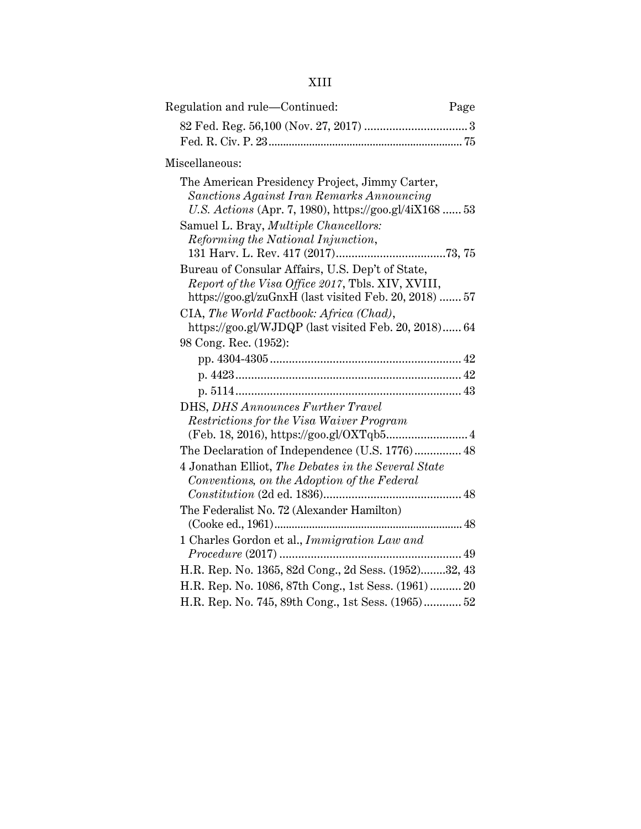| Regulation and rule—Continued:<br>Page                                                                                                                                                                                                                                                                                                                                                                          |  |
|-----------------------------------------------------------------------------------------------------------------------------------------------------------------------------------------------------------------------------------------------------------------------------------------------------------------------------------------------------------------------------------------------------------------|--|
|                                                                                                                                                                                                                                                                                                                                                                                                                 |  |
| Miscellaneous:                                                                                                                                                                                                                                                                                                                                                                                                  |  |
| The American Presidency Project, Jimmy Carter,<br>Sanctions Against Iran Remarks Announcing<br>U.S. Actions (Apr. 7, 1980), https://goo.gl/4iX168  53<br>Samuel L. Bray, <i>Multiple Chancellors</i> :<br>Reforming the National Injunction,<br>Bureau of Consular Affairs, U.S. Dep't of State,<br>Report of the Visa Office 2017, Tbls. XIV, XVIII,<br>https://goo.gl/zuGnxH (last visited Feb. 20, 2018)  57 |  |
| CIA, The World Factbook: Africa (Chad),<br>https://goo.gl/WJDQP (last visited Feb. 20, 2018) 64                                                                                                                                                                                                                                                                                                                 |  |
| 98 Cong. Rec. (1952):                                                                                                                                                                                                                                                                                                                                                                                           |  |
|                                                                                                                                                                                                                                                                                                                                                                                                                 |  |
|                                                                                                                                                                                                                                                                                                                                                                                                                 |  |
|                                                                                                                                                                                                                                                                                                                                                                                                                 |  |
| DHS, DHS Announces Further Travel                                                                                                                                                                                                                                                                                                                                                                               |  |
| Restrictions for the Visa Waiver Program<br>(Feb. 18, 2016), https://goo.gl/OXTqb5 4                                                                                                                                                                                                                                                                                                                            |  |
| The Declaration of Independence (U.S. 1776) 48                                                                                                                                                                                                                                                                                                                                                                  |  |
| 4 Jonathan Elliot, The Debates in the Several State<br>Conventions, on the Adoption of the Federal                                                                                                                                                                                                                                                                                                              |  |
| The Federalist No. 72 (Alexander Hamilton)                                                                                                                                                                                                                                                                                                                                                                      |  |
| 1 Charles Gordon et al., Immigration Law and                                                                                                                                                                                                                                                                                                                                                                    |  |
| H.R. Rep. No. 1365, 82d Cong., 2d Sess. (1952)32, 43                                                                                                                                                                                                                                                                                                                                                            |  |
| H.R. Rep. No. 1086, 87th Cong., 1st Sess. (1961)  20                                                                                                                                                                                                                                                                                                                                                            |  |
| H.R. Rep. No. 745, 89th Cong., 1st Sess. (1965) 52                                                                                                                                                                                                                                                                                                                                                              |  |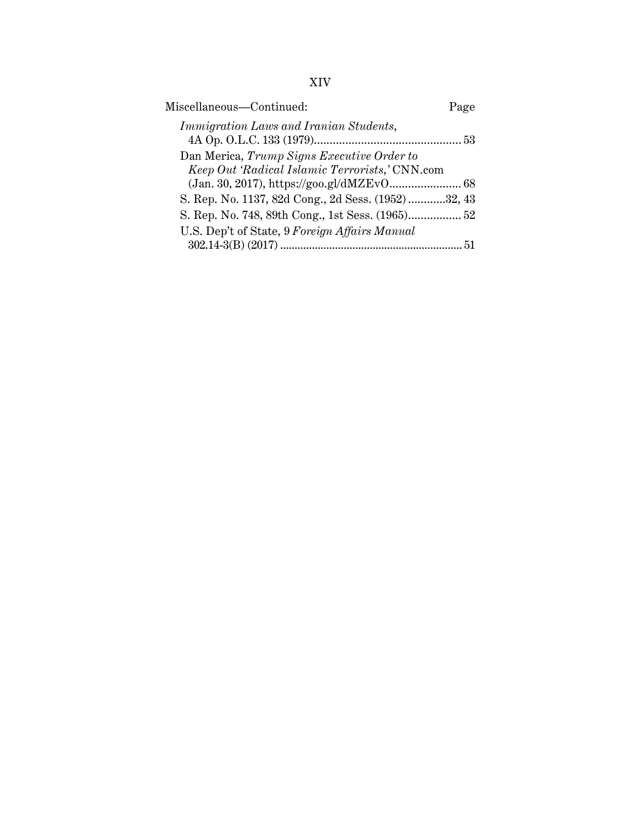| Miscellaneous-Continued:                                                                     | Page |
|----------------------------------------------------------------------------------------------|------|
| <i>Immigration Laws and Iranian Students,</i>                                                |      |
| Dan Merica, Trump Signs Executive Order to<br>Keep Out 'Radical Islamic Terrorists,' CNN.com |      |
|                                                                                              |      |
| S. Rep. No. 1137, 82d Cong., 2d Sess. (1952)32, 43                                           |      |
|                                                                                              |      |
| U.S. Dep't of State, 9 Foreign Affairs Manual                                                |      |
|                                                                                              | 51   |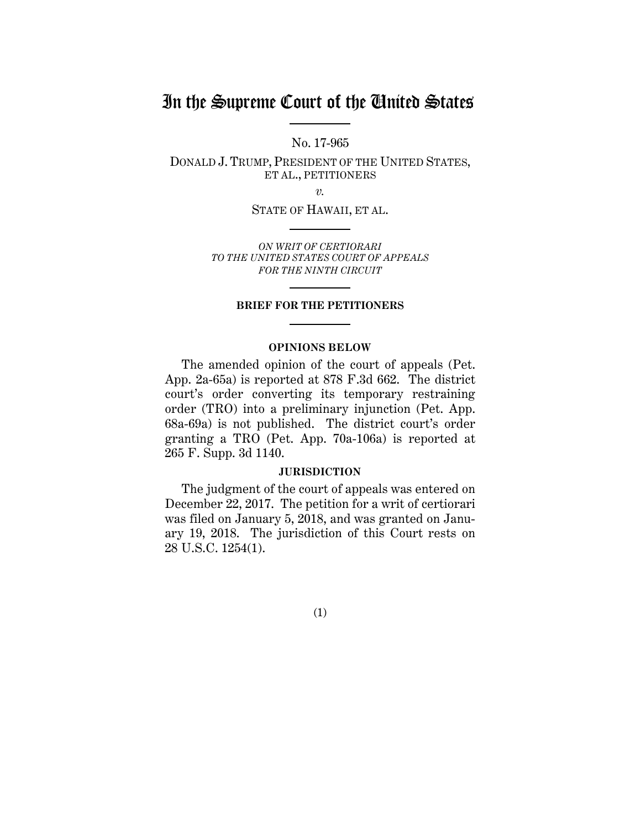# In the Supreme Court of the United States

No. 17-965

DONALD J. TRUMP, PRESIDENT OF THE UNITED STATES, ET AL., PETITIONERS

*v.*

STATE OF HAWAII, ET AL.

*ON WRIT OF CERTIORARI TO THE UNITED STATES COURT OF APPEALS FOR THE NINTH CIRCUIT*

## **BRIEF FOR THE PETITIONERS**

#### **OPINIONS BELOW**

The amended opinion of the court of appeals (Pet. App. 2a-65a) is reported at 878 F.3d 662. The district court's order converting its temporary restraining order (TRO) into a preliminary injunction (Pet. App. 68a-69a) is not published. The district court's order granting a TRO (Pet. App. 70a-106a) is reported at 265 F. Supp. 3d 1140.

#### **JURISDICTION**

The judgment of the court of appeals was entered on December 22, 2017. The petition for a writ of certiorari was filed on January 5, 2018, and was granted on January 19, 2018. The jurisdiction of this Court rests on 28 U.S.C. 1254(1).

(1)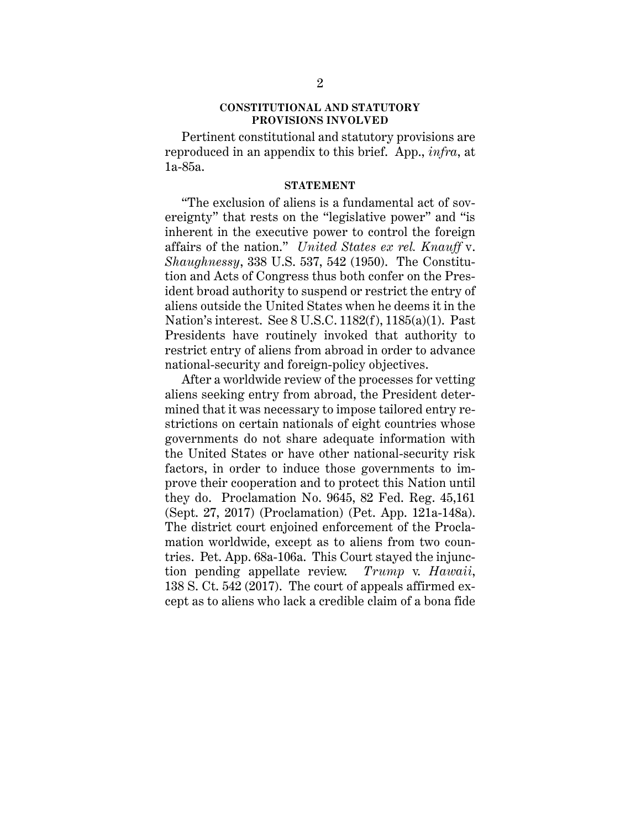#### **CONSTITUTIONAL AND STATUTORY PROVISIONS INVOLVED**

Pertinent constitutional and statutory provisions are reproduced in an appendix to this brief. App., *infra*, at 1a-85a.

#### **STATEMENT**

"The exclusion of aliens is a fundamental act of sovereignty" that rests on the "legislative power" and "is inherent in the executive power to control the foreign affairs of the nation." *United States ex rel. Knauff* v. *Shaughnessy*, 338 U.S. 537, 542 (1950). The Constitution and Acts of Congress thus both confer on the President broad authority to suspend or restrict the entry of aliens outside the United States when he deems it in the Nation's interest. See 8 U.S.C. 1182(f), 1185(a)(1). Past Presidents have routinely invoked that authority to restrict entry of aliens from abroad in order to advance national-security and foreign-policy objectives.

After a worldwide review of the processes for vetting aliens seeking entry from abroad, the President determined that it was necessary to impose tailored entry restrictions on certain nationals of eight countries whose governments do not share adequate information with the United States or have other national-security risk factors, in order to induce those governments to improve their cooperation and to protect this Nation until they do. Proclamation No. 9645, 82 Fed. Reg. 45,161 (Sept. 27, 2017) (Proclamation) (Pet. App. 121a-148a). The district court enjoined enforcement of the Proclamation worldwide, except as to aliens from two countries. Pet. App. 68a-106a. This Court stayed the injunction pending appellate review. *Trump* v. *Hawaii*, 138 S. Ct. 542 (2017). The court of appeals affirmed except as to aliens who lack a credible claim of a bona fide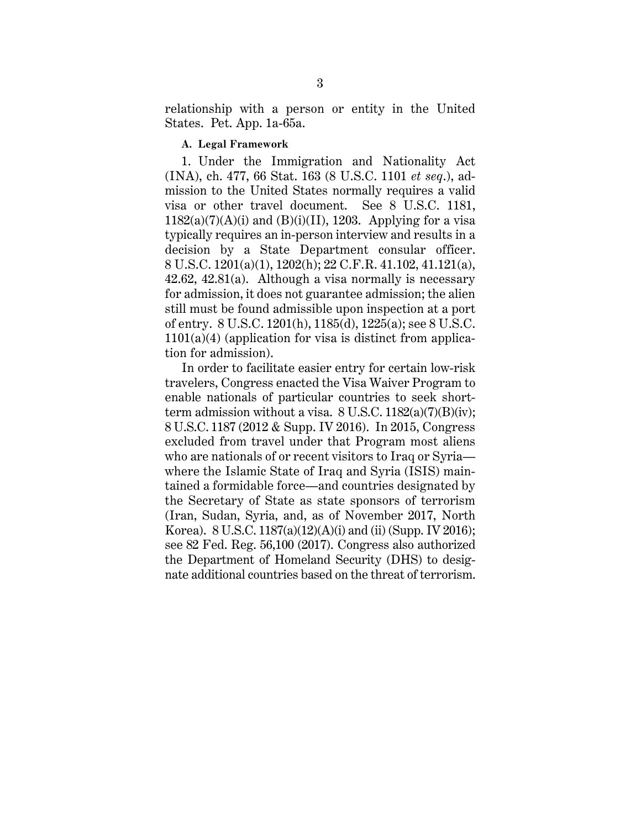relationship with a person or entity in the United States. Pet. App. 1a-65a.

#### **A. Legal Framework**

1. Under the Immigration and Nationality Act (INA), ch. 477, 66 Stat. 163 (8 U.S.C. 1101 *et seq*.), admission to the United States normally requires a valid visa or other travel document. See 8 U.S.C. 1181,  $1182(a)(7)(A)(i)$  and  $(B)(i)(II)$ , 1203. Applying for a visa typically requires an in-person interview and results in a decision by a State Department consular officer. 8 U.S.C. 1201(a)(1), 1202(h); 22 C.F.R. 41.102, 41.121(a), 42.62, 42.81(a). Although a visa normally is necessary for admission, it does not guarantee admission; the alien still must be found admissible upon inspection at a port of entry. 8 U.S.C. 1201(h), 1185(d), 1225(a); see 8 U.S.C.  $1101(a)(4)$  (application for visa is distinct from application for admission).

In order to facilitate easier entry for certain low-risk travelers, Congress enacted the Visa Waiver Program to enable nationals of particular countries to seek shortterm admission without a visa.  $8$  U.S.C.  $1182(a)(7)(B)(iv)$ ; 8 U.S.C. 1187 (2012 & Supp. IV 2016). In 2015, Congress excluded from travel under that Program most aliens who are nationals of or recent visitors to Iraq or Syria where the Islamic State of Iraq and Syria (ISIS) maintained a formidable force—and countries designated by the Secretary of State as state sponsors of terrorism (Iran, Sudan, Syria, and, as of November 2017, North Korea). 8 U.S.C. 1187(a)(12)(A)(i) and (ii) (Supp. IV 2016); see 82 Fed. Reg. 56,100 (2017). Congress also authorized the Department of Homeland Security (DHS) to designate additional countries based on the threat of terrorism.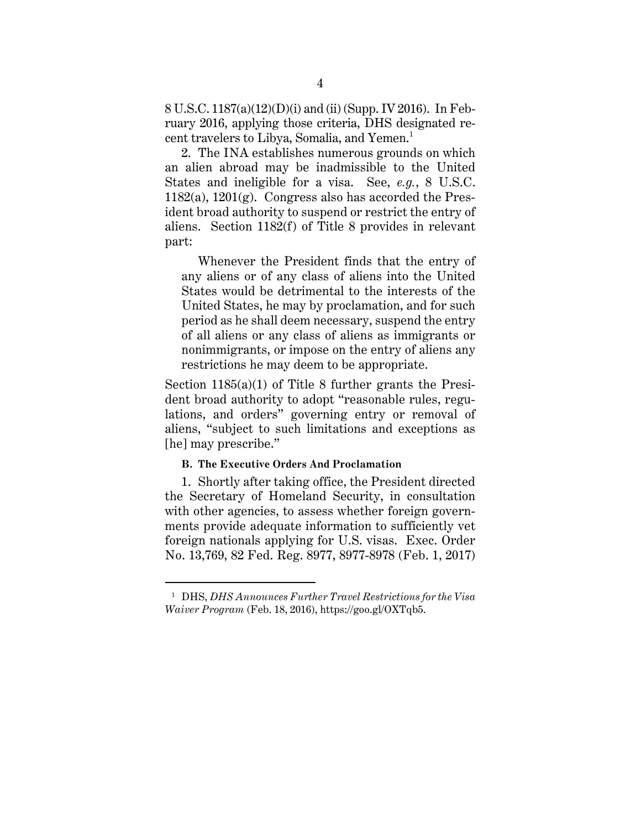8 U.S.C. 1187(a)(12)(D)(i) and (ii) (Supp. IV 2016). In February 2016, applying those criteria, DHS designated recent travelers to Libya, Somalia, and Yemen.<sup>1</sup>

2. The INA establishes numerous grounds on which an alien abroad may be inadmissible to the United States and ineligible for a visa. See, *e.g.*, 8 U.S.C.  $1182(a)$ ,  $1201(g)$ . Congress also has accorded the President broad authority to suspend or restrict the entry of aliens. Section 1182(f) of Title 8 provides in relevant part:

Whenever the President finds that the entry of any aliens or of any class of aliens into the United States would be detrimental to the interests of the United States, he may by proclamation, and for such period as he shall deem necessary, suspend the entry of all aliens or any class of aliens as immigrants or nonimmigrants, or impose on the entry of aliens any restrictions he may deem to be appropriate.

Section 1185(a)(1) of Title 8 further grants the President broad authority to adopt "reasonable rules, regulations, and orders" governing entry or removal of aliens, "subject to such limitations and exceptions as [he] may prescribe."

#### **B. The Executive Orders And Proclamation**

 $\overline{a}$ 

1. Shortly after taking office, the President directed the Secretary of Homeland Security, in consultation with other agencies, to assess whether foreign governments provide adequate information to sufficiently vet foreign nationals applying for U.S. visas. Exec. Order No. 13,769, 82 Fed. Reg. 8977, 8977-8978 (Feb. 1, 2017)

<sup>1</sup> DHS, *DHS Announces Further Travel Restrictions for the Visa Waiver Program* (Feb. 18, 2016), https://goo.gl/OXTqb5.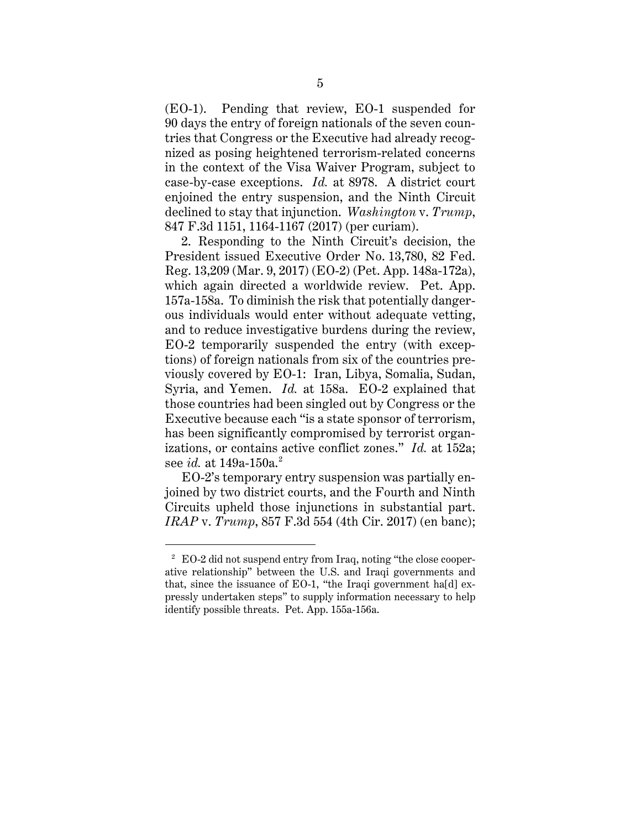(EO-1). Pending that review, EO-1 suspended for 90 days the entry of foreign nationals of the seven countries that Congress or the Executive had already recognized as posing heightened terrorism-related concerns in the context of the Visa Waiver Program, subject to case-by-case exceptions. *Id.* at 8978. A district court enjoined the entry suspension, and the Ninth Circuit declined to stay that injunction. *Washington* v. *Trump*, 847 F.3d 1151, 1164-1167 (2017) (per curiam).

2. Responding to the Ninth Circuit's decision, the President issued Executive Order No. 13,780, 82 Fed. Reg. 13,209 (Mar. 9, 2017) (EO-2) (Pet. App. 148a-172a), which again directed a worldwide review. Pet. App. 157a-158a. To diminish the risk that potentially dangerous individuals would enter without adequate vetting, and to reduce investigative burdens during the review, EO-2 temporarily suspended the entry (with exceptions) of foreign nationals from six of the countries previously covered by EO-1: Iran, Libya, Somalia, Sudan, Syria, and Yemen. *Id.* at 158a. EO-2 explained that those countries had been singled out by Congress or the Executive because each "is a state sponsor of terrorism, has been significantly compromised by terrorist organizations, or contains active conflict zones." *Id.* at 152a; see *id.* at 149a-150a.<sup>2</sup>

EO-2's temporary entry suspension was partially enjoined by two district courts, and the Fourth and Ninth Circuits upheld those injunctions in substantial part. *IRAP* v. *Trump*, 857 F.3d 554 (4th Cir. 2017) (en banc);

<sup>2</sup> EO-2 did not suspend entry from Iraq, noting "the close cooperative relationship" between the U.S. and Iraqi governments and that, since the issuance of EO-1, "the Iraqi government ha[d] expressly undertaken steps" to supply information necessary to help identify possible threats. Pet. App. 155a-156a.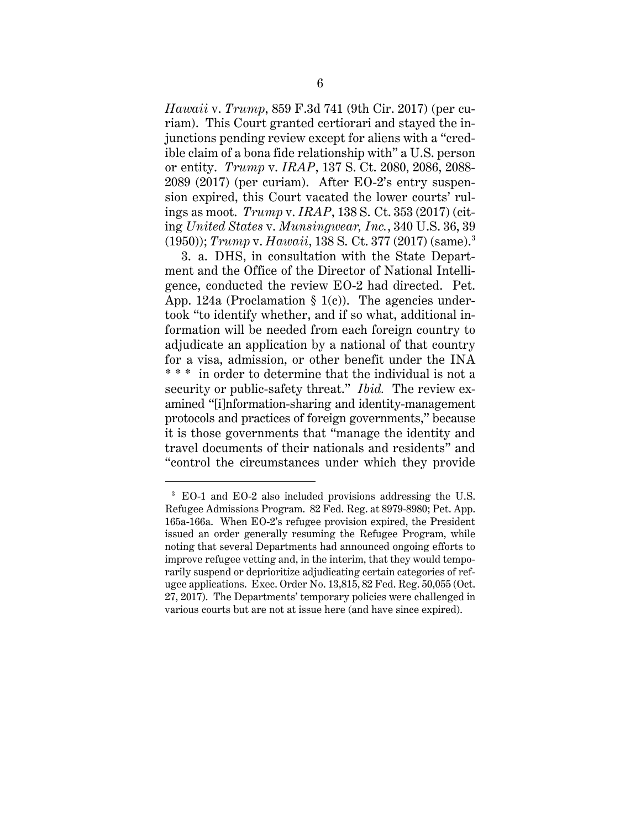*Hawaii* v. *Trump*, 859 F.3d 741 (9th Cir. 2017) (per curiam). This Court granted certiorari and stayed the injunctions pending review except for aliens with a "credible claim of a bona fide relationship with" a U.S. person or entity. *Trump* v. *IRAP*, 137 S. Ct. 2080, 2086, 2088- 2089 (2017) (per curiam). After EO-2's entry suspension expired, this Court vacated the lower courts' rulings as moot. *Trump* v. *IRAP*, 138 S. Ct. 353 (2017) (citing *United States* v. *Munsingwear, Inc.*, 340 U.S. 36, 39 (1950)); *Trump* v. *Hawaii*, 138 S. Ct. 377 (2017) (same). 3

3. a. DHS, in consultation with the State Department and the Office of the Director of National Intelligence, conducted the review EO-2 had directed. Pet. App. 124a (Proclamation  $\S$  1(c)). The agencies undertook "to identify whether, and if so what, additional information will be needed from each foreign country to adjudicate an application by a national of that country for a visa, admission, or other benefit under the INA \* \* \* in order to determine that the individual is not a security or public-safety threat." *Ibid.* The review examined "[i]nformation-sharing and identity-management protocols and practices of foreign governments," because it is those governments that "manage the identity and travel documents of their nationals and residents" and "control the circumstances under which they provide

<sup>3</sup> EO-1 and EO-2 also included provisions addressing the U.S. Refugee Admissions Program. 82 Fed. Reg. at 8979-8980; Pet. App. 165a-166a. When EO-2's refugee provision expired, the President issued an order generally resuming the Refugee Program, while noting that several Departments had announced ongoing efforts to improve refugee vetting and, in the interim, that they would temporarily suspend or deprioritize adjudicating certain categories of refugee applications. Exec. Order No. 13,815, 82 Fed. Reg. 50,055 (Oct. 27, 2017). The Departments' temporary policies were challenged in various courts but are not at issue here (and have since expired).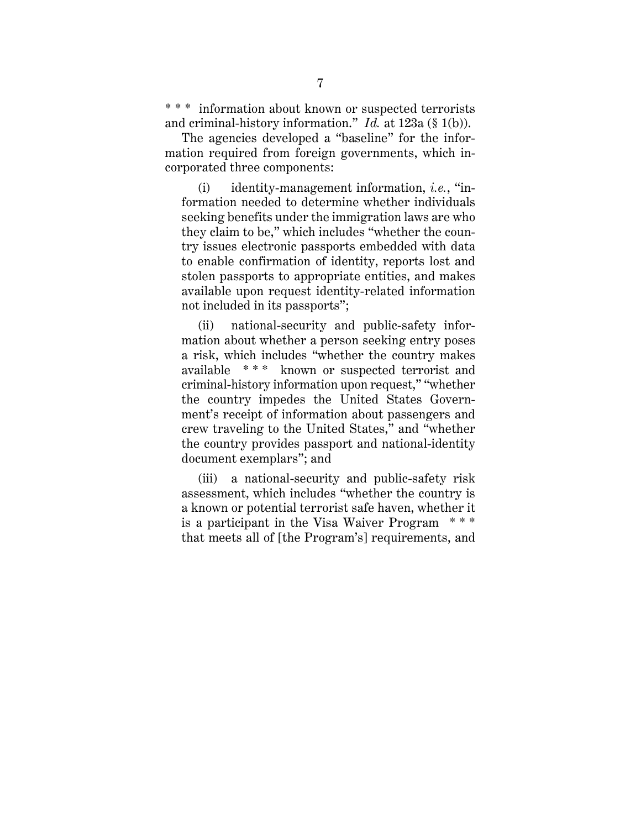\* \* \* information about known or suspected terrorists and criminal-history information." *Id.* at 123a (§ 1(b)).

The agencies developed a "baseline" for the information required from foreign governments, which incorporated three components:

(i) identity-management information, *i.e.*, "information needed to determine whether individuals seeking benefits under the immigration laws are who they claim to be," which includes "whether the country issues electronic passports embedded with data to enable confirmation of identity, reports lost and stolen passports to appropriate entities, and makes available upon request identity-related information not included in its passports";

(ii) national-security and public-safety information about whether a person seeking entry poses a risk, which includes "whether the country makes available \* \* \* known or suspected terrorist and criminal-history information upon request," "whether the country impedes the United States Government's receipt of information about passengers and crew traveling to the United States," and "whether the country provides passport and national-identity document exemplars"; and

(iii) a national-security and public-safety risk assessment, which includes "whether the country is a known or potential terrorist safe haven, whether it is a participant in the Visa Waiver Program \* \* \* that meets all of [the Program's] requirements, and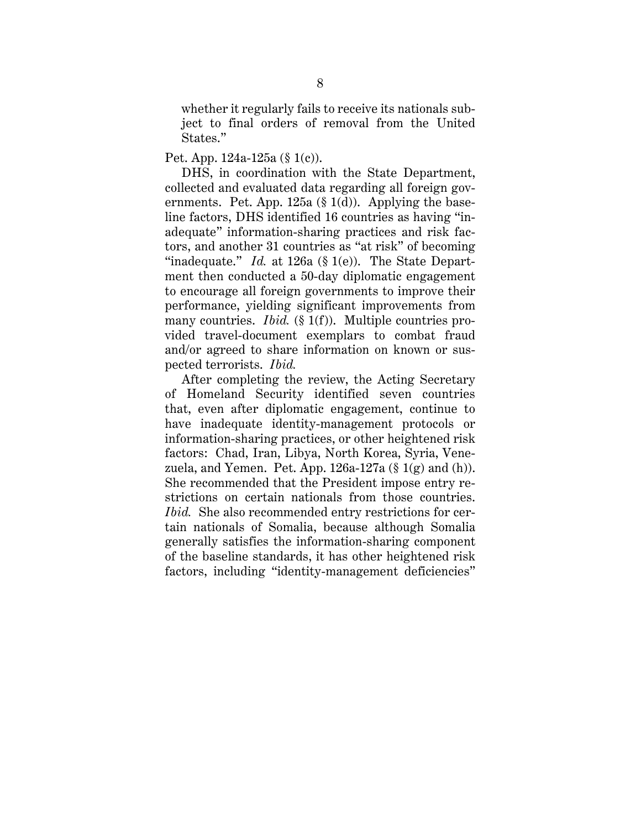whether it regularly fails to receive its nationals subject to final orders of removal from the United States."

#### Pet. App. 124a-125a (§ 1(c)).

DHS, in coordination with the State Department, collected and evaluated data regarding all foreign governments. Pet. App. 125a  $(\S 1(d))$ . Applying the baseline factors, DHS identified 16 countries as having "inadequate" information-sharing practices and risk factors, and another 31 countries as "at risk" of becoming "inadequate." *Id.* at 126a (§ 1(e)). The State Department then conducted a 50-day diplomatic engagement to encourage all foreign governments to improve their performance, yielding significant improvements from many countries. *Ibid.* (§ 1(f)). Multiple countries provided travel-document exemplars to combat fraud and/or agreed to share information on known or suspected terrorists. *Ibid.*

After completing the review, the Acting Secretary of Homeland Security identified seven countries that, even after diplomatic engagement, continue to have inadequate identity-management protocols or information-sharing practices, or other heightened risk factors: Chad, Iran, Libya, North Korea, Syria, Venezuela, and Yemen. Pet. App.  $126a-127a$  (§  $1(g)$  and (h)). She recommended that the President impose entry restrictions on certain nationals from those countries. *Ibid.* She also recommended entry restrictions for certain nationals of Somalia, because although Somalia generally satisfies the information-sharing component of the baseline standards, it has other heightened risk factors, including "identity-management deficiencies"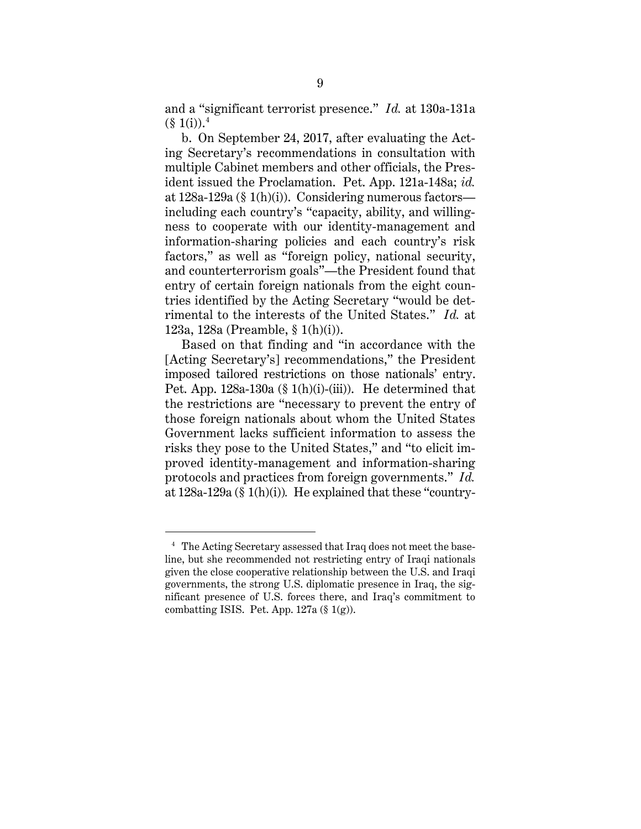and a "significant terrorist presence." *Id.* at 130a-131a  $(\S 1(i)).^4$ 

b. On September 24, 2017, after evaluating the Acting Secretary's recommendations in consultation with multiple Cabinet members and other officials, the President issued the Proclamation. Pet. App. 121a-148a; *id.* at 128a-129a (§ 1(h)(i)). Considering numerous factors including each country's "capacity, ability, and willingness to cooperate with our identity-management and information-sharing policies and each country's risk factors," as well as "foreign policy, national security, and counterterrorism goals"—the President found that entry of certain foreign nationals from the eight countries identified by the Acting Secretary "would be detrimental to the interests of the United States." *Id.* at 123a, 128a (Preamble, § 1(h)(i)).

Based on that finding and "in accordance with the [Acting Secretary's] recommendations," the President imposed tailored restrictions on those nationals' entry. Pet. App. 128a-130a (§ 1(h)(i)-(iii)). He determined that the restrictions are "necessary to prevent the entry of those foreign nationals about whom the United States Government lacks sufficient information to assess the risks they pose to the United States," and "to elicit improved identity-management and information-sharing protocols and practices from foreign governments." *Id.*  at 128a-129a (§ 1(h)(i))*.* He explained that these "country-

<sup>4</sup> The Acting Secretary assessed that Iraq does not meet the baseline, but she recommended not restricting entry of Iraqi nationals given the close cooperative relationship between the U.S. and Iraqi governments, the strong U.S. diplomatic presence in Iraq, the significant presence of U.S. forces there, and Iraq's commitment to combatting ISIS. Pet. App. 127a (§ 1(g)).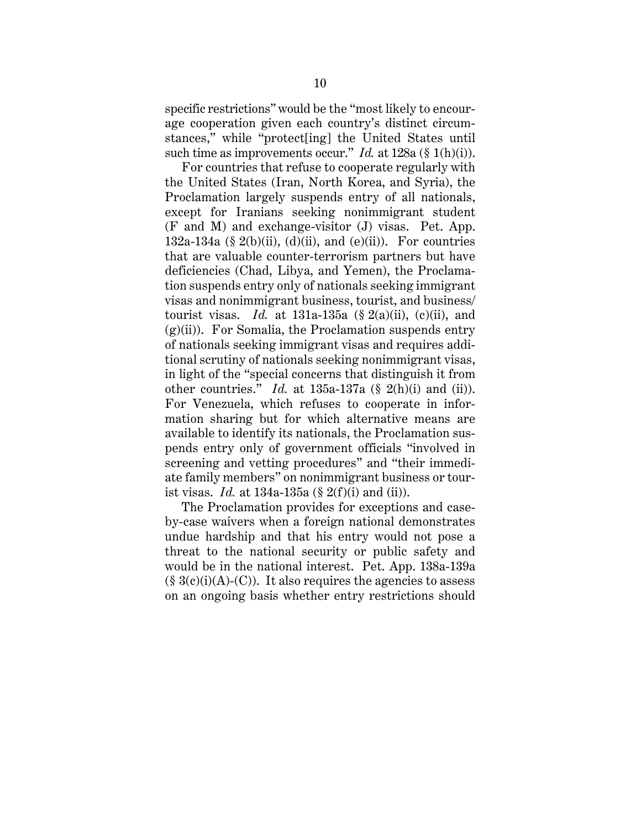specific restrictions" would be the "most likely to encourage cooperation given each country's distinct circumstances," while "protect[ing] the United States until such time as improvements occur." *Id.* at 128a (§ 1(h)(i)).

For countries that refuse to cooperate regularly with the United States (Iran, North Korea, and Syria), the Proclamation largely suspends entry of all nationals, except for Iranians seeking nonimmigrant student (F and M) and exchange-visitor (J) visas. Pet. App. 132a-134a (§ 2(b)(ii), (d)(ii), and (e)(ii)). For countries that are valuable counter-terrorism partners but have deficiencies (Chad, Libya, and Yemen), the Proclamation suspends entry only of nationals seeking immigrant visas and nonimmigrant business, tourist, and business/ tourist visas. *Id.* at  $131a-135a$  (§  $2(a)(ii)$ ,  $(c)(ii)$ , and  $(g)(ii)$ . For Somalia, the Proclamation suspends entry of nationals seeking immigrant visas and requires additional scrutiny of nationals seeking nonimmigrant visas, in light of the "special concerns that distinguish it from other countries." *Id.* at 135a-137a (§ 2(h)(i) and (ii)). For Venezuela, which refuses to cooperate in information sharing but for which alternative means are available to identify its nationals, the Proclamation suspends entry only of government officials "involved in screening and vetting procedures" and "their immediate family members" on nonimmigrant business or tourist visas. *Id.* at 134a-135a (§ 2(f)(i) and (ii)).

The Proclamation provides for exceptions and caseby-case waivers when a foreign national demonstrates undue hardship and that his entry would not pose a threat to the national security or public safety and would be in the national interest. Pet. App. 138a-139a  $(\S 3(c)(i)(A)-C)$ . It also requires the agencies to assess on an ongoing basis whether entry restrictions should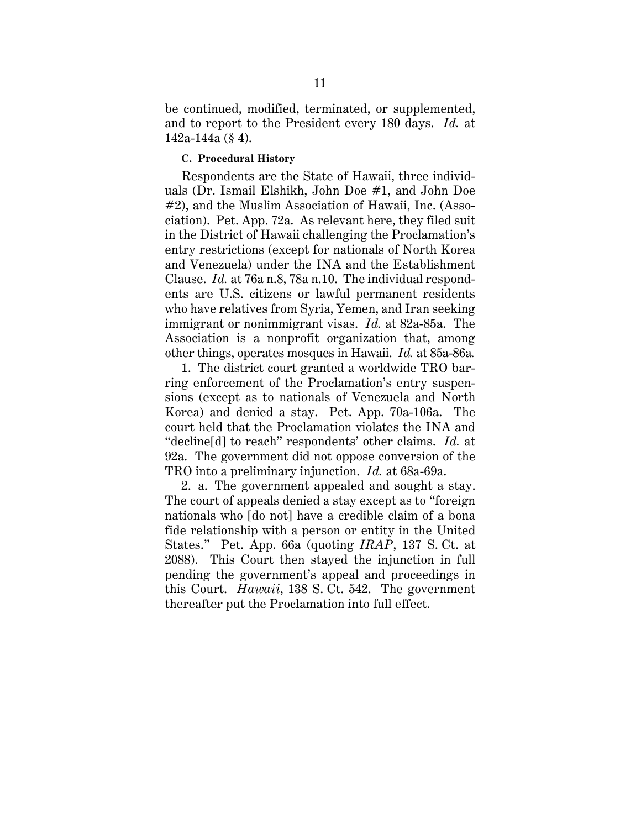be continued, modified, terminated, or supplemented, and to report to the President every 180 days. *Id.* at 142a-144a (§ 4).

#### **C. Procedural History**

Respondents are the State of Hawaii, three individuals (Dr. Ismail Elshikh, John Doe #1, and John Doe #2), and the Muslim Association of Hawaii, Inc. (Association). Pet. App. 72a. As relevant here, they filed suit in the District of Hawaii challenging the Proclamation's entry restrictions (except for nationals of North Korea and Venezuela) under the INA and the Establishment Clause. *Id.* at 76a n.8, 78a n.10. The individual respondents are U.S. citizens or lawful permanent residents who have relatives from Syria, Yemen, and Iran seeking immigrant or nonimmigrant visas. *Id.* at 82a-85a. The Association is a nonprofit organization that, among other things, operates mosques in Hawaii. *Id.* at 85a-86a*.*

1. The district court granted a worldwide TRO barring enforcement of the Proclamation's entry suspensions (except as to nationals of Venezuela and North Korea) and denied a stay. Pet. App. 70a-106a. The court held that the Proclamation violates the INA and "decline[d] to reach" respondents' other claims. *Id.* at 92a. The government did not oppose conversion of the TRO into a preliminary injunction. *Id.* at 68a-69a.

2. a. The government appealed and sought a stay. The court of appeals denied a stay except as to "foreign nationals who [do not] have a credible claim of a bona fide relationship with a person or entity in the United States." Pet. App. 66a (quoting *IRAP*, 137 S. Ct. at 2088). This Court then stayed the injunction in full pending the government's appeal and proceedings in this Court. *Hawaii*, 138 S. Ct. 542. The government thereafter put the Proclamation into full effect.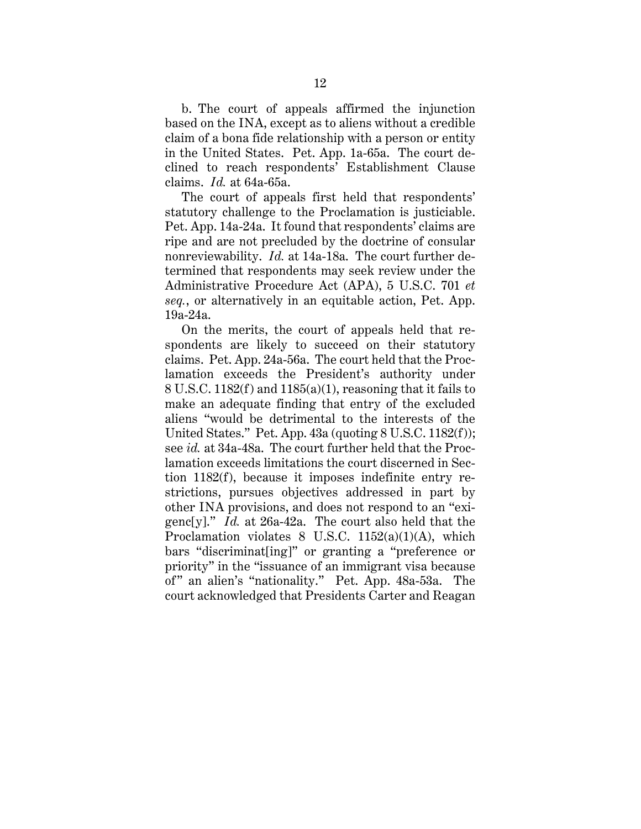b. The court of appeals affirmed the injunction based on the INA, except as to aliens without a credible claim of a bona fide relationship with a person or entity in the United States. Pet. App. 1a-65a. The court declined to reach respondents' Establishment Clause claims. *Id.* at 64a-65a.

The court of appeals first held that respondents' statutory challenge to the Proclamation is justiciable. Pet. App. 14a-24a. It found that respondents' claims are ripe and are not precluded by the doctrine of consular nonreviewability. *Id.* at 14a-18a. The court further determined that respondents may seek review under the Administrative Procedure Act (APA), 5 U.S.C. 701 *et seq.*, or alternatively in an equitable action, Pet. App. 19a-24a.

On the merits, the court of appeals held that respondents are likely to succeed on their statutory claims. Pet. App. 24a-56a. The court held that the Proclamation exceeds the President's authority under 8 U.S.C. 1182(f) and 1185(a)(1), reasoning that it fails to make an adequate finding that entry of the excluded aliens "would be detrimental to the interests of the United States." Pet. App. 43a (quoting 8 U.S.C. 1182(f)); see *id.* at 34a-48a. The court further held that the Proclamation exceeds limitations the court discerned in Section 1182(f), because it imposes indefinite entry restrictions, pursues objectives addressed in part by other INA provisions, and does not respond to an "exigenc[y]." *Id.* at 26a-42a. The court also held that the Proclamation violates 8 U.S.C. 1152(a)(1)(A), which bars "discriminat[ing]" or granting a "preference or priority" in the "issuance of an immigrant visa because of" an alien's "nationality." Pet. App. 48a-53a. The court acknowledged that Presidents Carter and Reagan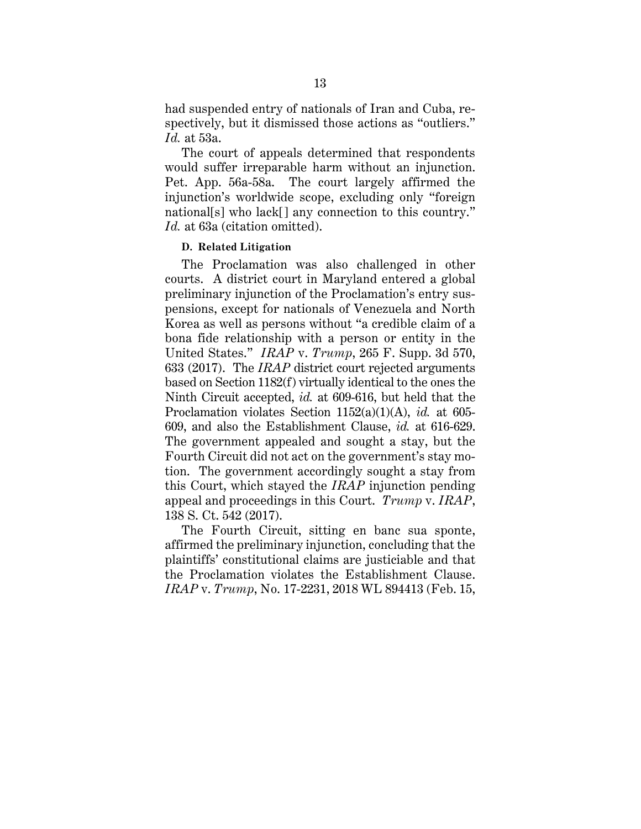had suspended entry of nationals of Iran and Cuba, respectively, but it dismissed those actions as "outliers." *Id.* at 53a.

The court of appeals determined that respondents would suffer irreparable harm without an injunction. Pet. App. 56a-58a. The court largely affirmed the injunction's worldwide scope, excluding only "foreign national[s] who lack[] any connection to this country." *Id.* at 63a (citation omitted).

### **D. Related Litigation**

The Proclamation was also challenged in other courts. A district court in Maryland entered a global preliminary injunction of the Proclamation's entry suspensions, except for nationals of Venezuela and North Korea as well as persons without "a credible claim of a bona fide relationship with a person or entity in the United States." *IRAP* v. *Trump*, 265 F. Supp. 3d 570, 633 (2017). The *IRAP* district court rejected arguments based on Section 1182(f) virtually identical to the ones the Ninth Circuit accepted, *id.* at 609-616, but held that the Proclamation violates Section 1152(a)(1)(A), *id.* at 605- 609, and also the Establishment Clause, *id.* at 616-629. The government appealed and sought a stay, but the Fourth Circuit did not act on the government's stay motion. The government accordingly sought a stay from this Court, which stayed the *IRAP* injunction pending appeal and proceedings in this Court. *Trump* v. *IRAP*, 138 S. Ct. 542 (2017).

The Fourth Circuit, sitting en banc sua sponte, affirmed the preliminary injunction, concluding that the plaintiffs' constitutional claims are justiciable and that the Proclamation violates the Establishment Clause. *IRAP* v. *Trump*, No. 17-2231, 2018 WL 894413 (Feb. 15,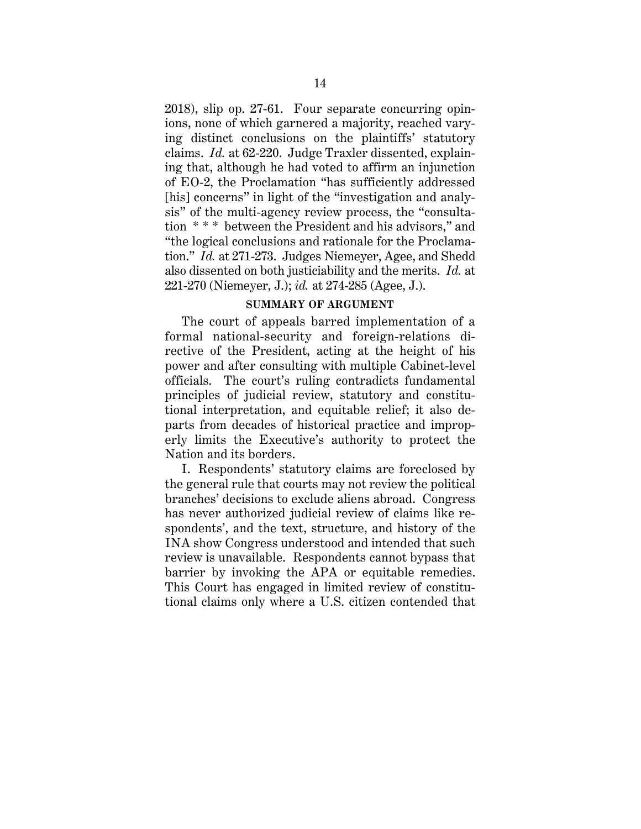2018), slip op. 27-61. Four separate concurring opinions, none of which garnered a majority, reached varying distinct conclusions on the plaintiffs' statutory claims. *Id.* at 62-220. Judge Traxler dissented, explaining that, although he had voted to affirm an injunction of EO-2, the Proclamation "has sufficiently addressed [his] concerns" in light of the "investigation and analysis" of the multi-agency review process, the "consultation \* \* \* between the President and his advisors," and "the logical conclusions and rationale for the Proclamation." *Id.* at 271-273. Judges Niemeyer, Agee, and Shedd also dissented on both justiciability and the merits. *Id.* at 221-270 (Niemeyer, J.); *id.* at 274-285 (Agee, J.).

### **SUMMARY OF ARGUMENT**

The court of appeals barred implementation of a formal national-security and foreign-relations directive of the President, acting at the height of his power and after consulting with multiple Cabinet-level officials. The court's ruling contradicts fundamental principles of judicial review, statutory and constitutional interpretation, and equitable relief; it also departs from decades of historical practice and improperly limits the Executive's authority to protect the Nation and its borders.

I. Respondents' statutory claims are foreclosed by the general rule that courts may not review the political branches' decisions to exclude aliens abroad. Congress has never authorized judicial review of claims like respondents', and the text, structure, and history of the INA show Congress understood and intended that such review is unavailable. Respondents cannot bypass that barrier by invoking the APA or equitable remedies. This Court has engaged in limited review of constitutional claims only where a U.S. citizen contended that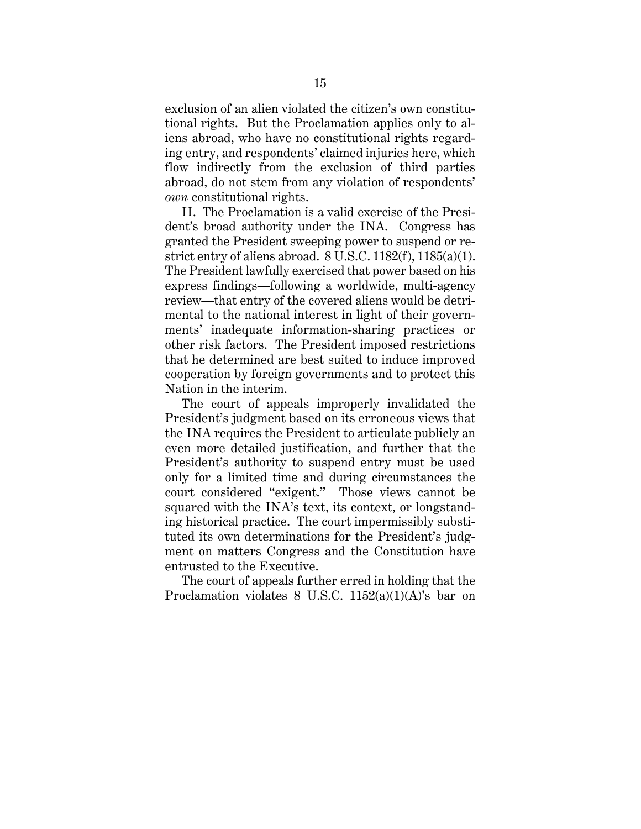exclusion of an alien violated the citizen's own constitutional rights. But the Proclamation applies only to aliens abroad, who have no constitutional rights regarding entry, and respondents' claimed injuries here, which flow indirectly from the exclusion of third parties abroad, do not stem from any violation of respondents' *own* constitutional rights.

II. The Proclamation is a valid exercise of the President's broad authority under the INA. Congress has granted the President sweeping power to suspend or restrict entry of aliens abroad. 8 U.S.C. 1182(f), 1185(a)(1). The President lawfully exercised that power based on his express findings—following a worldwide, multi-agency review—that entry of the covered aliens would be detrimental to the national interest in light of their governments' inadequate information-sharing practices or other risk factors. The President imposed restrictions that he determined are best suited to induce improved cooperation by foreign governments and to protect this Nation in the interim.

The court of appeals improperly invalidated the President's judgment based on its erroneous views that the INA requires the President to articulate publicly an even more detailed justification, and further that the President's authority to suspend entry must be used only for a limited time and during circumstances the court considered "exigent." Those views cannot be squared with the INA's text, its context, or longstanding historical practice. The court impermissibly substituted its own determinations for the President's judgment on matters Congress and the Constitution have entrusted to the Executive.

The court of appeals further erred in holding that the Proclamation violates 8 U.S.C. 1152(a)(1)(A)'s bar on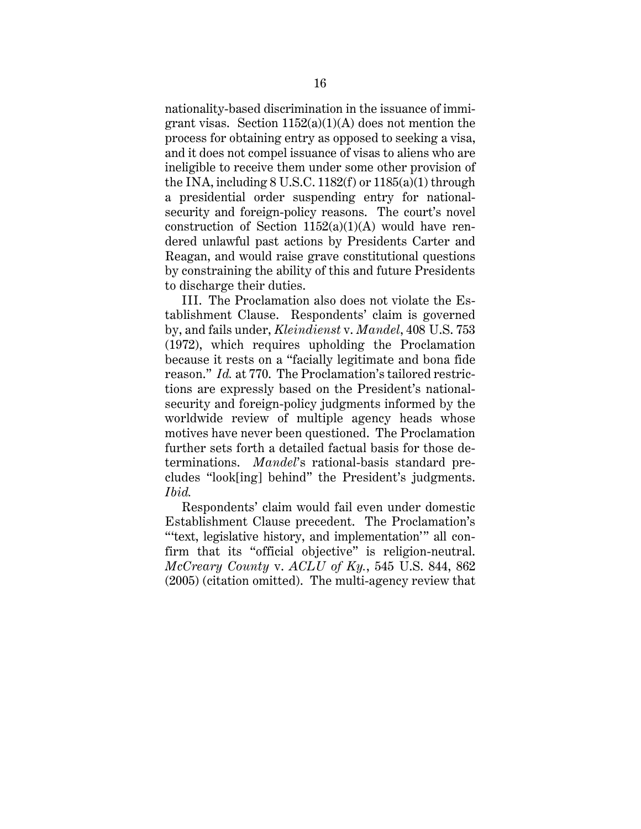nationality-based discrimination in the issuance of immigrant visas. Section  $1152(a)(1)(A)$  does not mention the process for obtaining entry as opposed to seeking a visa, and it does not compel issuance of visas to aliens who are ineligible to receive them under some other provision of the INA, including  $8$  U.S.C. 1182(f) or 1185(a)(1) through a presidential order suspending entry for nationalsecurity and foreign-policy reasons. The court's novel construction of Section  $1152(a)(1)(A)$  would have rendered unlawful past actions by Presidents Carter and Reagan, and would raise grave constitutional questions by constraining the ability of this and future Presidents to discharge their duties.

III. The Proclamation also does not violate the Establishment Clause. Respondents' claim is governed by, and fails under, *Kleindienst* v. *Mandel*, 408 U.S. 753 (1972), which requires upholding the Proclamation because it rests on a "facially legitimate and bona fide reason." *Id.* at 770. The Proclamation's tailored restrictions are expressly based on the President's nationalsecurity and foreign-policy judgments informed by the worldwide review of multiple agency heads whose motives have never been questioned. The Proclamation further sets forth a detailed factual basis for those determinations. *Mandel*'s rational-basis standard precludes "look[ing] behind" the President's judgments. *Ibid.*

Respondents' claim would fail even under domestic Establishment Clause precedent. The Proclamation's "'text, legislative history, and implementation'" all confirm that its "official objective" is religion-neutral. *McCreary County* v. *ACLU of Ky.*, 545 U.S. 844, 862 (2005) (citation omitted). The multi-agency review that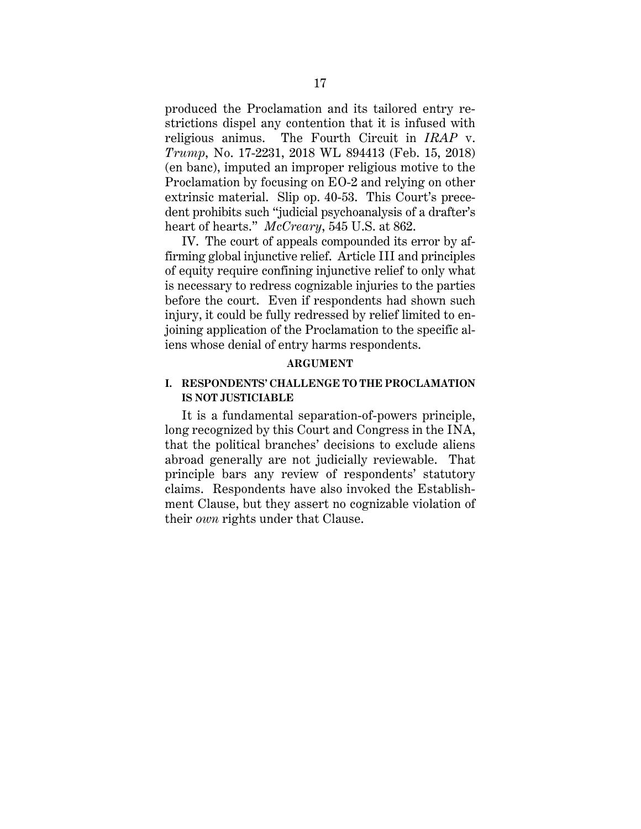produced the Proclamation and its tailored entry restrictions dispel any contention that it is infused with religious animus. The Fourth Circuit in *IRAP* v. *Trump*, No. 17-2231, 2018 WL 894413 (Feb. 15, 2018) (en banc), imputed an improper religious motive to the Proclamation by focusing on EO-2 and relying on other extrinsic material. Slip op. 40-53. This Court's precedent prohibits such "judicial psychoanalysis of a drafter's heart of hearts." *McCreary*, 545 U.S. at 862.

IV. The court of appeals compounded its error by affirming global injunctive relief. Article III and principles of equity require confining injunctive relief to only what is necessary to redress cognizable injuries to the parties before the court. Even if respondents had shown such injury, it could be fully redressed by relief limited to enjoining application of the Proclamation to the specific aliens whose denial of entry harms respondents.

#### **ARGUMENT**

# **I. RESPONDENTS' CHALLENGE TO THE PROCLAMATION IS NOT JUSTICIABLE**

It is a fundamental separation-of-powers principle, long recognized by this Court and Congress in the INA, that the political branches' decisions to exclude aliens abroad generally are not judicially reviewable. That principle bars any review of respondents' statutory claims. Respondents have also invoked the Establishment Clause, but they assert no cognizable violation of their *own* rights under that Clause.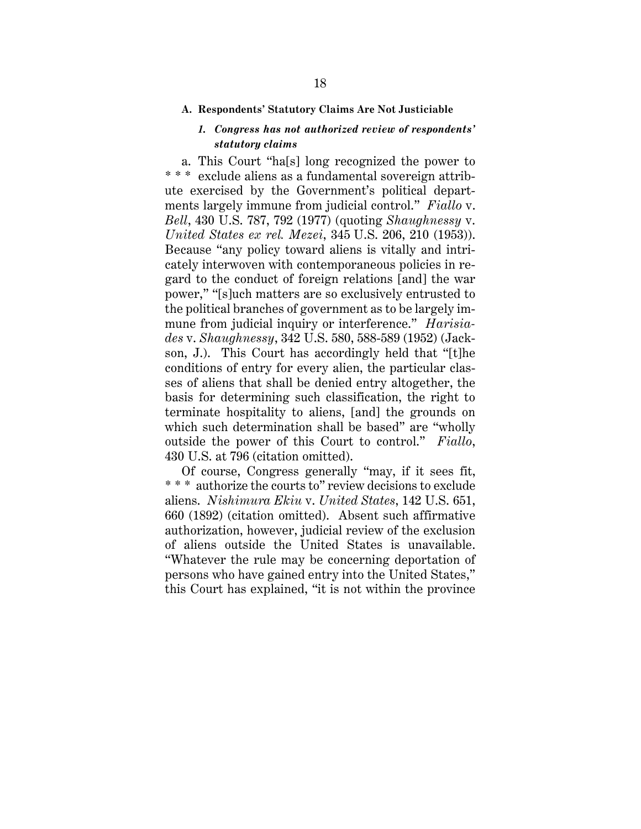#### **A. Respondents' Statutory Claims Are Not Justiciable**

# *1. Congress has not authorized review of respondents' statutory claims*

a. This Court "ha[s] long recognized the power to \* \* \* exclude aliens as a fundamental sovereign attribute exercised by the Government's political departments largely immune from judicial control." *Fiallo* v. *Bell*, 430 U.S. 787, 792 (1977) (quoting *Shaughnessy* v. *United States ex rel. Mezei*, 345 U.S. 206, 210 (1953)). Because "any policy toward aliens is vitally and intricately interwoven with contemporaneous policies in regard to the conduct of foreign relations [and] the war power," "[s]uch matters are so exclusively entrusted to the political branches of government as to be largely immune from judicial inquiry or interference." *Harisiades* v. *Shaughnessy*, 342 U.S. 580, 588-589 (1952) (Jackson, J.). This Court has accordingly held that "[t]he conditions of entry for every alien, the particular classes of aliens that shall be denied entry altogether, the basis for determining such classification, the right to terminate hospitality to aliens, [and] the grounds on which such determination shall be based" are "wholly outside the power of this Court to control." *Fiallo*, 430 U.S. at 796 (citation omitted).

Of course, Congress generally "may, if it sees fit, \* \* \* authorize the courts to" review decisions to exclude aliens. *Nishimura Ekiu* v. *United States*, 142 U.S. 651, 660 (1892) (citation omitted). Absent such affirmative authorization, however, judicial review of the exclusion of aliens outside the United States is unavailable. "Whatever the rule may be concerning deportation of persons who have gained entry into the United States," this Court has explained, "it is not within the province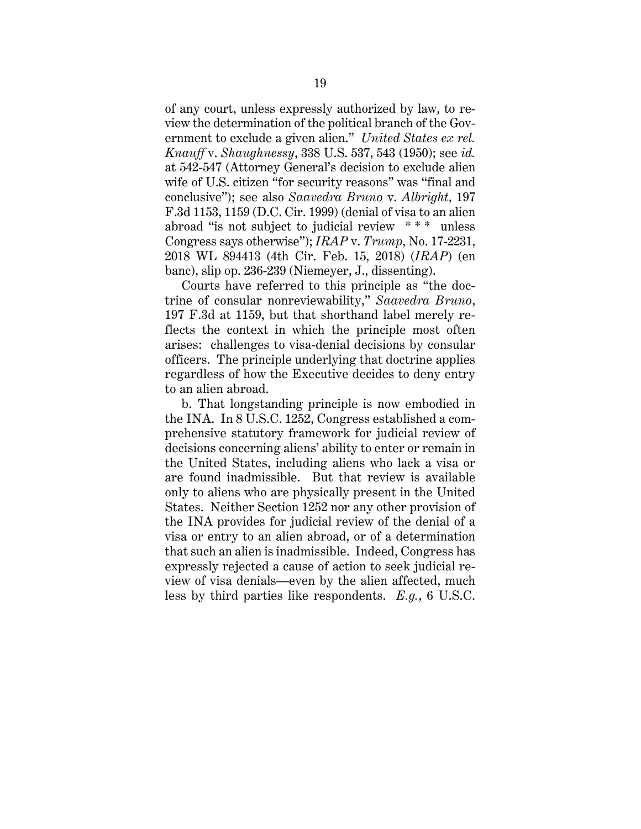of any court, unless expressly authorized by law, to review the determination of the political branch of the Government to exclude a given alien." *United States ex rel. Knauff* v. *Shaughnessy*, 338 U.S. 537, 543 (1950); see *id.* at 542-547 (Attorney General's decision to exclude alien wife of U.S. citizen "for security reasons" was "final and conclusive"); see also *Saavedra Bruno* v. *Albright*, 197 F.3d 1153, 1159 (D.C. Cir. 1999) (denial of visa to an alien abroad "is not subject to judicial review \* \* \* unless Congress says otherwise"); *IRAP* v. *Trump*, No. 17-2231, 2018 WL 894413 (4th Cir. Feb. 15, 2018) (*IRAP*) (en banc), slip op. 236-239 (Niemeyer, J., dissenting).

Courts have referred to this principle as "the doctrine of consular nonreviewability," *Saavedra Bruno*, 197 F.3d at 1159, but that shorthand label merely reflects the context in which the principle most often arises: challenges to visa-denial decisions by consular officers. The principle underlying that doctrine applies regardless of how the Executive decides to deny entry to an alien abroad.

b. That longstanding principle is now embodied in the INA. In 8 U.S.C. 1252, Congress established a comprehensive statutory framework for judicial review of decisions concerning aliens' ability to enter or remain in the United States, including aliens who lack a visa or are found inadmissible. But that review is available only to aliens who are physically present in the United States. Neither Section 1252 nor any other provision of the INA provides for judicial review of the denial of a visa or entry to an alien abroad, or of a determination that such an alien is inadmissible. Indeed, Congress has expressly rejected a cause of action to seek judicial review of visa denials—even by the alien affected, much less by third parties like respondents. *E.g.*, 6 U.S.C.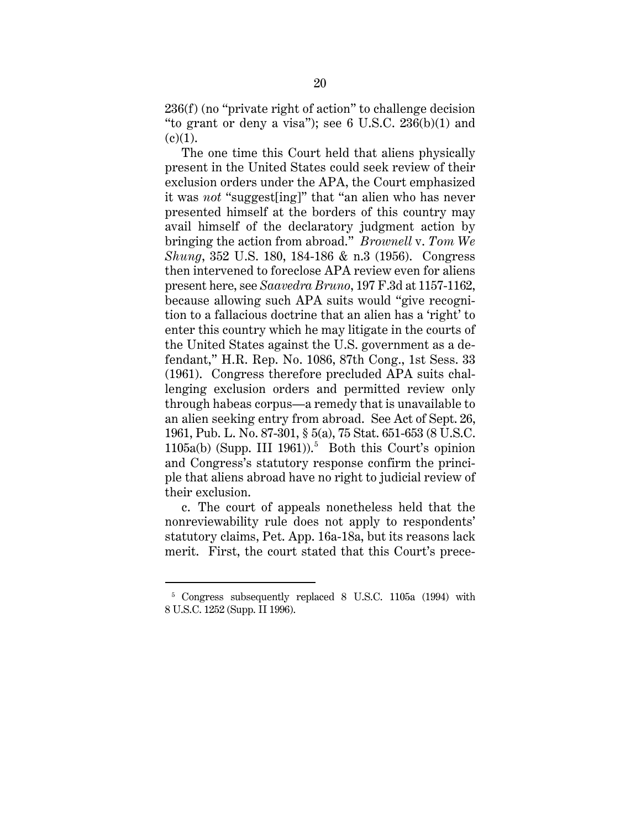236(f) (no "private right of action" to challenge decision "to grant or deny a visa"); see 6 U.S.C.  $236(b)(1)$  and  $(c)(1)$ .

The one time this Court held that aliens physically present in the United States could seek review of their exclusion orders under the APA, the Court emphasized it was *not* "suggest[ing]" that "an alien who has never presented himself at the borders of this country may avail himself of the declaratory judgment action by bringing the action from abroad." *Brownell* v. *Tom We Shung*, 352 U.S. 180, 184-186 & n.3 (1956). Congress then intervened to foreclose APA review even for aliens present here, see *Saavedra Bruno*, 197 F.3d at 1157-1162, because allowing such APA suits would "give recognition to a fallacious doctrine that an alien has a 'right' to enter this country which he may litigate in the courts of the United States against the U.S. government as a defendant," H.R. Rep. No. 1086, 87th Cong., 1st Sess. 33 (1961). Congress therefore precluded APA suits challenging exclusion orders and permitted review only through habeas corpus—a remedy that is unavailable to an alien seeking entry from abroad. See Act of Sept. 26, 1961, Pub. L. No. 87-301, § 5(a), 75 Stat. 651-653 (8 U.S.C. 1105a(b) (Supp. III 1961)). 5 Both this Court's opinion and Congress's statutory response confirm the principle that aliens abroad have no right to judicial review of their exclusion.

c. The court of appeals nonetheless held that the nonreviewability rule does not apply to respondents' statutory claims, Pet. App. 16a-18a, but its reasons lack merit. First, the court stated that this Court's prece-

<sup>5</sup> Congress subsequently replaced 8 U.S.C. 1105a (1994) with 8 U.S.C. 1252 (Supp. II 1996).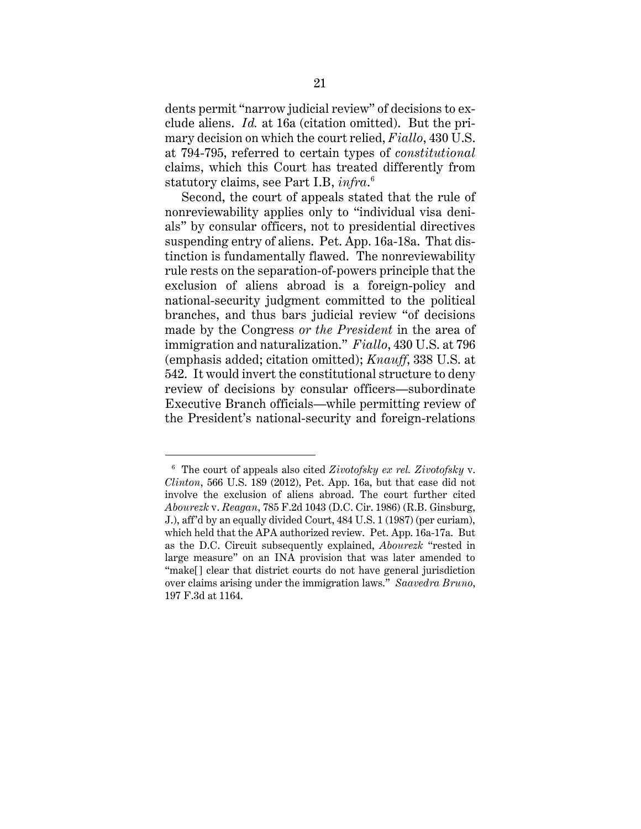dents permit "narrow judicial review" of decisions to exclude aliens. *Id.* at 16a (citation omitted). But the primary decision on which the court relied, *Fiallo*, 430 U.S. at 794-795, referred to certain types of *constitutional*  claims, which this Court has treated differently from statutory claims, see Part I.B, *infra*. 6

Second, the court of appeals stated that the rule of nonreviewability applies only to "individual visa denials" by consular officers, not to presidential directives suspending entry of aliens. Pet. App. 16a-18a. That distinction is fundamentally flawed. The nonreviewability rule rests on the separation-of-powers principle that the exclusion of aliens abroad is a foreign-policy and national-security judgment committed to the political branches, and thus bars judicial review "of decisions made by the Congress *or the President* in the area of immigration and naturalization." *Fiallo*, 430 U.S. at 796 (emphasis added; citation omitted); *Knauff*, 338 U.S. at 542. It would invert the constitutional structure to deny review of decisions by consular officers—subordinate Executive Branch officials—while permitting review of the President's national-security and foreign-relations

<sup>6</sup> The court of appeals also cited *Zivotofsky ex rel. Zivotofsky* v. *Clinton*, 566 U.S. 189 (2012), Pet. App. 16a, but that case did not involve the exclusion of aliens abroad. The court further cited *Abourezk* v. *Reagan*, 785 F.2d 1043 (D.C. Cir. 1986) (R.B. Ginsburg, J.), aff'd by an equally divided Court, 484 U.S. 1 (1987) (per curiam), which held that the APA authorized review. Pet. App. 16a-17a. But as the D.C. Circuit subsequently explained, *Abourezk* "rested in large measure" on an INA provision that was later amended to "make[] clear that district courts do not have general jurisdiction over claims arising under the immigration laws." *Saavedra Bruno*, 197 F.3d at 1164.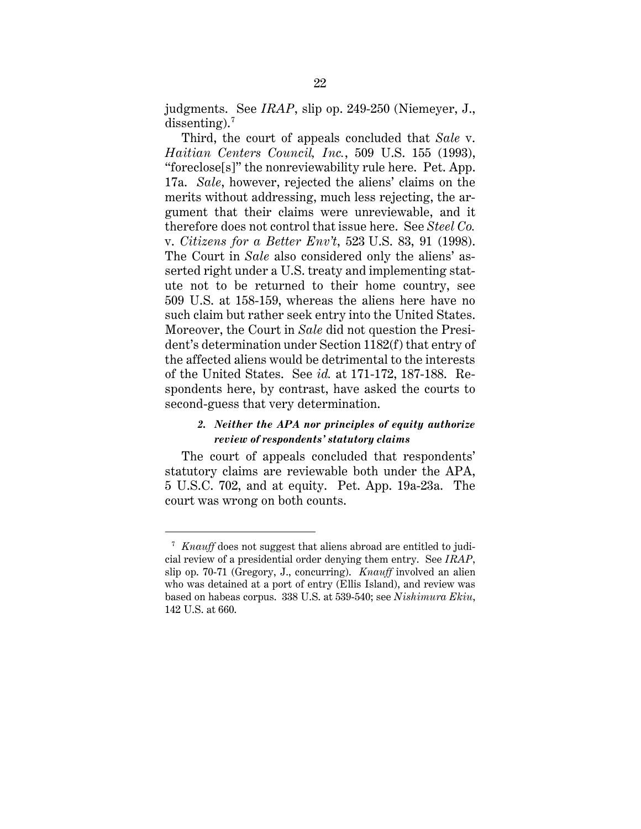judgments. See *IRAP*, slip op. 249-250 (Niemeyer, J.,  $dissenting$ <sup>7</sup>

Third, the court of appeals concluded that *Sale* v. *Haitian Centers Council, Inc.*, 509 U.S. 155 (1993), "foreclose[s]" the nonreviewability rule here. Pet. App. 17a. *Sale*, however, rejected the aliens' claims on the merits without addressing, much less rejecting, the argument that their claims were unreviewable, and it therefore does not control that issue here. See *Steel Co.* v. *Citizens for a Better Env't*, 523 U.S. 83, 91 (1998). The Court in *Sale* also considered only the aliens' asserted right under a U.S. treaty and implementing statute not to be returned to their home country, see 509 U.S. at 158-159, whereas the aliens here have no such claim but rather seek entry into the United States. Moreover, the Court in *Sale* did not question the President's determination under Section 1182(f) that entry of the affected aliens would be detrimental to the interests of the United States. See *id.* at 171-172, 187-188. Respondents here, by contrast, have asked the courts to second-guess that very determination.

## *2. Neither the APA nor principles of equity authorize review of respondents' statutory claims*

The court of appeals concluded that respondents' statutory claims are reviewable both under the APA, 5 U.S.C. 702, and at equity. Pet. App. 19a-23a. The court was wrong on both counts.

<sup>7</sup> *Knauff* does not suggest that aliens abroad are entitled to judicial review of a presidential order denying them entry. See *IRAP*, slip op. 70-71 (Gregory, J., concurring). *Knauff* involved an alien who was detained at a port of entry (Ellis Island), and review was based on habeas corpus. 338 U.S. at 539-540; see *Nishimura Ekiu*, 142 U.S. at 660.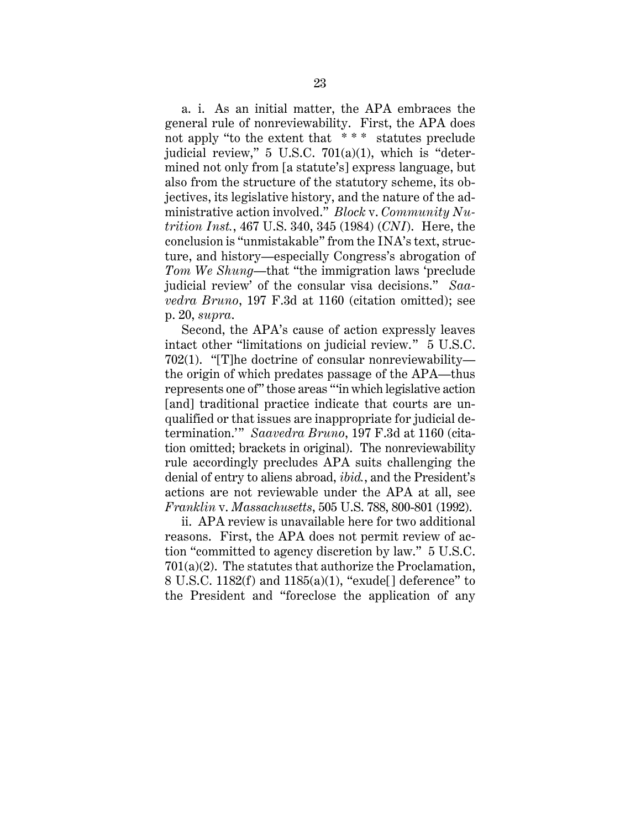a. i. As an initial matter, the APA embraces the general rule of nonreviewability. First, the APA does not apply "to the extent that \* \* \* statutes preclude judicial review,"  $5 \text{ U.S.C. } 701(a)(1)$ , which is "determined not only from [a statute's] express language, but also from the structure of the statutory scheme, its objectives, its legislative history, and the nature of the administrative action involved." *Block* v. *Community Nutrition Inst.*, 467 U.S. 340, 345 (1984) (*CNI*). Here, the conclusion is "unmistakable" from the INA's text, structure, and history—especially Congress's abrogation of *Tom We Shung*—that "the immigration laws 'preclude judicial review' of the consular visa decisions." *Saavedra Bruno*, 197 F.3d at 1160 (citation omitted); see p. 20, *supra*.

Second, the APA's cause of action expressly leaves intact other "limitations on judicial review." 5 U.S.C. 702(1). "[T]he doctrine of consular nonreviewability the origin of which predates passage of the APA—thus represents one of" those areas "'in which legislative action [and] traditional practice indicate that courts are unqualified or that issues are inappropriate for judicial determination.'" *Saavedra Bruno*, 197 F.3d at 1160 (citation omitted; brackets in original). The nonreviewability rule accordingly precludes APA suits challenging the denial of entry to aliens abroad, *ibid.*, and the President's actions are not reviewable under the APA at all, see *Franklin* v. *Massachusetts*, 505 U.S. 788, 800-801 (1992).

ii. APA review is unavailable here for two additional reasons. First, the APA does not permit review of action "committed to agency discretion by law." 5 U.S.C. 701(a)(2). The statutes that authorize the Proclamation, 8 U.S.C. 1182(f) and 1185(a)(1), "exude[] deference" to the President and "foreclose the application of any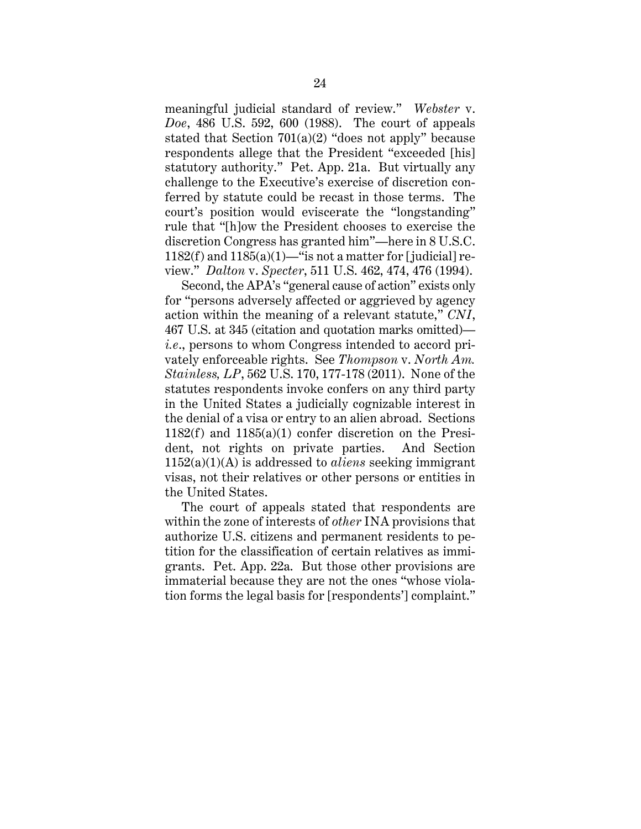meaningful judicial standard of review." *Webster* v. *Doe*, 486 U.S. 592, 600 (1988). The court of appeals stated that Section  $701(a)(2)$  "does not apply" because respondents allege that the President "exceeded [his] statutory authority." Pet. App. 21a. But virtually any challenge to the Executive's exercise of discretion conferred by statute could be recast in those terms. The court's position would eviscerate the "longstanding" rule that "[h]ow the President chooses to exercise the discretion Congress has granted him"—here in 8 U.S.C. 1182(f) and 1185(a)(1)—"is not a matter for [judicial] review." *Dalton* v. *Specter*, 511 U.S. 462, 474, 476 (1994).

Second, the APA's "general cause of action" exists only for "persons adversely affected or aggrieved by agency action within the meaning of a relevant statute," *CNI*, 467 U.S. at 345 (citation and quotation marks omitted) *i.e*., persons to whom Congress intended to accord privately enforceable rights. See *Thompson* v. *North Am. Stainless, LP*, 562 U.S. 170, 177-178 (2011). None of the statutes respondents invoke confers on any third party in the United States a judicially cognizable interest in the denial of a visa or entry to an alien abroad. Sections 1182(f) and 1185(a)(1) confer discretion on the President, not rights on private parties. And Section 1152(a)(1)(A) is addressed to *aliens* seeking immigrant visas, not their relatives or other persons or entities in the United States.

The court of appeals stated that respondents are within the zone of interests of *other* INA provisions that authorize U.S. citizens and permanent residents to petition for the classification of certain relatives as immigrants. Pet. App. 22a. But those other provisions are immaterial because they are not the ones "whose violation forms the legal basis for [respondents'] complaint."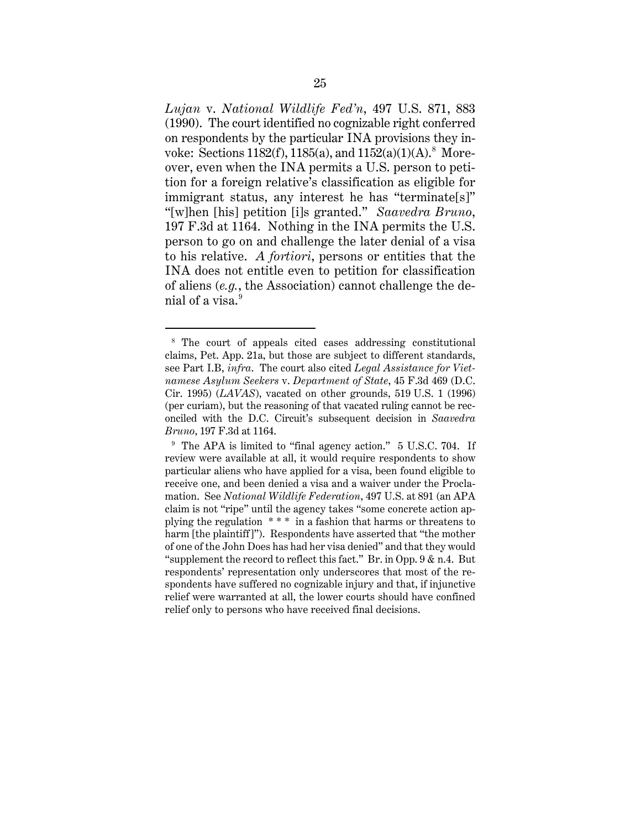*Lujan* v. *National Wildlife Fed'n*, 497 U.S. 871, 883 (1990). The court identified no cognizable right conferred on respondents by the particular INA provisions they invoke: Sections 1182(f), 1185(a), and 1152(a)(1)(A).<sup>8</sup> Moreover, even when the INA permits a U.S. person to petition for a foreign relative's classification as eligible for immigrant status, any interest he has "terminate[s]" "[w]hen [his] petition [i]s granted." *Saavedra Bruno*, 197 F.3d at 1164. Nothing in the INA permits the U.S. person to go on and challenge the later denial of a visa to his relative. *A fortiori*, persons or entities that the INA does not entitle even to petition for classification of aliens (*e.g.*, the Association) cannot challenge the denial of a visa. 9

<sup>8</sup> The court of appeals cited cases addressing constitutional claims, Pet. App. 21a, but those are subject to different standards, see Part I.B, *infra*.The court also cited *Legal Assistance for Vietnamese Asylum Seekers* v. *Department of State*, 45 F.3d 469 (D.C. Cir. 1995) (*LAVAS*), vacated on other grounds, 519 U.S. 1 (1996) (per curiam), but the reasoning of that vacated ruling cannot be reconciled with the D.C. Circuit's subsequent decision in *Saavedra Bruno*, 197 F.3d at 1164.

<sup>&</sup>lt;sup>9</sup> The APA is limited to "final agency action." 5 U.S.C. 704. If review were available at all, it would require respondents to show particular aliens who have applied for a visa, been found eligible to receive one, and been denied a visa and a waiver under the Proclamation. See *National Wildlife Federation*, 497 U.S. at 891 (an APA claim is not "ripe" until the agency takes "some concrete action applying the regulation \* \* \* in a fashion that harms or threatens to harm [the plaintiff]"). Respondents have asserted that "the mother of one of the John Does has had her visa denied" and that they would "supplement the record to reflect this fact." Br. in Opp. 9 & n.4. But respondents' representation only underscores that most of the respondents have suffered no cognizable injury and that, if injunctive relief were warranted at all, the lower courts should have confined relief only to persons who have received final decisions.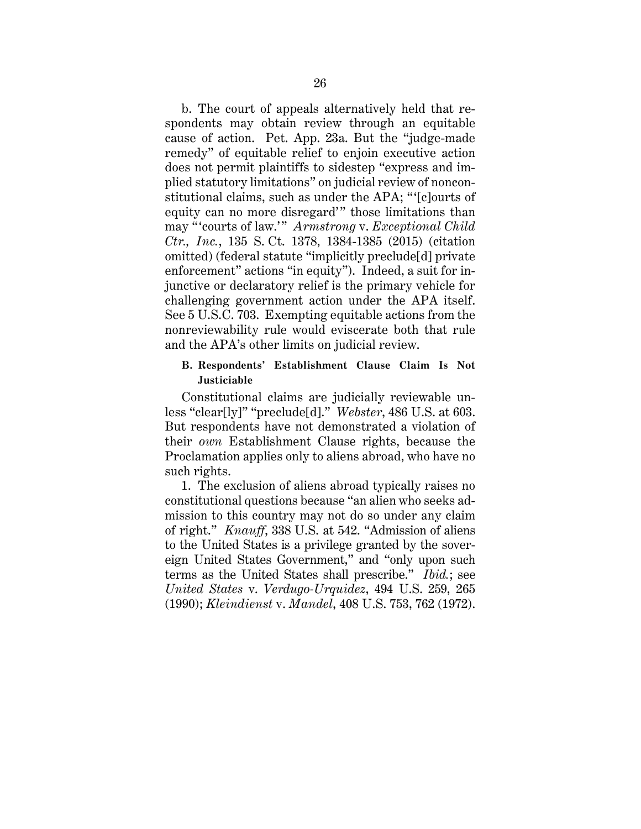b. The court of appeals alternatively held that respondents may obtain review through an equitable cause of action. Pet. App. 23a. But the "judge-made remedy" of equitable relief to enjoin executive action does not permit plaintiffs to sidestep "express and implied statutory limitations" on judicial review of nonconstitutional claims, such as under the APA; " '[c]ourts of equity can no more disregard'" those limitations than may " 'courts of law.'" *Armstrong* v. *Exceptional Child Ctr., Inc.*, 135 S. Ct. 1378, 1384-1385 (2015) (citation omitted) (federal statute "implicitly preclude[d] private enforcement" actions "in equity"). Indeed, a suit for injunctive or declaratory relief is the primary vehicle for challenging government action under the APA itself. See 5 U.S.C. 703. Exempting equitable actions from the nonreviewability rule would eviscerate both that rule and the APA's other limits on judicial review.

### **B. Respondents' Establishment Clause Claim Is Not Justiciable**

Constitutional claims are judicially reviewable unless "clear[ly]" "preclude[d]." *Webster*, 486 U.S. at 603. But respondents have not demonstrated a violation of their *own* Establishment Clause rights, because the Proclamation applies only to aliens abroad, who have no such rights.

1. The exclusion of aliens abroad typically raises no constitutional questions because "an alien who seeks admission to this country may not do so under any claim of right." *Knauff*, 338 U.S. at 542. "Admission of aliens to the United States is a privilege granted by the sovereign United States Government," and "only upon such terms as the United States shall prescribe." *Ibid.*; see *United States* v. *Verdugo-Urquidez*, 494 U.S. 259, 265 (1990); *Kleindienst* v. *Mandel*, 408 U.S. 753, 762 (1972).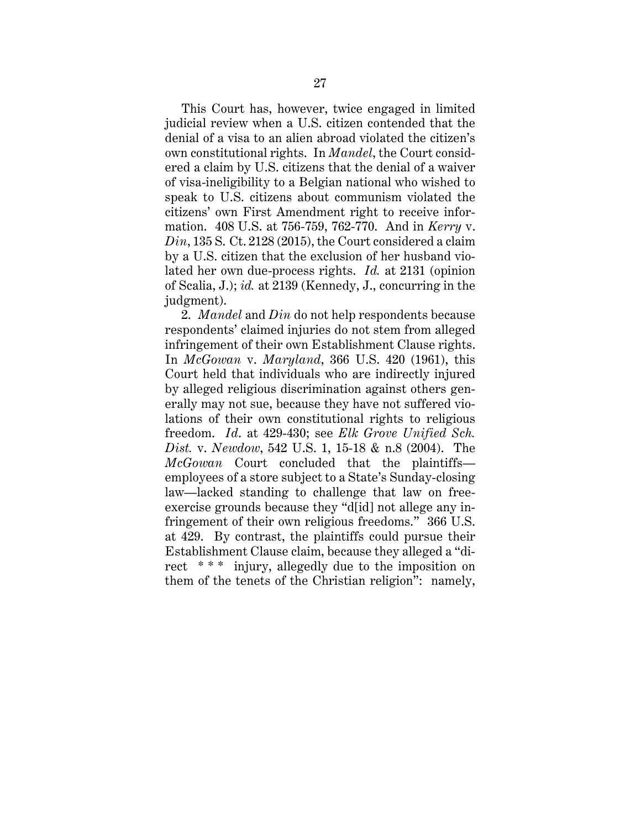This Court has, however, twice engaged in limited judicial review when a U.S. citizen contended that the denial of a visa to an alien abroad violated the citizen's own constitutional rights. In *Mandel*, the Court considered a claim by U.S. citizens that the denial of a waiver of visa-ineligibility to a Belgian national who wished to speak to U.S. citizens about communism violated the citizens' own First Amendment right to receive information. 408 U.S. at 756-759, 762-770. And in *Kerry* v. *Din*, 135 S. Ct. 2128 (2015), the Court considered a claim by a U.S. citizen that the exclusion of her husband violated her own due-process rights. *Id.* at 2131 (opinion of Scalia, J.); *id.* at 2139 (Kennedy, J., concurring in the judgment).

2. *Mandel* and *Din* do not help respondents because respondents' claimed injuries do not stem from alleged infringement of their own Establishment Clause rights. In *McGowan* v. *Maryland*, 366 U.S. 420 (1961), this Court held that individuals who are indirectly injured by alleged religious discrimination against others generally may not sue, because they have not suffered violations of their own constitutional rights to religious freedom. *Id*. at 429-430; see *Elk Grove Unified Sch. Dist.* v. *Newdow*, 542 U.S. 1, 15-18 & n.8 (2004). The *McGowan* Court concluded that the plaintiffs employees of a store subject to a State's Sunday-closing law—lacked standing to challenge that law on freeexercise grounds because they "d[id] not allege any infringement of their own religious freedoms." 366 U.S. at 429. By contrast, the plaintiffs could pursue their Establishment Clause claim, because they alleged a "direct \* \* \* injury, allegedly due to the imposition on them of the tenets of the Christian religion": namely,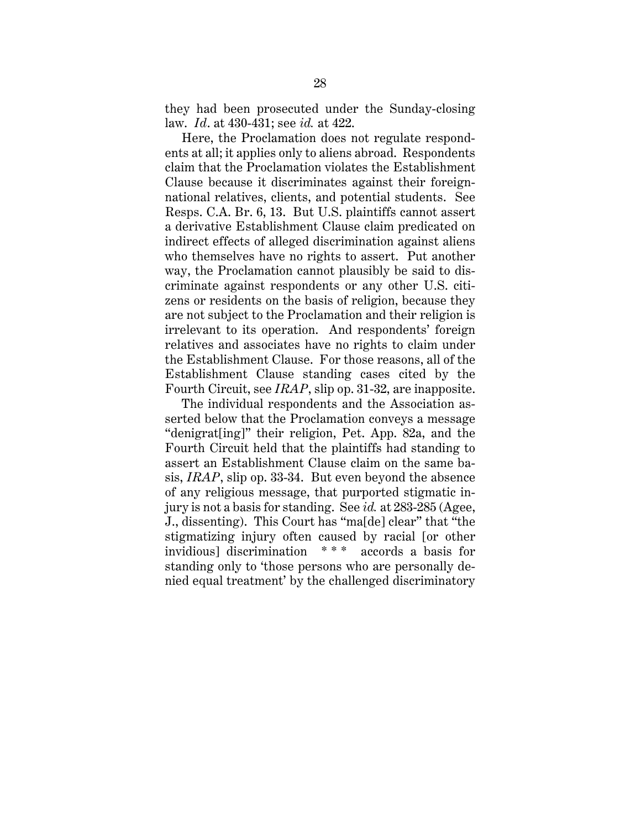they had been prosecuted under the Sunday-closing law. *Id*. at 430-431; see *id.* at 422.

Here, the Proclamation does not regulate respondents at all; it applies only to aliens abroad. Respondents claim that the Proclamation violates the Establishment Clause because it discriminates against their foreignnational relatives, clients, and potential students. See Resps. C.A. Br. 6, 13. But U.S. plaintiffs cannot assert a derivative Establishment Clause claim predicated on indirect effects of alleged discrimination against aliens who themselves have no rights to assert. Put another way, the Proclamation cannot plausibly be said to discriminate against respondents or any other U.S. citizens or residents on the basis of religion, because they are not subject to the Proclamation and their religion is irrelevant to its operation. And respondents' foreign relatives and associates have no rights to claim under the Establishment Clause. For those reasons, all of the Establishment Clause standing cases cited by the Fourth Circuit, see *IRAP*, slip op. 31-32, are inapposite.

The individual respondents and the Association asserted below that the Proclamation conveys a message "denigrat[ing]" their religion, Pet. App. 82a, and the Fourth Circuit held that the plaintiffs had standing to assert an Establishment Clause claim on the same basis, *IRAP*, slip op. 33-34. But even beyond the absence of any religious message, that purported stigmatic injury is not a basis for standing. See *id.* at 283-285 (Agee, J., dissenting). This Court has "ma[de] clear" that "the stigmatizing injury often caused by racial [or other invidious] discrimination \* \* \* accords a basis for standing only to 'those persons who are personally denied equal treatment' by the challenged discriminatory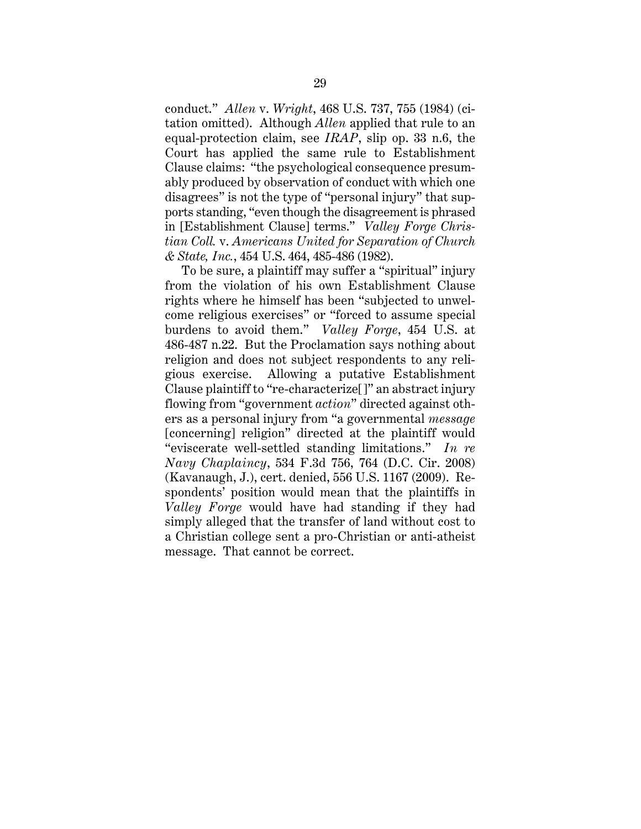conduct." *Allen* v. *Wright*, 468 U.S. 737, 755 (1984) (citation omitted). Although *Allen* applied that rule to an equal-protection claim, see *IRAP*, slip op. 33 n.6, the Court has applied the same rule to Establishment Clause claims: "the psychological consequence presumably produced by observation of conduct with which one disagrees" is not the type of "personal injury" that supports standing, "even though the disagreement is phrased in [Establishment Clause] terms." *Valley Forge Christian Coll.* v. *Americans United for Separation of Church & State, Inc.*, 454 U.S. 464, 485-486 (1982).

To be sure, a plaintiff may suffer a "spiritual" injury from the violation of his own Establishment Clause rights where he himself has been "subjected to unwelcome religious exercises" or "forced to assume special burdens to avoid them." *Valley Forge*, 454 U.S. at 486-487 n.22. But the Proclamation says nothing about religion and does not subject respondents to any religious exercise. Allowing a putative Establishment Clause plaintiff to "re-characterize[]" an abstract injury flowing from "government *action*" directed against others as a personal injury from "a governmental *message* [concerning] religion" directed at the plaintiff would "eviscerate well-settled standing limitations." *In re Navy Chaplaincy*, 534 F.3d 756, 764 (D.C. Cir. 2008) (Kavanaugh, J.), cert. denied, 556 U.S. 1167 (2009). Respondents' position would mean that the plaintiffs in *Valley Forge* would have had standing if they had simply alleged that the transfer of land without cost to a Christian college sent a pro-Christian or anti-atheist message. That cannot be correct.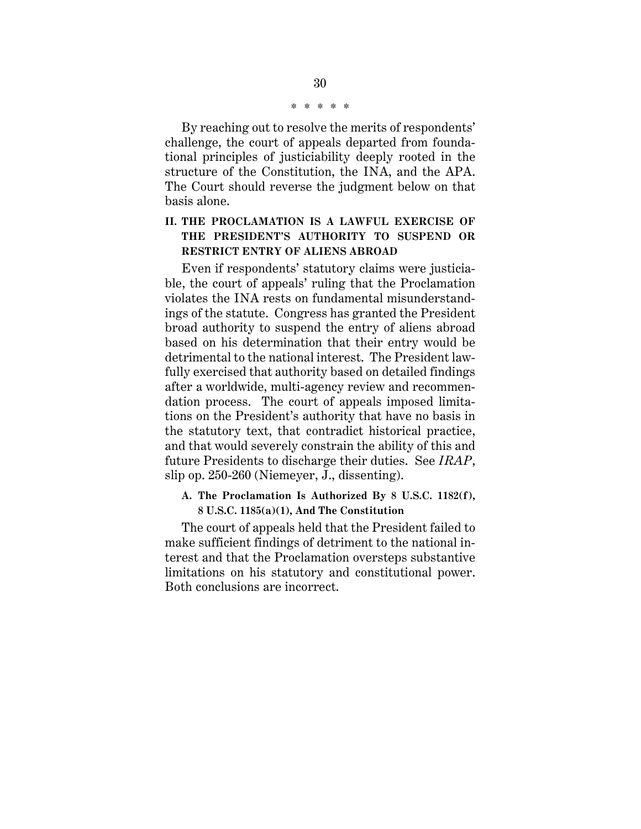\* \* \* \* \*

By reaching out to resolve the merits of respondents' challenge, the court of appeals departed from foundational principles of justiciability deeply rooted in the structure of the Constitution, the INA, and the APA. The Court should reverse the judgment below on that basis alone.

# **II. THE PROCLAMATION IS A LAWFUL EXERCISE OF THE PRESIDENT'S AUTHORITY TO SUSPEND OR RESTRICT ENTRY OF ALIENS ABROAD**

Even if respondents' statutory claims were justiciable, the court of appeals' ruling that the Proclamation violates the INA rests on fundamental misunderstandings of the statute. Congress has granted the President broad authority to suspend the entry of aliens abroad based on his determination that their entry would be detrimental to the national interest. The President lawfully exercised that authority based on detailed findings after a worldwide, multi-agency review and recommendation process. The court of appeals imposed limitations on the President's authority that have no basis in the statutory text, that contradict historical practice, and that would severely constrain the ability of this and future Presidents to discharge their duties. See *IRAP*, slip op. 250-260 (Niemeyer, J., dissenting).

## **A. The Proclamation Is Authorized By 8 U.S.C. 1182(f), 8 U.S.C. 1185(a)(1), And The Constitution**

The court of appeals held that the President failed to make sufficient findings of detriment to the national interest and that the Proclamation oversteps substantive limitations on his statutory and constitutional power. Both conclusions are incorrect.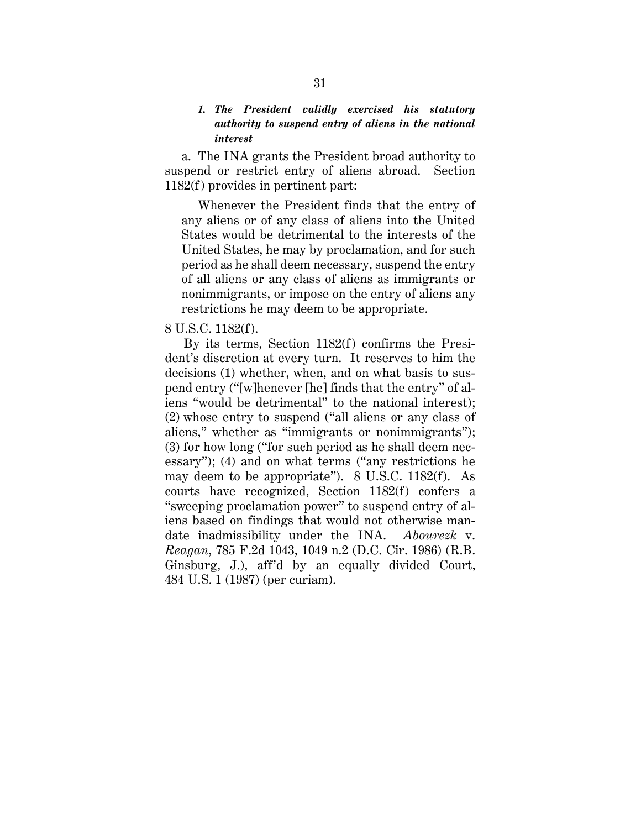# *1. The President validly exercised his statutory authority to suspend entry of aliens in the national interest*

a. The INA grants the President broad authority to suspend or restrict entry of aliens abroad. Section 1182(f) provides in pertinent part:

Whenever the President finds that the entry of any aliens or of any class of aliens into the United States would be detrimental to the interests of the United States, he may by proclamation, and for such period as he shall deem necessary, suspend the entry of all aliens or any class of aliens as immigrants or nonimmigrants, or impose on the entry of aliens any restrictions he may deem to be appropriate.

#### 8 U.S.C. 1182(f).

By its terms, Section 1182(f) confirms the President's discretion at every turn. It reserves to him the decisions (1) whether, when, and on what basis to suspend entry ("[w]henever [he] finds that the entry" of aliens "would be detrimental" to the national interest); (2) whose entry to suspend ("all aliens or any class of aliens," whether as "immigrants or nonimmigrants"); (3) for how long ("for such period as he shall deem necessary"); (4) and on what terms ("any restrictions he may deem to be appropriate"). 8 U.S.C. 1182(f). As courts have recognized, Section 1182(f) confers a "sweeping proclamation power" to suspend entry of aliens based on findings that would not otherwise mandate inadmissibility under the INA. *Abourezk* v. *Reagan*, 785 F.2d 1043, 1049 n.2 (D.C. Cir. 1986) (R.B. Ginsburg, J.), aff'd by an equally divided Court, 484 U.S. 1 (1987) (per curiam).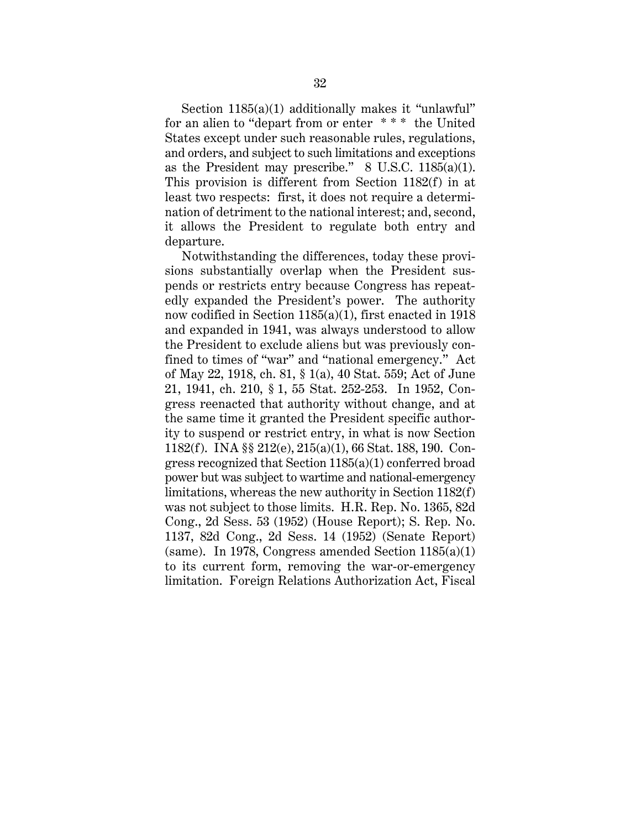Section 1185(a)(1) additionally makes it "unlawful" for an alien to "depart from or enter \* \* \* the United States except under such reasonable rules, regulations, and orders, and subject to such limitations and exceptions as the President may prescribe."  $8 \text{ U.S.C. } 1185(a)(1)$ . This provision is different from Section 1182(f) in at least two respects: first, it does not require a determination of detriment to the national interest; and, second, it allows the President to regulate both entry and departure.

Notwithstanding the differences, today these provisions substantially overlap when the President suspends or restricts entry because Congress has repeatedly expanded the President's power. The authority now codified in Section 1185(a)(1), first enacted in 1918 and expanded in 1941, was always understood to allow the President to exclude aliens but was previously confined to times of "war" and "national emergency." Act of May 22, 1918, ch. 81, § 1(a), 40 Stat. 559; Act of June 21, 1941, ch. 210, § 1, 55 Stat. 252-253. In 1952, Congress reenacted that authority without change, and at the same time it granted the President specific authority to suspend or restrict entry, in what is now Section 1182(f). INA §§ 212(e), 215(a)(1), 66 Stat. 188, 190. Congress recognized that Section 1185(a)(1) conferred broad power but was subject to wartime and national-emergency limitations, whereas the new authority in Section 1182(f) was not subject to those limits. H.R. Rep. No. 1365, 82d Cong., 2d Sess. 53 (1952) (House Report); S. Rep. No. 1137, 82d Cong., 2d Sess. 14 (1952) (Senate Report) (same). In 1978, Congress amended Section  $1185(a)(1)$ to its current form, removing the war-or-emergency limitation. Foreign Relations Authorization Act, Fiscal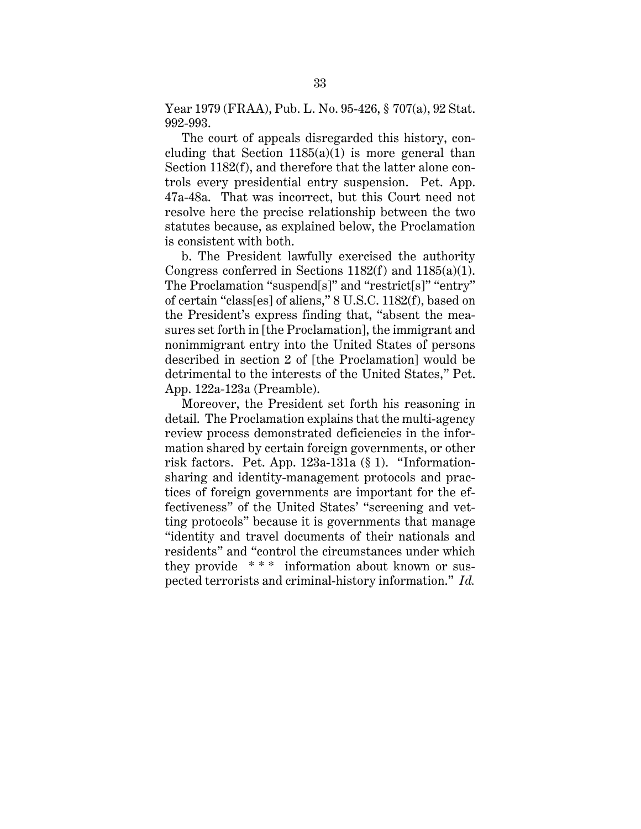Year 1979 (FRAA), Pub. L. No. 95-426, § 707(a), 92 Stat. 992-993.

The court of appeals disregarded this history, concluding that Section  $1185(a)(1)$  is more general than Section 1182(f), and therefore that the latter alone controls every presidential entry suspension. Pet. App. 47a-48a. That was incorrect, but this Court need not resolve here the precise relationship between the two statutes because, as explained below, the Proclamation is consistent with both.

b. The President lawfully exercised the authority Congress conferred in Sections 1182(f) and 1185(a)(1). The Proclamation "suspend[s]" and "restrict[s]" "entry" of certain "class[es] of aliens," 8 U.S.C. 1182(f), based on the President's express finding that, "absent the measures set forth in [the Proclamation], the immigrant and nonimmigrant entry into the United States of persons described in section 2 of [the Proclamation] would be detrimental to the interests of the United States," Pet. App. 122a-123a (Preamble).

Moreover, the President set forth his reasoning in detail. The Proclamation explains that the multi-agency review process demonstrated deficiencies in the information shared by certain foreign governments, or other risk factors. Pet. App. 123a-131a (§ 1). "Informationsharing and identity-management protocols and practices of foreign governments are important for the effectiveness" of the United States' "screening and vetting protocols" because it is governments that manage "identity and travel documents of their nationals and residents" and "control the circumstances under which they provide \* \* \* information about known or suspected terrorists and criminal-history information." *Id.*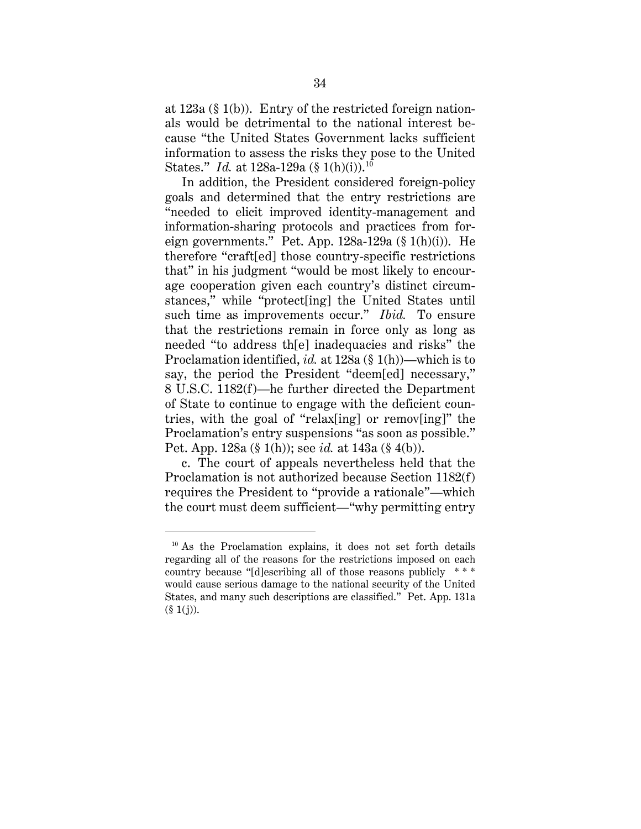at 123a (§ 1(b)). Entry of the restricted foreign nationals would be detrimental to the national interest because "the United States Government lacks sufficient information to assess the risks they pose to the United States." *Id.* at 128a-129a (§ 1(h)(i)).<sup>10</sup>

In addition, the President considered foreign-policy goals and determined that the entry restrictions are "needed to elicit improved identity-management and information-sharing protocols and practices from foreign governments." Pet. App. 128a-129a (§ 1(h)(i)). He therefore "craft[ed] those country-specific restrictions that" in his judgment "would be most likely to encourage cooperation given each country's distinct circumstances," while "protect[ing] the United States until such time as improvements occur." *Ibid.* To ensure that the restrictions remain in force only as long as needed "to address th[e] inadequacies and risks" the Proclamation identified, *id.* at 128a (§ 1(h))—which is to say, the period the President "deem[ed] necessary," 8 U.S.C. 1182(f)—he further directed the Department of State to continue to engage with the deficient countries, with the goal of "relax[ing] or remov[ing]" the Proclamation's entry suspensions "as soon as possible." Pet. App. 128a (§ 1(h)); see *id.* at 143a (§ 4(b)).

c. The court of appeals nevertheless held that the Proclamation is not authorized because Section 1182(f) requires the President to "provide a rationale"—which the court must deem sufficient—"why permitting entry

<sup>&</sup>lt;sup>10</sup> As the Proclamation explains, it does not set forth details regarding all of the reasons for the restrictions imposed on each country because "[d]escribing all of those reasons publicly \* \* \* would cause serious damage to the national security of the United States, and many such descriptions are classified." Pet. App. 131a  $(\S 1(j)).$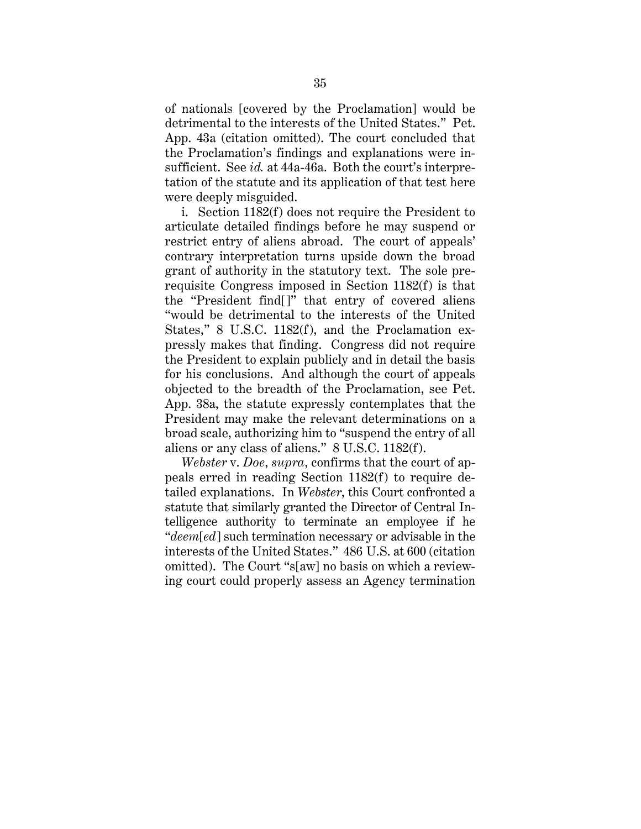of nationals [covered by the Proclamation] would be detrimental to the interests of the United States." Pet. App. 43a (citation omitted). The court concluded that the Proclamation's findings and explanations were insufficient. See *id.* at 44a-46a. Both the court's interpretation of the statute and its application of that test here were deeply misguided.

i. Section 1182(f) does not require the President to articulate detailed findings before he may suspend or restrict entry of aliens abroad. The court of appeals' contrary interpretation turns upside down the broad grant of authority in the statutory text. The sole prerequisite Congress imposed in Section 1182(f) is that the "President find[]" that entry of covered aliens "would be detrimental to the interests of the United States," 8 U.S.C. 1182(f), and the Proclamation expressly makes that finding. Congress did not require the President to explain publicly and in detail the basis for his conclusions. And although the court of appeals objected to the breadth of the Proclamation, see Pet. App. 38a, the statute expressly contemplates that the President may make the relevant determinations on a broad scale, authorizing him to "suspend the entry of all aliens or any class of aliens." 8 U.S.C. 1182(f).

*Webster* v. *Doe*, *supra*, confirms that the court of appeals erred in reading Section 1182(f) to require detailed explanations. In *Webster*, this Court confronted a statute that similarly granted the Director of Central Intelligence authority to terminate an employee if he "*deem*[*ed*] such termination necessary or advisable in the interests of the United States." 486 U.S. at 600 (citation omitted). The Court "s[aw] no basis on which a reviewing court could properly assess an Agency termination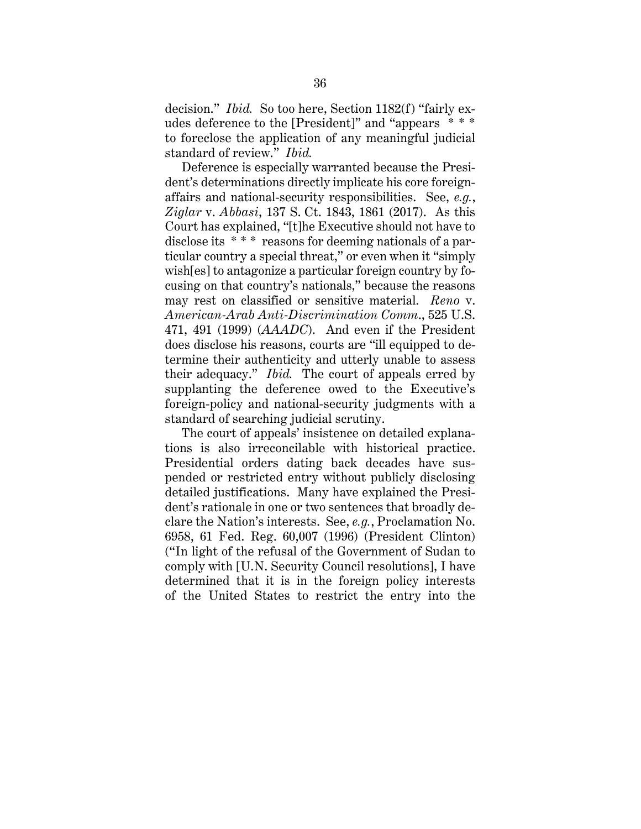decision." *Ibid.* So too here, Section 1182(f) "fairly exudes deference to the [President]" and "appears \* \* \* to foreclose the application of any meaningful judicial standard of review." *Ibid.*

Deference is especially warranted because the President's determinations directly implicate his core foreignaffairs and national-security responsibilities. See, *e.g.*, *Ziglar* v. *Abbasi*, 137 S. Ct. 1843, 1861 (2017). As this Court has explained, "[t]he Executive should not have to disclose its \* \* \* reasons for deeming nationals of a particular country a special threat," or even when it "simply wish[es] to antagonize a particular foreign country by focusing on that country's nationals," because the reasons may rest on classified or sensitive material. *Reno* v. *American-Arab Anti-Discrimination Comm*., 525 U.S. 471, 491 (1999) (*AAADC*). And even if the President does disclose his reasons, courts are "ill equipped to determine their authenticity and utterly unable to assess their adequacy." *Ibid.* The court of appeals erred by supplanting the deference owed to the Executive's foreign-policy and national-security judgments with a standard of searching judicial scrutiny.

The court of appeals' insistence on detailed explanations is also irreconcilable with historical practice. Presidential orders dating back decades have suspended or restricted entry without publicly disclosing detailed justifications. Many have explained the President's rationale in one or two sentences that broadly declare the Nation's interests. See, *e.g.*, Proclamation No. 6958, 61 Fed. Reg. 60,007 (1996) (President Clinton) ("In light of the refusal of the Government of Sudan to comply with [U.N. Security Council resolutions], I have determined that it is in the foreign policy interests of the United States to restrict the entry into the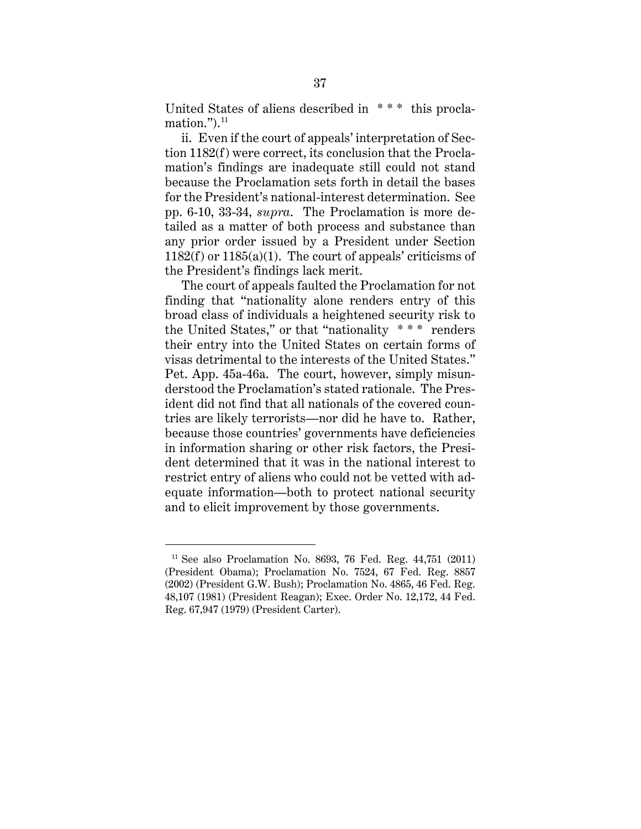United States of aliens described in \* \* \* this proclamation." $)$ . $^{11}$ 

ii. Even if the court of appeals' interpretation of Section 1182(f) were correct, its conclusion that the Proclamation's findings are inadequate still could not stand because the Proclamation sets forth in detail the bases for the President's national-interest determination. See pp. 6-10, 33-34, *supra*. The Proclamation is more detailed as a matter of both process and substance than any prior order issued by a President under Section 1182(f) or 1185(a)(1). The court of appeals' criticisms of the President's findings lack merit.

The court of appeals faulted the Proclamation for not finding that "nationality alone renders entry of this broad class of individuals a heightened security risk to the United States," or that "nationality \* \* \* renders their entry into the United States on certain forms of visas detrimental to the interests of the United States." Pet. App. 45a-46a. The court, however, simply misunderstood the Proclamation's stated rationale. The President did not find that all nationals of the covered countries are likely terrorists—nor did he have to. Rather, because those countries' governments have deficiencies in information sharing or other risk factors, the President determined that it was in the national interest to restrict entry of aliens who could not be vetted with adequate information—both to protect national security and to elicit improvement by those governments.

<sup>11</sup> See also Proclamation No. 8693, 76 Fed. Reg. 44,751 (2011) (President Obama); Proclamation No. 7524, 67 Fed. Reg. 8857 (2002) (President G.W. Bush); Proclamation No. 4865, 46 Fed. Reg. 48,107 (1981) (President Reagan); Exec. Order No. 12,172, 44 Fed. Reg. 67,947 (1979) (President Carter).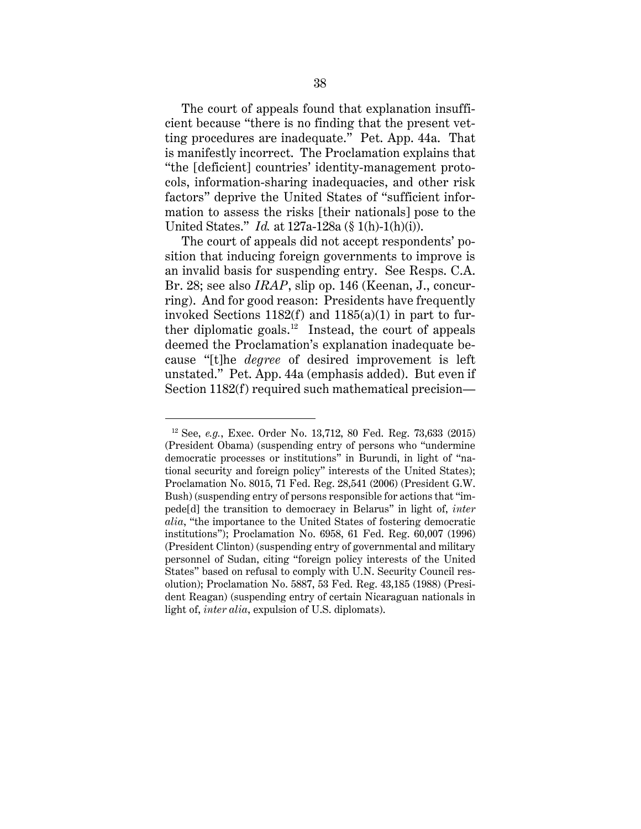The court of appeals found that explanation insufficient because "there is no finding that the present vetting procedures are inadequate." Pet. App. 44a. That is manifestly incorrect. The Proclamation explains that "the [deficient] countries' identity-management protocols, information-sharing inadequacies, and other risk factors" deprive the United States of "sufficient information to assess the risks [their nationals] pose to the United States." *Id.* at 127a-128a (§ 1(h)-1(h)(i)).

The court of appeals did not accept respondents' position that inducing foreign governments to improve is an invalid basis for suspending entry. See Resps. C.A. Br. 28; see also *IRAP*, slip op. 146 (Keenan, J., concurring). And for good reason: Presidents have frequently invoked Sections  $1182(f)$  and  $1185(a)(1)$  in part to further diplomatic goals.<sup>12</sup> Instead, the court of appeals deemed the Proclamation's explanation inadequate because "[t]he *degree* of desired improvement is left unstated." Pet. App. 44a (emphasis added). But even if Section 1182(f) required such mathematical precision—

<sup>12</sup> See, *e.g.*, Exec. Order No. 13,712, 80 Fed. Reg. 73,633 (2015) (President Obama) (suspending entry of persons who "undermine democratic processes or institutions" in Burundi, in light of "national security and foreign policy" interests of the United States); Proclamation No. 8015, 71 Fed. Reg. 28,541 (2006) (President G.W. Bush) (suspending entry of persons responsible for actions that "impede[d] the transition to democracy in Belarus" in light of, *inter alia*, "the importance to the United States of fostering democratic institutions"); Proclamation No. 6958, 61 Fed. Reg. 60,007 (1996) (President Clinton) (suspending entry of governmental and military personnel of Sudan, citing "foreign policy interests of the United States" based on refusal to comply with U.N. Security Council resolution); Proclamation No. 5887, 53 Fed. Reg. 43,185 (1988) (President Reagan) (suspending entry of certain Nicaraguan nationals in light of, *inter alia*, expulsion of U.S. diplomats).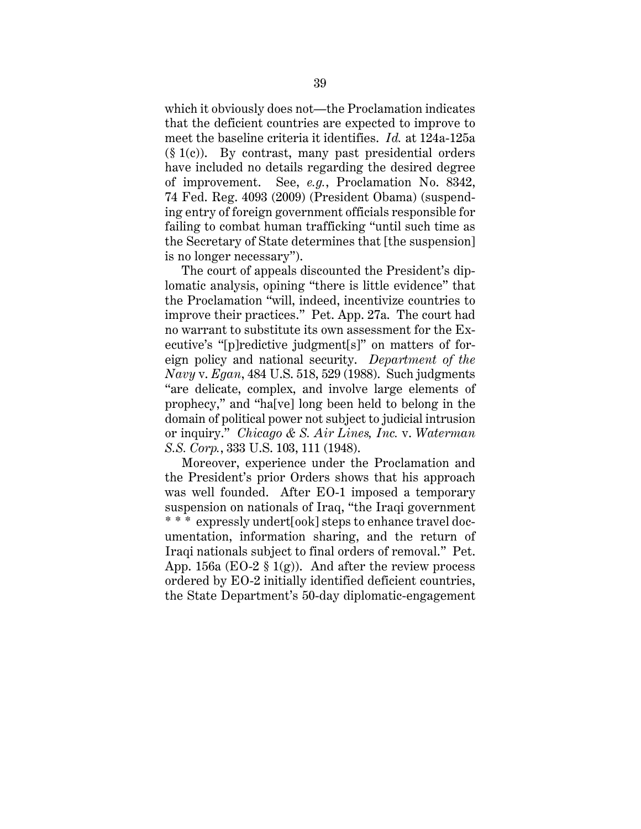which it obviously does not—the Proclamation indicates that the deficient countries are expected to improve to meet the baseline criteria it identifies. *Id.* at 124a-125a  $(\S 1(c))$ . By contrast, many past presidential orders have included no details regarding the desired degree of improvement. See, *e.g.*, Proclamation No. 8342, 74 Fed. Reg. 4093 (2009) (President Obama) (suspending entry of foreign government officials responsible for failing to combat human trafficking "until such time as the Secretary of State determines that [the suspension] is no longer necessary").

The court of appeals discounted the President's diplomatic analysis, opining "there is little evidence" that the Proclamation "will, indeed, incentivize countries to improve their practices." Pet. App. 27a. The court had no warrant to substitute its own assessment for the Executive's "[p]redictive judgment[s]" on matters of foreign policy and national security. *Department of the Navy* v. *Egan*, 484 U.S. 518, 529 (1988). Such judgments "are delicate, complex, and involve large elements of prophecy," and "ha[ve] long been held to belong in the domain of political power not subject to judicial intrusion or inquiry." *Chicago & S. Air Lines, Inc.* v. *Waterman S.S. Corp.*, 333 U.S. 103, 111 (1948).

Moreover, experience under the Proclamation and the President's prior Orders shows that his approach was well founded. After EO-1 imposed a temporary suspension on nationals of Iraq, "the Iraqi government \* \* \* expressly undert[ook] steps to enhance travel documentation, information sharing, and the return of Iraqi nationals subject to final orders of removal." Pet. App. 156a (EO-2  $\S$  1(g)). And after the review process ordered by EO-2 initially identified deficient countries, the State Department's 50-day diplomatic-engagement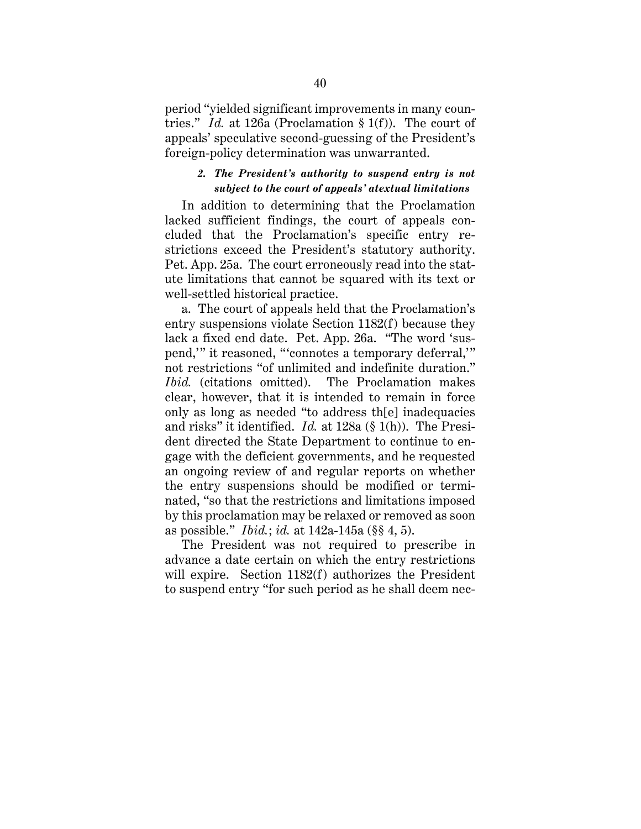period "yielded significant improvements in many countries." *Id.* at 126a (Proclamation § 1(f)). The court of appeals' speculative second-guessing of the President's foreign-policy determination was unwarranted.

#### *2. The President's authority to suspend entry is not subject to the court of appeals' atextual limitations*

In addition to determining that the Proclamation lacked sufficient findings, the court of appeals concluded that the Proclamation's specific entry restrictions exceed the President's statutory authority. Pet. App. 25a. The court erroneously read into the statute limitations that cannot be squared with its text or well-settled historical practice.

a. The court of appeals held that the Proclamation's entry suspensions violate Section 1182(f) because they lack a fixed end date. Pet. App. 26a. "The word 'suspend,'" it reasoned, "'connotes a temporary deferral,'" not restrictions "of unlimited and indefinite duration." *Ibid.* (citations omitted). The Proclamation makes clear, however, that it is intended to remain in force only as long as needed "to address th[e] inadequacies and risks" it identified. *Id.* at 128a (§ 1(h)). The President directed the State Department to continue to engage with the deficient governments, and he requested an ongoing review of and regular reports on whether the entry suspensions should be modified or terminated, "so that the restrictions and limitations imposed by this proclamation may be relaxed or removed as soon as possible." *Ibid.*; *id.* at 142a-145a (§§ 4, 5).

The President was not required to prescribe in advance a date certain on which the entry restrictions will expire. Section 1182(f) authorizes the President to suspend entry "for such period as he shall deem nec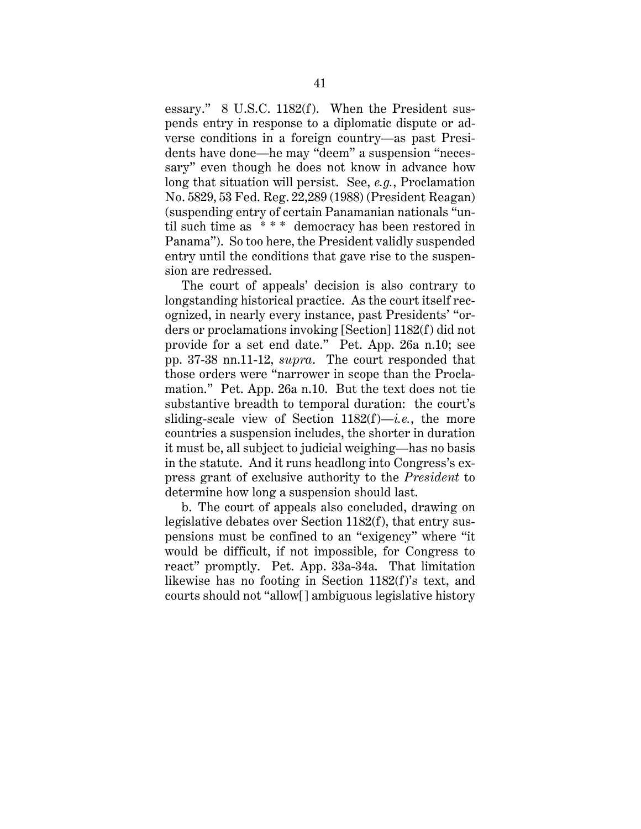essary." 8 U.S.C. 1182(f). When the President suspends entry in response to a diplomatic dispute or adverse conditions in a foreign country—as past Presidents have done—he may "deem" a suspension "necessary" even though he does not know in advance how long that situation will persist. See, *e.g.*, Proclamation No. 5829, 53 Fed. Reg. 22,289 (1988) (President Reagan) (suspending entry of certain Panamanian nationals "until such time as \* \* \* democracy has been restored in Panama"). So too here, the President validly suspended entry until the conditions that gave rise to the suspension are redressed.

The court of appeals' decision is also contrary to longstanding historical practice. As the court itself recognized, in nearly every instance, past Presidents' "orders or proclamations invoking [Section] 1182(f) did not provide for a set end date." Pet. App. 26a n.10; see pp. 37-38 nn.11-12, *supra*. The court responded that those orders were "narrower in scope than the Proclamation." Pet. App. 26a n.10. But the text does not tie substantive breadth to temporal duration: the court's sliding-scale view of Section 1182(f)—*i.e.*, the more countries a suspension includes, the shorter in duration it must be, all subject to judicial weighing—has no basis in the statute. And it runs headlong into Congress's express grant of exclusive authority to the *President* to determine how long a suspension should last.

b. The court of appeals also concluded, drawing on legislative debates over Section 1182(f), that entry suspensions must be confined to an "exigency" where "it would be difficult, if not impossible, for Congress to react" promptly. Pet. App. 33a-34a. That limitation likewise has no footing in Section 1182(f)'s text, and courts should not "allow[] ambiguous legislative history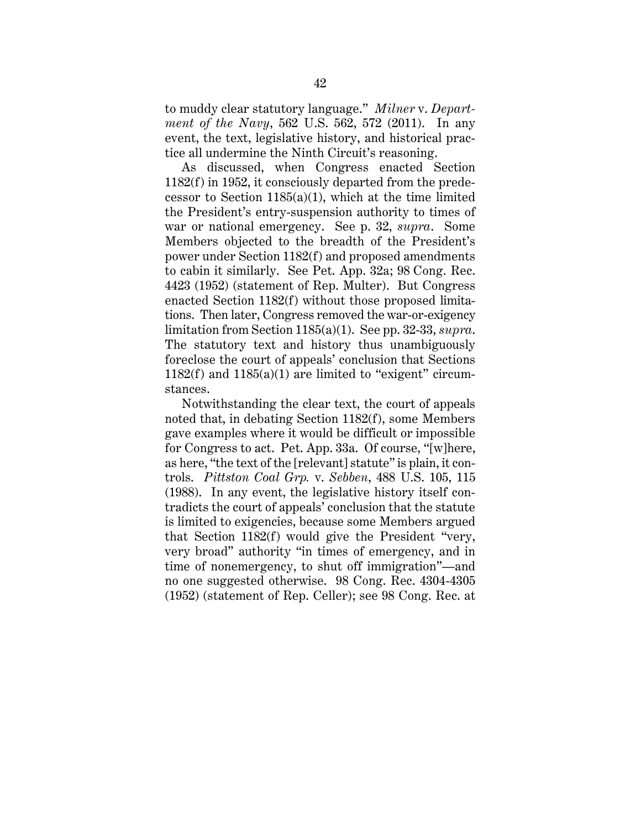to muddy clear statutory language." *Milner* v. *Department of the Navy*, 562 U.S. 562, 572 (2011). In any event, the text, legislative history, and historical practice all undermine the Ninth Circuit's reasoning.

As discussed, when Congress enacted Section 1182(f) in 1952, it consciously departed from the predecessor to Section  $1185(a)(1)$ , which at the time limited the President's entry-suspension authority to times of war or national emergency. See p. 32, *supra*. Some Members objected to the breadth of the President's power under Section 1182(f) and proposed amendments to cabin it similarly. See Pet. App. 32a; 98 Cong. Rec. 4423 (1952) (statement of Rep. Multer). But Congress enacted Section 1182(f) without those proposed limitations. Then later, Congress removed the war-or-exigency limitation from Section 1185(a)(1). See pp. 32-33, *supra*. The statutory text and history thus unambiguously foreclose the court of appeals' conclusion that Sections 1182(f) and  $1185(a)(1)$  are limited to "exigent" circumstances.

Notwithstanding the clear text, the court of appeals noted that, in debating Section 1182(f), some Members gave examples where it would be difficult or impossible for Congress to act. Pet. App. 33a. Of course, "[w]here, as here, "the text of the [relevant] statute" is plain, it controls. *Pittston Coal Grp.* v. *Sebben*, 488 U.S. 105, 115 (1988). In any event, the legislative history itself contradicts the court of appeals' conclusion that the statute is limited to exigencies, because some Members argued that Section 1182(f) would give the President "very, very broad" authority "in times of emergency, and in time of nonemergency, to shut off immigration"—and no one suggested otherwise. 98 Cong. Rec. 4304-4305 (1952) (statement of Rep. Celler); see 98 Cong. Rec. at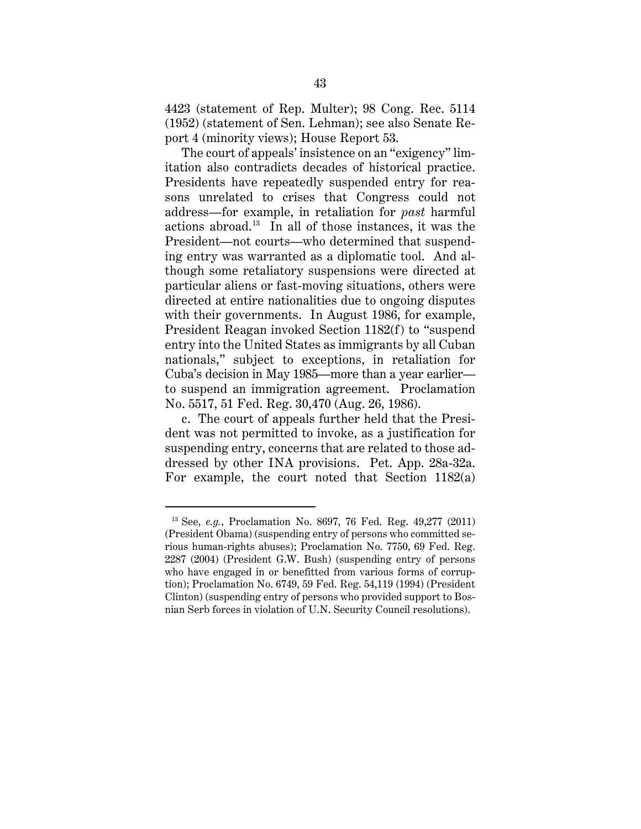4423 (statement of Rep. Multer); 98 Cong. Rec. 5114 (1952) (statement of Sen. Lehman); see also Senate Report 4 (minority views); House Report 53.

The court of appeals' insistence on an "exigency" limitation also contradicts decades of historical practice. Presidents have repeatedly suspended entry for reasons unrelated to crises that Congress could not address—for example, in retaliation for *past* harmful actions abroad.13 In all of those instances, it was the President—not courts—who determined that suspending entry was warranted as a diplomatic tool. And although some retaliatory suspensions were directed at particular aliens or fast-moving situations, others were directed at entire nationalities due to ongoing disputes with their governments. In August 1986, for example, President Reagan invoked Section 1182(f) to "suspend entry into the United States as immigrants by all Cuban nationals," subject to exceptions, in retaliation for Cuba's decision in May 1985—more than a year earlier to suspend an immigration agreement. Proclamation No. 5517, 51 Fed. Reg. 30,470 (Aug. 26, 1986).

c. The court of appeals further held that the President was not permitted to invoke, as a justification for suspending entry, concerns that are related to those addressed by other INA provisions. Pet. App. 28a-32a. For example, the court noted that Section 1182(a)

<sup>13</sup> See, *e.g.*, Proclamation No. 8697, 76 Fed. Reg. 49,277 (2011) (President Obama) (suspending entry of persons who committed serious human-rights abuses); Proclamation No. 7750, 69 Fed. Reg. 2287 (2004) (President G.W. Bush) (suspending entry of persons who have engaged in or benefitted from various forms of corruption); Proclamation No. 6749, 59 Fed. Reg. 54,119 (1994) (President Clinton) (suspending entry of persons who provided support to Bosnian Serb forces in violation of U.N. Security Council resolutions).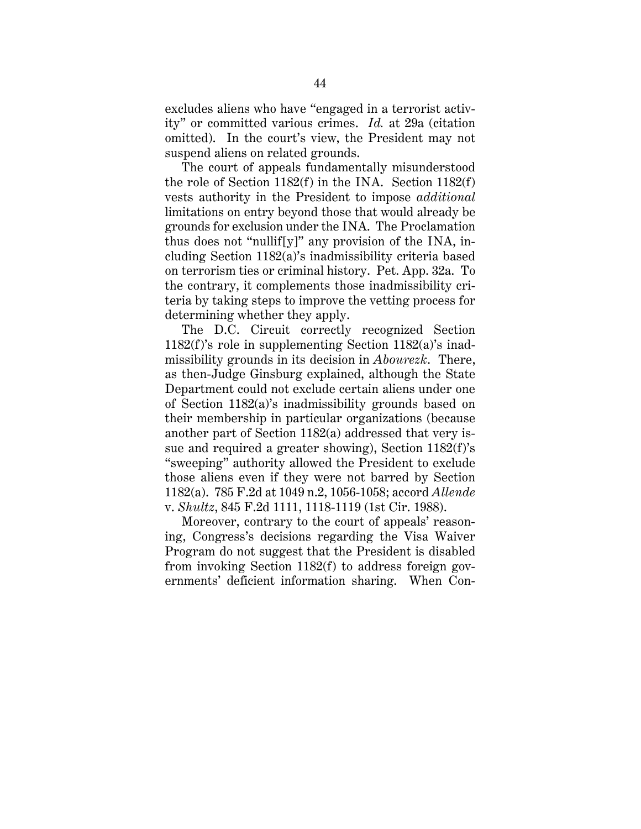excludes aliens who have "engaged in a terrorist activity" or committed various crimes. *Id.* at 29a (citation omitted). In the court's view, the President may not suspend aliens on related grounds.

The court of appeals fundamentally misunderstood the role of Section 1182(f) in the INA. Section 1182(f) vests authority in the President to impose *additional* limitations on entry beyond those that would already be grounds for exclusion under the INA. The Proclamation thus does not "nullif[y]" any provision of the INA, including Section 1182(a)'s inadmissibility criteria based on terrorism ties or criminal history. Pet. App. 32a. To the contrary, it complements those inadmissibility criteria by taking steps to improve the vetting process for determining whether they apply.

The D.C. Circuit correctly recognized Section 1182(f)'s role in supplementing Section 1182(a)'s inadmissibility grounds in its decision in *Abourezk*. There, as then-Judge Ginsburg explained, although the State Department could not exclude certain aliens under one of Section 1182(a)'s inadmissibility grounds based on their membership in particular organizations (because another part of Section 1182(a) addressed that very issue and required a greater showing), Section 1182(f)'s "sweeping" authority allowed the President to exclude those aliens even if they were not barred by Section 1182(a). 785 F.2d at 1049 n.2, 1056-1058; accord *Allende* v. *Shultz*, 845 F.2d 1111, 1118-1119 (1st Cir. 1988).

Moreover, contrary to the court of appeals' reasoning, Congress's decisions regarding the Visa Waiver Program do not suggest that the President is disabled from invoking Section 1182(f) to address foreign governments' deficient information sharing. When Con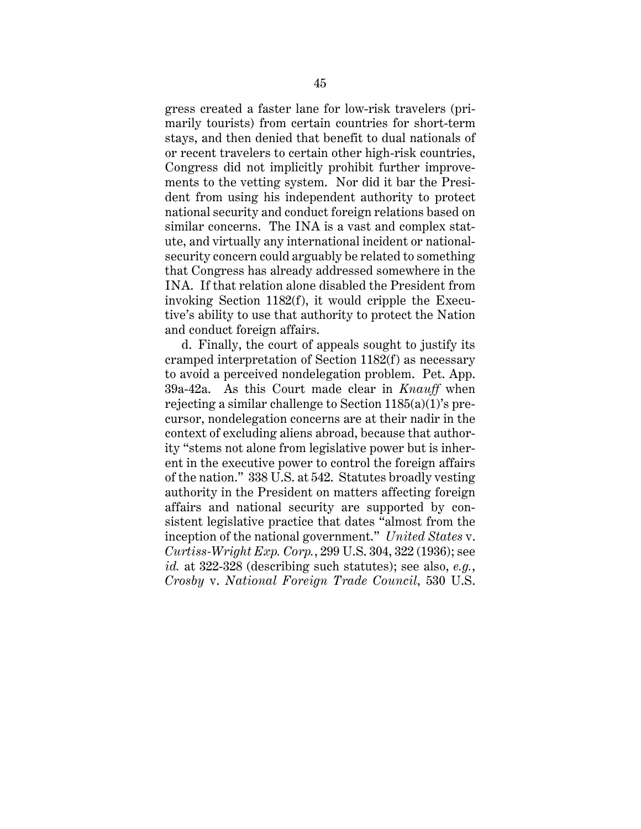gress created a faster lane for low-risk travelers (primarily tourists) from certain countries for short-term stays, and then denied that benefit to dual nationals of or recent travelers to certain other high-risk countries, Congress did not implicitly prohibit further improvements to the vetting system. Nor did it bar the President from using his independent authority to protect national security and conduct foreign relations based on similar concerns. The INA is a vast and complex statute, and virtually any international incident or nationalsecurity concern could arguably be related to something that Congress has already addressed somewhere in the INA. If that relation alone disabled the President from invoking Section 1182(f), it would cripple the Executive's ability to use that authority to protect the Nation and conduct foreign affairs.

d. Finally, the court of appeals sought to justify its cramped interpretation of Section 1182(f) as necessary to avoid a perceived nondelegation problem. Pet. App. 39a-42a. As this Court made clear in *Knauff* when rejecting a similar challenge to Section 1185(a)(1)'s precursor, nondelegation concerns are at their nadir in the context of excluding aliens abroad, because that authority "stems not alone from legislative power but is inherent in the executive power to control the foreign affairs of the nation." 338 U.S. at 542. Statutes broadly vesting authority in the President on matters affecting foreign affairs and national security are supported by consistent legislative practice that dates "almost from the inception of the national government." *United States* v. *Curtiss-Wright Exp. Corp.*, 299 U.S. 304, 322 (1936); see *id.* at 322-328 (describing such statutes); see also, *e.g.*, *Crosby* v. *National Foreign Trade Council*, 530 U.S.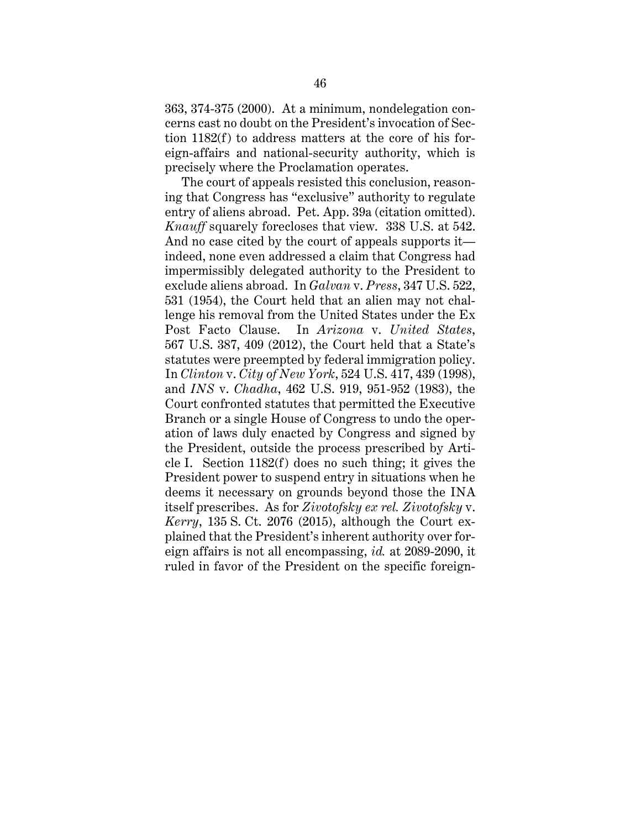363, 374-375 (2000). At a minimum, nondelegation concerns cast no doubt on the President's invocation of Section 1182(f) to address matters at the core of his foreign-affairs and national-security authority, which is precisely where the Proclamation operates.

The court of appeals resisted this conclusion, reasoning that Congress has "exclusive" authority to regulate entry of aliens abroad. Pet. App. 39a (citation omitted). *Knauff* squarely forecloses that view. 338 U.S. at 542. And no case cited by the court of appeals supports it indeed, none even addressed a claim that Congress had impermissibly delegated authority to the President to exclude aliens abroad. In *Galvan* v. *Press*, 347 U.S. 522, 531 (1954), the Court held that an alien may not challenge his removal from the United States under the Ex Post Facto Clause. In *Arizona* v. *United States*, 567 U.S. 387, 409 (2012), the Court held that a State's statutes were preempted by federal immigration policy. In *Clinton* v. *City of New York*, 524 U.S. 417, 439 (1998), and *INS* v. *Chadha*, 462 U.S. 919, 951-952 (1983), the Court confronted statutes that permitted the Executive Branch or a single House of Congress to undo the operation of laws duly enacted by Congress and signed by the President, outside the process prescribed by Article I. Section 1182(f) does no such thing; it gives the President power to suspend entry in situations when he deems it necessary on grounds beyond those the INA itself prescribes. As for *Zivotofsky ex rel. Zivotofsky* v. *Kerry*, 135 S. Ct. 2076 (2015), although the Court explained that the President's inherent authority over foreign affairs is not all encompassing, *id.* at 2089-2090, it ruled in favor of the President on the specific foreign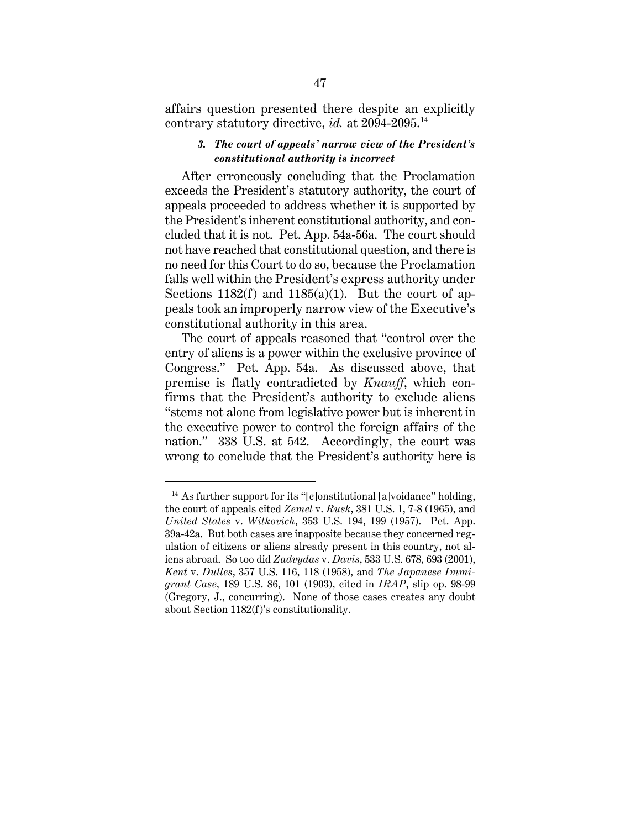affairs question presented there despite an explicitly contrary statutory directive, *id.* at 2094-2095.<sup>14</sup>

## *3. The court of appeals' narrow view of the President's constitutional authority is incorrect*

After erroneously concluding that the Proclamation exceeds the President's statutory authority, the court of appeals proceeded to address whether it is supported by the President's inherent constitutional authority, and concluded that it is not. Pet. App. 54a-56a. The court should not have reached that constitutional question, and there is no need for this Court to do so, because the Proclamation falls well within the President's express authority under Sections  $1182(f)$  and  $1185(a)(1)$ . But the court of appeals took an improperly narrow view of the Executive's constitutional authority in this area.

The court of appeals reasoned that "control over the entry of aliens is a power within the exclusive province of Congress." Pet. App. 54a. As discussed above, that premise is flatly contradicted by *Knauff*, which confirms that the President's authority to exclude aliens "stems not alone from legislative power but is inherent in the executive power to control the foreign affairs of the nation." 338 U.S. at 542. Accordingly, the court was wrong to conclude that the President's authority here is

<sup>&</sup>lt;sup>14</sup> As further support for its "[c]onstitutional [a]voidance" holding, the court of appeals cited *Zemel* v. *Rusk*, 381 U.S. 1, 7-8 (1965), and *United States* v. *Witkovich*, 353 U.S. 194, 199 (1957). Pet. App. 39a-42a. But both cases are inapposite because they concerned regulation of citizens or aliens already present in this country, not aliens abroad. So too did *Zadvydas* v. *Davis*, 533 U.S. 678, 693 (2001), *Kent* v. *Dulles*, 357 U.S. 116, 118 (1958), and *The Japanese Immigrant Case*, 189 U.S. 86, 101 (1903), cited in *IRAP*, slip op. 98-99 (Gregory, J., concurring). None of those cases creates any doubt about Section 1182(f)'s constitutionality.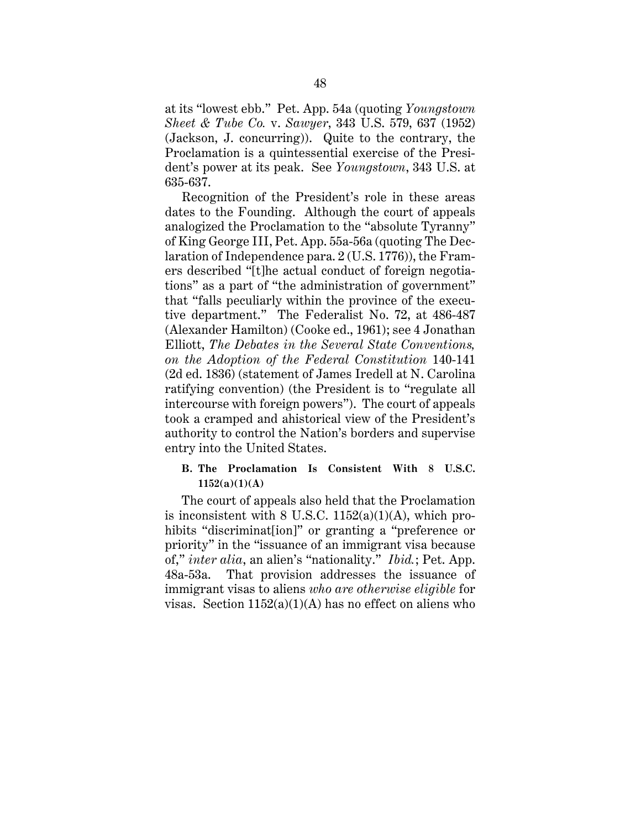at its "lowest ebb." Pet. App. 54a (quoting *Youngstown Sheet & Tube Co.* v. *Sawyer*, 343 U.S. 579, 637 (1952) (Jackson, J. concurring)). Quite to the contrary, the Proclamation is a quintessential exercise of the President's power at its peak. See *Youngstown*, 343 U.S. at 635-637.

Recognition of the President's role in these areas dates to the Founding. Although the court of appeals analogized the Proclamation to the "absolute Tyranny" of King George III, Pet. App. 55a-56a (quoting The Declaration of Independence para. 2 (U.S. 1776)), the Framers described "[t]he actual conduct of foreign negotiations" as a part of "the administration of government" that "falls peculiarly within the province of the executive department." The Federalist No. 72, at 486-487 (Alexander Hamilton) (Cooke ed., 1961); see 4 Jonathan Elliott, *The Debates in the Several State Conventions, on the Adoption of the Federal Constitution* 140-141 (2d ed. 1836) (statement of James Iredell at N. Carolina ratifying convention) (the President is to "regulate all intercourse with foreign powers"). The court of appeals took a cramped and ahistorical view of the President's authority to control the Nation's borders and supervise entry into the United States.

### **B. The Proclamation Is Consistent With 8 U.S.C. 1152(a)(1)(A)**

The court of appeals also held that the Proclamation is inconsistent with  $8 \text{ U.S.C. } 1152(a)(1)(\text{A})$ , which prohibits "discriminat[ion]" or granting a "preference or priority" in the "issuance of an immigrant visa because of," *inter alia*, an alien's "nationality." *Ibid.*; Pet. App. 48a-53a. That provision addresses the issuance of immigrant visas to aliens *who are otherwise eligible* for visas. Section  $1152(a)(1)(A)$  has no effect on aliens who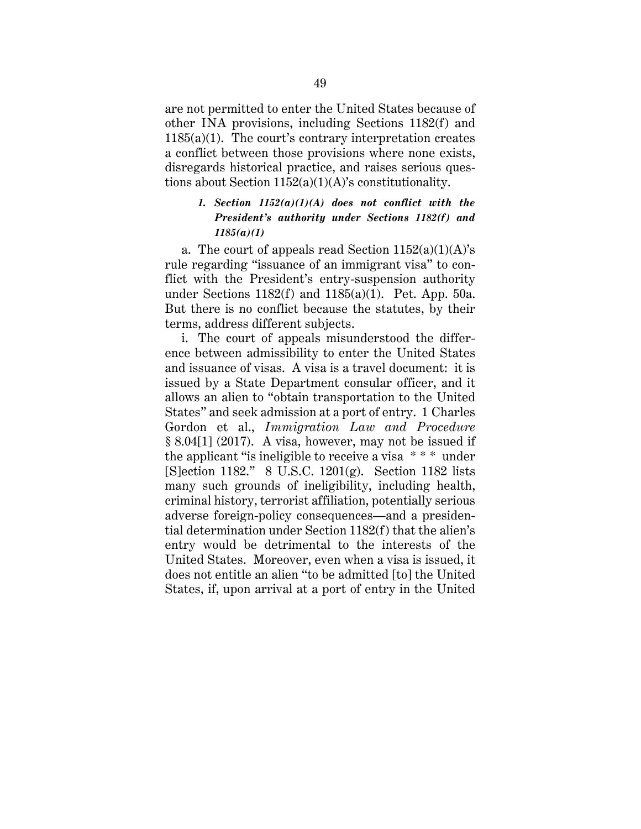are not permitted to enter the United States because of other INA provisions, including Sections 1182(f) and  $1185(a)(1)$ . The court's contrary interpretation creates a conflict between those provisions where none exists, disregards historical practice, and raises serious questions about Section 1152(a)(1)(A)'s constitutionality.

# *1. Section 1152(a)(1)(A) does not conflict with the President's authority under Sections 1182(f) and 1185(a)(1)*

a. The court of appeals read Section  $1152(a)(1)(A)$ 's rule regarding "issuance of an immigrant visa" to conflict with the President's entry-suspension authority under Sections 1182(f) and 1185(a)(1). Pet. App. 50a. But there is no conflict because the statutes, by their terms, address different subjects.

i. The court of appeals misunderstood the difference between admissibility to enter the United States and issuance of visas. A visa is a travel document: it is issued by a State Department consular officer, and it allows an alien to "obtain transportation to the United States" and seek admission at a port of entry. 1 Charles Gordon et al., *Immigration Law and Procedure* § 8.04[1] (2017). A visa, however, may not be issued if the applicant "is ineligible to receive a visa \* \* \* under [S]ection 1182." 8 U.S.C. 1201(g). Section 1182 lists many such grounds of ineligibility, including health, criminal history, terrorist affiliation, potentially serious adverse foreign-policy consequences—and a presidential determination under Section 1182(f) that the alien's entry would be detrimental to the interests of the United States. Moreover, even when a visa is issued, it does not entitle an alien "to be admitted [to] the United States, if, upon arrival at a port of entry in the United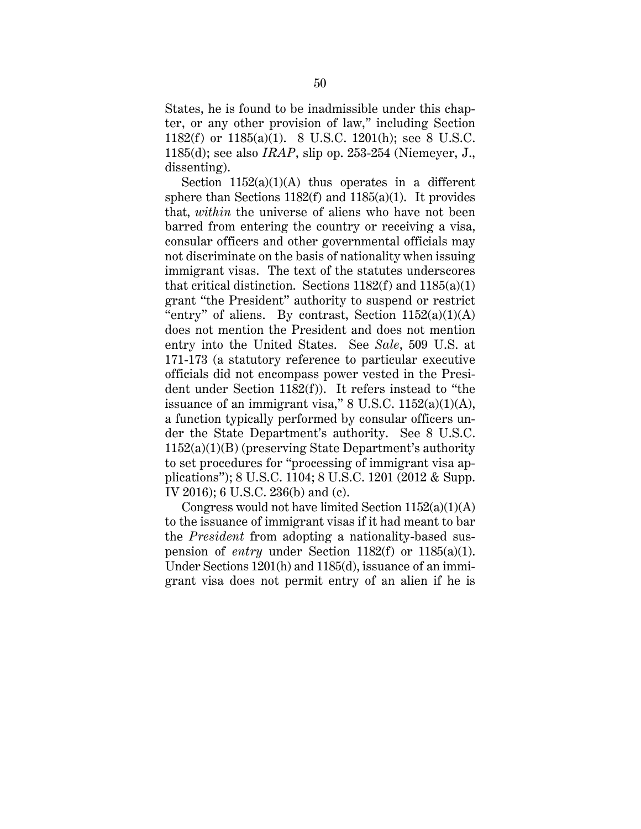States, he is found to be inadmissible under this chapter, or any other provision of law," including Section 1182(f) or 1185(a)(1). 8 U.S.C. 1201(h); see 8 U.S.C. 1185(d); see also *IRAP*, slip op. 253-254 (Niemeyer, J., dissenting).

Section  $1152(a)(1)(A)$  thus operates in a different sphere than Sections  $1182(f)$  and  $1185(a)(1)$ . It provides that, *within* the universe of aliens who have not been barred from entering the country or receiving a visa, consular officers and other governmental officials may not discriminate on the basis of nationality when issuing immigrant visas. The text of the statutes underscores that critical distinction. Sections  $1182(f)$  and  $1185(a)(1)$ grant "the President" authority to suspend or restrict "entry" of aliens. By contrast, Section  $1152(a)(1)(A)$ does not mention the President and does not mention entry into the United States. See *Sale*, 509 U.S. at 171-173 (a statutory reference to particular executive officials did not encompass power vested in the President under Section 1182(f)). It refers instead to "the issuance of an immigrant visa,"  $8$  U.S.C.  $1152(a)(1)(A)$ , a function typically performed by consular officers under the State Department's authority. See 8 U.S.C. 1152(a)(1)(B) (preserving State Department's authority to set procedures for "processing of immigrant visa applications"); 8 U.S.C. 1104; 8 U.S.C. 1201 (2012 & Supp. IV 2016); 6 U.S.C. 236(b) and (c).

Congress would not have limited Section  $1152(a)(1)(A)$ to the issuance of immigrant visas if it had meant to bar the *President* from adopting a nationality-based suspension of *entry* under Section 1182(f) or 1185(a)(1). Under Sections 1201(h) and 1185(d), issuance of an immigrant visa does not permit entry of an alien if he is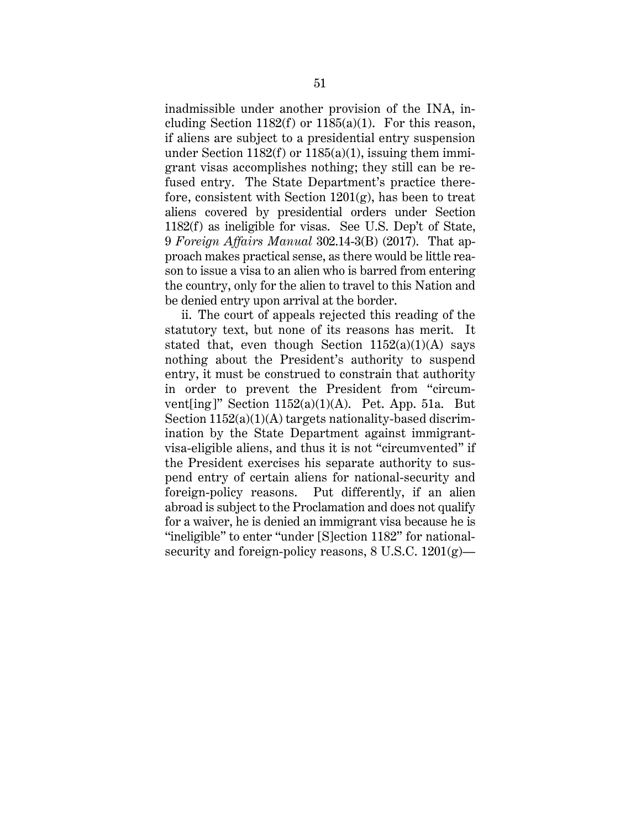inadmissible under another provision of the INA, including Section 1182(f) or  $1185(a)(1)$ . For this reason, if aliens are subject to a presidential entry suspension under Section  $1182(f)$  or  $1185(a)(1)$ , issuing them immigrant visas accomplishes nothing; they still can be refused entry. The State Department's practice therefore, consistent with Section  $1201(g)$ , has been to treat aliens covered by presidential orders under Section 1182(f) as ineligible for visas. See U.S. Dep't of State, 9 *Foreign Affairs Manual* 302.14-3(B) (2017). That approach makes practical sense, as there would be little reason to issue a visa to an alien who is barred from entering the country, only for the alien to travel to this Nation and be denied entry upon arrival at the border.

ii. The court of appeals rejected this reading of the statutory text, but none of its reasons has merit. It stated that, even though Section  $1152(a)(1)(A)$  says nothing about the President's authority to suspend entry, it must be construed to constrain that authority in order to prevent the President from "circumvent $\lceil \text{ing} \rceil$ " Section 1152(a)(1)(A). Pet. App. 51a. But Section  $1152(a)(1)(A)$  targets nationality-based discrimination by the State Department against immigrantvisa-eligible aliens, and thus it is not "circumvented" if the President exercises his separate authority to suspend entry of certain aliens for national-security and foreign-policy reasons. Put differently, if an alien abroad is subject to the Proclamation and does not qualify for a waiver, he is denied an immigrant visa because he is "ineligible" to enter "under [S]ection 1182" for nationalsecurity and foreign-policy reasons, 8 U.S.C. 1201(g)—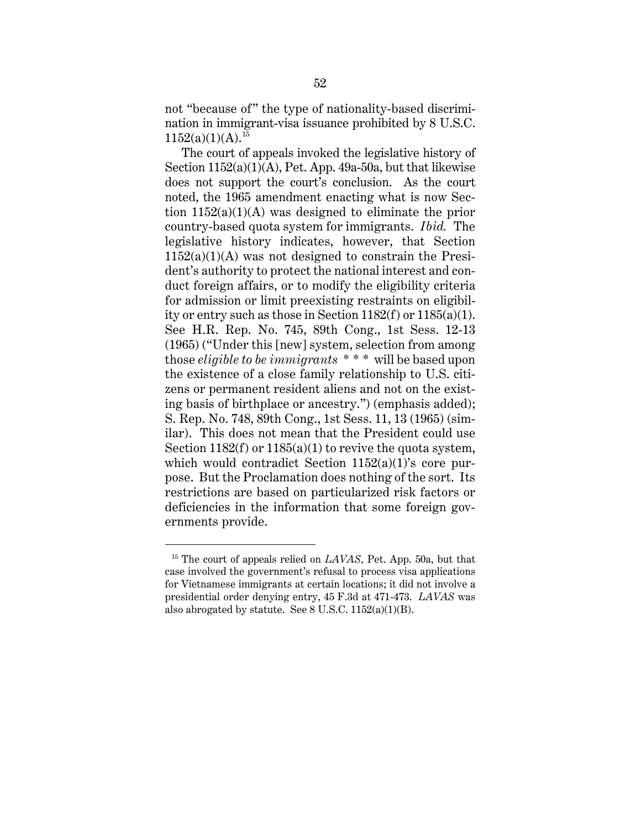not "because of" the type of nationality-based discrimination in immigrant-visa issuance prohibited by 8 U.S.C.  $1152(a)(1)(A).^{15}$ 

The court of appeals invoked the legislative history of Section 1152(a)(1)(A), Pet. App. 49a-50a, but that likewise does not support the court's conclusion. As the court noted, the 1965 amendment enacting what is now Section  $1152(a)(1)(A)$  was designed to eliminate the prior country-based quota system for immigrants. *Ibid.* The legislative history indicates, however, that Section  $1152(a)(1)(A)$  was not designed to constrain the President's authority to protect the national interest and conduct foreign affairs, or to modify the eligibility criteria for admission or limit preexisting restraints on eligibility or entry such as those in Section 1182(f) or 1185(a)(1). See H.R. Rep. No. 745, 89th Cong., 1st Sess. 12-13 (1965) ("Under this [new] system, selection from among those *eligible to be immigrants* \* \* \* will be based upon the existence of a close family relationship to U.S. citizens or permanent resident aliens and not on the existing basis of birthplace or ancestry.") (emphasis added); S. Rep. No. 748, 89th Cong., 1st Sess. 11, 13 (1965) (similar). This does not mean that the President could use Section  $1182(f)$  or  $1185(a)(1)$  to revive the quota system, which would contradict Section 1152(a)(1)'s core purpose. But the Proclamation does nothing of the sort. Its restrictions are based on particularized risk factors or deficiencies in the information that some foreign governments provide.

<sup>15</sup> The court of appeals relied on *LAVAS*, Pet. App. 50a, but that case involved the government's refusal to process visa applications for Vietnamese immigrants at certain locations; it did not involve a presidential order denying entry, 45 F.3d at 471-473. *LAVAS* was also abrogated by statute. See 8 U.S.C. 1152(a)(1)(B).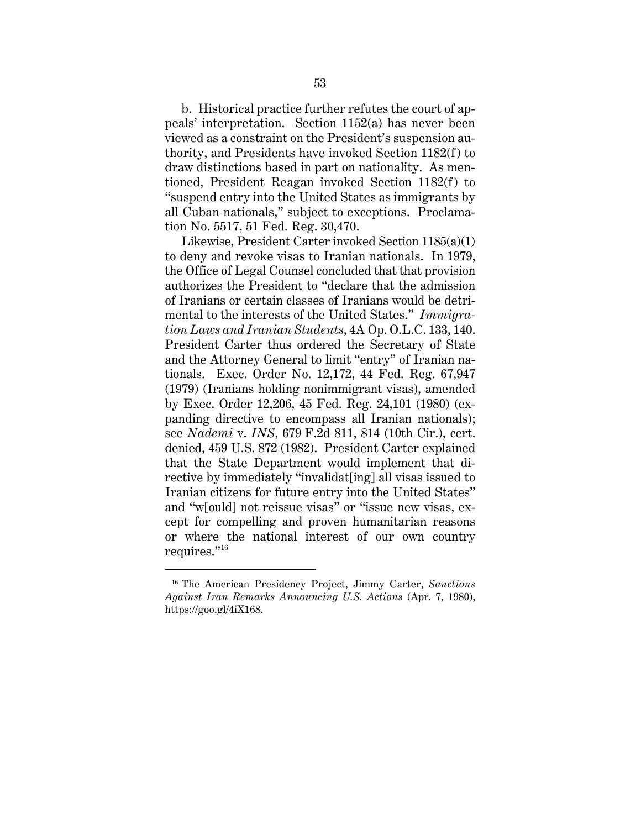b. Historical practice further refutes the court of appeals' interpretation. Section 1152(a) has never been viewed as a constraint on the President's suspension authority, and Presidents have invoked Section 1182(f) to draw distinctions based in part on nationality. As mentioned, President Reagan invoked Section 1182(f) to "suspend entry into the United States as immigrants by all Cuban nationals," subject to exceptions. Proclamation No. 5517, 51 Fed. Reg. 30,470.

Likewise, President Carter invoked Section 1185(a)(1) to deny and revoke visas to Iranian nationals. In 1979, the Office of Legal Counsel concluded that that provision authorizes the President to "declare that the admission of Iranians or certain classes of Iranians would be detrimental to the interests of the United States." *Immigration Laws and Iranian Students*, 4A Op. O.L.C. 133, 140. President Carter thus ordered the Secretary of State and the Attorney General to limit "entry" of Iranian nationals. Exec. Order No. 12,172, 44 Fed. Reg. 67,947 (1979) (Iranians holding nonimmigrant visas), amended by Exec. Order 12,206, 45 Fed. Reg. 24,101 (1980) (expanding directive to encompass all Iranian nationals); see *Nademi* v. *INS*, 679 F.2d 811, 814 (10th Cir.), cert. denied, 459 U.S. 872 (1982). President Carter explained that the State Department would implement that directive by immediately "invalidat [ing] all visas issued to Iranian citizens for future entry into the United States" and "w[ould] not reissue visas" or "issue new visas, except for compelling and proven humanitarian reasons or where the national interest of our own country requires."16

<sup>16</sup> The American Presidency Project, Jimmy Carter, *Sanctions Against Iran Remarks Announcing U.S. Actions* (Apr. 7, 1980), https://goo.gl/4iX168.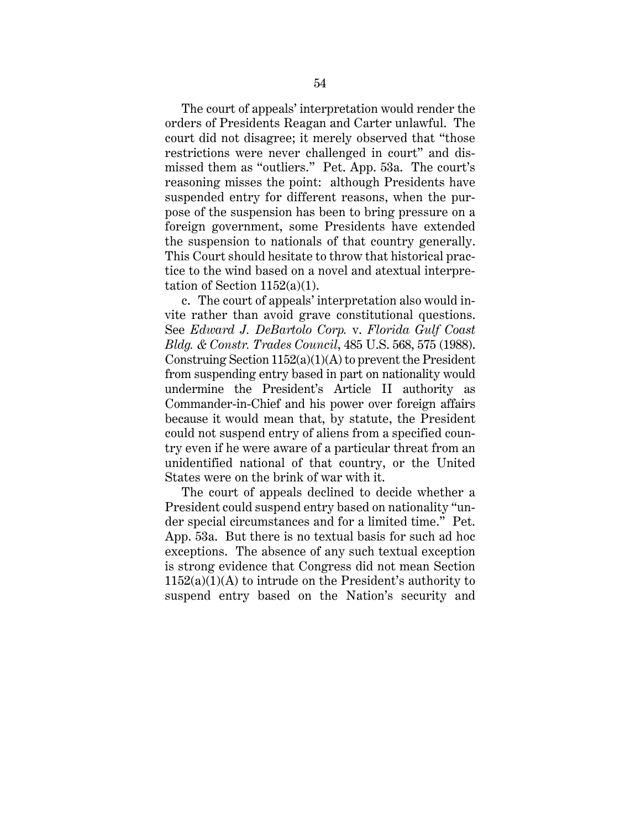The court of appeals' interpretation would render the orders of Presidents Reagan and Carter unlawful. The court did not disagree; it merely observed that "those restrictions were never challenged in court" and dismissed them as "outliers." Pet. App. 53a. The court's reasoning misses the point: although Presidents have suspended entry for different reasons, when the purpose of the suspension has been to bring pressure on a foreign government, some Presidents have extended the suspension to nationals of that country generally. This Court should hesitate to throw that historical practice to the wind based on a novel and atextual interpretation of Section 1152(a)(1).

c. The court of appeals' interpretation also would invite rather than avoid grave constitutional questions. See *Edward J. DeBartolo Corp.* v. *Florida Gulf Coast Bldg. & Constr. Trades Council*, 485 U.S. 568, 575 (1988). Construing Section 1152(a)(1)(A) to prevent the President from suspending entry based in part on nationality would undermine the President's Article II authority as Commander-in-Chief and his power over foreign affairs because it would mean that, by statute, the President could not suspend entry of aliens from a specified country even if he were aware of a particular threat from an unidentified national of that country, or the United States were on the brink of war with it.

The court of appeals declined to decide whether a President could suspend entry based on nationality "under special circumstances and for a limited time." Pet. App. 53a. But there is no textual basis for such ad hoc exceptions. The absence of any such textual exception is strong evidence that Congress did not mean Section  $1152(a)(1)(A)$  to intrude on the President's authority to suspend entry based on the Nation's security and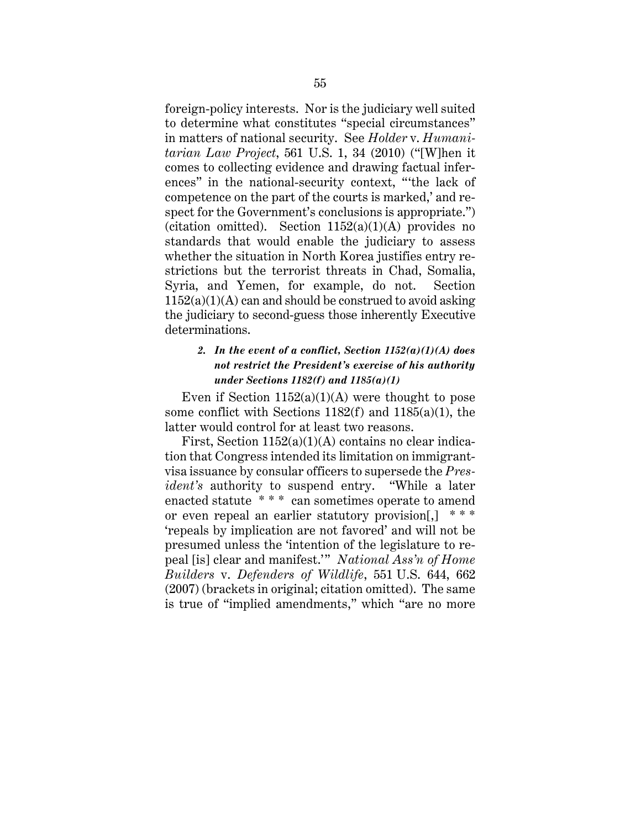foreign-policy interests. Nor is the judiciary well suited to determine what constitutes "special circumstances" in matters of national security. See *Holder* v. *Humanitarian Law Project*, 561 U.S. 1, 34 (2010) ("[W]hen it comes to collecting evidence and drawing factual inferences" in the national-security context, "'the lack of competence on the part of the courts is marked,' and respect for the Government's conclusions is appropriate.") (citation omitted). Section  $1152(a)(1)(A)$  provides no standards that would enable the judiciary to assess whether the situation in North Korea justifies entry restrictions but the terrorist threats in Chad, Somalia, Syria, and Yemen, for example, do not. Section  $1152(a)(1)(A)$  can and should be construed to avoid asking the judiciary to second-guess those inherently Executive determinations.

# *2. In the event of a conflict, Section 1152(a)(1)(A) does not restrict the President's exercise of his authority under Sections 1182(f) and 1185(a)(1)*

Even if Section  $1152(a)(1)(A)$  were thought to pose some conflict with Sections 1182(f) and 1185(a)(1), the latter would control for at least two reasons.

First, Section  $1152(a)(1)(A)$  contains no clear indication that Congress intended its limitation on immigrantvisa issuance by consular officers to supersede the *President's* authority to suspend entry. "While a later enacted statute \* \* \* can sometimes operate to amend or even repeal an earlier statutory provision. 'repeals by implication are not favored' and will not be presumed unless the 'intention of the legislature to repeal [is] clear and manifest.'" *National Ass'n of Home Builders* v. *Defenders of Wildlife*, 551 U.S. 644, 662 (2007) (brackets in original; citation omitted). The same is true of "implied amendments," which "are no more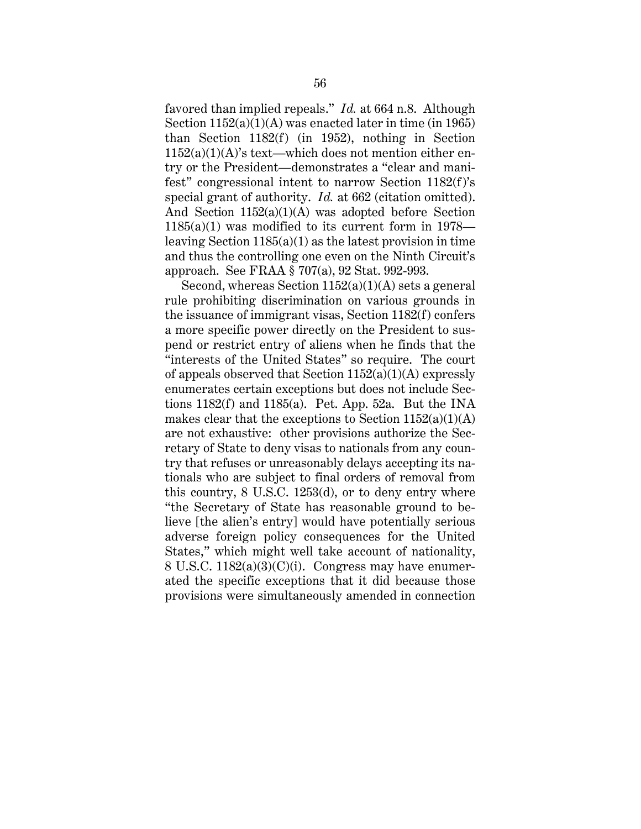favored than implied repeals." *Id.* at 664 n.8. Although Section 1152(a)(1)(A) was enacted later in time (in 1965) than Section 1182(f) (in 1952), nothing in Section  $1152(a)(1)(A)$ 's text—which does not mention either entry or the President—demonstrates a "clear and manifest" congressional intent to narrow Section 1182(f)'s special grant of authority. *Id.* at 662 (citation omitted). And Section 1152(a)(1)(A) was adopted before Section 1185(a)(1) was modified to its current form in 1978 leaving Section 1185(a)(1) as the latest provision in time and thus the controlling one even on the Ninth Circuit's approach. See FRAA § 707(a), 92 Stat. 992-993.

Second, whereas Section  $1152(a)(1)(A)$  sets a general rule prohibiting discrimination on various grounds in the issuance of immigrant visas, Section 1182(f) confers a more specific power directly on the President to suspend or restrict entry of aliens when he finds that the "interests of the United States" so require. The court of appeals observed that Section  $1152(a)(1)(A)$  expressly enumerates certain exceptions but does not include Sections  $1182(f)$  and  $1185(a)$ . Pet. App. 52a. But the INA makes clear that the exceptions to Section  $1152(a)(1)(A)$ are not exhaustive: other provisions authorize the Secretary of State to deny visas to nationals from any country that refuses or unreasonably delays accepting its nationals who are subject to final orders of removal from this country, 8 U.S.C. 1253(d), or to deny entry where "the Secretary of State has reasonable ground to believe [the alien's entry] would have potentially serious adverse foreign policy consequences for the United States," which might well take account of nationality, 8 U.S.C.  $1182(a)(3)(C)(i)$ . Congress may have enumerated the specific exceptions that it did because those provisions were simultaneously amended in connection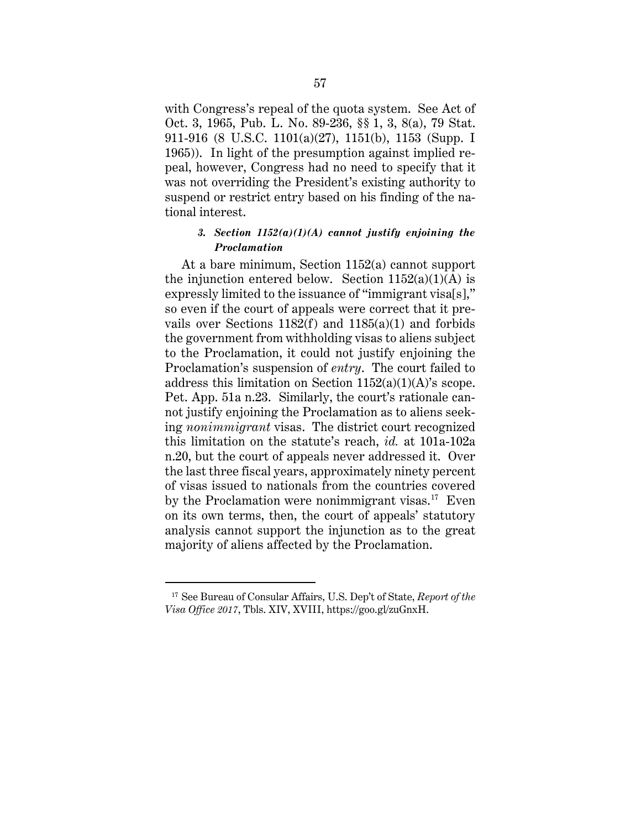with Congress's repeal of the quota system. See Act of Oct. 3, 1965, Pub. L. No. 89-236, §§ 1, 3, 8(a), 79 Stat. 911-916 (8 U.S.C. 1101(a)(27), 1151(b), 1153 (Supp. I 1965)). In light of the presumption against implied repeal, however, Congress had no need to specify that it was not overriding the President's existing authority to suspend or restrict entry based on his finding of the national interest.

### *3. Section 1152(a)(1)(A) cannot justify enjoining the Proclamation*

At a bare minimum, Section 1152(a) cannot support the injunction entered below. Section  $1152(a)(1)(A)$  is expressly limited to the issuance of "immigrant visa[s]," so even if the court of appeals were correct that it prevails over Sections  $1182(f)$  and  $1185(a)(1)$  and forbids the government from withholding visas to aliens subject to the Proclamation, it could not justify enjoining the Proclamation's suspension of *entry*. The court failed to address this limitation on Section 1152(a)(1)(A)'s scope. Pet. App. 51a n.23. Similarly, the court's rationale cannot justify enjoining the Proclamation as to aliens seeking *nonimmigrant* visas. The district court recognized this limitation on the statute's reach, *id.* at 101a-102a n.20, but the court of appeals never addressed it. Over the last three fiscal years, approximately ninety percent of visas issued to nationals from the countries covered by the Proclamation were nonimmigrant visas.<sup>17</sup> Even on its own terms, then, the court of appeals' statutory analysis cannot support the injunction as to the great majority of aliens affected by the Proclamation.

<sup>17</sup> See Bureau of Consular Affairs, U.S. Dep't of State, *Report of the Visa Office 2017*, Tbls. XIV, XVIII, https://goo.gl/zuGnxH.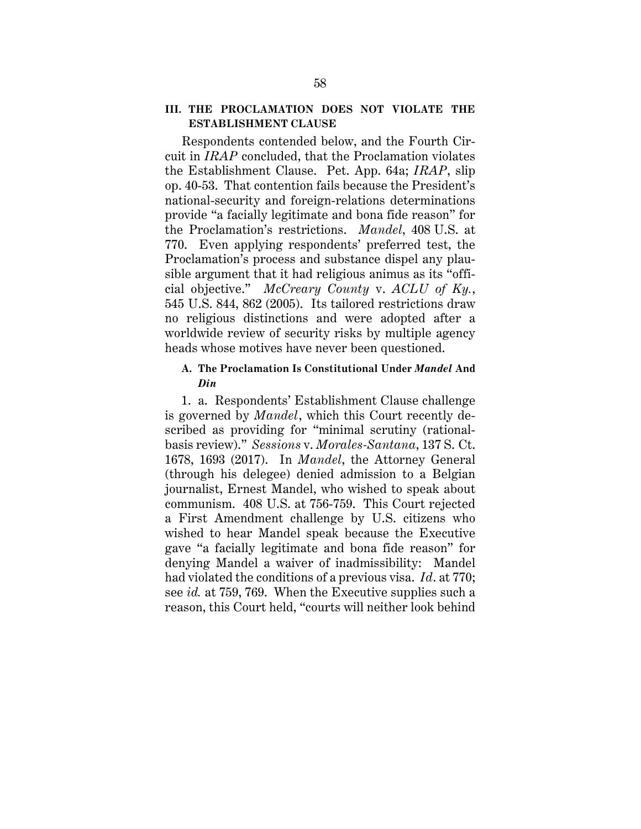# **III. THE PROCLAMATION DOES NOT VIOLATE THE ESTABLISHMENT CLAUSE**

Respondents contended below, and the Fourth Circuit in *IRAP* concluded, that the Proclamation violates the Establishment Clause. Pet. App. 64a; *IRAP*, slip op. 40-53. That contention fails because the President's national-security and foreign-relations determinations provide "a facially legitimate and bona fide reason" for the Proclamation's restrictions. *Mandel*, 408 U.S. at 770. Even applying respondents' preferred test, the Proclamation's process and substance dispel any plausible argument that it had religious animus as its "official objective." *McCreary County* v. *ACLU of Ky.*, 545 U.S. 844, 862 (2005). Its tailored restrictions draw no religious distinctions and were adopted after a worldwide review of security risks by multiple agency heads whose motives have never been questioned.

# **A. The Proclamation Is Constitutional Under** *Mandel* **And**  *Din*

1. a. Respondents' Establishment Clause challenge is governed by *Mandel*, which this Court recently described as providing for "minimal scrutiny (rationalbasis review)." *Sessions* v. *Morales-Santana*, 137 S. Ct. 1678, 1693 (2017). In *Mandel*, the Attorney General (through his delegee) denied admission to a Belgian journalist, Ernest Mandel, who wished to speak about communism. 408 U.S. at 756-759. This Court rejected a First Amendment challenge by U.S. citizens who wished to hear Mandel speak because the Executive gave "a facially legitimate and bona fide reason" for denying Mandel a waiver of inadmissibility: Mandel had violated the conditions of a previous visa. *Id*. at 770; see *id.* at 759, 769. When the Executive supplies such a reason, this Court held, "courts will neither look behind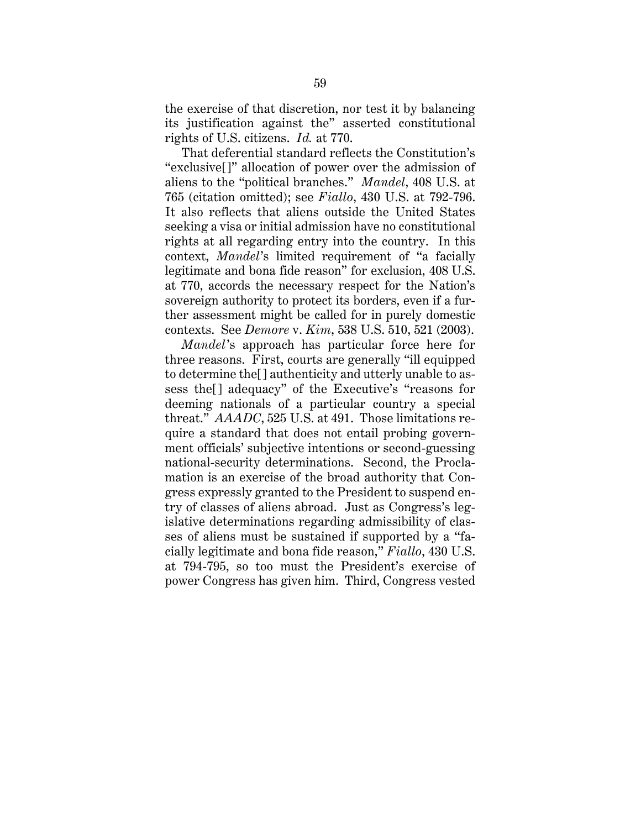the exercise of that discretion, nor test it by balancing its justification against the" asserted constitutional rights of U.S. citizens. *Id.* at 770.

That deferential standard reflects the Constitution's "exclusive[]" allocation of power over the admission of aliens to the "political branches." *Mandel*, 408 U.S. at 765 (citation omitted); see *Fiallo*, 430 U.S. at 792-796. It also reflects that aliens outside the United States seeking a visa or initial admission have no constitutional rights at all regarding entry into the country. In this context, *Mandel*'s limited requirement of "a facially legitimate and bona fide reason" for exclusion, 408 U.S. at 770, accords the necessary respect for the Nation's sovereign authority to protect its borders, even if a further assessment might be called for in purely domestic contexts. See *Demore* v. *Kim*, 538 U.S. 510, 521 (2003).

*Mandel*'s approach has particular force here for three reasons. First, courts are generally "ill equipped to determine the[] authenticity and utterly unable to assess the[] adequacy" of the Executive's "reasons for deeming nationals of a particular country a special threat." *AAADC*, 525 U.S. at 491. Those limitations require a standard that does not entail probing government officials' subjective intentions or second-guessing national-security determinations. Second, the Proclamation is an exercise of the broad authority that Congress expressly granted to the President to suspend entry of classes of aliens abroad. Just as Congress's legislative determinations regarding admissibility of classes of aliens must be sustained if supported by a "facially legitimate and bona fide reason," *Fiallo*, 430 U.S. at 794-795, so too must the President's exercise of power Congress has given him. Third, Congress vested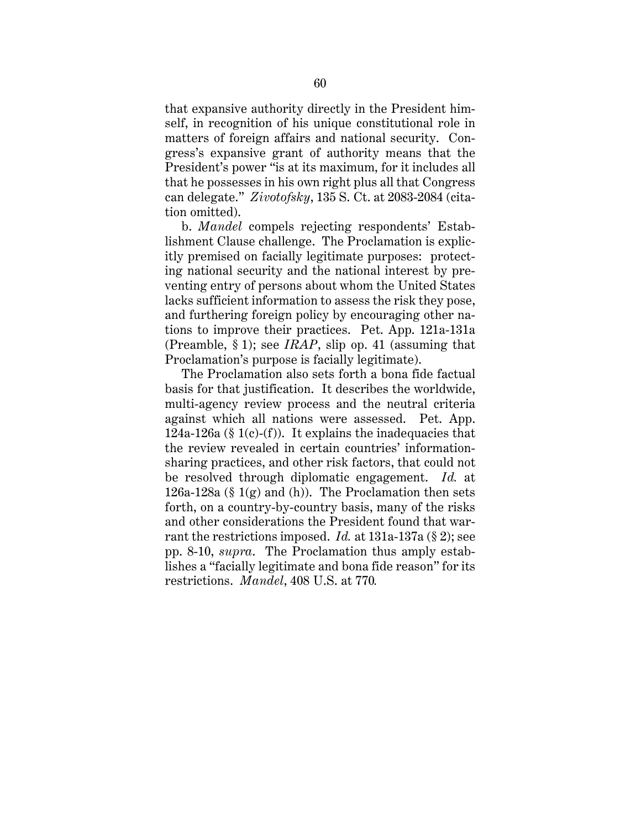that expansive authority directly in the President himself, in recognition of his unique constitutional role in matters of foreign affairs and national security. Congress's expansive grant of authority means that the President's power "is at its maximum, for it includes all that he possesses in his own right plus all that Congress can delegate." *Zivotofsky*, 135 S. Ct. at 2083-2084 (citation omitted).

b. *Mandel* compels rejecting respondents' Establishment Clause challenge. The Proclamation is explicitly premised on facially legitimate purposes: protecting national security and the national interest by preventing entry of persons about whom the United States lacks sufficient information to assess the risk they pose, and furthering foreign policy by encouraging other nations to improve their practices. Pet. App. 121a-131a (Preamble, § 1); see *IRAP*, slip op. 41 (assuming that Proclamation's purpose is facially legitimate).

The Proclamation also sets forth a bona fide factual basis for that justification. It describes the worldwide, multi-agency review process and the neutral criteria against which all nations were assessed. Pet. App. 124a-126a (§ 1(c)-(f)). It explains the inadequacies that the review revealed in certain countries' informationsharing practices, and other risk factors, that could not be resolved through diplomatic engagement. *Id.* at 126a-128a (§ 1(g) and (h)). The Proclamation then sets forth, on a country-by-country basis, many of the risks and other considerations the President found that warrant the restrictions imposed. *Id.* at 131a-137a (§ 2); see pp. 8-10, *supra*. The Proclamation thus amply establishes a "facially legitimate and bona fide reason" for its restrictions. *Mandel*, 408 U.S. at 770*.*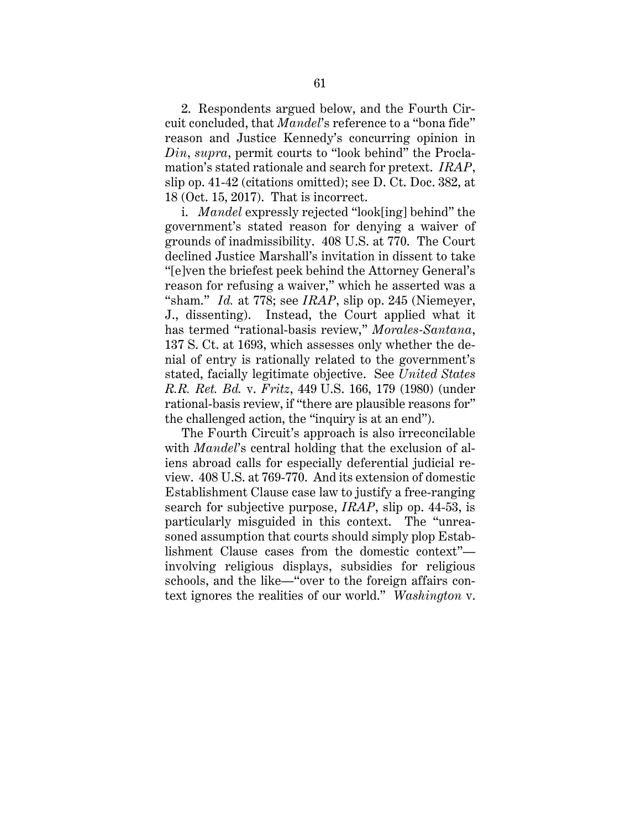2. Respondents argued below, and the Fourth Circuit concluded, that *Mandel*'s reference to a "bona fide" reason and Justice Kennedy's concurring opinion in *Din*, *supra*, permit courts to "look behind" the Proclamation's stated rationale and search for pretext. *IRAP*, slip op. 41-42 (citations omitted); see D. Ct. Doc. 382, at 18 (Oct. 15, 2017). That is incorrect.

i. *Mandel* expressly rejected "look[ing] behind" the government's stated reason for denying a waiver of grounds of inadmissibility. 408 U.S. at 770. The Court declined Justice Marshall's invitation in dissent to take "[e]ven the briefest peek behind the Attorney General's reason for refusing a waiver," which he asserted was a "sham." *Id.* at 778; see *IRAP*, slip op. 245 (Niemeyer, J., dissenting). Instead, the Court applied what it has termed "rational-basis review," *Morales-Santana*, 137 S. Ct. at 1693, which assesses only whether the denial of entry is rationally related to the government's stated, facially legitimate objective. See *United States R.R. Ret. Bd.* v. *Fritz*, 449 U.S. 166, 179 (1980) (under rational-basis review, if "there are plausible reasons for" the challenged action, the "inquiry is at an end").

The Fourth Circuit's approach is also irreconcilable with *Mandel*'s central holding that the exclusion of aliens abroad calls for especially deferential judicial review. 408 U.S. at 769-770. And its extension of domestic Establishment Clause case law to justify a free-ranging search for subjective purpose, *IRAP*, slip op. 44-53, is particularly misguided in this context. The "unreasoned assumption that courts should simply plop Establishment Clause cases from the domestic context" involving religious displays, subsidies for religious schools, and the like—"over to the foreign affairs context ignores the realities of our world." *Washington* v.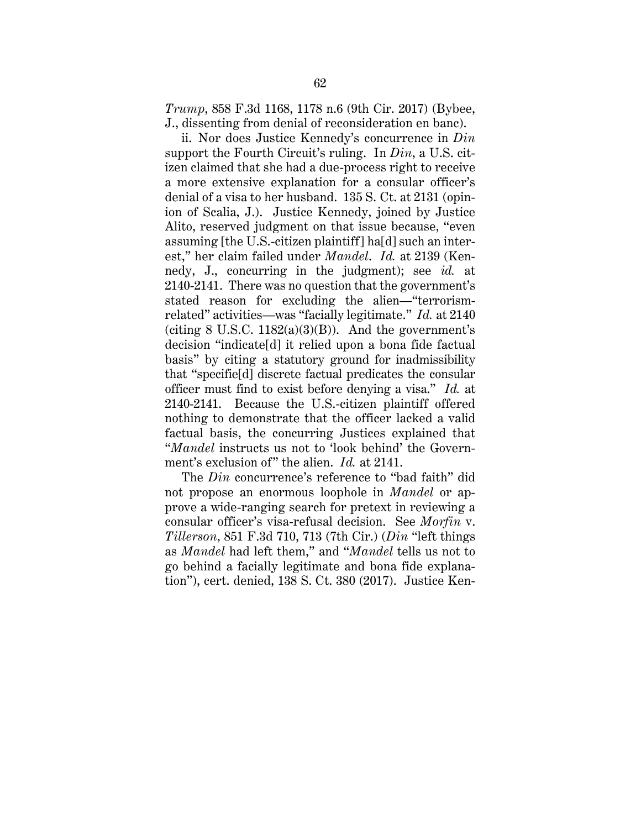*Trump*, 858 F.3d 1168, 1178 n.6 (9th Cir. 2017) (Bybee, J., dissenting from denial of reconsideration en banc).

ii. Nor does Justice Kennedy's concurrence in *Din* support the Fourth Circuit's ruling. In *Din*, a U.S. citizen claimed that she had a due-process right to receive a more extensive explanation for a consular officer's denial of a visa to her husband. 135 S. Ct. at 2131 (opinion of Scalia, J.). Justice Kennedy, joined by Justice Alito, reserved judgment on that issue because, "even assuming [the U.S.-citizen plaintiff] ha[d] such an interest," her claim failed under *Mandel*. *Id.* at 2139 (Kennedy, J., concurring in the judgment); see *id.* at 2140-2141. There was no question that the government's stated reason for excluding the alien—"terrorismrelated" activities—was "facially legitimate." *Id.* at 2140 (citing  $8 \text{ U.S.C. } 1182(a)(3)(B)$ ). And the government's decision "indicate[d] it relied upon a bona fide factual basis" by citing a statutory ground for inadmissibility that "specifie[d] discrete factual predicates the consular officer must find to exist before denying a visa." *Id.* at 2140-2141. Because the U.S.-citizen plaintiff offered nothing to demonstrate that the officer lacked a valid factual basis, the concurring Justices explained that "*Mandel* instructs us not to 'look behind' the Government's exclusion of" the alien. *Id.* at 2141.

The *Din* concurrence's reference to "bad faith" did not propose an enormous loophole in *Mandel* or approve a wide-ranging search for pretext in reviewing a consular officer's visa-refusal decision. See *Morfin* v. *Tillerson*, 851 F.3d 710, 713 (7th Cir.) (*Din* "left things as *Mandel* had left them," and "*Mandel* tells us not to go behind a facially legitimate and bona fide explanation"), cert. denied, 138 S. Ct. 380 (2017). Justice Ken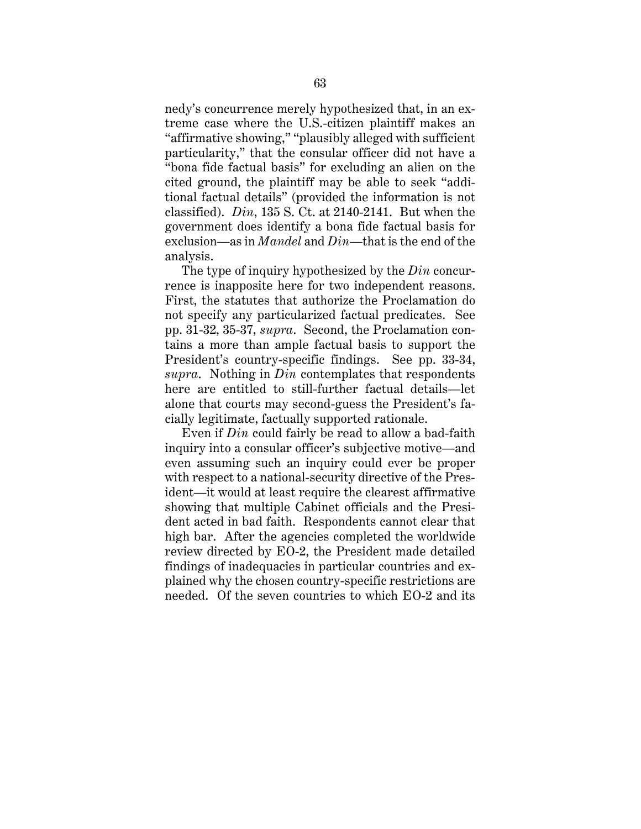nedy's concurrence merely hypothesized that, in an extreme case where the U.S.-citizen plaintiff makes an "affirmative showing," "plausibly alleged with sufficient particularity," that the consular officer did not have a "bona fide factual basis" for excluding an alien on the cited ground, the plaintiff may be able to seek "additional factual details" (provided the information is not classified). *Din*, 135 S. Ct. at 2140-2141. But when the government does identify a bona fide factual basis for exclusion—as in *Mandel* and *Din*—that is the end of the analysis.

The type of inquiry hypothesized by the *Din* concurrence is inapposite here for two independent reasons. First, the statutes that authorize the Proclamation do not specify any particularized factual predicates. See pp. 31-32, 35-37, *supra*. Second, the Proclamation contains a more than ample factual basis to support the President's country-specific findings. See pp. 33-34, *supra*. Nothing in *Din* contemplates that respondents here are entitled to still-further factual details—let alone that courts may second-guess the President's facially legitimate, factually supported rationale.

Even if *Din* could fairly be read to allow a bad-faith inquiry into a consular officer's subjective motive—and even assuming such an inquiry could ever be proper with respect to a national-security directive of the President—it would at least require the clearest affirmative showing that multiple Cabinet officials and the President acted in bad faith. Respondents cannot clear that high bar. After the agencies completed the worldwide review directed by EO-2, the President made detailed findings of inadequacies in particular countries and explained why the chosen country-specific restrictions are needed. Of the seven countries to which EO-2 and its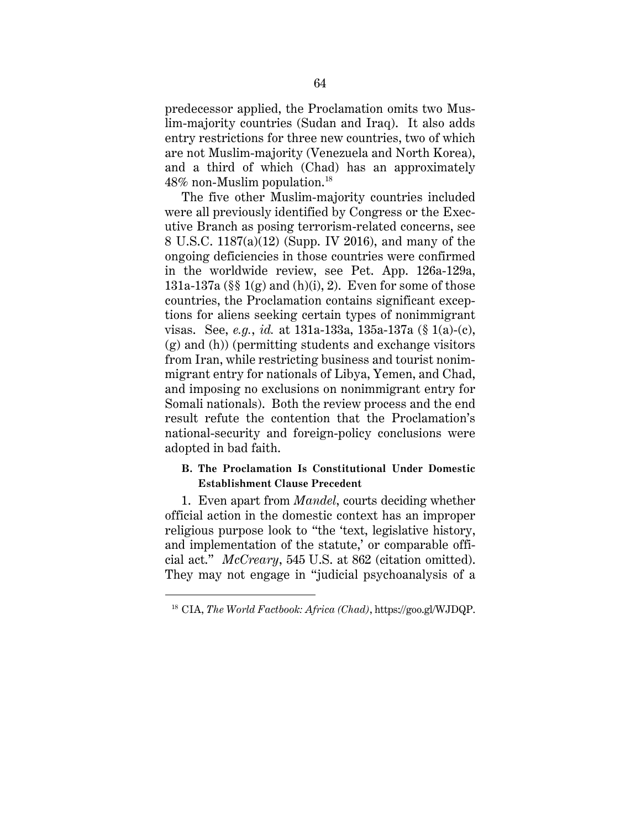predecessor applied, the Proclamation omits two Muslim-majority countries (Sudan and Iraq). It also adds entry restrictions for three new countries, two of which are not Muslim-majority (Venezuela and North Korea), and a third of which (Chad) has an approximately 48% non-Muslim population.18

The five other Muslim-majority countries included were all previously identified by Congress or the Executive Branch as posing terrorism-related concerns, see 8 U.S.C. 1187(a)(12) (Supp. IV 2016), and many of the ongoing deficiencies in those countries were confirmed in the worldwide review, see Pet. App. 126a-129a, 131a-137a ( $\S$  1(g) and (h)(i), 2). Even for some of those countries, the Proclamation contains significant exceptions for aliens seeking certain types of nonimmigrant visas. See, *e.g.*, *id.* at 131a-133a, 135a-137a (§ 1(a)-(c), (g) and (h)) (permitting students and exchange visitors from Iran, while restricting business and tourist nonimmigrant entry for nationals of Libya, Yemen, and Chad, and imposing no exclusions on nonimmigrant entry for Somali nationals). Both the review process and the end result refute the contention that the Proclamation's national-security and foreign-policy conclusions were adopted in bad faith.

## **B. The Proclamation Is Constitutional Under Domestic Establishment Clause Precedent**

1. Even apart from *Mandel*, courts deciding whether official action in the domestic context has an improper religious purpose look to "the 'text, legislative history, and implementation of the statute,' or comparable official act." *McCreary*, 545 U.S. at 862 (citation omitted). They may not engage in "judicial psychoanalysis of a

 $\overline{a}$ 

<sup>18</sup> CIA, *The World Factbook: Africa (Chad)*, https://goo.gl/WJDQP.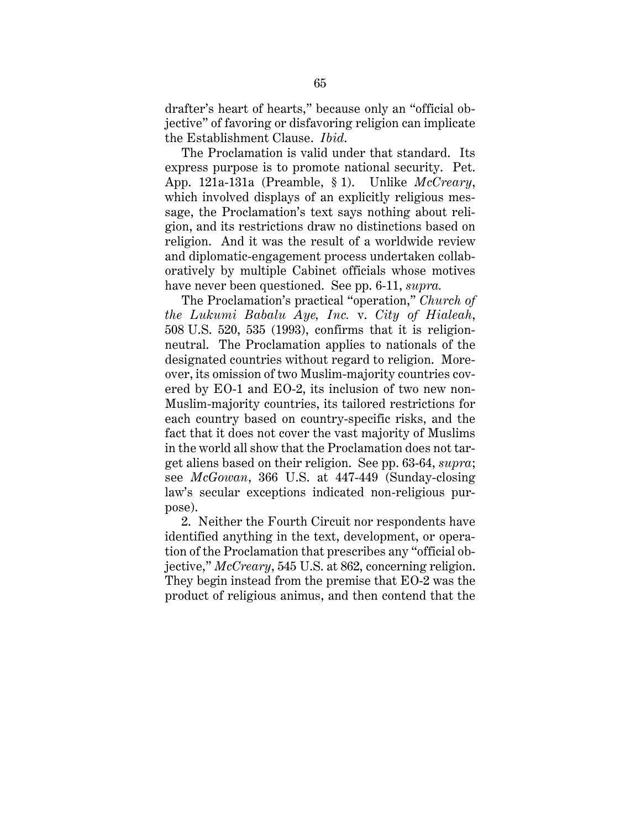drafter's heart of hearts," because only an "official objective" of favoring or disfavoring religion can implicate the Establishment Clause. *Ibid*.

The Proclamation is valid under that standard. Its express purpose is to promote national security. Pet. App. 121a-131a (Preamble, § 1). Unlike *McCreary*, which involved displays of an explicitly religious message, the Proclamation's text says nothing about religion, and its restrictions draw no distinctions based on religion. And it was the result of a worldwide review and diplomatic-engagement process undertaken collaboratively by multiple Cabinet officials whose motives have never been questioned. See pp. 6-11, *supra.* 

The Proclamation's practical "operation," *Church of the Lukumi Babalu Aye, Inc.* v. *City of Hialeah*, 508 U.S. 520, 535 (1993), confirms that it is religionneutral. The Proclamation applies to nationals of the designated countries without regard to religion. Moreover, its omission of two Muslim-majority countries covered by EO-1 and EO-2, its inclusion of two new non-Muslim-majority countries, its tailored restrictions for each country based on country-specific risks, and the fact that it does not cover the vast majority of Muslims in the world all show that the Proclamation does not target aliens based on their religion. See pp. 63-64, *supra*; see *McGowan*, 366 U.S. at 447-449 (Sunday-closing law's secular exceptions indicated non-religious purpose).

2. Neither the Fourth Circuit nor respondents have identified anything in the text, development, or operation of the Proclamation that prescribes any "official objective," *McCreary*, 545 U.S. at 862, concerning religion. They begin instead from the premise that EO-2 was the product of religious animus, and then contend that the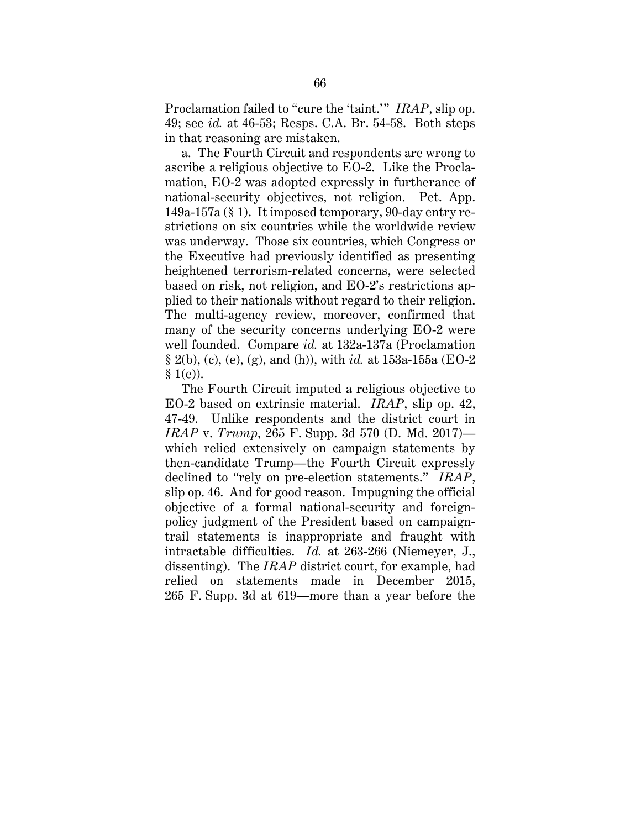Proclamation failed to "cure the 'taint.'" *IRAP*, slip op. 49; see *id.* at 46-53; Resps. C.A. Br. 54-58. Both steps in that reasoning are mistaken.

a. The Fourth Circuit and respondents are wrong to ascribe a religious objective to EO-2. Like the Proclamation, EO-2 was adopted expressly in furtherance of national-security objectives, not religion. Pet. App. 149a-157a (§ 1). It imposed temporary, 90-day entry restrictions on six countries while the worldwide review was underway. Those six countries, which Congress or the Executive had previously identified as presenting heightened terrorism-related concerns, were selected based on risk, not religion, and EO-2's restrictions applied to their nationals without regard to their religion. The multi-agency review, moreover, confirmed that many of the security concerns underlying EO-2 were well founded. Compare *id.* at 132a-137a (Proclamation § 2(b), (c), (e), (g), and (h)), with *id.* at 153a-155a (EO-2  $§ 1(e)$ ).

The Fourth Circuit imputed a religious objective to EO-2 based on extrinsic material. *IRAP*, slip op. 42, 47-49. Unlike respondents and the district court in *IRAP* v. *Trump*, 265 F. Supp. 3d 570 (D. Md. 2017) which relied extensively on campaign statements by then-candidate Trump—the Fourth Circuit expressly declined to "rely on pre-election statements." *IRAP*, slip op. 46. And for good reason. Impugning the official objective of a formal national-security and foreignpolicy judgment of the President based on campaigntrail statements is inappropriate and fraught with intractable difficulties. *Id.* at 263-266 (Niemeyer, J., dissenting). The *IRAP* district court, for example, had relied on statements made in December 2015, 265 F. Supp. 3d at 619—more than a year before the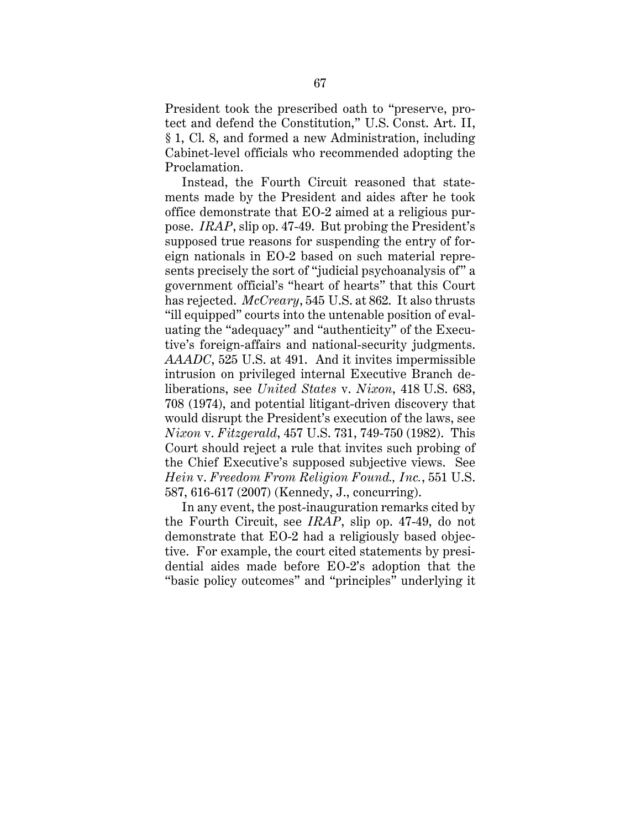President took the prescribed oath to "preserve, protect and defend the Constitution," U.S. Const. Art. II, § 1, Cl. 8, and formed a new Administration, including Cabinet-level officials who recommended adopting the Proclamation.

Instead, the Fourth Circuit reasoned that statements made by the President and aides after he took office demonstrate that EO-2 aimed at a religious purpose. *IRAP*, slip op. 47-49. But probing the President's supposed true reasons for suspending the entry of foreign nationals in EO-2 based on such material represents precisely the sort of "judicial psychoanalysis of" a government official's "heart of hearts" that this Court has rejected. *McCreary*, 545 U.S. at 862. It also thrusts "ill equipped" courts into the untenable position of evaluating the "adequacy" and "authenticity" of the Executive's foreign-affairs and national-security judgments. *AAADC*, 525 U.S. at 491. And it invites impermissible intrusion on privileged internal Executive Branch deliberations, see *United States* v. *Nixon*, 418 U.S. 683, 708 (1974), and potential litigant-driven discovery that would disrupt the President's execution of the laws, see *Nixon* v. *Fitzgerald*, 457 U.S. 731, 749-750 (1982). This Court should reject a rule that invites such probing of the Chief Executive's supposed subjective views. See *Hein* v. *Freedom From Religion Found., Inc.*, 551 U.S. 587, 616-617 (2007) (Kennedy, J., concurring).

In any event, the post-inauguration remarks cited by the Fourth Circuit, see *IRAP*, slip op. 47-49, do not demonstrate that EO-2 had a religiously based objective. For example, the court cited statements by presidential aides made before EO-2's adoption that the "basic policy outcomes" and "principles" underlying it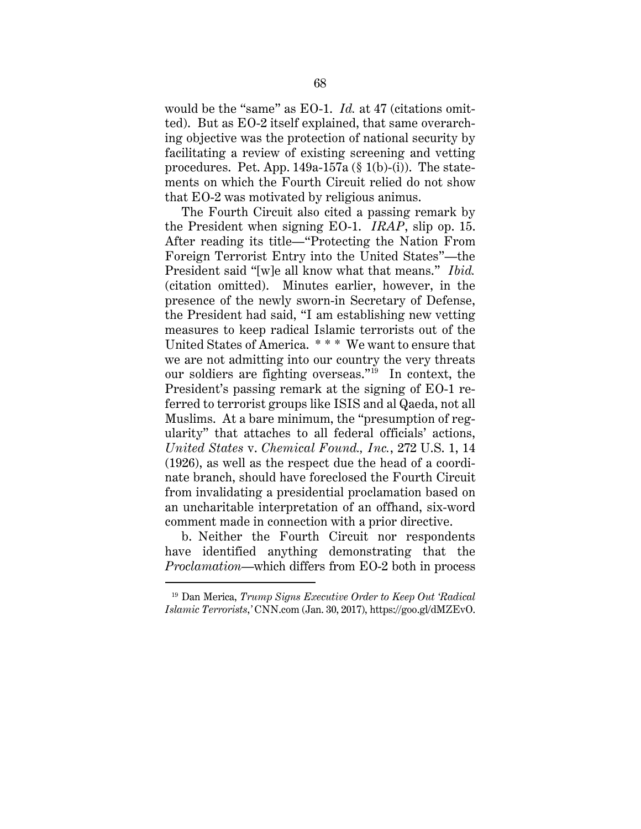would be the "same" as EO-1. *Id.* at 47 (citations omitted). But as EO-2 itself explained, that same overarching objective was the protection of national security by facilitating a review of existing screening and vetting procedures. Pet. App.  $149a-157a$  (§ 1(b)-(i)). The statements on which the Fourth Circuit relied do not show that EO-2 was motivated by religious animus.

The Fourth Circuit also cited a passing remark by the President when signing EO-1. *IRAP*, slip op. 15. After reading its title—"Protecting the Nation From Foreign Terrorist Entry into the United States"—the President said "[w]e all know what that means." *Ibid.* (citation omitted). Minutes earlier, however, in the presence of the newly sworn-in Secretary of Defense, the President had said, "I am establishing new vetting measures to keep radical Islamic terrorists out of the United States of America. \* \* \* We want to ensure that we are not admitting into our country the very threats our soldiers are fighting overseas."<sup>19</sup> In context, the President's passing remark at the signing of EO-1 referred to terrorist groups like ISIS and al Qaeda, not all Muslims. At a bare minimum, the "presumption of regularity" that attaches to all federal officials' actions, *United States* v. *Chemical Found., Inc.*, 272 U.S. 1, 14 (1926), as well as the respect due the head of a coordinate branch, should have foreclosed the Fourth Circuit from invalidating a presidential proclamation based on an uncharitable interpretation of an offhand, six-word comment made in connection with a prior directive.

b. Neither the Fourth Circuit nor respondents have identified anything demonstrating that the *Proclamation*—which differs from EO-2 both in process

 $\overline{a}$ 

<sup>19</sup> Dan Merica, *Trump Signs Executive Order to Keep Out 'Radical Islamic Terrorists*,*'* CNN.com (Jan. 30, 2017), https://goo.gl/dMZEvO.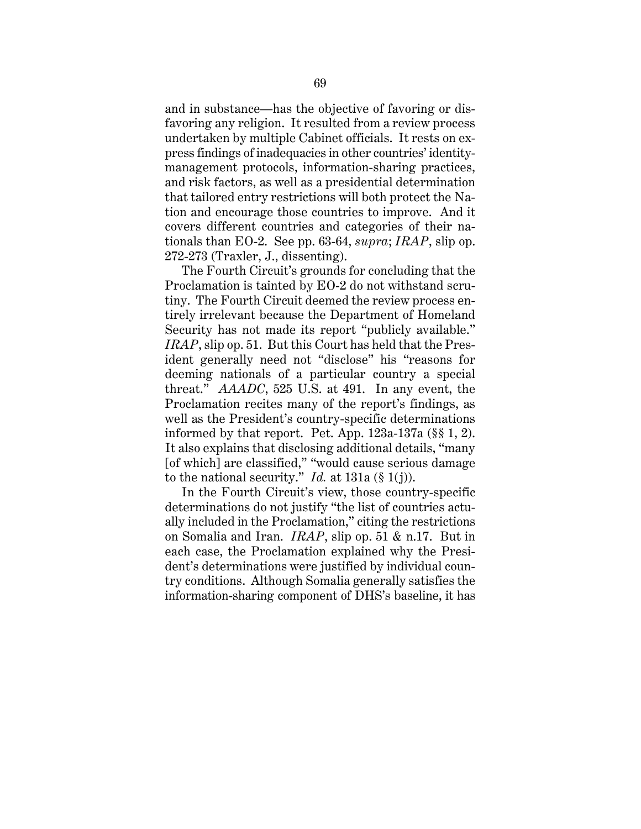and in substance—has the objective of favoring or disfavoring any religion. It resulted from a review process undertaken by multiple Cabinet officials. It rests on express findings of inadequacies in other countries' identitymanagement protocols, information-sharing practices, and risk factors, as well as a presidential determination that tailored entry restrictions will both protect the Nation and encourage those countries to improve. And it covers different countries and categories of their nationals than EO-2. See pp. 63-64, *supra*; *IRAP*, slip op. 272-273 (Traxler, J., dissenting).

The Fourth Circuit's grounds for concluding that the Proclamation is tainted by EO-2 do not withstand scrutiny. The Fourth Circuit deemed the review process entirely irrelevant because the Department of Homeland Security has not made its report "publicly available." *IRAP*, slip op. 51. But this Court has held that the President generally need not "disclose" his "reasons for deeming nationals of a particular country a special threat." *AAADC*, 525 U.S. at 491. In any event, the Proclamation recites many of the report's findings, as well as the President's country-specific determinations informed by that report. Pet. App. 123a-137a (§§ 1, 2). It also explains that disclosing additional details, "many [of which] are classified," "would cause serious damage to the national security." *Id.* at  $131a$  (§ 1(j)).

In the Fourth Circuit's view, those country-specific determinations do not justify "the list of countries actually included in the Proclamation," citing the restrictions on Somalia and Iran. *IRAP*, slip op. 51 & n.17. But in each case, the Proclamation explained why the President's determinations were justified by individual country conditions. Although Somalia generally satisfies the information-sharing component of DHS's baseline, it has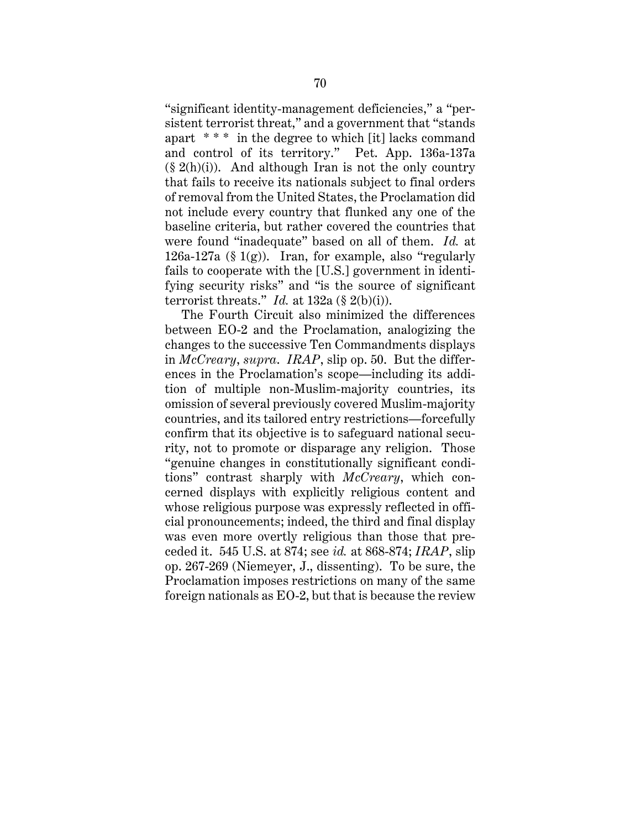"significant identity-management deficiencies," a "persistent terrorist threat," and a government that "stands apart \* \* \* in the degree to which [it] lacks command and control of its territory." Pet. App. 136a-137a  $(\S 2(h)(i))$ . And although Iran is not the only country that fails to receive its nationals subject to final orders of removal from the United States, the Proclamation did not include every country that flunked any one of the baseline criteria, but rather covered the countries that were found "inadequate" based on all of them. *Id.* at 126a-127a (§ 1(g)). Iran, for example, also "regularly fails to cooperate with the [U.S.] government in identifying security risks" and "is the source of significant terrorist threats." *Id.* at  $132a$  (§  $2(b)(i)$ ).

The Fourth Circuit also minimized the differences between EO-2 and the Proclamation, analogizing the changes to the successive Ten Commandments displays in *McCreary*, *supra*. *IRAP*, slip op. 50. But the differences in the Proclamation's scope—including its addition of multiple non-Muslim-majority countries, its omission of several previously covered Muslim-majority countries, and its tailored entry restrictions—forcefully confirm that its objective is to safeguard national security, not to promote or disparage any religion. Those "genuine changes in constitutionally significant conditions" contrast sharply with *McCreary*, which concerned displays with explicitly religious content and whose religious purpose was expressly reflected in official pronouncements; indeed, the third and final display was even more overtly religious than those that preceded it. 545 U.S. at 874; see *id.* at 868-874; *IRAP*, slip op. 267-269 (Niemeyer, J., dissenting). To be sure, the Proclamation imposes restrictions on many of the same foreign nationals as EO-2, but that is because the review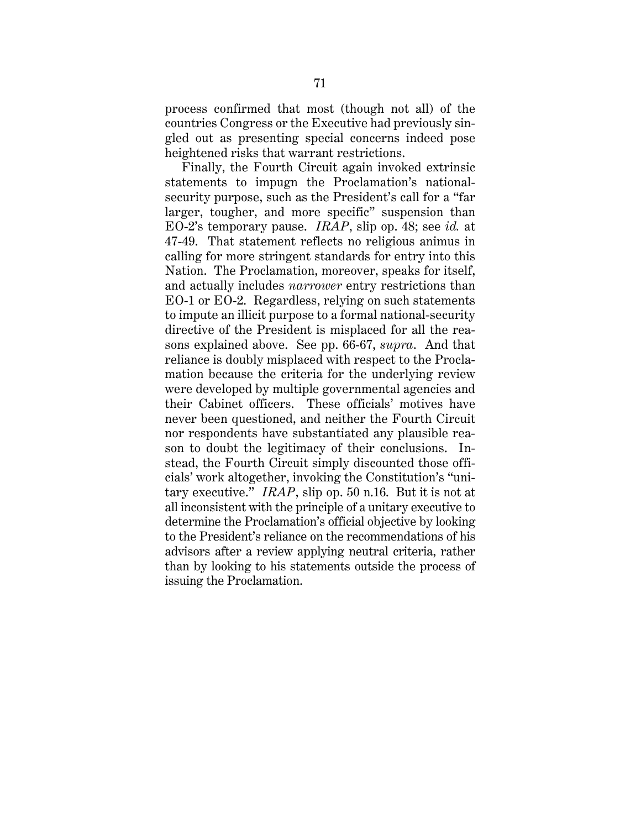process confirmed that most (though not all) of the countries Congress or the Executive had previously singled out as presenting special concerns indeed pose heightened risks that warrant restrictions.

Finally, the Fourth Circuit again invoked extrinsic statements to impugn the Proclamation's nationalsecurity purpose, such as the President's call for a "far larger, tougher, and more specific" suspension than EO-2's temporary pause. *IRAP*, slip op. 48; see *id.* at 47-49. That statement reflects no religious animus in calling for more stringent standards for entry into this Nation. The Proclamation, moreover, speaks for itself, and actually includes *narrower* entry restrictions than EO-1 or EO-2. Regardless, relying on such statements to impute an illicit purpose to a formal national-security directive of the President is misplaced for all the reasons explained above. See pp. 66-67, *supra*. And that reliance is doubly misplaced with respect to the Proclamation because the criteria for the underlying review were developed by multiple governmental agencies and their Cabinet officers. These officials' motives have never been questioned, and neither the Fourth Circuit nor respondents have substantiated any plausible reason to doubt the legitimacy of their conclusions. Instead, the Fourth Circuit simply discounted those officials' work altogether, invoking the Constitution's "unitary executive." *IRAP*, slip op. 50 n.16. But it is not at all inconsistent with the principle of a unitary executive to determine the Proclamation's official objective by looking to the President's reliance on the recommendations of his advisors after a review applying neutral criteria, rather than by looking to his statements outside the process of issuing the Proclamation.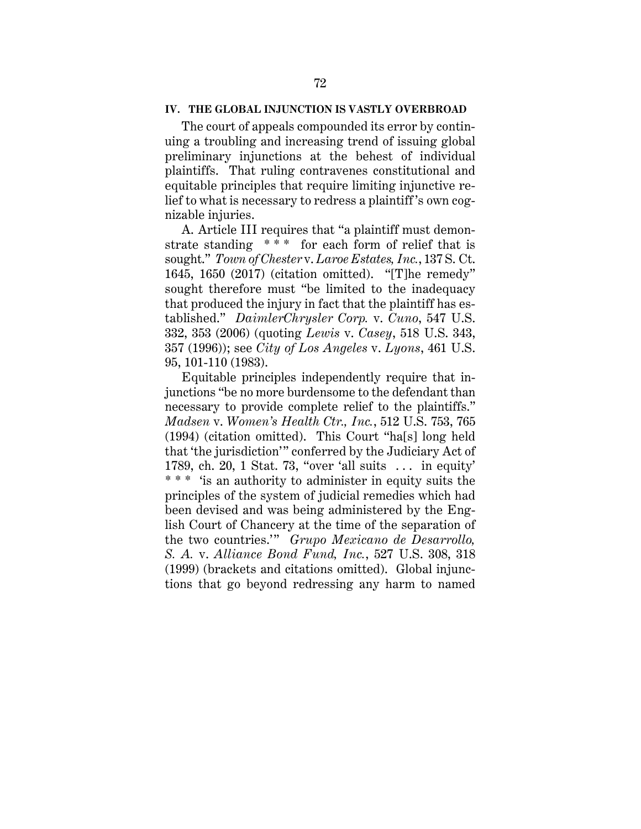### **IV. THE GLOBAL INJUNCTION IS VASTLY OVERBROAD**

The court of appeals compounded its error by continuing a troubling and increasing trend of issuing global preliminary injunctions at the behest of individual plaintiffs. That ruling contravenes constitutional and equitable principles that require limiting injunctive relief to what is necessary to redress a plaintiff's own cognizable injuries.

A. Article III requires that "a plaintiff must demonstrate standing \*\*\* for each form of relief that is sought." *Town of Chester* v. *Laroe Estates, Inc.*, 137 S. Ct. 1645, 1650 (2017) (citation omitted). "[T]he remedy" sought therefore must "be limited to the inadequacy that produced the injury in fact that the plaintiff has established." *DaimlerChrysler Corp.* v. *Cuno*, 547 U.S. 332, 353 (2006) (quoting *Lewis* v. *Casey*, 518 U.S. 343, 357 (1996)); see *City of Los Angeles* v. *Lyons*, 461 U.S. 95, 101-110 (1983).

Equitable principles independently require that injunctions "be no more burdensome to the defendant than necessary to provide complete relief to the plaintiffs." *Madsen* v. *Women's Health Ctr., Inc.*, 512 U.S. 753, 765 (1994) (citation omitted). This Court "ha[s] long held that 'the jurisdiction'" conferred by the Judiciary Act of 1789, ch. 20, 1 Stat. 73, "over 'all suits . . . in equity' \* \* \* 'is an authority to administer in equity suits the principles of the system of judicial remedies which had been devised and was being administered by the English Court of Chancery at the time of the separation of the two countries.'" *Grupo Mexicano de Desarrollo, S. A.* v. *Alliance Bond Fund, Inc.*, 527 U.S. 308, 318 (1999) (brackets and citations omitted). Global injunctions that go beyond redressing any harm to named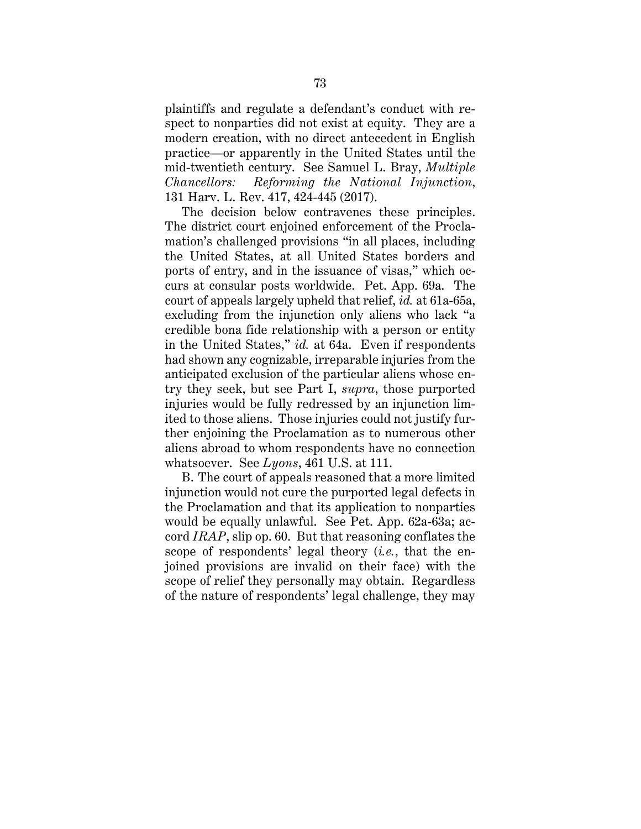plaintiffs and regulate a defendant's conduct with respect to nonparties did not exist at equity. They are a modern creation, with no direct antecedent in English practice—or apparently in the United States until the mid-twentieth century. See Samuel L. Bray, *Multiple Chancellors: Reforming the National Injunction*, 131 Harv. L. Rev. 417, 424-445 (2017).

The decision below contravenes these principles. The district court enjoined enforcement of the Proclamation's challenged provisions "in all places, including the United States, at all United States borders and ports of entry, and in the issuance of visas," which occurs at consular posts worldwide. Pet. App. 69a. The court of appeals largely upheld that relief, *id.* at 61a-65a, excluding from the injunction only aliens who lack "a credible bona fide relationship with a person or entity in the United States," *id.* at 64a. Even if respondents had shown any cognizable, irreparable injuries from the anticipated exclusion of the particular aliens whose entry they seek, but see Part I, *supra*, those purported injuries would be fully redressed by an injunction limited to those aliens. Those injuries could not justify further enjoining the Proclamation as to numerous other aliens abroad to whom respondents have no connection whatsoever. See *Lyons*, 461 U.S. at 111.

B. The court of appeals reasoned that a more limited injunction would not cure the purported legal defects in the Proclamation and that its application to nonparties would be equally unlawful. See Pet. App. 62a-63a; accord *IRAP*, slip op. 60. But that reasoning conflates the scope of respondents' legal theory (*i.e.*, that the enjoined provisions are invalid on their face) with the scope of relief they personally may obtain. Regardless of the nature of respondents' legal challenge, they may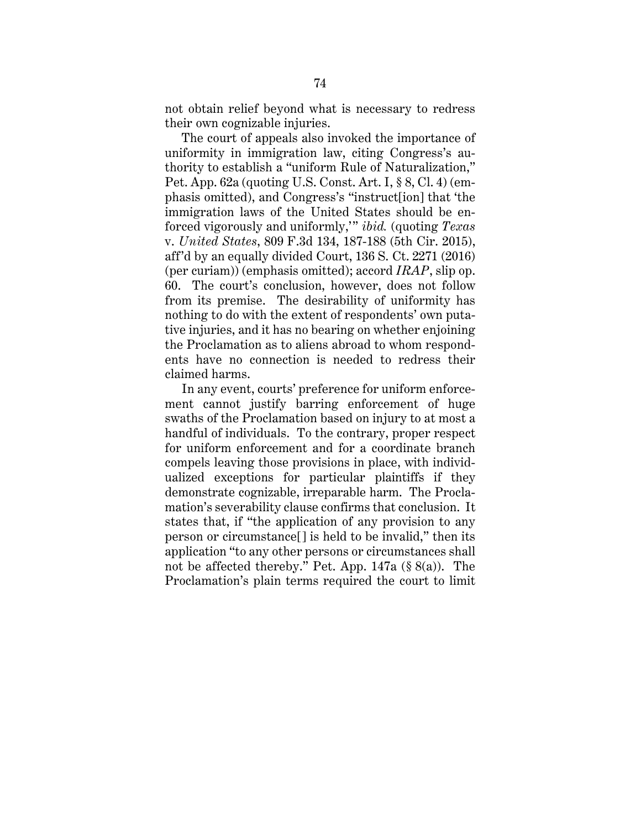not obtain relief beyond what is necessary to redress their own cognizable injuries.

The court of appeals also invoked the importance of uniformity in immigration law, citing Congress's authority to establish a "uniform Rule of Naturalization," Pet. App. 62a (quoting U.S. Const. Art. I, § 8, Cl. 4) (emphasis omitted), and Congress's "instruct[ion] that 'the immigration laws of the United States should be enforced vigorously and uniformly,'" *ibid.* (quoting *Texas*  v. *United States*, 809 F.3d 134, 187-188 (5th Cir. 2015), aff'd by an equally divided Court, 136 S. Ct. 2271 (2016) (per curiam)) (emphasis omitted); accord *IRAP*, slip op. 60. The court's conclusion, however, does not follow from its premise. The desirability of uniformity has nothing to do with the extent of respondents' own putative injuries, and it has no bearing on whether enjoining the Proclamation as to aliens abroad to whom respondents have no connection is needed to redress their claimed harms.

In any event, courts' preference for uniform enforcement cannot justify barring enforcement of huge swaths of the Proclamation based on injury to at most a handful of individuals. To the contrary, proper respect for uniform enforcement and for a coordinate branch compels leaving those provisions in place, with individualized exceptions for particular plaintiffs if they demonstrate cognizable, irreparable harm. The Proclamation's severability clause confirms that conclusion. It states that, if "the application of any provision to any person or circumstance[] is held to be invalid," then its application "to any other persons or circumstances shall not be affected thereby." Pet. App. 147a (§ 8(a)). The Proclamation's plain terms required the court to limit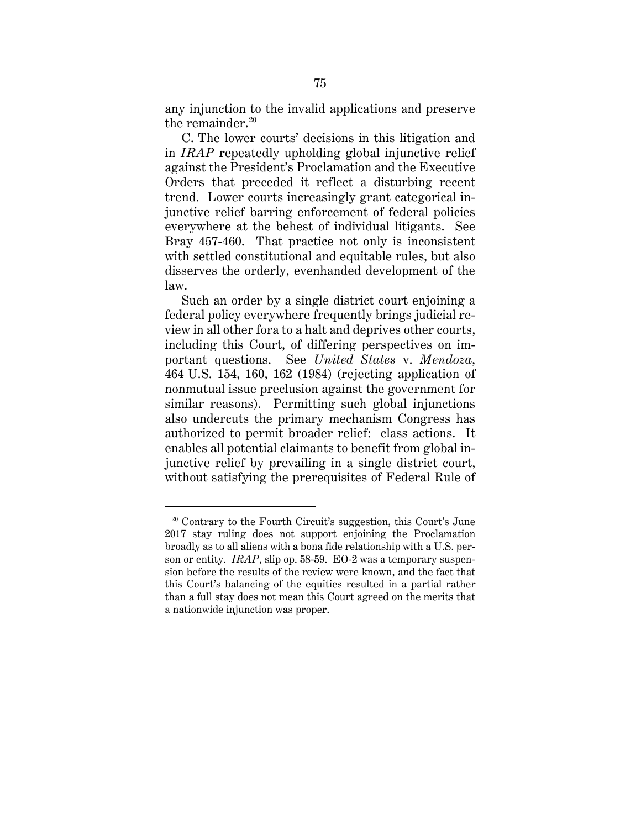any injunction to the invalid applications and preserve the remainder. $20$ 

C. The lower courts' decisions in this litigation and in *IRAP* repeatedly upholding global injunctive relief against the President's Proclamation and the Executive Orders that preceded it reflect a disturbing recent trend. Lower courts increasingly grant categorical injunctive relief barring enforcement of federal policies everywhere at the behest of individual litigants. See Bray 457-460. That practice not only is inconsistent with settled constitutional and equitable rules, but also disserves the orderly, evenhanded development of the law.

Such an order by a single district court enjoining a federal policy everywhere frequently brings judicial review in all other fora to a halt and deprives other courts, including this Court, of differing perspectives on important questions. See *United States* v. *Mendoza*, 464 U.S. 154, 160, 162 (1984) (rejecting application of nonmutual issue preclusion against the government for similar reasons). Permitting such global injunctions also undercuts the primary mechanism Congress has authorized to permit broader relief: class actions. It enables all potential claimants to benefit from global injunctive relief by prevailing in a single district court, without satisfying the prerequisites of Federal Rule of

 $\overline{a}$ 

 $20$  Contrary to the Fourth Circuit's suggestion, this Court's June 2017 stay ruling does not support enjoining the Proclamation broadly as to all aliens with a bona fide relationship with a U.S. person or entity. *IRAP*, slip op. 58-59. EO-2 was a temporary suspension before the results of the review were known, and the fact that this Court's balancing of the equities resulted in a partial rather than a full stay does not mean this Court agreed on the merits that a nationwide injunction was proper.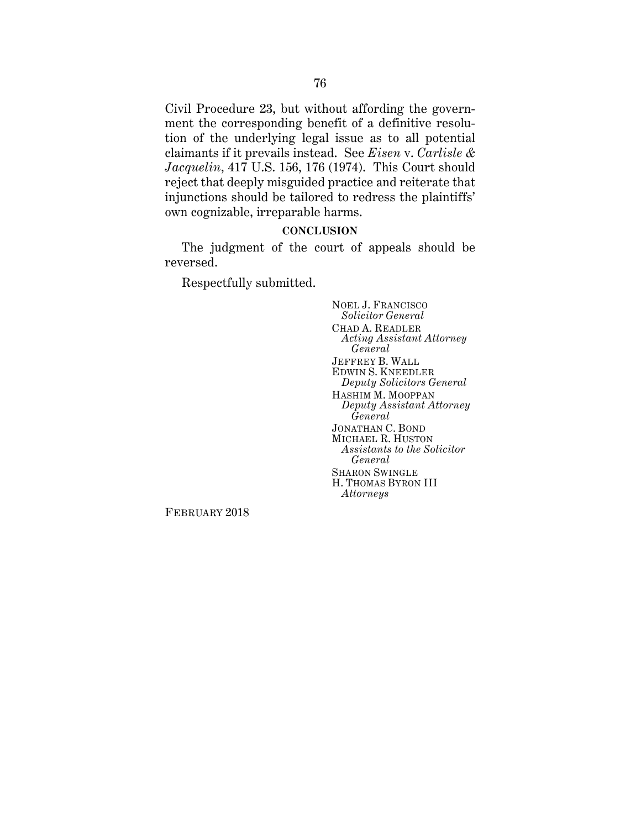Civil Procedure 23, but without affording the government the corresponding benefit of a definitive resolution of the underlying legal issue as to all potential claimants if it prevails instead. See *Eisen* v. *Carlisle & Jacquelin*, 417 U.S. 156, 176 (1974). This Court should reject that deeply misguided practice and reiterate that injunctions should be tailored to redress the plaintiffs' own cognizable, irreparable harms.

## **CONCLUSION**

The judgment of the court of appeals should be reversed.

Respectfully submitted.

NOEL J. FRANCISCO *Solicitor General* CHAD A. READLER *Acting Assistant Attorney General* JEFFREY B. WALL EDWIN S. KNEEDLER *Deputy Solicitors General* HASHIM M. MOOPPAN *Deputy Assistant Attorney General* JONATHAN C. BOND MICHAEL R. HUSTON *Assistants to the Solicitor General* SHARON SWINGLE H. THOMAS BYRON III *Attorneys*

FEBRUARY 2018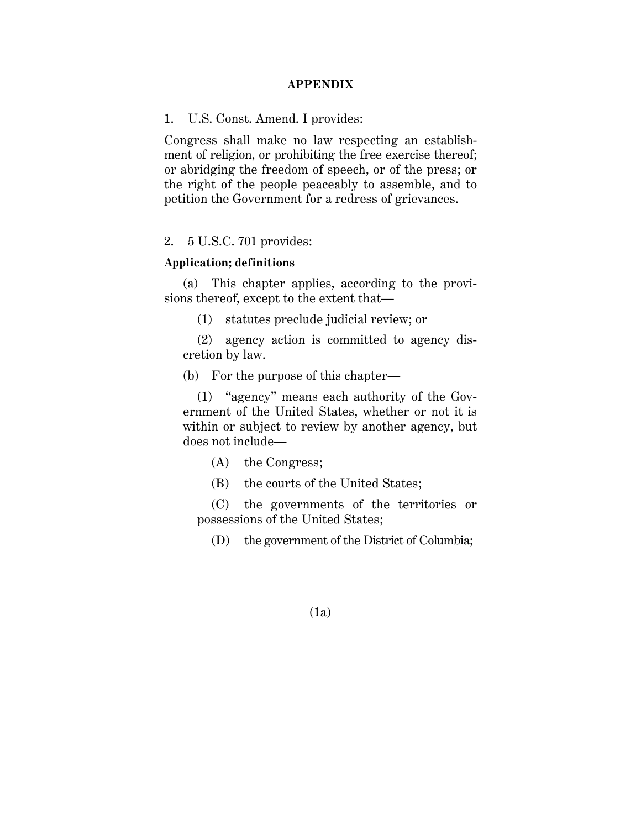#### **APPENDIX**

1. U.S. Const. Amend. I provides:

Congress shall make no law respecting an establishment of religion, or prohibiting the free exercise thereof; or abridging the freedom of speech, or of the press; or the right of the people peaceably to assemble, and to petition the Government for a redress of grievances.

# 2. 5 U.S.C. 701 provides:

### **Application; definitions**

(a) This chapter applies, according to the provisions thereof, except to the extent that—

(1) statutes preclude judicial review; or

 (2) agency action is committed to agency discretion by law.

(b) For the purpose of this chapter—

(1) "agency" means each authority of the Government of the United States, whether or not it is within or subject to review by another agency, but does not include—

(A) the Congress;

(B) the courts of the United States;

(C) the governments of the territories or possessions of the United States;

(D) the government of the District of Columbia;

(1a)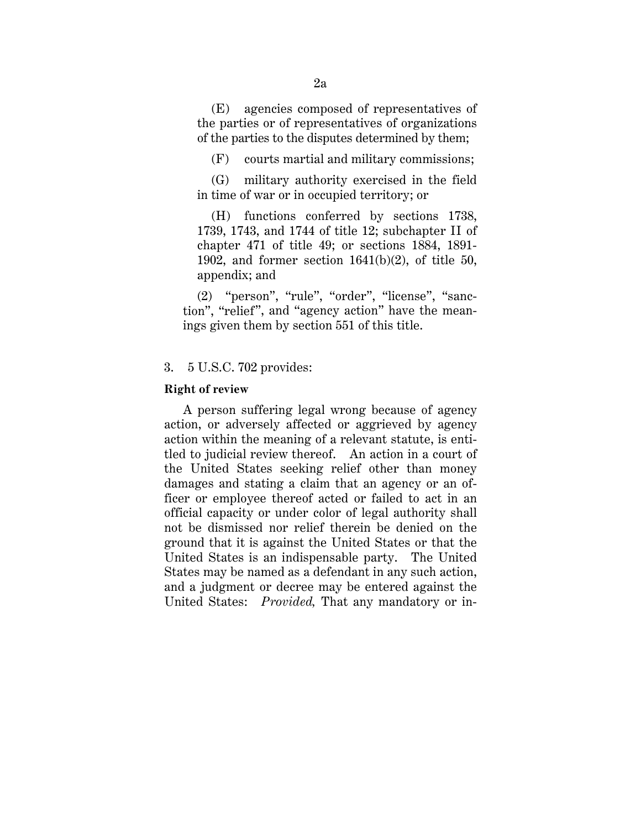(E) agencies composed of representatives of the parties or of representatives of organizations of the parties to the disputes determined by them;

(F) courts martial and military commissions;

(G) military authority exercised in the field in time of war or in occupied territory; or

(H) functions conferred by sections 1738, 1739, 1743, and 1744 of title 12; subchapter II of chapter 471 of title 49; or sections 1884, 1891- 1902, and former section  $1641(b)(2)$ , of title 50, appendix; and

(2) "person", "rule", "order", "license", "sanction", "relief", and "agency action" have the meanings given them by section 551 of this title.

# 3. 5 U.S.C. 702 provides:

#### **Right of review**

A person suffering legal wrong because of agency action, or adversely affected or aggrieved by agency action within the meaning of a relevant statute, is entitled to judicial review thereof. An action in a court of the United States seeking relief other than money damages and stating a claim that an agency or an officer or employee thereof acted or failed to act in an official capacity or under color of legal authority shall not be dismissed nor relief therein be denied on the ground that it is against the United States or that the United States is an indispensable party. The United States may be named as a defendant in any such action, and a judgment or decree may be entered against the United States: *Provided,* That any mandatory or in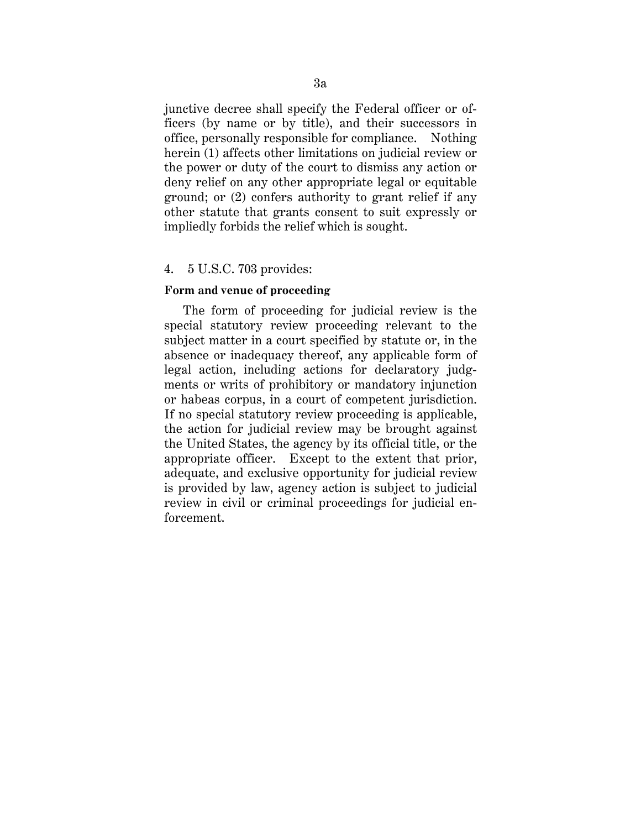junctive decree shall specify the Federal officer or officers (by name or by title), and their successors in office, personally responsible for compliance. Nothing herein (1) affects other limitations on judicial review or the power or duty of the court to dismiss any action or deny relief on any other appropriate legal or equitable ground; or (2) confers authority to grant relief if any other statute that grants consent to suit expressly or impliedly forbids the relief which is sought.

### 4. 5 U.S.C. 703 provides:

#### **Form and venue of proceeding**

The form of proceeding for judicial review is the special statutory review proceeding relevant to the subject matter in a court specified by statute or, in the absence or inadequacy thereof, any applicable form of legal action, including actions for declaratory judgments or writs of prohibitory or mandatory injunction or habeas corpus, in a court of competent jurisdiction. If no special statutory review proceeding is applicable, the action for judicial review may be brought against the United States, the agency by its official title, or the appropriate officer. Except to the extent that prior, adequate, and exclusive opportunity for judicial review is provided by law, agency action is subject to judicial review in civil or criminal proceedings for judicial enforcement.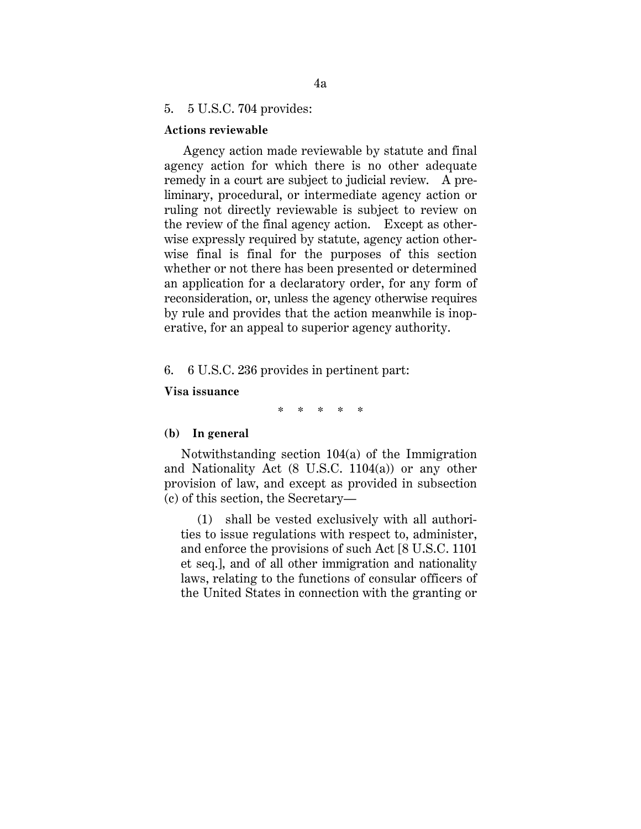## 5. 5 U.S.C. 704 provides:

### **Actions reviewable**

Agency action made reviewable by statute and final agency action for which there is no other adequate remedy in a court are subject to judicial review. A preliminary, procedural, or intermediate agency action or ruling not directly reviewable is subject to review on the review of the final agency action. Except as otherwise expressly required by statute, agency action otherwise final is final for the purposes of this section whether or not there has been presented or determined an application for a declaratory order, for any form of reconsideration, or, unless the agency otherwise requires by rule and provides that the action meanwhile is inoperative, for an appeal to superior agency authority.

# 6. 6 U.S.C. 236 provides in pertinent part:

### **Visa issuance**

\* \* \* \* \*

#### **(b) In general**

Notwithstanding section 104(a) of the Immigration and Nationality Act (8 U.S.C. 1104(a)) or any other provision of law, and except as provided in subsection (c) of this section, the Secretary—

(1) shall be vested exclusively with all authorities to issue regulations with respect to, administer, and enforce the provisions of such Act [8 U.S.C. 1101 et seq.], and of all other immigration and nationality laws, relating to the functions of consular officers of the United States in connection with the granting or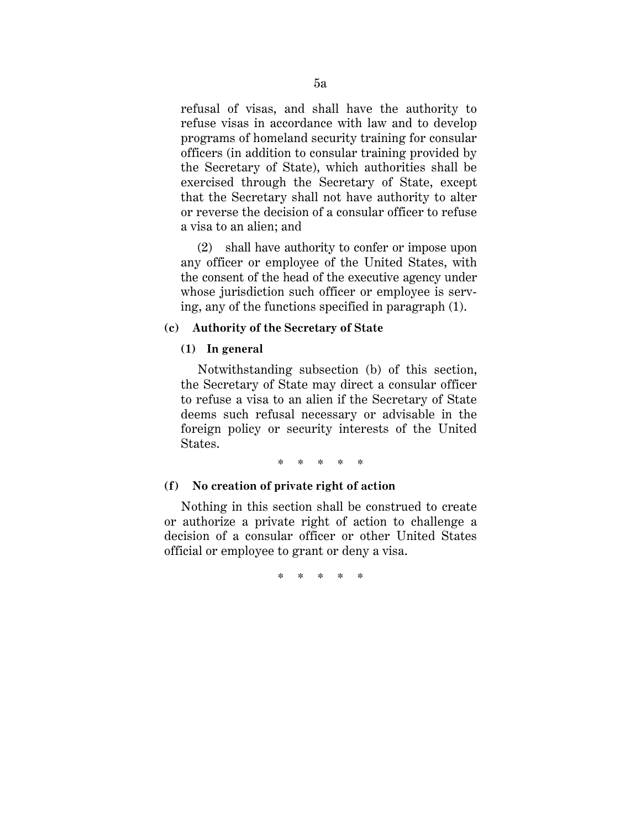refusal of visas, and shall have the authority to refuse visas in accordance with law and to develop programs of homeland security training for consular officers (in addition to consular training provided by the Secretary of State), which authorities shall be exercised through the Secretary of State, except that the Secretary shall not have authority to alter or reverse the decision of a consular officer to refuse a visa to an alien; and

(2) shall have authority to confer or impose upon any officer or employee of the United States, with the consent of the head of the executive agency under whose jurisdiction such officer or employee is serving, any of the functions specified in paragraph (1).

# **(c) Authority of the Secretary of State**

## **(1) In general**

Notwithstanding subsection (b) of this section, the Secretary of State may direct a consular officer to refuse a visa to an alien if the Secretary of State deems such refusal necessary or advisable in the foreign policy or security interests of the United States.

\* \* \* \* \*

## **(f) No creation of private right of action**

Nothing in this section shall be construed to create or authorize a private right of action to challenge a decision of a consular officer or other United States official or employee to grant or deny a visa.

\* \* \* \* \*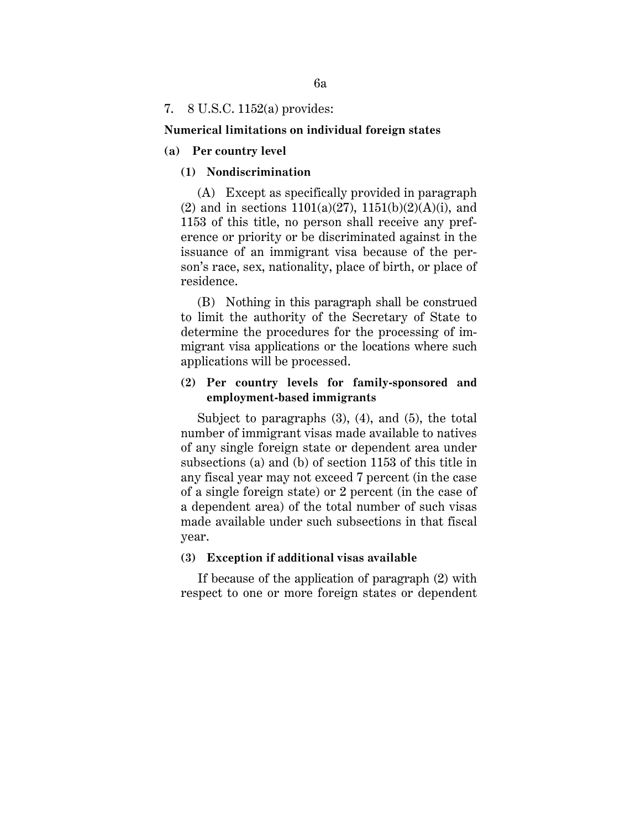## 7. 8 U.S.C. 1152(a) provides:

### **Numerical limitations on individual foreign states**

## **(a) Per country level**

## **(1) Nondiscrimination**

 (A) Except as specifically provided in paragraph (2) and in sections  $1101(a)(27)$ ,  $1151(b)(2)(A)(i)$ , and 1153 of this title, no person shall receive any preference or priority or be discriminated against in the issuance of an immigrant visa because of the person's race, sex, nationality, place of birth, or place of residence.

 (B) Nothing in this paragraph shall be construed to limit the authority of the Secretary of State to determine the procedures for the processing of immigrant visa applications or the locations where such applications will be processed.

# **(2) Per country levels for family-sponsored and employment-based immigrants**

Subject to paragraphs (3), (4), and (5), the total number of immigrant visas made available to natives of any single foreign state or dependent area under subsections (a) and (b) of section 1153 of this title in any fiscal year may not exceed 7 percent (in the case of a single foreign state) or 2 percent (in the case of a dependent area) of the total number of such visas made available under such subsections in that fiscal year.

### **(3) Exception if additional visas available**

If because of the application of paragraph (2) with respect to one or more foreign states or dependent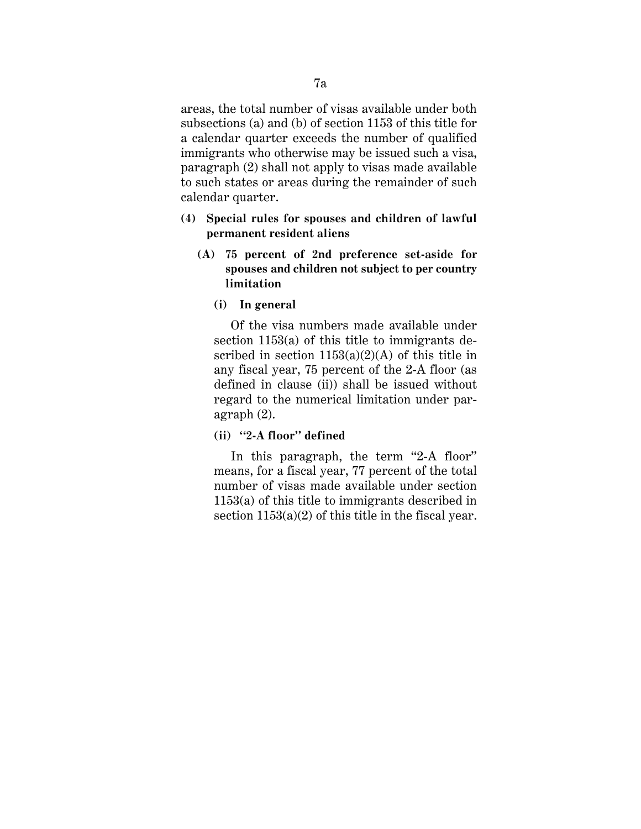areas, the total number of visas available under both subsections (a) and (b) of section 1153 of this title for a calendar quarter exceeds the number of qualified immigrants who otherwise may be issued such a visa, paragraph (2) shall not apply to visas made available to such states or areas during the remainder of such calendar quarter.

- **(4) Special rules for spouses and children of lawful permanent resident aliens**
	- **(A) 75 percent of 2nd preference set-aside for spouses and children not subject to per country limitation**
		- **(i) In general**

Of the visa numbers made available under section 1153(a) of this title to immigrants described in section  $1153(a)(2)(A)$  of this title in any fiscal year, 75 percent of the 2-A floor (as defined in clause (ii)) shall be issued without regard to the numerical limitation under paragraph (2).

 **(ii) ''2-A floor'' defined**

In this paragraph, the term "2-A floor" means, for a fiscal year, 77 percent of the total number of visas made available under section 1153(a) of this title to immigrants described in section  $1153(a)(2)$  of this title in the fiscal year.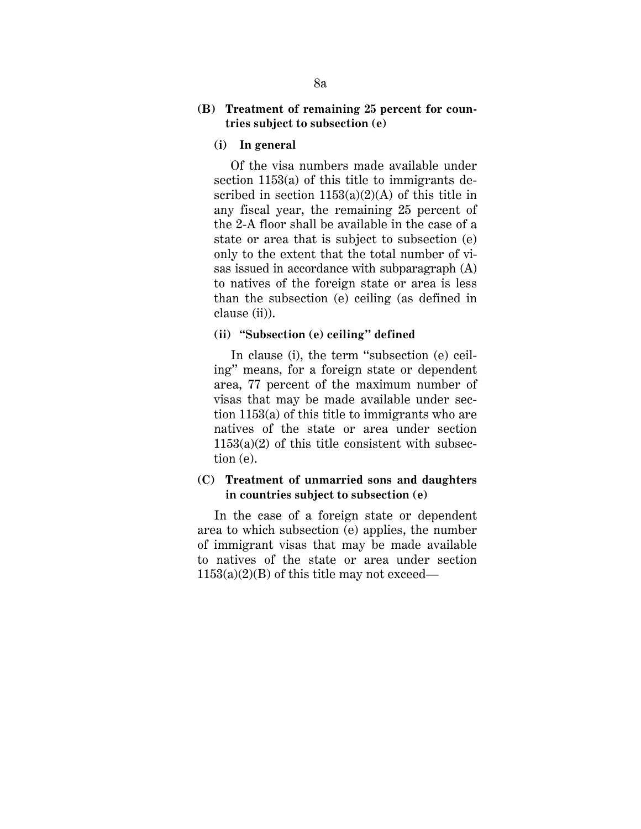# **(B) Treatment of remaining 25 percent for countries subject to subsection (e)**

### **(i) In general**

Of the visa numbers made available under section 1153(a) of this title to immigrants described in section  $1153(a)(2)(A)$  of this title in any fiscal year, the remaining 25 percent of the 2-A floor shall be available in the case of a state or area that is subject to subsection (e) only to the extent that the total number of visas issued in accordance with subparagraph (A) to natives of the foreign state or area is less than the subsection (e) ceiling (as defined in clause (ii)).

### **(ii) "Subsection (e) ceiling'' defined**

In clause (i), the term "subsection (e) ceiling'' means, for a foreign state or dependent area, 77 percent of the maximum number of visas that may be made available under section 1153(a) of this title to immigrants who are natives of the state or area under section  $1153(a)(2)$  of this title consistent with subsection (e).

# **(C) Treatment of unmarried sons and daughters in countries subject to subsection (e)**

In the case of a foreign state or dependent area to which subsection (e) applies, the number of immigrant visas that may be made available to natives of the state or area under section  $1153(a)(2)(B)$  of this title may not exceed—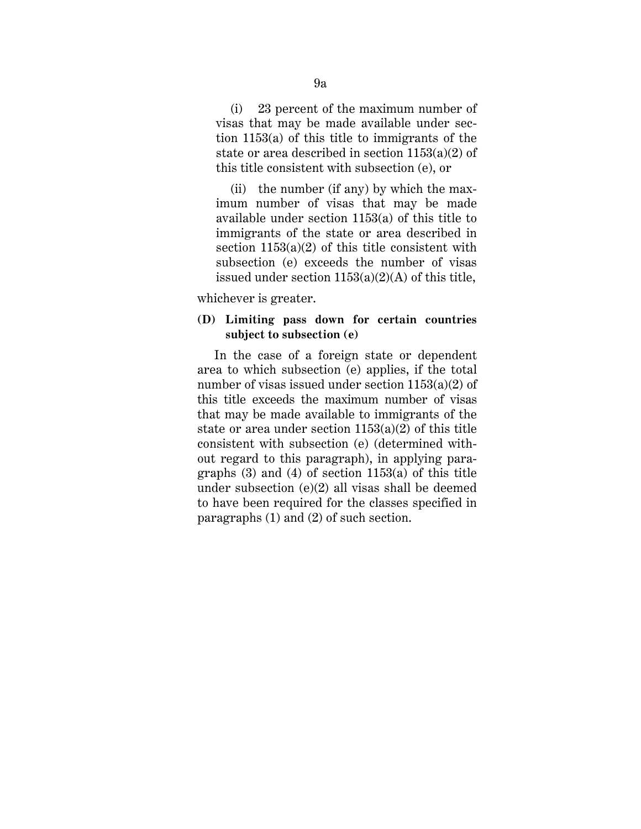(i) 23 percent of the maximum number of visas that may be made available under section 1153(a) of this title to immigrants of the state or area described in section 1153(a)(2) of this title consistent with subsection (e), or

 (ii) the number (if any) by which the maximum number of visas that may be made available under section 1153(a) of this title to immigrants of the state or area described in section  $1153(a)(2)$  of this title consistent with subsection (e) exceeds the number of visas issued under section  $1153(a)(2)(A)$  of this title,

whichever is greater.

# **(D) Limiting pass down for certain countries subject to subsection (e)**

In the case of a foreign state or dependent area to which subsection (e) applies, if the total number of visas issued under section 1153(a)(2) of this title exceeds the maximum number of visas that may be made available to immigrants of the state or area under section  $1153(a)(2)$  of this title consistent with subsection (e) (determined without regard to this paragraph), in applying paragraphs  $(3)$  and  $(4)$  of section 1153 $(a)$  of this title under subsection (e)(2) all visas shall be deemed to have been required for the classes specified in paragraphs (1) and (2) of such section.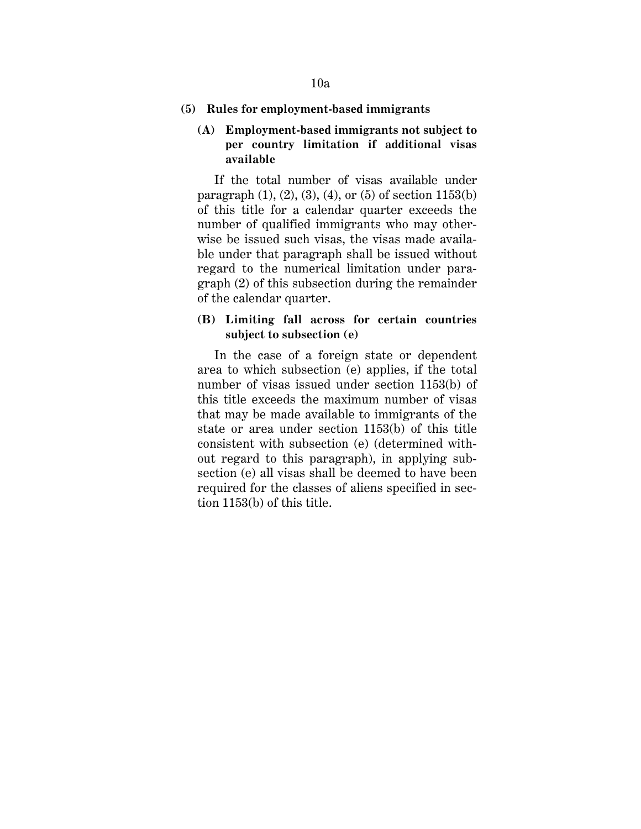### **(5) Rules for employment-based immigrants**

# **(A) Employment-based immigrants not subject to per country limitation if additional visas available**

If the total number of visas available under paragraph  $(1)$ ,  $(2)$ ,  $(3)$ ,  $(4)$ , or  $(5)$  of section  $1153(b)$ of this title for a calendar quarter exceeds the number of qualified immigrants who may otherwise be issued such visas, the visas made available under that paragraph shall be issued without regard to the numerical limitation under paragraph (2) of this subsection during the remainder of the calendar quarter.

# **(B) Limiting fall across for certain countries subject to subsection (e)**

In the case of a foreign state or dependent area to which subsection (e) applies, if the total number of visas issued under section 1153(b) of this title exceeds the maximum number of visas that may be made available to immigrants of the state or area under section 1153(b) of this title consistent with subsection (e) (determined without regard to this paragraph), in applying subsection (e) all visas shall be deemed to have been required for the classes of aliens specified in section 1153(b) of this title.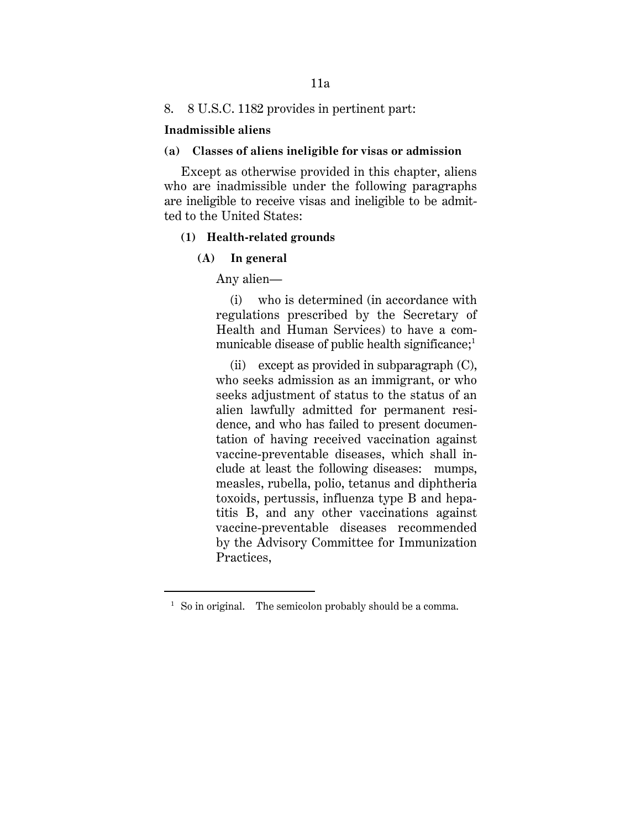## 8. 8 U.S.C. 1182 provides in pertinent part:

### **Inadmissible aliens**

## **(a) Classes of aliens ineligible for visas or admission**

Except as otherwise provided in this chapter, aliens who are inadmissible under the following paragraphs are ineligible to receive visas and ineligible to be admitted to the United States:

### **(1) Health-related grounds**

### **(A) In general**

<u>.</u>

Any alien—

(i) who is determined (in accordance with regulations prescribed by the Secretary of Health and Human Services) to have a communicable disease of public health significance;<sup>1</sup>

(ii) except as provided in subparagraph (C), who seeks admission as an immigrant, or who seeks adjustment of status to the status of an alien lawfully admitted for permanent residence, and who has failed to present documentation of having received vaccination against vaccine-preventable diseases, which shall include at least the following diseases: mumps, measles, rubella, polio, tetanus and diphtheria toxoids, pertussis, influenza type B and hepatitis B, and any other vaccinations against vaccine-preventable diseases recommended by the Advisory Committee for Immunization Practices,

<sup>&</sup>lt;sup>1</sup> So in original. The semicolon probably should be a comma.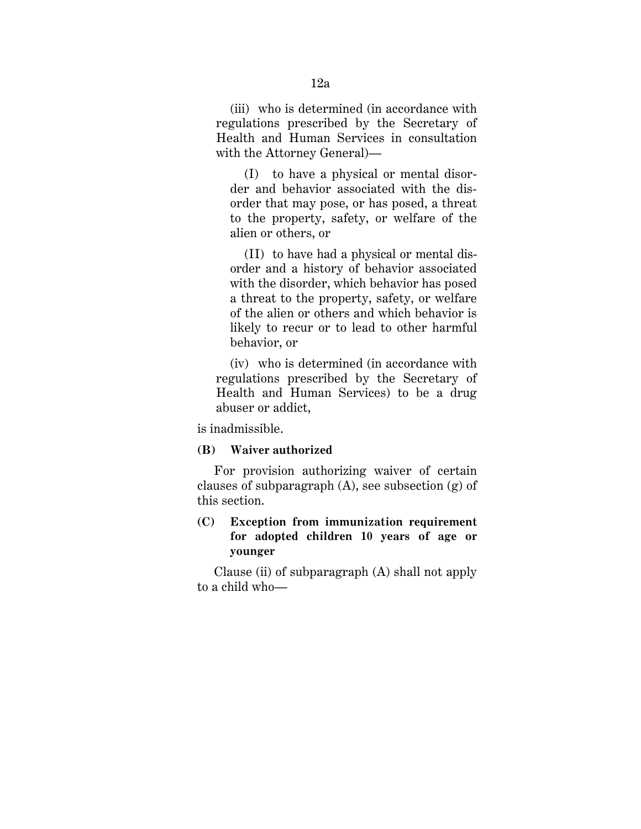(iii) who is determined (in accordance with regulations prescribed by the Secretary of Health and Human Services in consultation with the Attorney General)—

(I) to have a physical or mental disorder and behavior associated with the disorder that may pose, or has posed, a threat to the property, safety, or welfare of the alien or others, or

(II) to have had a physical or mental disorder and a history of behavior associated with the disorder, which behavior has posed a threat to the property, safety, or welfare of the alien or others and which behavior is likely to recur or to lead to other harmful behavior, or

(iv) who is determined (in accordance with regulations prescribed by the Secretary of Health and Human Services) to be a drug abuser or addict,

is inadmissible.

## **(B) Waiver authorized**

 For provision authorizing waiver of certain clauses of subparagraph  $(A)$ , see subsection  $(g)$  of this section.

# **(C) Exception from immunization requirement for adopted children 10 years of age or younger**

Clause (ii) of subparagraph (A) shall not apply to a child who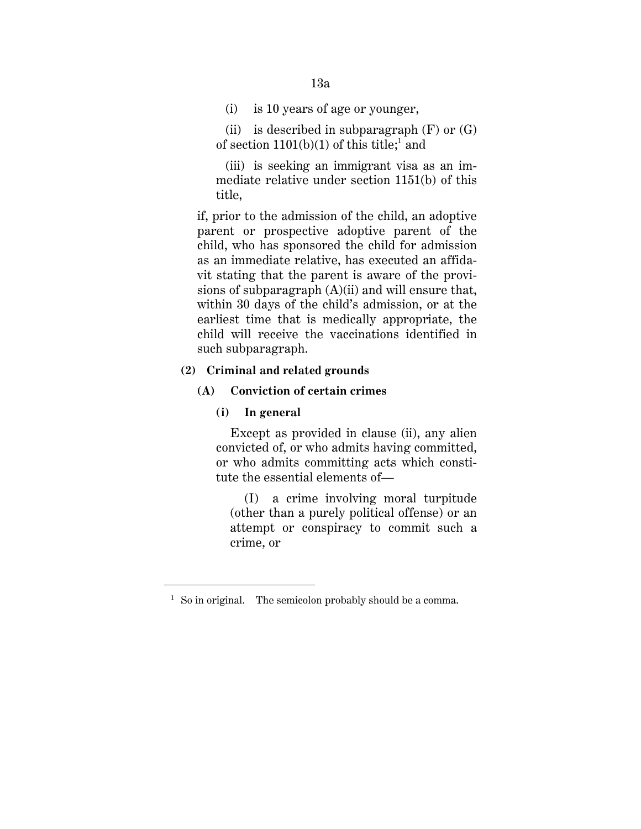13a

(i) is 10 years of age or younger,

(ii) is described in subparagraph  $(F)$  or  $(G)$ of section  $1101(b)(1)$  of this title;<sup>1</sup> and

(iii) is seeking an immigrant visa as an immediate relative under section 1151(b) of this title,

if, prior to the admission of the child, an adoptive parent or prospective adoptive parent of the child, who has sponsored the child for admission as an immediate relative, has executed an affidavit stating that the parent is aware of the provisions of subparagraph (A)(ii) and will ensure that, within 30 days of the child's admission, or at the earliest time that is medically appropriate, the child will receive the vaccinations identified in such subparagraph.

# **(2) Criminal and related grounds**

## **(A) Conviction of certain crimes**

### **(i) In general**

<u>.</u>

Except as provided in clause (ii), any alien convicted of, or who admits having committed, or who admits committing acts which constitute the essential elements of—

(I) a crime involving moral turpitude (other than a purely political offense) or an attempt or conspiracy to commit such a crime, or

<sup>&</sup>lt;sup>1</sup> So in original. The semicolon probably should be a comma.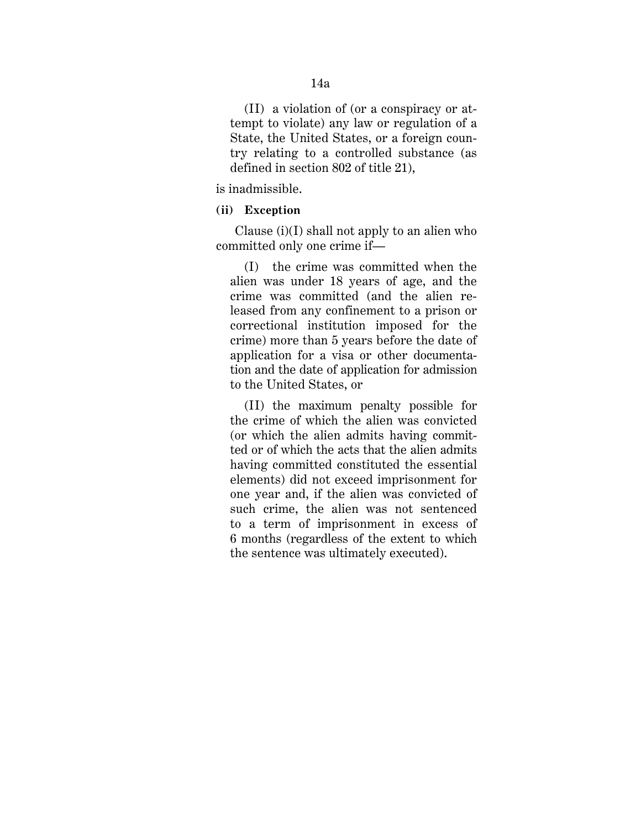(II) a violation of (or a conspiracy or attempt to violate) any law or regulation of a State, the United States, or a foreign country relating to a controlled substance (as defined in section 802 of title 21),

is inadmissible.

## **(ii) Exception**

Clause (i)(I) shall not apply to an alien who committed only one crime if—

(I) the crime was committed when the alien was under 18 years of age, and the crime was committed (and the alien released from any confinement to a prison or correctional institution imposed for the crime) more than 5 years before the date of application for a visa or other documentation and the date of application for admission to the United States, or

(II) the maximum penalty possible for the crime of which the alien was convicted (or which the alien admits having committed or of which the acts that the alien admits having committed constituted the essential elements) did not exceed imprisonment for one year and, if the alien was convicted of such crime, the alien was not sentenced to a term of imprisonment in excess of 6 months (regardless of the extent to which the sentence was ultimately executed).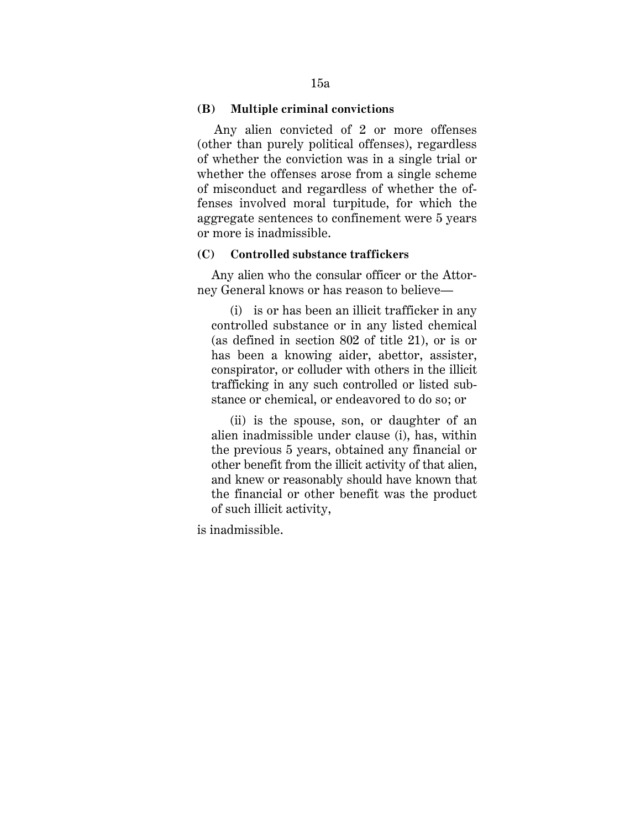### **(B) Multiple criminal convictions**

 Any alien convicted of 2 or more offenses (other than purely political offenses), regardless of whether the conviction was in a single trial or whether the offenses arose from a single scheme of misconduct and regardless of whether the offenses involved moral turpitude, for which the aggregate sentences to confinement were 5 years or more is inadmissible.

### **(C) Controlled substance traffickers**

Any alien who the consular officer or the Attorney General knows or has reason to believe—

(i) is or has been an illicit trafficker in any controlled substance or in any listed chemical (as defined in section 802 of title 21), or is or has been a knowing aider, abettor, assister, conspirator, or colluder with others in the illicit trafficking in any such controlled or listed substance or chemical, or endeavored to do so; or

(ii) is the spouse, son, or daughter of an alien inadmissible under clause (i), has, within the previous 5 years, obtained any financial or other benefit from the illicit activity of that alien, and knew or reasonably should have known that the financial or other benefit was the product of such illicit activity,

is inadmissible.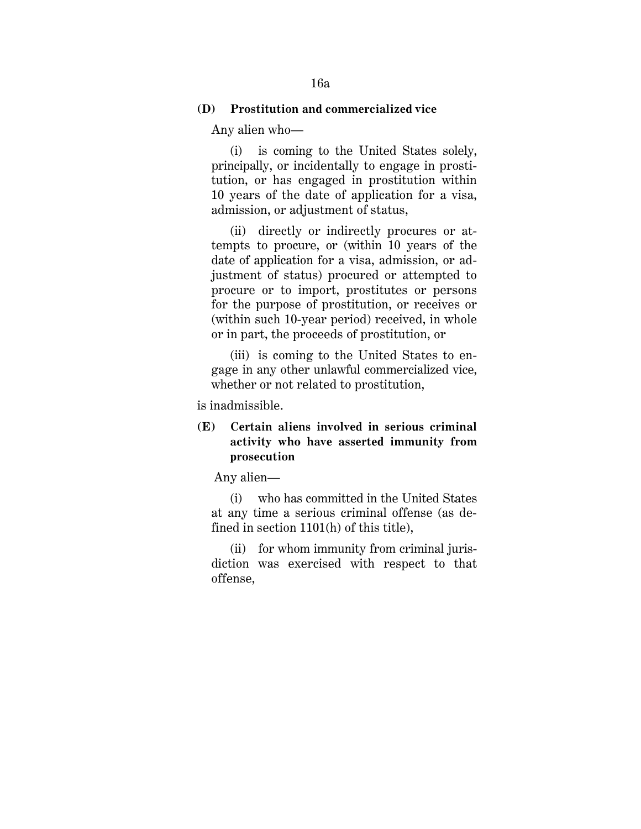# **(D) Prostitution and commercialized vice**

Any alien who—

(i) is coming to the United States solely, principally, or incidentally to engage in prostitution, or has engaged in prostitution within 10 years of the date of application for a visa, admission, or adjustment of status,

(ii) directly or indirectly procures or attempts to procure, or (within 10 years of the date of application for a visa, admission, or adjustment of status) procured or attempted to procure or to import, prostitutes or persons for the purpose of prostitution, or receives or (within such 10-year period) received, in whole or in part, the proceeds of prostitution, or

(iii) is coming to the United States to engage in any other unlawful commercialized vice, whether or not related to prostitution,

is inadmissible.

# **(E) Certain aliens involved in serious criminal activity who have asserted immunity from prosecution**

Any alien—

(i) who has committed in the United States at any time a serious criminal offense (as defined in section 1101(h) of this title),

(ii) for whom immunity from criminal jurisdiction was exercised with respect to that offense,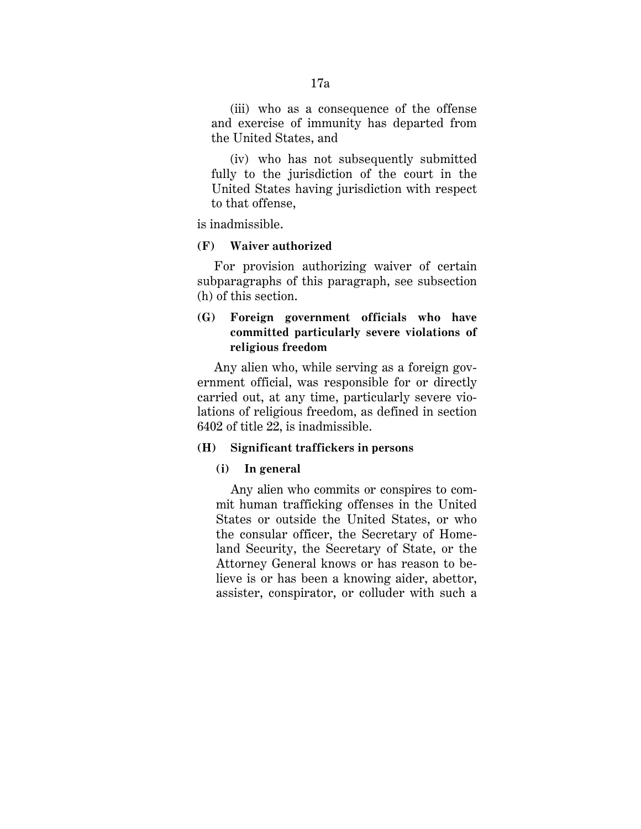(iii) who as a consequence of the offense and exercise of immunity has departed from the United States, and

(iv) who has not subsequently submitted fully to the jurisdiction of the court in the United States having jurisdiction with respect to that offense,

is inadmissible.

## **(F) Waiver authorized**

For provision authorizing waiver of certain subparagraphs of this paragraph, see subsection (h) of this section.

# **(G) Foreign government officials who have committed particularly severe violations of religious freedom**

 Any alien who, while serving as a foreign government official, was responsible for or directly carried out, at any time, particularly severe violations of religious freedom, as defined in section 6402 of title 22, is inadmissible.

# **(H) Significant traffickers in persons**

## **(i) In general**

 Any alien who commits or conspires to commit human trafficking offenses in the United States or outside the United States, or who the consular officer, the Secretary of Homeland Security, the Secretary of State, or the Attorney General knows or has reason to believe is or has been a knowing aider, abettor, assister, conspirator, or colluder with such a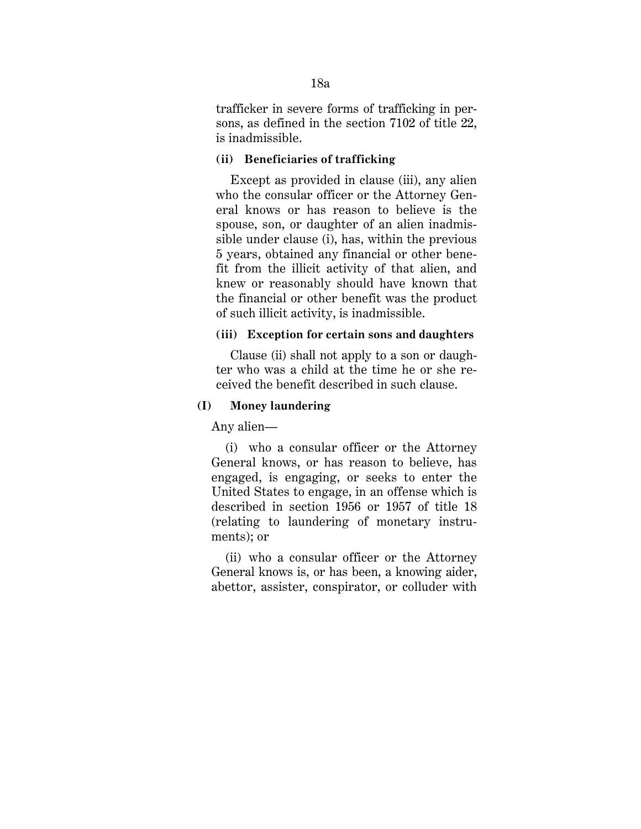trafficker in severe forms of trafficking in persons, as defined in the section 7102 of title 22, is inadmissible.

### **(ii) Beneficiaries of trafficking**

Except as provided in clause (iii), any alien who the consular officer or the Attorney General knows or has reason to believe is the spouse, son, or daughter of an alien inadmissible under clause (i), has, within the previous 5 years, obtained any financial or other benefit from the illicit activity of that alien, and knew or reasonably should have known that the financial or other benefit was the product of such illicit activity, is inadmissible.

# **(iii) Exception for certain sons and daughters**

Clause (ii) shall not apply to a son or daughter who was a child at the time he or she received the benefit described in such clause.

## **(I) Money laundering**

Any alien—

(i) who a consular officer or the Attorney General knows, or has reason to believe, has engaged, is engaging, or seeks to enter the United States to engage, in an offense which is described in section 1956 or 1957 of title 18 (relating to laundering of monetary instruments); or

(ii) who a consular officer or the Attorney General knows is, or has been, a knowing aider, abettor, assister, conspirator, or colluder with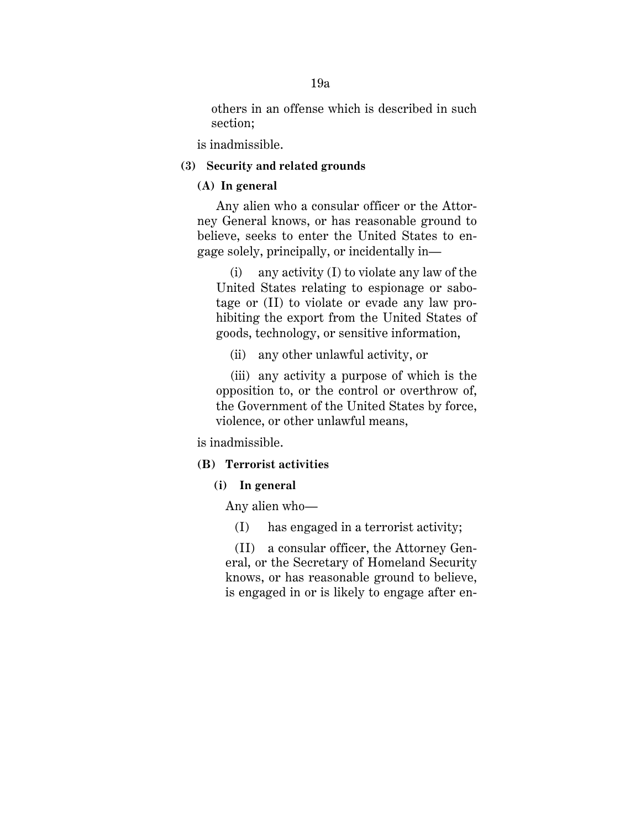others in an offense which is described in such section;

is inadmissible.

## **(3) Security and related grounds**

# **(A) In general**

Any alien who a consular officer or the Attorney General knows, or has reasonable ground to believe, seeks to enter the United States to engage solely, principally, or incidentally in—

(i) any activity (I) to violate any law of the United States relating to espionage or sabotage or (II) to violate or evade any law prohibiting the export from the United States of goods, technology, or sensitive information,

(ii) any other unlawful activity, or

(iii) any activity a purpose of which is the opposition to, or the control or overthrow of, the Government of the United States by force, violence, or other unlawful means,

is inadmissible.

## **(B) Terrorist activities**

# **(i) In general**

Any alien who—

(I) has engaged in a terrorist activity;

(II) a consular officer, the Attorney General, or the Secretary of Homeland Security knows, or has reasonable ground to believe, is engaged in or is likely to engage after en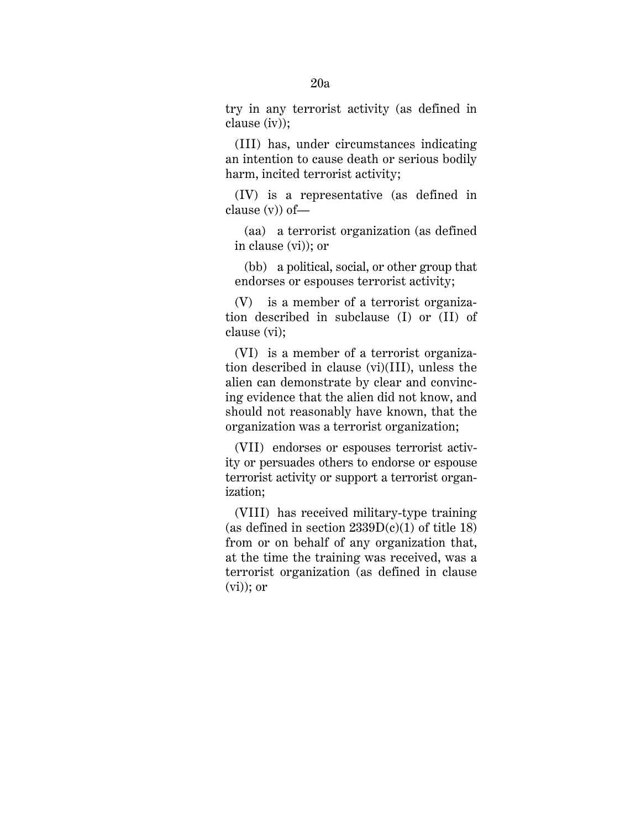try in any terrorist activity (as defined in clause (iv));

(III) has, under circumstances indicating an intention to cause death or serious bodily harm, incited terrorist activity;

(IV) is a representative (as defined in clause (v)) of—

(aa) a terrorist organization (as defined in clause (vi)); or

(bb) a political, social, or other group that endorses or espouses terrorist activity;

(V) is a member of a terrorist organization described in subclause (I) or (II) of clause (vi);

(VI) is a member of a terrorist organization described in clause (vi)(III), unless the alien can demonstrate by clear and convincing evidence that the alien did not know, and should not reasonably have known, that the organization was a terrorist organization;

(VII) endorses or espouses terrorist activity or persuades others to endorse or espouse terrorist activity or support a terrorist organization;

(VIII) has received military-type training (as defined in section  $2339D(c)(1)$  of title 18) from or on behalf of any organization that, at the time the training was received, was a terrorist organization (as defined in clause  $(vi)$ ; or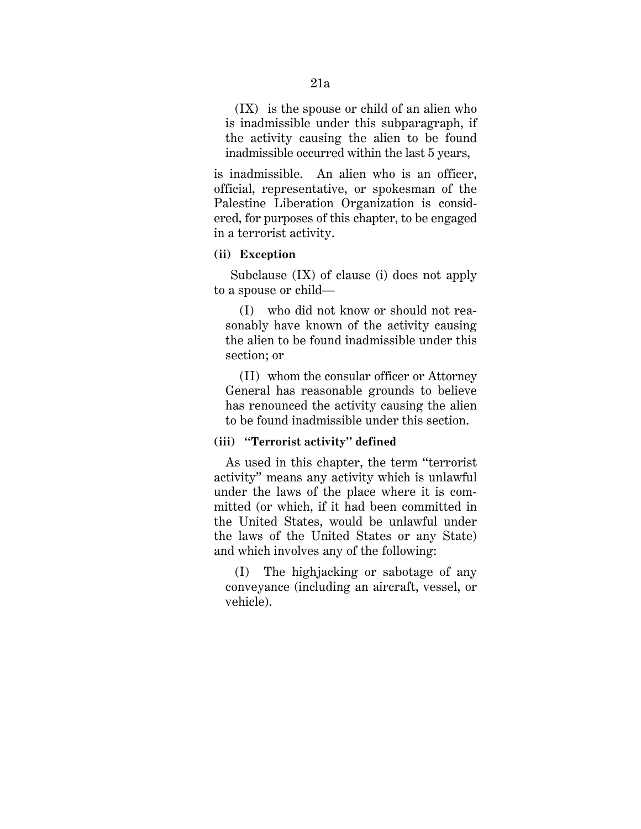(IX) is the spouse or child of an alien who is inadmissible under this subparagraph, if the activity causing the alien to be found inadmissible occurred within the last 5 years,

is inadmissible. An alien who is an officer, official, representative, or spokesman of the Palestine Liberation Organization is considered, for purposes of this chapter, to be engaged in a terrorist activity.

### **(ii) Exception**

Subclause (IX) of clause (i) does not apply to a spouse or child—

(I) who did not know or should not reasonably have known of the activity causing the alien to be found inadmissible under this section; or

(II) whom the consular officer or Attorney General has reasonable grounds to believe has renounced the activity causing the alien to be found inadmissible under this section.

# **(iii) ''Terrorist activity'' defined**

As used in this chapter, the term ''terrorist activity'' means any activity which is unlawful under the laws of the place where it is committed (or which, if it had been committed in the United States, would be unlawful under the laws of the United States or any State) and which involves any of the following:

(I) The highjacking or sabotage of any conveyance (including an aircraft, vessel, or vehicle).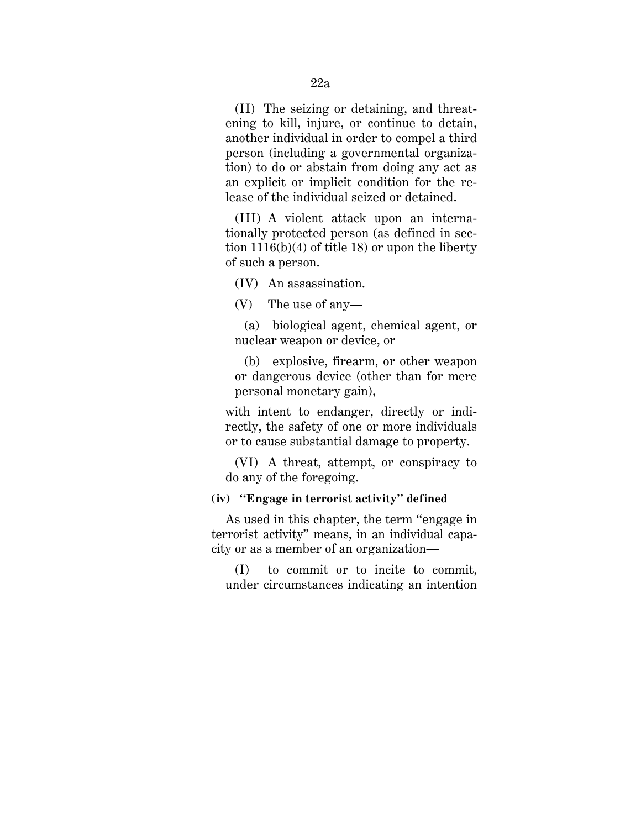(II) The seizing or detaining, and threatening to kill, injure, or continue to detain, another individual in order to compel a third person (including a governmental organization) to do or abstain from doing any act as an explicit or implicit condition for the release of the individual seized or detained.

(III) A violent attack upon an internationally protected person (as defined in section 1116(b)(4) of title 18) or upon the liberty of such a person.

(IV) An assassination.

(V) The use of any—

(a) biological agent, chemical agent, or nuclear weapon or device, or

(b) explosive, firearm, or other weapon or dangerous device (other than for mere personal monetary gain),

with intent to endanger, directly or indirectly, the safety of one or more individuals or to cause substantial damage to property.

(VI) A threat, attempt, or conspiracy to do any of the foregoing.

### **(iv) ''Engage in terrorist activity'' defined**

As used in this chapter, the term ''engage in terrorist activity'' means, in an individual capacity or as a member of an organization—

(I) to commit or to incite to commit, under circumstances indicating an intention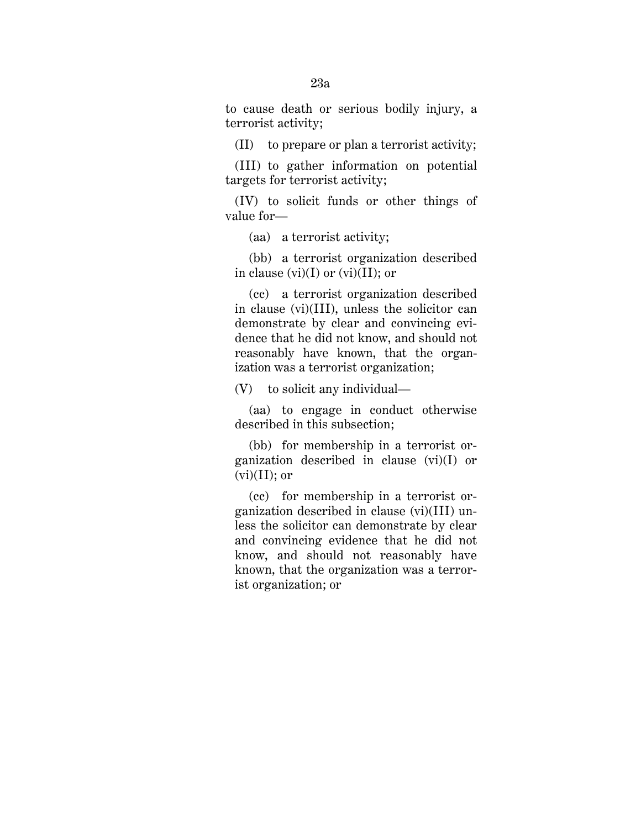to cause death or serious bodily injury, a terrorist activity;

(II) to prepare or plan a terrorist activity;

(III) to gather information on potential targets for terrorist activity;

(IV) to solicit funds or other things of value for—

(aa) a terrorist activity;

(bb) a terrorist organization described in clause  $(vi)(I)$  or  $(vi)(II)$ ; or

(cc) a terrorist organization described in clause (vi)(III), unless the solicitor can demonstrate by clear and convincing evidence that he did not know, and should not reasonably have known, that the organization was a terrorist organization;

(V) to solicit any individual—

(aa) to engage in conduct otherwise described in this subsection;

(bb) for membership in a terrorist organization described in clause (vi)(I) or  $(vi)(II);$  or

(cc) for membership in a terrorist organization described in clause (vi)(III) unless the solicitor can demonstrate by clear and convincing evidence that he did not know, and should not reasonably have known, that the organization was a terrorist organization; or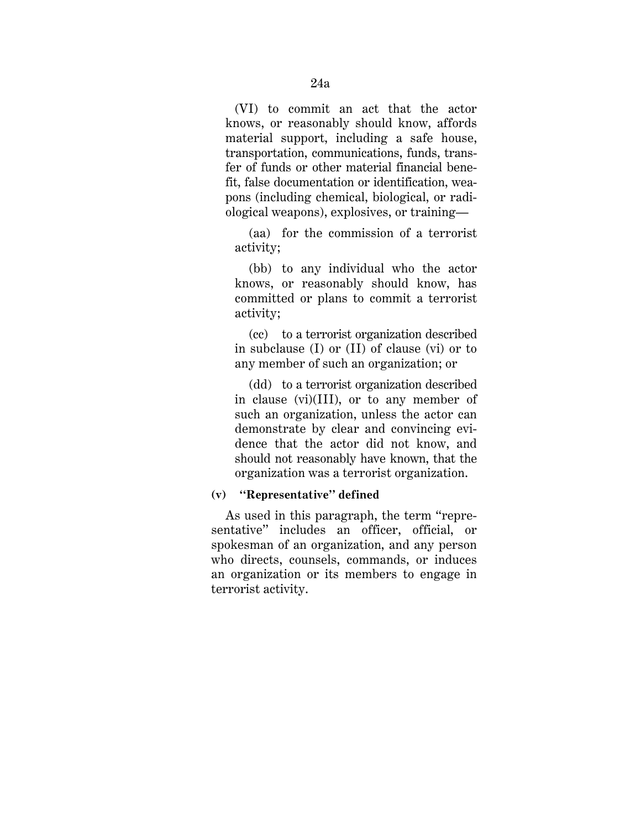(VI) to commit an act that the actor knows, or reasonably should know, affords material support, including a safe house, transportation, communications, funds, transfer of funds or other material financial benefit, false documentation or identification, weapons (including chemical, biological, or radiological weapons), explosives, or training—

(aa) for the commission of a terrorist activity;

(bb) to any individual who the actor knows, or reasonably should know, has committed or plans to commit a terrorist activity;

(cc) to a terrorist organization described in subclause (I) or (II) of clause (vi) or to any member of such an organization; or

(dd) to a terrorist organization described in clause (vi)(III), or to any member of such an organization, unless the actor can demonstrate by clear and convincing evidence that the actor did not know, and should not reasonably have known, that the organization was a terrorist organization.

# **(v) ''Representative'' defined**

As used in this paragraph, the term "representative" includes an officer, official, or spokesman of an organization, and any person who directs, counsels, commands, or induces an organization or its members to engage in terrorist activity.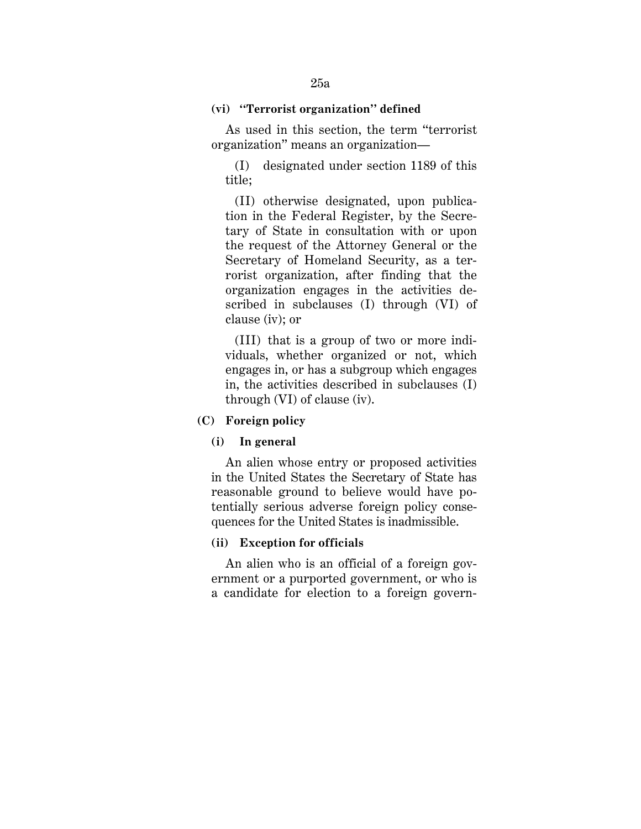### **(vi) ''Terrorist organization'' defined**

As used in this section, the term ''terrorist organization'' means an organization—

(I) designated under section 1189 of this title;

(II) otherwise designated, upon publication in the Federal Register, by the Secretary of State in consultation with or upon the request of the Attorney General or the Secretary of Homeland Security, as a terrorist organization, after finding that the organization engages in the activities described in subclauses (I) through (VI) of clause (iv); or

(III) that is a group of two or more individuals, whether organized or not, which engages in, or has a subgroup which engages in, the activities described in subclauses (I) through (VI) of clause (iv).

### **(C) Foreign policy**

#### **(i) In general**

An alien whose entry or proposed activities in the United States the Secretary of State has reasonable ground to believe would have potentially serious adverse foreign policy consequences for the United States is inadmissible.

## **(ii) Exception for officials**

An alien who is an official of a foreign government or a purported government, or who is a candidate for election to a foreign govern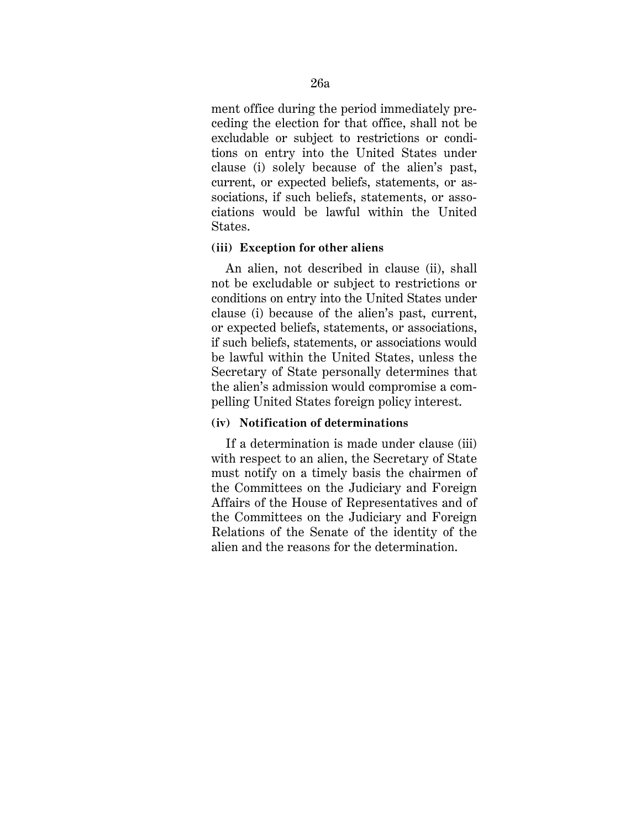ment office during the period immediately preceding the election for that office, shall not be excludable or subject to restrictions or conditions on entry into the United States under clause (i) solely because of the alien's past, current, or expected beliefs, statements, or associations, if such beliefs, statements, or associations would be lawful within the United States.

### **(iii) Exception for other aliens**

An alien, not described in clause (ii), shall not be excludable or subject to restrictions or conditions on entry into the United States under clause (i) because of the alien's past, current, or expected beliefs, statements, or associations, if such beliefs, statements, or associations would be lawful within the United States, unless the Secretary of State personally determines that the alien's admission would compromise a compelling United States foreign policy interest.

# **(iv) Notification of determinations**

If a determination is made under clause (iii) with respect to an alien, the Secretary of State must notify on a timely basis the chairmen of the Committees on the Judiciary and Foreign Affairs of the House of Representatives and of the Committees on the Judiciary and Foreign Relations of the Senate of the identity of the alien and the reasons for the determination.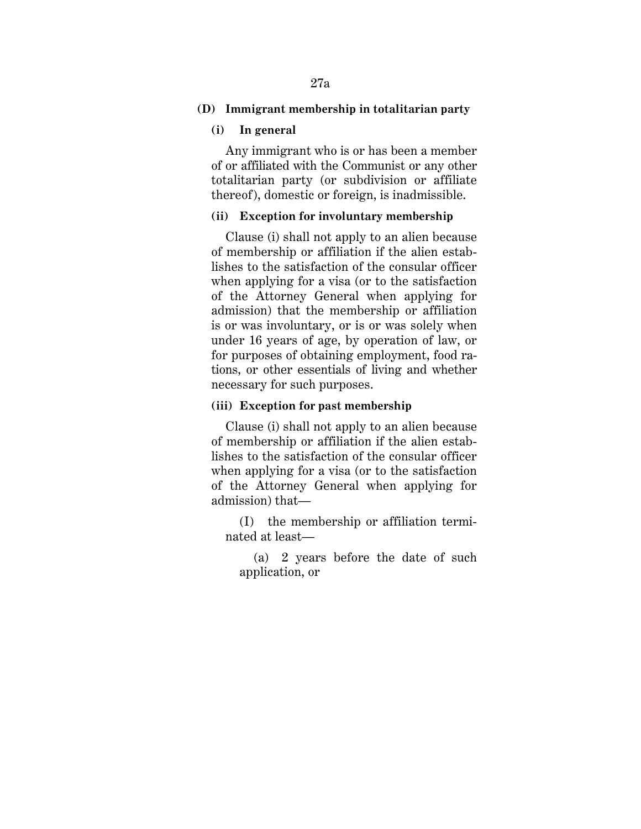# **(D) Immigrant membership in totalitarian party**

### **(i) In general**

Any immigrant who is or has been a member of or affiliated with the Communist or any other totalitarian party (or subdivision or affiliate thereof), domestic or foreign, is inadmissible.

# **(ii) Exception for involuntary membership**

Clause (i) shall not apply to an alien because of membership or affiliation if the alien establishes to the satisfaction of the consular officer when applying for a visa (or to the satisfaction of the Attorney General when applying for admission) that the membership or affiliation is or was involuntary, or is or was solely when under 16 years of age, by operation of law, or for purposes of obtaining employment, food rations, or other essentials of living and whether necessary for such purposes.

# **(iii) Exception for past membership**

Clause (i) shall not apply to an alien because of membership or affiliation if the alien establishes to the satisfaction of the consular officer when applying for a visa (or to the satisfaction of the Attorney General when applying for admission) that—

(I) the membership or affiliation terminated at least—

(a) 2 years before the date of such application, or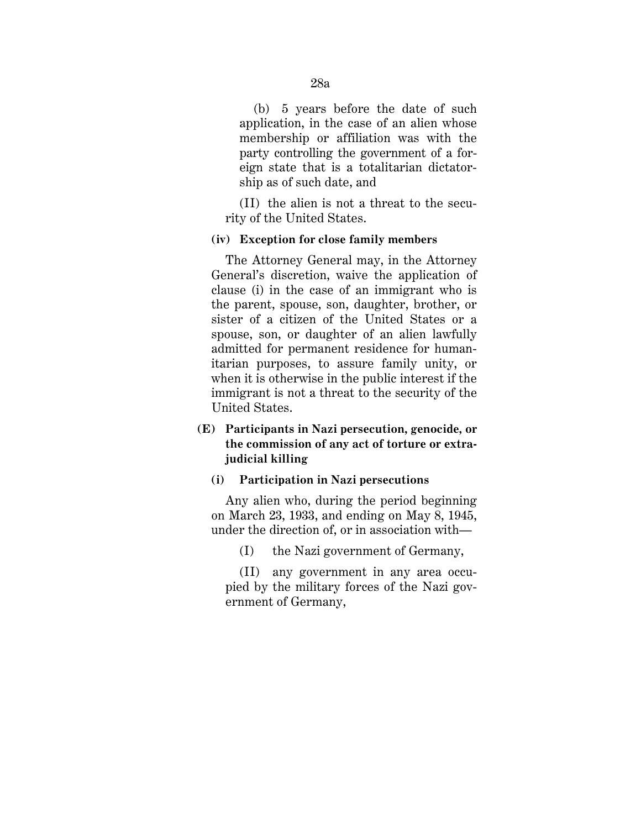(b) 5 years before the date of such application, in the case of an alien whose membership or affiliation was with the party controlling the government of a foreign state that is a totalitarian dictatorship as of such date, and

 (II) the alien is not a threat to the security of the United States.

### **(iv) Exception for close family members**

The Attorney General may, in the Attorney General's discretion, waive the application of clause (i) in the case of an immigrant who is the parent, spouse, son, daughter, brother, or sister of a citizen of the United States or a spouse, son, or daughter of an alien lawfully admitted for permanent residence for humanitarian purposes, to assure family unity, or when it is otherwise in the public interest if the immigrant is not a threat to the security of the United States.

# **(E) Participants in Nazi persecution, genocide, or the commission of any act of torture or extrajudicial killing**

#### **(i) Participation in Nazi persecutions**

Any alien who, during the period beginning on March 23, 1933, and ending on May 8, 1945, under the direction of, or in association with—

(I) the Nazi government of Germany,

(II) any government in any area occupied by the military forces of the Nazi government of Germany,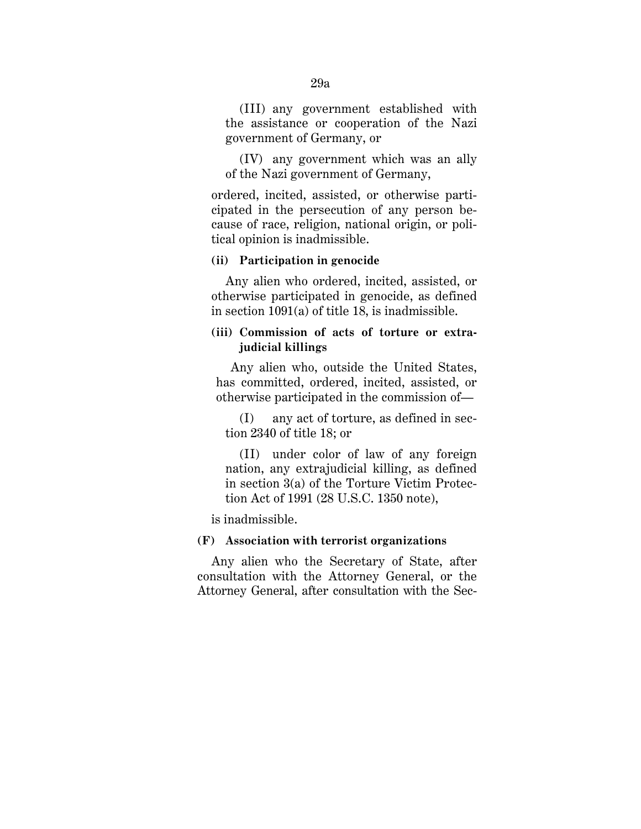(III) any government established with the assistance or cooperation of the Nazi government of Germany, or

(IV) any government which was an ally of the Nazi government of Germany,

ordered, incited, assisted, or otherwise participated in the persecution of any person because of race, religion, national origin, or political opinion is inadmissible.

### **(ii) Participation in genocide**

Any alien who ordered, incited, assisted, or otherwise participated in genocide, as defined in section 1091(a) of title 18, is inadmissible.

# **(iii) Commission of acts of torture or extrajudicial killings**

Any alien who, outside the United States, has committed, ordered, incited, assisted, or otherwise participated in the commission of—

(I) any act of torture, as defined in section 2340 of title 18; or

(II) under color of law of any foreign nation, any extrajudicial killing, as defined in section 3(a) of the Torture Victim Protection Act of 1991 (28 U.S.C. 1350 note),

is inadmissible.

# **(F) Association with terrorist organizations**

Any alien who the Secretary of State, after consultation with the Attorney General, or the Attorney General, after consultation with the Sec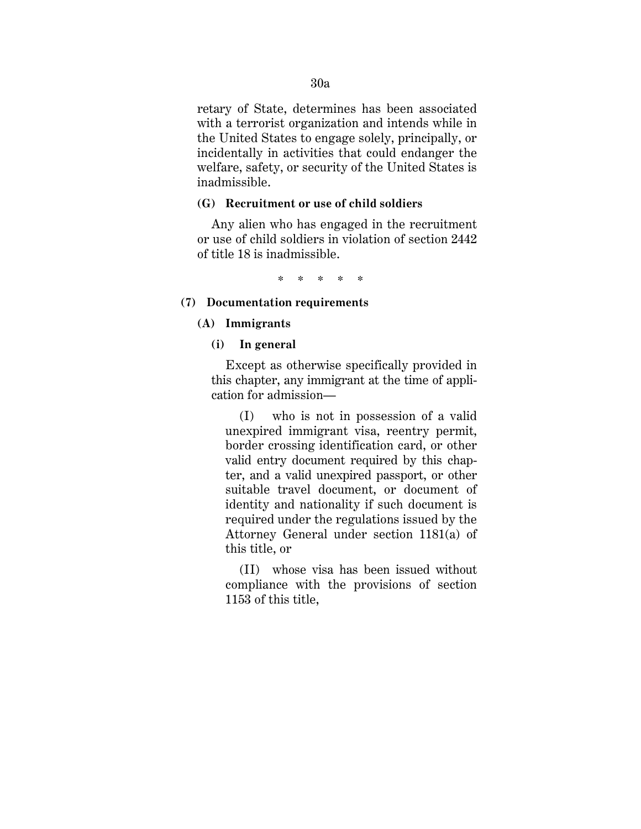retary of State, determines has been associated with a terrorist organization and intends while in the United States to engage solely, principally, or incidentally in activities that could endanger the welfare, safety, or security of the United States is inadmissible.

# **(G) Recruitment or use of child soldiers**

Any alien who has engaged in the recruitment or use of child soldiers in violation of section 2442 of title 18 is inadmissible.

\* \* \* \* \*

# **(7) Documentation requirements**

### **(A) Immigrants**

## **(i) In general**

Except as otherwise specifically provided in this chapter, any immigrant at the time of application for admission—

(I) who is not in possession of a valid unexpired immigrant visa, reentry permit, border crossing identification card, or other valid entry document required by this chapter, and a valid unexpired passport, or other suitable travel document, or document of identity and nationality if such document is required under the regulations issued by the Attorney General under section 1181(a) of this title, or

(II) whose visa has been issued without compliance with the provisions of section 1153 of this title,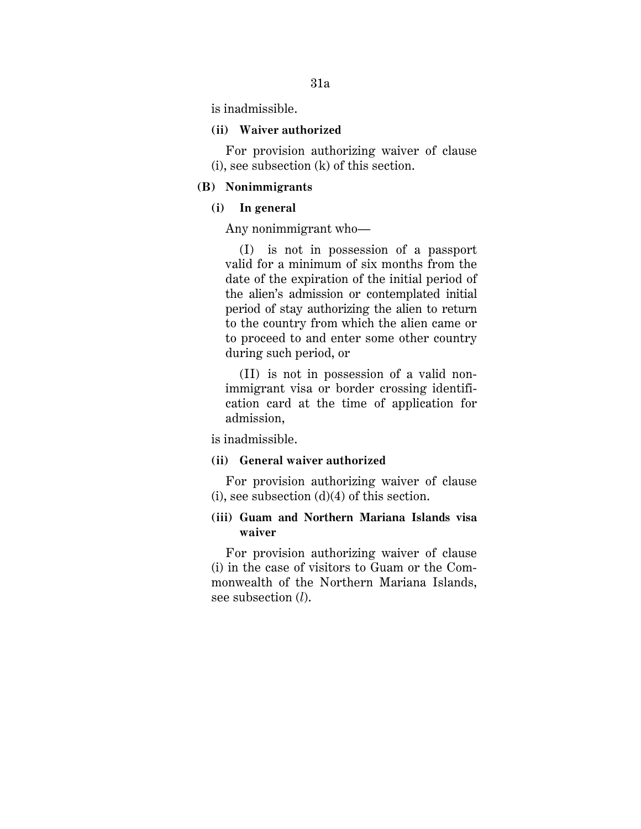is inadmissible.

#### **(ii) Waiver authorized**

For provision authorizing waiver of clause (i), see subsection (k) of this section.

# **(B) Nonimmigrants**

### **(i) In general**

Any nonimmigrant who—

(I) is not in possession of a passport valid for a minimum of six months from the date of the expiration of the initial period of the alien's admission or contemplated initial period of stay authorizing the alien to return to the country from which the alien came or to proceed to and enter some other country during such period, or

(II) is not in possession of a valid nonimmigrant visa or border crossing identification card at the time of application for admission,

is inadmissible.

# **(ii) General waiver authorized**

For provision authorizing waiver of clause (i), see subsection  $(d)(4)$  of this section.

# **(iii) Guam and Northern Mariana Islands visa waiver**

For provision authorizing waiver of clause (i) in the case of visitors to Guam or the Commonwealth of the Northern Mariana Islands, see subsection (*l*).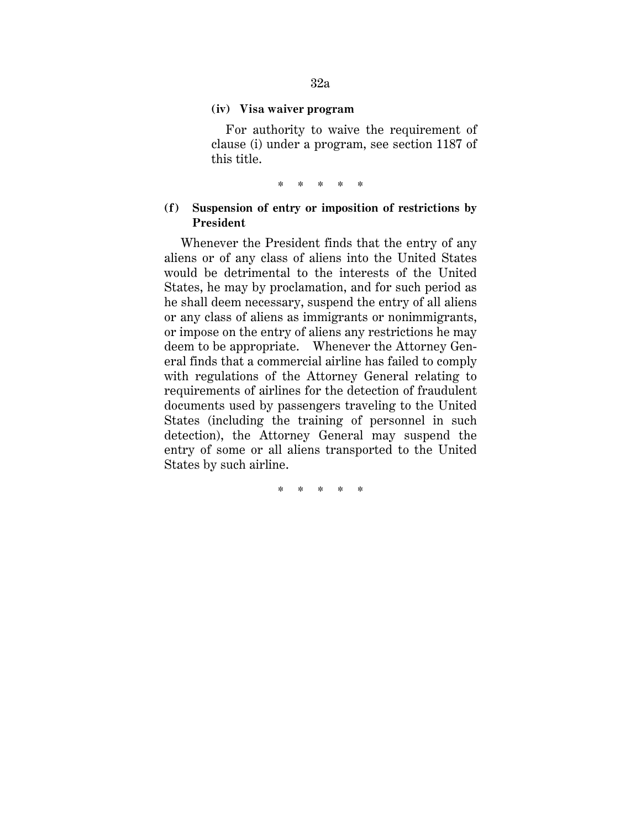#### **(iv) Visa waiver program**

For authority to waive the requirement of clause (i) under a program, see section 1187 of this title.

\* \* \* \* \*

# **(f) Suspension of entry or imposition of restrictions by President**

Whenever the President finds that the entry of any aliens or of any class of aliens into the United States would be detrimental to the interests of the United States, he may by proclamation, and for such period as he shall deem necessary, suspend the entry of all aliens or any class of aliens as immigrants or nonimmigrants, or impose on the entry of aliens any restrictions he may deem to be appropriate. Whenever the Attorney General finds that a commercial airline has failed to comply with regulations of the Attorney General relating to requirements of airlines for the detection of fraudulent documents used by passengers traveling to the United States (including the training of personnel in such detection), the Attorney General may suspend the entry of some or all aliens transported to the United States by such airline.

\* \* \* \* \*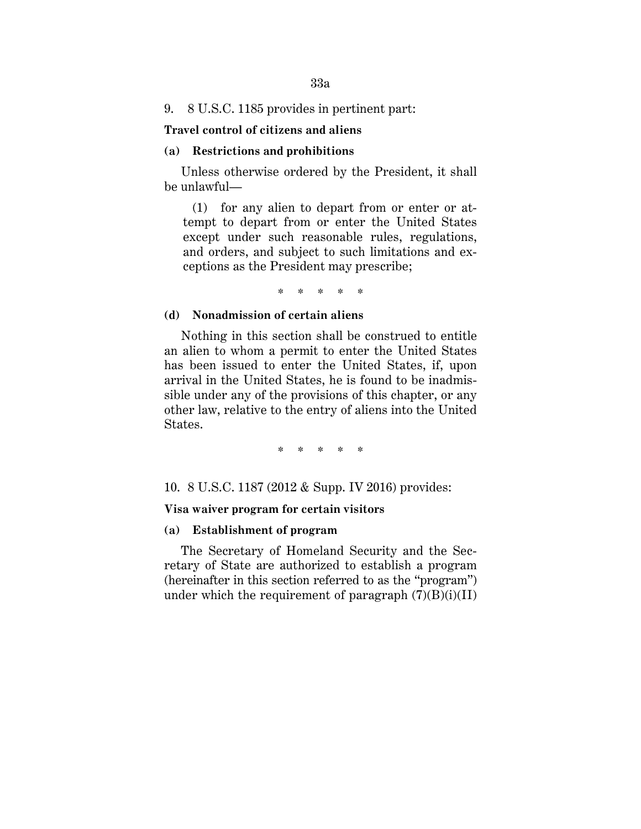33a

## 9. 8 U.S.C. 1185 provides in pertinent part:

#### **Travel control of citizens and aliens**

# **(a) Restrictions and prohibitions**

Unless otherwise ordered by the President, it shall be unlawful—

(1) for any alien to depart from or enter or attempt to depart from or enter the United States except under such reasonable rules, regulations, and orders, and subject to such limitations and exceptions as the President may prescribe;

\* \* \* \* \*

#### **(d) Nonadmission of certain aliens**

Nothing in this section shall be construed to entitle an alien to whom a permit to enter the United States has been issued to enter the United States, if, upon arrival in the United States, he is found to be inadmissible under any of the provisions of this chapter, or any other law, relative to the entry of aliens into the United States.

\* \* \* \* \*

10. 8 U.S.C. 1187 (2012 & Supp. IV 2016) provides:

### **Visa waiver program for certain visitors**

## **(a) Establishment of program**

The Secretary of Homeland Security and the Secretary of State are authorized to establish a program (hereinafter in this section referred to as the "program") under which the requirement of paragraph  $(7)(B)(i)(II)$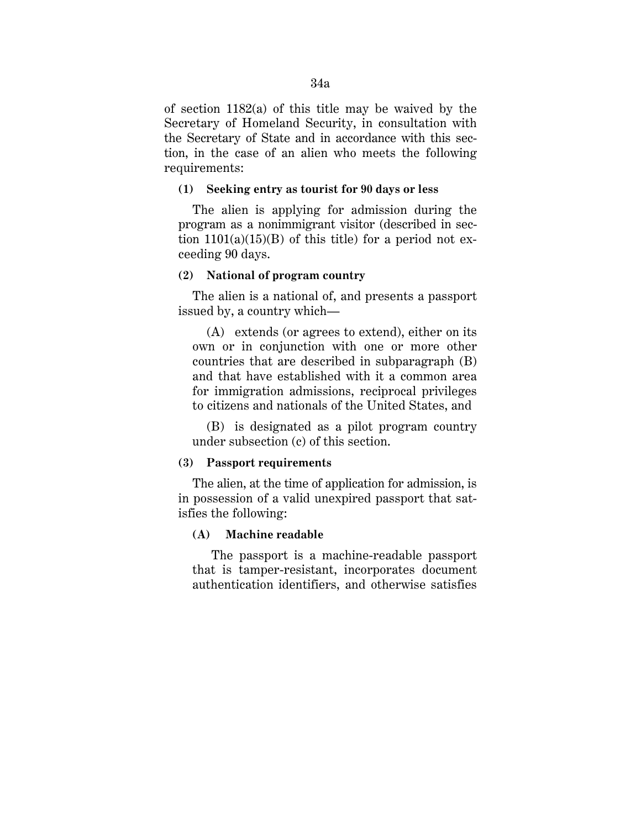of section 1182(a) of this title may be waived by the Secretary of Homeland Security, in consultation with the Secretary of State and in accordance with this section, in the case of an alien who meets the following requirements:

### **(1) Seeking entry as tourist for 90 days or less**

The alien is applying for admission during the program as a nonimmigrant visitor (described in section  $1101(a)(15)(B)$  of this title) for a period not exceeding 90 days.

### **(2) National of program country**

The alien is a national of, and presents a passport issued by, a country which—

(A) extends (or agrees to extend), either on its own or in conjunction with one or more other countries that are described in subparagraph (B) and that have established with it a common area for immigration admissions, reciprocal privileges to citizens and nationals of the United States, and

(B) is designated as a pilot program country under subsection (c) of this section.

#### **(3) Passport requirements**

The alien, at the time of application for admission, is in possession of a valid unexpired passport that satisfies the following:

### **(A) Machine readable**

The passport is a machine-readable passport that is tamper-resistant, incorporates document authentication identifiers, and otherwise satisfies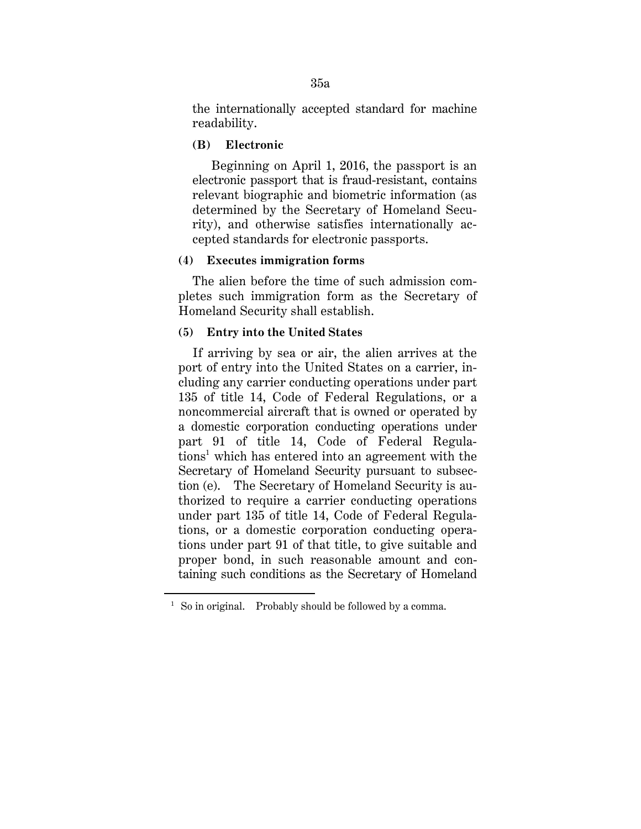the internationally accepted standard for machine readability.

# **(B) Electronic**

Beginning on April 1, 2016, the passport is an electronic passport that is fraud-resistant, contains relevant biographic and biometric information (as determined by the Secretary of Homeland Security), and otherwise satisfies internationally accepted standards for electronic passports.

### **(4) Executes immigration forms**

The alien before the time of such admission completes such immigration form as the Secretary of Homeland Security shall establish.

### **(5) Entry into the United States**

If arriving by sea or air, the alien arrives at the port of entry into the United States on a carrier, including any carrier conducting operations under part 135 of title 14, Code of Federal Regulations, or a noncommercial aircraft that is owned or operated by a domestic corporation conducting operations under part 91 of title 14, Code of Federal Regulations<sup>1</sup> which has entered into an agreement with the Secretary of Homeland Security pursuant to subsection (e). The Secretary of Homeland Security is authorized to require a carrier conducting operations under part 135 of title 14, Code of Federal Regulations, or a domestic corporation conducting operations under part 91 of that title, to give suitable and proper bond, in such reasonable amount and containing such conditions as the Secretary of Homeland

<u>.</u>

<sup>&</sup>lt;sup>1</sup> So in original. Probably should be followed by a comma.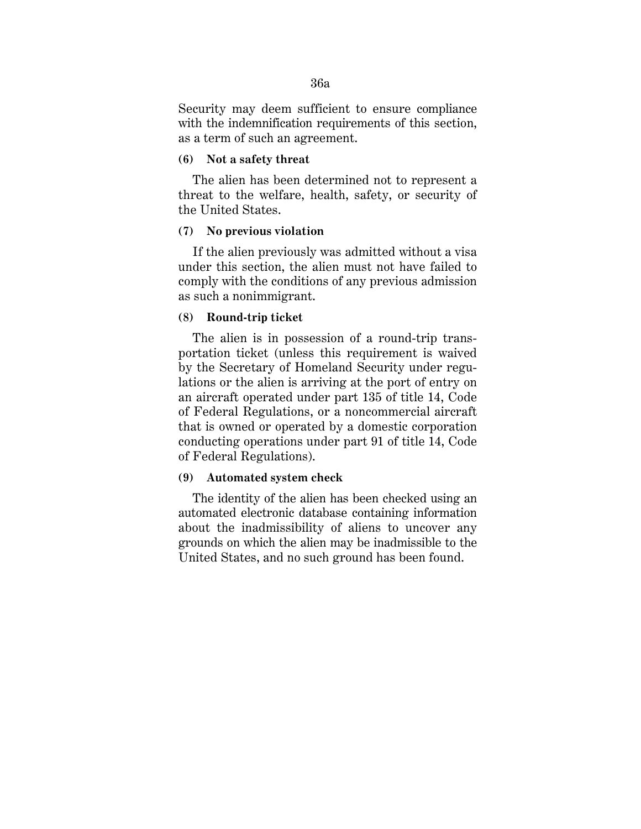Security may deem sufficient to ensure compliance with the indemnification requirements of this section, as a term of such an agreement.

#### **(6) Not a safety threat**

The alien has been determined not to represent a threat to the welfare, health, safety, or security of the United States.

## **(7) No previous violation**

If the alien previously was admitted without a visa under this section, the alien must not have failed to comply with the conditions of any previous admission as such a nonimmigrant.

#### **(8) Round-trip ticket**

The alien is in possession of a round-trip transportation ticket (unless this requirement is waived by the Secretary of Homeland Security under regulations or the alien is arriving at the port of entry on an aircraft operated under part 135 of title 14, Code of Federal Regulations, or a noncommercial aircraft that is owned or operated by a domestic corporation conducting operations under part 91 of title 14, Code of Federal Regulations).

# **(9) Automated system check**

The identity of the alien has been checked using an automated electronic database containing information about the inadmissibility of aliens to uncover any grounds on which the alien may be inadmissible to the United States, and no such ground has been found.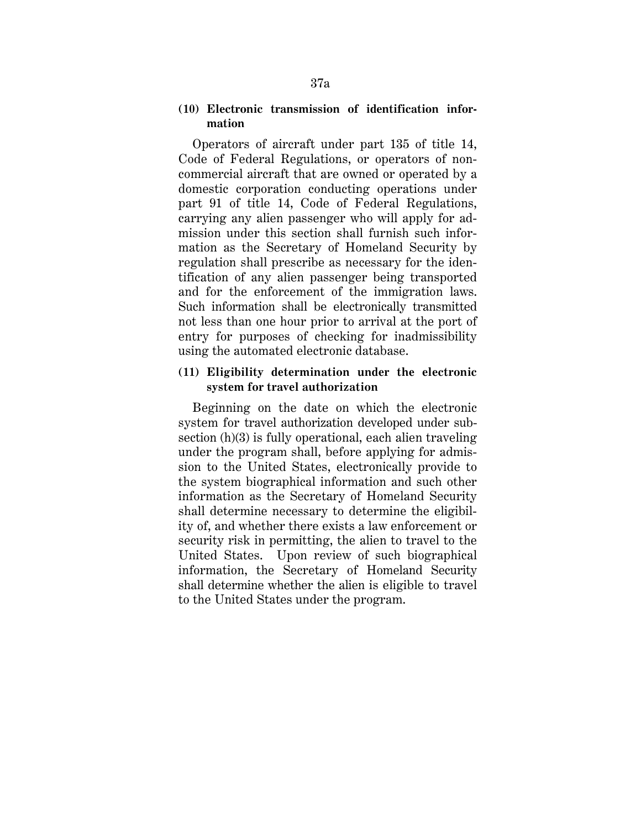# **(10) Electronic transmission of identification information**

Operators of aircraft under part 135 of title 14, Code of Federal Regulations, or operators of noncommercial aircraft that are owned or operated by a domestic corporation conducting operations under part 91 of title 14, Code of Federal Regulations, carrying any alien passenger who will apply for admission under this section shall furnish such information as the Secretary of Homeland Security by regulation shall prescribe as necessary for the identification of any alien passenger being transported and for the enforcement of the immigration laws. Such information shall be electronically transmitted not less than one hour prior to arrival at the port of entry for purposes of checking for inadmissibility using the automated electronic database.

# **(11) Eligibility determination under the electronic system for travel authorization**

Beginning on the date on which the electronic system for travel authorization developed under subsection (h)(3) is fully operational, each alien traveling under the program shall, before applying for admission to the United States, electronically provide to the system biographical information and such other information as the Secretary of Homeland Security shall determine necessary to determine the eligibility of, and whether there exists a law enforcement or security risk in permitting, the alien to travel to the United States. Upon review of such biographical information, the Secretary of Homeland Security shall determine whether the alien is eligible to travel to the United States under the program.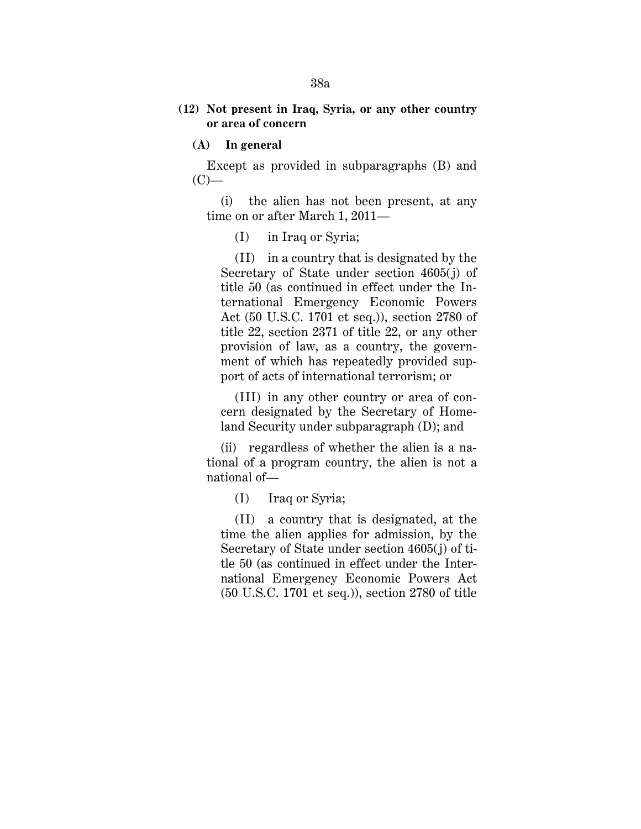# **(12) Not present in Iraq, Syria, or any other country or area of concern**

**(A) In general**

Except as provided in subparagraphs (B) and  $(C)$ —

(i) the alien has not been present, at any time on or after March 1, 2011—

(I) in Iraq or Syria;

(II) in a country that is designated by the Secretary of State under section 4605(j) of title 50 (as continued in effect under the International Emergency Economic Powers Act (50 U.S.C. 1701 et seq.)), section 2780 of title 22, section 2371 of title 22, or any other provision of law, as a country, the government of which has repeatedly provided support of acts of international terrorism; or

(III) in any other country or area of concern designated by the Secretary of Homeland Security under subparagraph (D); and

(ii) regardless of whether the alien is a national of a program country, the alien is not a national of—

(I) Iraq or Syria;

(II) a country that is designated, at the time the alien applies for admission, by the Secretary of State under section 4605(j) of title 50 (as continued in effect under the International Emergency Economic Powers Act (50 U.S.C. 1701 et seq.)), section 2780 of title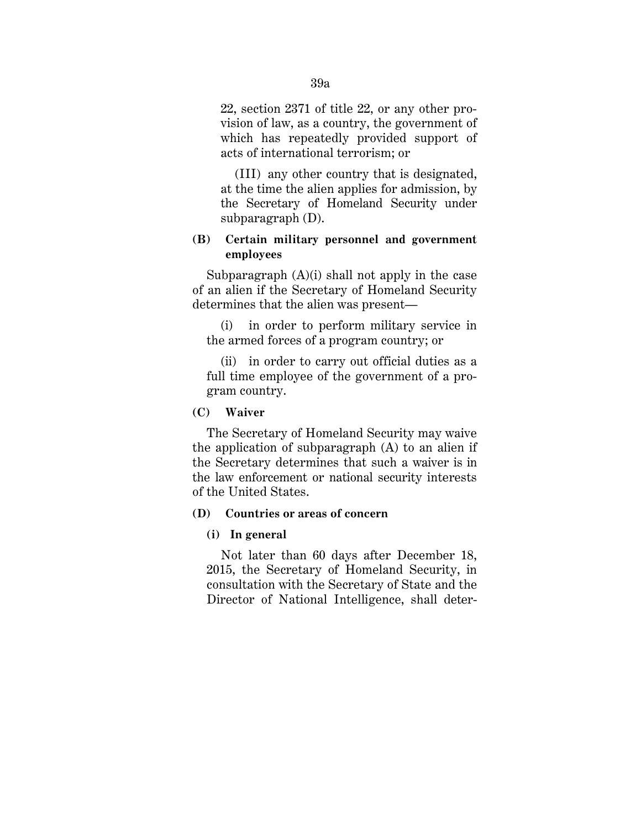22, section 2371 of title 22, or any other provision of law, as a country, the government of which has repeatedly provided support of acts of international terrorism; or

(III) any other country that is designated, at the time the alien applies for admission, by the Secretary of Homeland Security under subparagraph (D).

# **(B) Certain military personnel and government employees**

Subparagraph (A)(i) shall not apply in the case of an alien if the Secretary of Homeland Security determines that the alien was present—

(i) in order to perform military service in the armed forces of a program country; or

(ii) in order to carry out official duties as a full time employee of the government of a program country.

**(C) Waiver**

The Secretary of Homeland Security may waive the application of subparagraph (A) to an alien if the Secretary determines that such a waiver is in the law enforcement or national security interests of the United States.

# **(D) Countries or areas of concern**

#### **(i) In general**

Not later than 60 days after December 18, 2015, the Secretary of Homeland Security, in consultation with the Secretary of State and the Director of National Intelligence, shall deter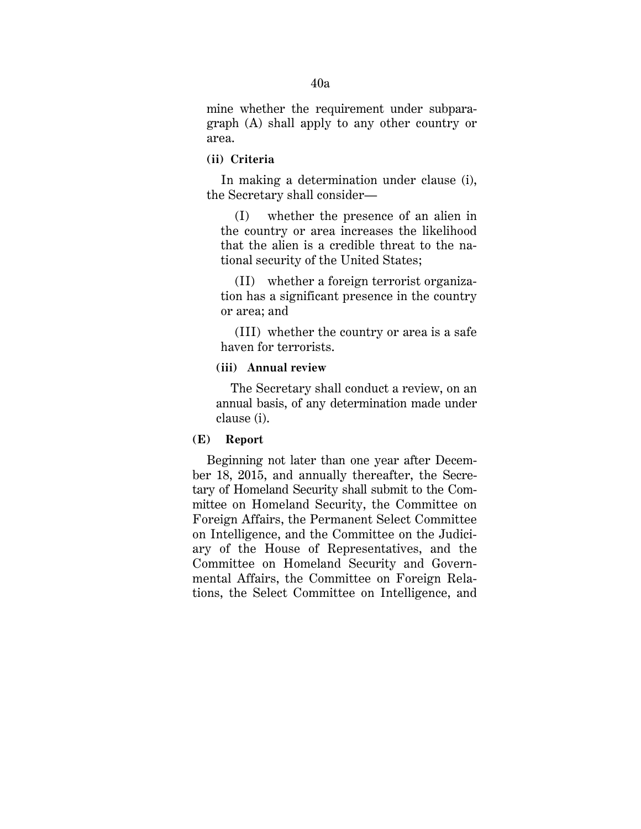mine whether the requirement under subparagraph (A) shall apply to any other country or area.

# **(ii) Criteria**

In making a determination under clause (i), the Secretary shall consider—

(I) whether the presence of an alien in the country or area increases the likelihood that the alien is a credible threat to the national security of the United States;

(II) whether a foreign terrorist organization has a significant presence in the country or area; and

(III) whether the country or area is a safe haven for terrorists.

# **(iii) Annual review**

The Secretary shall conduct a review, on an annual basis, of any determination made under clause (i).

# **(E) Report**

Beginning not later than one year after December 18, 2015, and annually thereafter, the Secretary of Homeland Security shall submit to the Committee on Homeland Security, the Committee on Foreign Affairs, the Permanent Select Committee on Intelligence, and the Committee on the Judiciary of the House of Representatives, and the Committee on Homeland Security and Governmental Affairs, the Committee on Foreign Relations, the Select Committee on Intelligence, and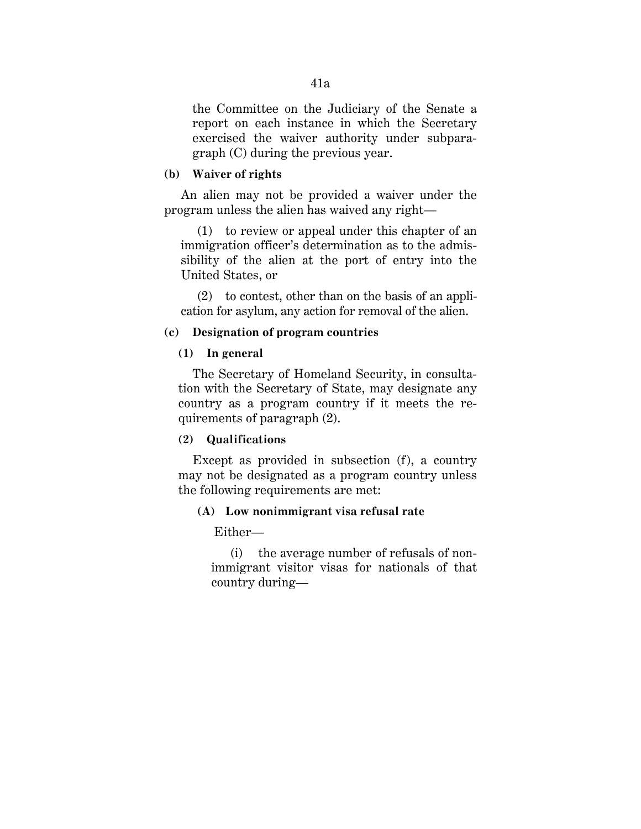the Committee on the Judiciary of the Senate a report on each instance in which the Secretary exercised the waiver authority under subparagraph (C) during the previous year.

### **(b) Waiver of rights**

An alien may not be provided a waiver under the program unless the alien has waived any right—

(1) to review or appeal under this chapter of an immigration officer's determination as to the admissibility of the alien at the port of entry into the United States, or

(2) to contest, other than on the basis of an application for asylum, any action for removal of the alien.

#### **(c) Designation of program countries**

### **(1) In general**

The Secretary of Homeland Security, in consultation with the Secretary of State, may designate any country as a program country if it meets the requirements of paragraph (2).

## **(2) Qualifications**

Except as provided in subsection (f), a country may not be designated as a program country unless the following requirements are met:

#### **(A) Low nonimmigrant visa refusal rate**

Either—

(i) the average number of refusals of nonimmigrant visitor visas for nationals of that country during—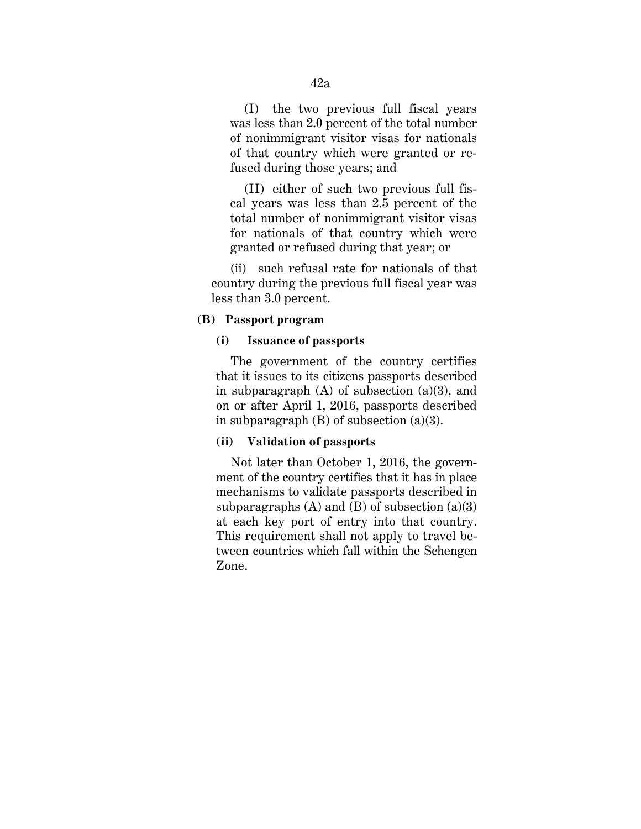(I) the two previous full fiscal years was less than 2.0 percent of the total number of nonimmigrant visitor visas for nationals of that country which were granted or refused during those years; and

(II) either of such two previous full fiscal years was less than 2.5 percent of the total number of nonimmigrant visitor visas for nationals of that country which were granted or refused during that year; or

(ii) such refusal rate for nationals of that country during the previous full fiscal year was less than 3.0 percent.

#### **(B) Passport program**

# **(i) Issuance of passports**

The government of the country certifies that it issues to its citizens passports described in subparagraph  $(A)$  of subsection  $(a)(3)$ , and on or after April 1, 2016, passports described in subparagraph (B) of subsection (a)(3).

# **(ii) Validation of passports**

Not later than October 1, 2016, the government of the country certifies that it has in place mechanisms to validate passports described in subparagraphs  $(A)$  and  $(B)$  of subsection  $(a)(3)$ at each key port of entry into that country. This requirement shall not apply to travel between countries which fall within the Schengen Zone.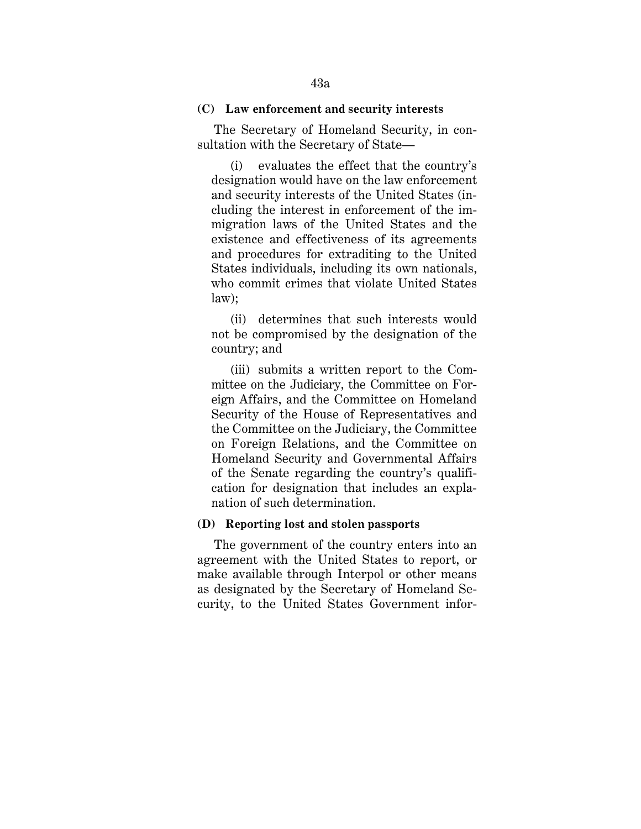### **(C) Law enforcement and security interests**

The Secretary of Homeland Security, in consultation with the Secretary of State—

(i) evaluates the effect that the country's designation would have on the law enforcement and security interests of the United States (including the interest in enforcement of the immigration laws of the United States and the existence and effectiveness of its agreements and procedures for extraditing to the United States individuals, including its own nationals, who commit crimes that violate United States law);

(ii) determines that such interests would not be compromised by the designation of the country; and

(iii) submits a written report to the Committee on the Judiciary, the Committee on Foreign Affairs, and the Committee on Homeland Security of the House of Representatives and the Committee on the Judiciary, the Committee on Foreign Relations, and the Committee on Homeland Security and Governmental Affairs of the Senate regarding the country's qualification for designation that includes an explanation of such determination.

# **(D) Reporting lost and stolen passports**

 The government of the country enters into an agreement with the United States to report, or make available through Interpol or other means as designated by the Secretary of Homeland Security, to the United States Government infor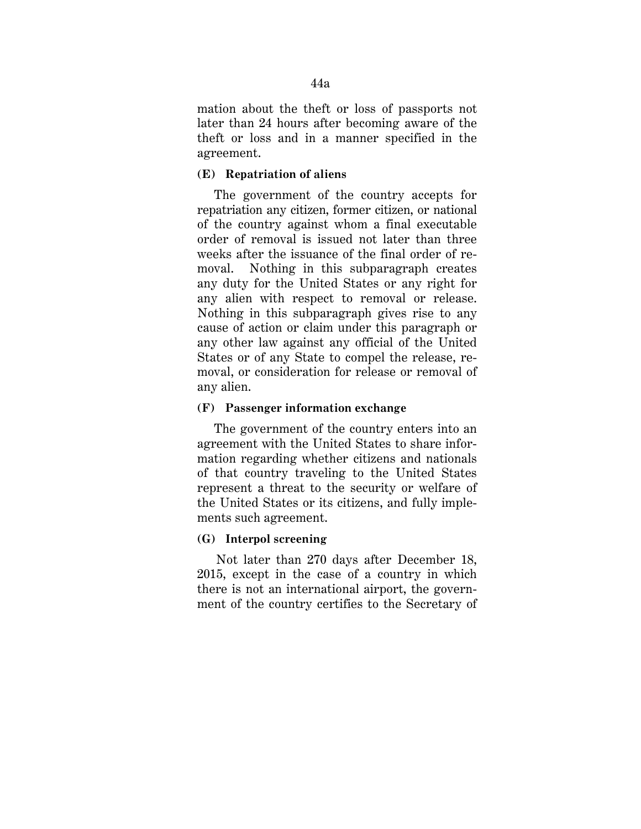mation about the theft or loss of passports not later than 24 hours after becoming aware of the theft or loss and in a manner specified in the agreement.

# **(E) Repatriation of aliens**

 The government of the country accepts for repatriation any citizen, former citizen, or national of the country against whom a final executable order of removal is issued not later than three weeks after the issuance of the final order of removal. Nothing in this subparagraph creates any duty for the United States or any right for any alien with respect to removal or release. Nothing in this subparagraph gives rise to any cause of action or claim under this paragraph or any other law against any official of the United States or of any State to compel the release, removal, or consideration for release or removal of any alien.

# **(F) Passenger information exchange**

The government of the country enters into an agreement with the United States to share information regarding whether citizens and nationals of that country traveling to the United States represent a threat to the security or welfare of the United States or its citizens, and fully implements such agreement.

# **(G) Interpol screening**

Not later than 270 days after December 18, 2015, except in the case of a country in which there is not an international airport, the government of the country certifies to the Secretary of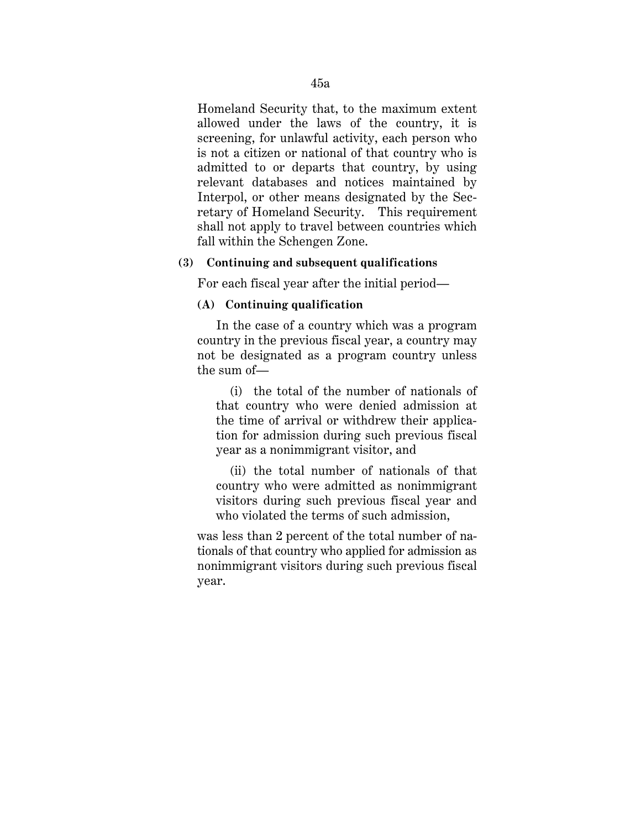Homeland Security that, to the maximum extent allowed under the laws of the country, it is screening, for unlawful activity, each person who is not a citizen or national of that country who is admitted to or departs that country, by using relevant databases and notices maintained by Interpol, or other means designated by the Secretary of Homeland Security. This requirement shall not apply to travel between countries which fall within the Schengen Zone.

### **(3) Continuing and subsequent qualifications**

For each fiscal year after the initial period—

# **(A) Continuing qualification**

In the case of a country which was a program country in the previous fiscal year, a country may not be designated as a program country unless the sum of—

(i) the total of the number of nationals of that country who were denied admission at the time of arrival or withdrew their application for admission during such previous fiscal year as a nonimmigrant visitor, and

(ii) the total number of nationals of that country who were admitted as nonimmigrant visitors during such previous fiscal year and who violated the terms of such admission,

was less than 2 percent of the total number of nationals of that country who applied for admission as nonimmigrant visitors during such previous fiscal year.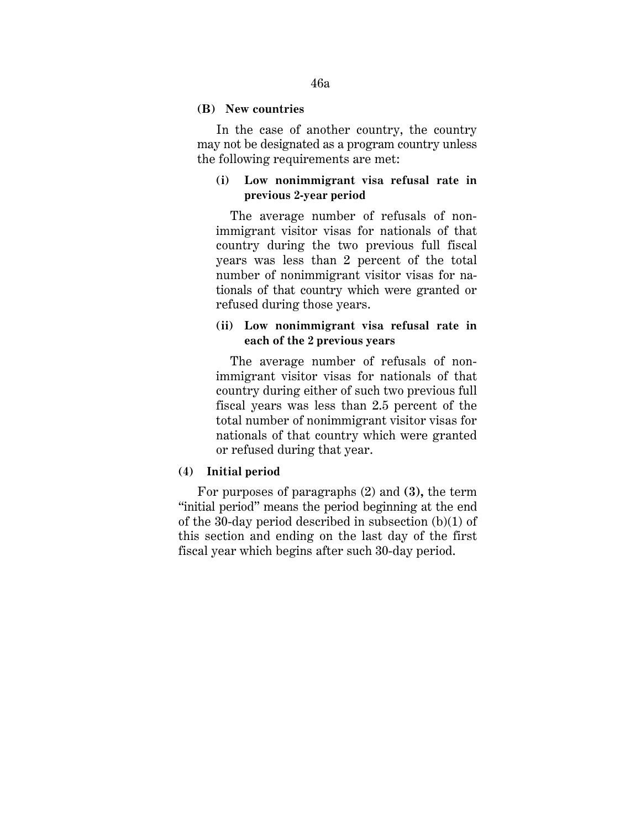### **(B) New countries**

In the case of another country, the country may not be designated as a program country unless the following requirements are met:

# **(i) Low nonimmigrant visa refusal rate in previous 2-year period**

The average number of refusals of nonimmigrant visitor visas for nationals of that country during the two previous full fiscal years was less than 2 percent of the total number of nonimmigrant visitor visas for nationals of that country which were granted or refused during those years.

# **(ii) Low nonimmigrant visa refusal rate in each of the 2 previous years**

The average number of refusals of nonimmigrant visitor visas for nationals of that country during either of such two previous full fiscal years was less than 2.5 percent of the total number of nonimmigrant visitor visas for nationals of that country which were granted or refused during that year.

# **(4) Initial period**

For purposes of paragraphs (2) and **(3),** the term "initial period" means the period beginning at the end of the 30-day period described in subsection (b)(1) of this section and ending on the last day of the first fiscal year which begins after such 30-day period.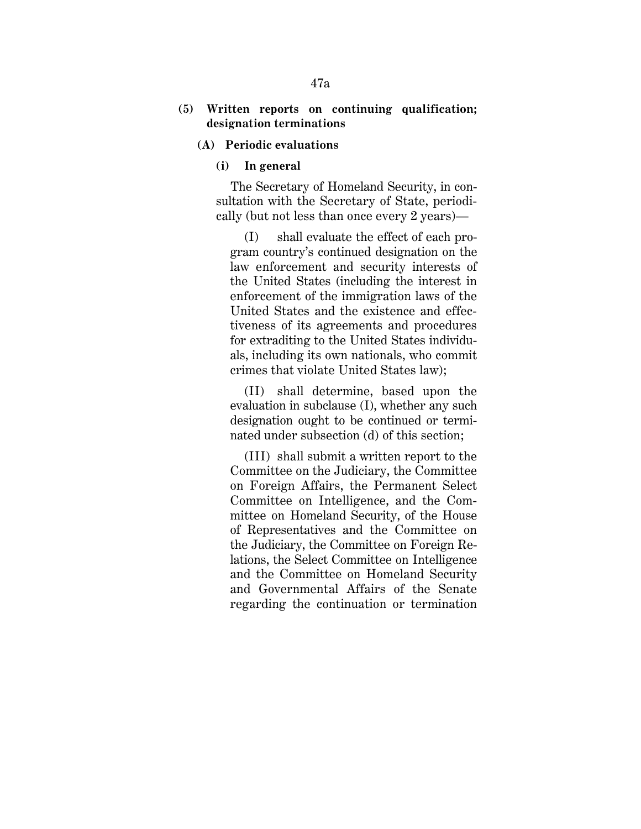# **(5) Written reports on continuing qualification; designation terminations**

- **(A) Periodic evaluations**
	- **(i) In general**

The Secretary of Homeland Security, in consultation with the Secretary of State, periodically (but not less than once every 2 years)—

(I) shall evaluate the effect of each program country's continued designation on the law enforcement and security interests of the United States (including the interest in enforcement of the immigration laws of the United States and the existence and effectiveness of its agreements and procedures for extraditing to the United States individuals, including its own nationals, who commit crimes that violate United States law);

(II) shall determine, based upon the evaluation in subclause (I), whether any such designation ought to be continued or terminated under subsection (d) of this section;

(III) shall submit a written report to the Committee on the Judiciary, the Committee on Foreign Affairs, the Permanent Select Committee on Intelligence, and the Committee on Homeland Security, of the House of Representatives and the Committee on the Judiciary, the Committee on Foreign Relations, the Select Committee on Intelligence and the Committee on Homeland Security and Governmental Affairs of the Senate regarding the continuation or termination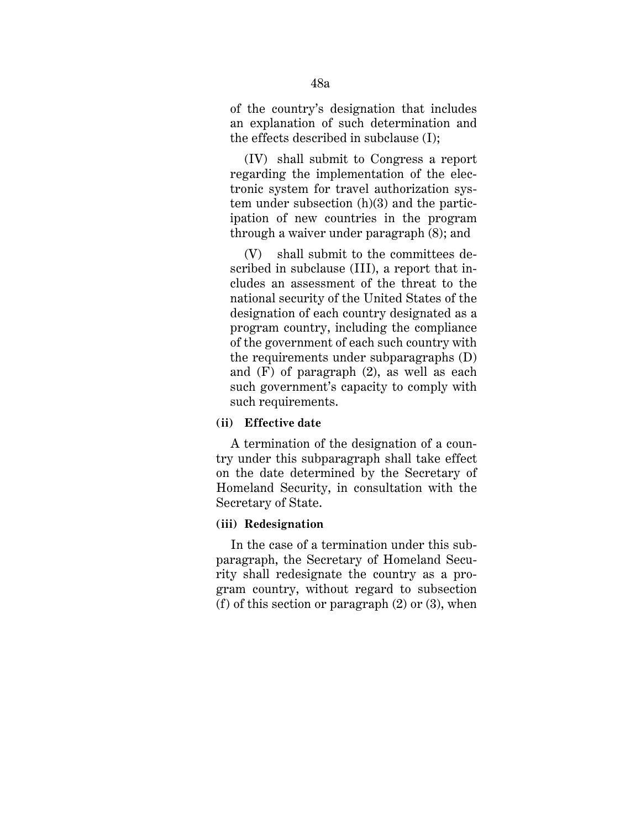of the country's designation that includes an explanation of such determination and the effects described in subclause (I);

(IV) shall submit to Congress a report regarding the implementation of the electronic system for travel authorization system under subsection (h)(3) and the participation of new countries in the program through a waiver under paragraph (8); and

(V) shall submit to the committees described in subclause (III), a report that includes an assessment of the threat to the national security of the United States of the designation of each country designated as a program country, including the compliance of the government of each such country with the requirements under subparagraphs (D) and (F) of paragraph (2), as well as each such government's capacity to comply with such requirements.

# **(ii) Effective date**

A termination of the designation of a country under this subparagraph shall take effect on the date determined by the Secretary of Homeland Security, in consultation with the Secretary of State.

#### **(iii) Redesignation**

In the case of a termination under this subparagraph, the Secretary of Homeland Security shall redesignate the country as a program country, without regard to subsection (f) of this section or paragraph (2) or (3), when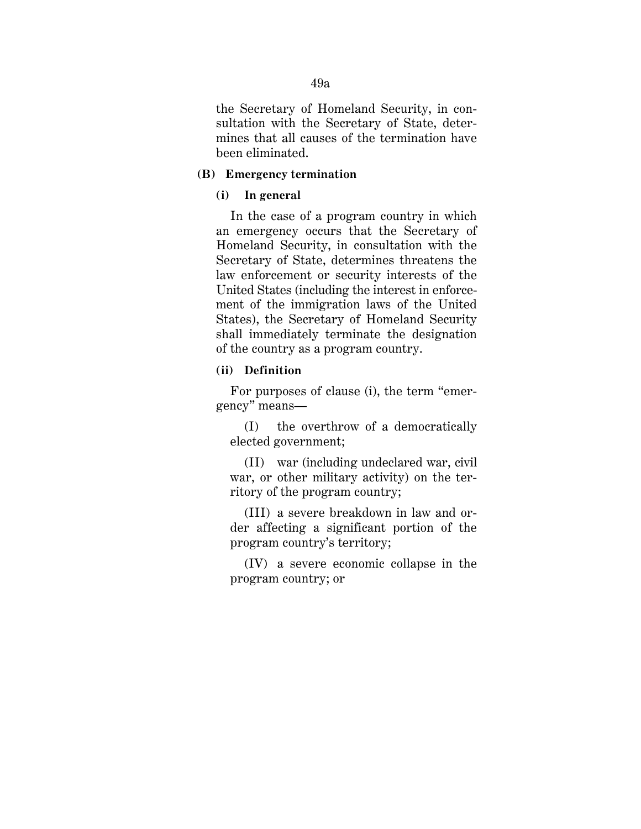the Secretary of Homeland Security, in consultation with the Secretary of State, determines that all causes of the termination have been eliminated.

#### **(B) Emergency termination**

#### **(i) In general**

In the case of a program country in which an emergency occurs that the Secretary of Homeland Security, in consultation with the Secretary of State, determines threatens the law enforcement or security interests of the United States (including the interest in enforcement of the immigration laws of the United States), the Secretary of Homeland Security shall immediately terminate the designation of the country as a program country.

## **(ii) Definition**

For purposes of clause (i), the term "emergency" means—

(I) the overthrow of a democratically elected government;

(II) war (including undeclared war, civil war, or other military activity) on the territory of the program country;

(III) a severe breakdown in law and order affecting a significant portion of the program country's territory;

(IV) a severe economic collapse in the program country; or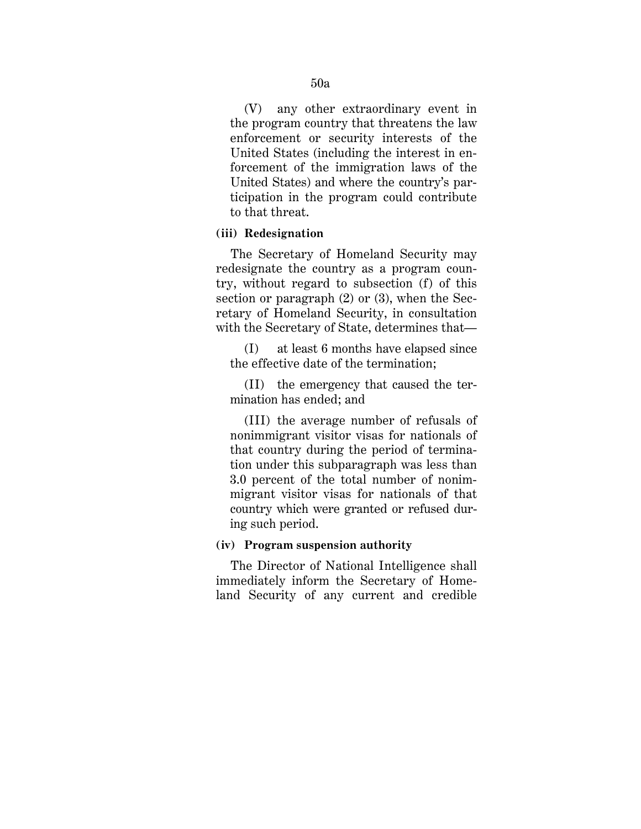(V) any other extraordinary event in the program country that threatens the law enforcement or security interests of the United States (including the interest in enforcement of the immigration laws of the United States) and where the country's participation in the program could contribute to that threat.

## **(iii) Redesignation**

The Secretary of Homeland Security may redesignate the country as a program country, without regard to subsection (f) of this section or paragraph (2) or (3), when the Secretary of Homeland Security, in consultation with the Secretary of State, determines that—

(I) at least 6 months have elapsed since the effective date of the termination;

(II) the emergency that caused the termination has ended; and

(III) the average number of refusals of nonimmigrant visitor visas for nationals of that country during the period of termination under this subparagraph was less than 3.0 percent of the total number of nonimmigrant visitor visas for nationals of that country which were granted or refused during such period.

#### **(iv) Program suspension authority**

The Director of National Intelligence shall immediately inform the Secretary of Homeland Security of any current and credible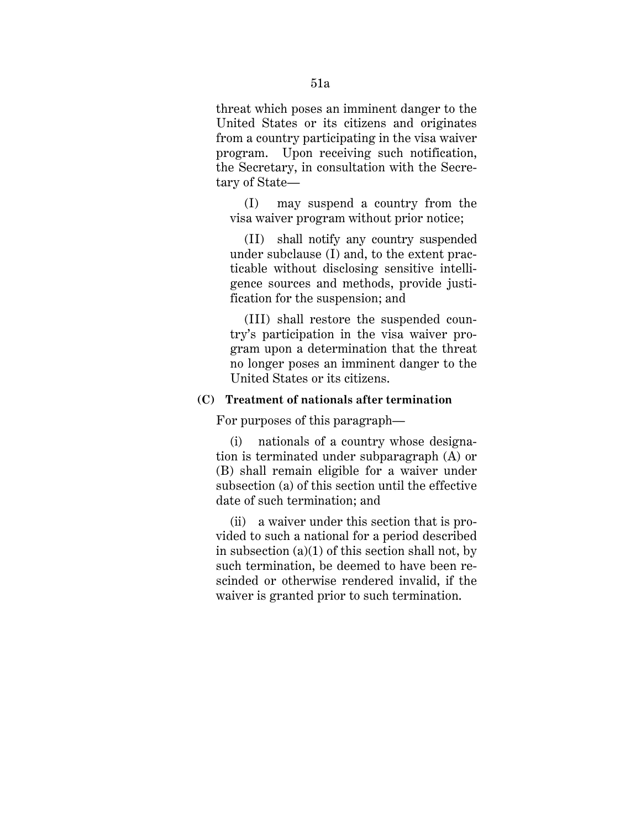threat which poses an imminent danger to the United States or its citizens and originates from a country participating in the visa waiver program. Upon receiving such notification, the Secretary, in consultation with the Secretary of State—

(I) may suspend a country from the visa waiver program without prior notice;

(II) shall notify any country suspended under subclause (I) and, to the extent practicable without disclosing sensitive intelligence sources and methods, provide justification for the suspension; and

(III) shall restore the suspended country's participation in the visa waiver program upon a determination that the threat no longer poses an imminent danger to the United States or its citizens.

# **(C) Treatment of nationals after termination**

For purposes of this paragraph—

(i) nationals of a country whose designation is terminated under subparagraph (A) or (B) shall remain eligible for a waiver under subsection (a) of this section until the effective date of such termination; and

(ii) a waiver under this section that is provided to such a national for a period described in subsection  $(a)(1)$  of this section shall not, by such termination, be deemed to have been rescinded or otherwise rendered invalid, if the waiver is granted prior to such termination.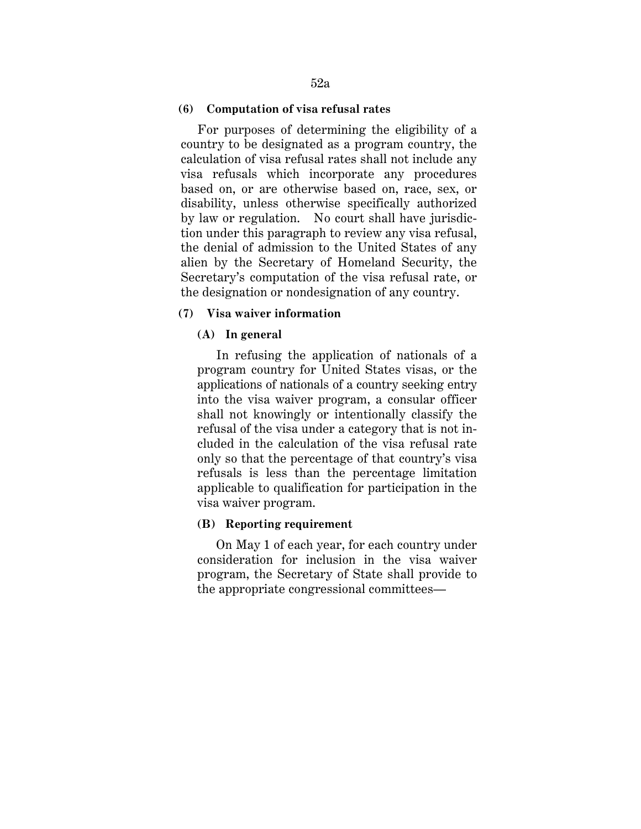#### **(6) Computation of visa refusal rates**

For purposes of determining the eligibility of a country to be designated as a program country, the calculation of visa refusal rates shall not include any visa refusals which incorporate any procedures based on, or are otherwise based on, race, sex, or disability, unless otherwise specifically authorized by law or regulation. No court shall have jurisdiction under this paragraph to review any visa refusal, the denial of admission to the United States of any alien by the Secretary of Homeland Security, the Secretary's computation of the visa refusal rate, or the designation or nondesignation of any country.

#### **(7) Visa waiver information**

#### **(A) In general**

In refusing the application of nationals of a program country for United States visas, or the applications of nationals of a country seeking entry into the visa waiver program, a consular officer shall not knowingly or intentionally classify the refusal of the visa under a category that is not included in the calculation of the visa refusal rate only so that the percentage of that country's visa refusals is less than the percentage limitation applicable to qualification for participation in the visa waiver program.

#### **(B) Reporting requirement**

On May 1 of each year, for each country under consideration for inclusion in the visa waiver program, the Secretary of State shall provide to the appropriate congressional committees—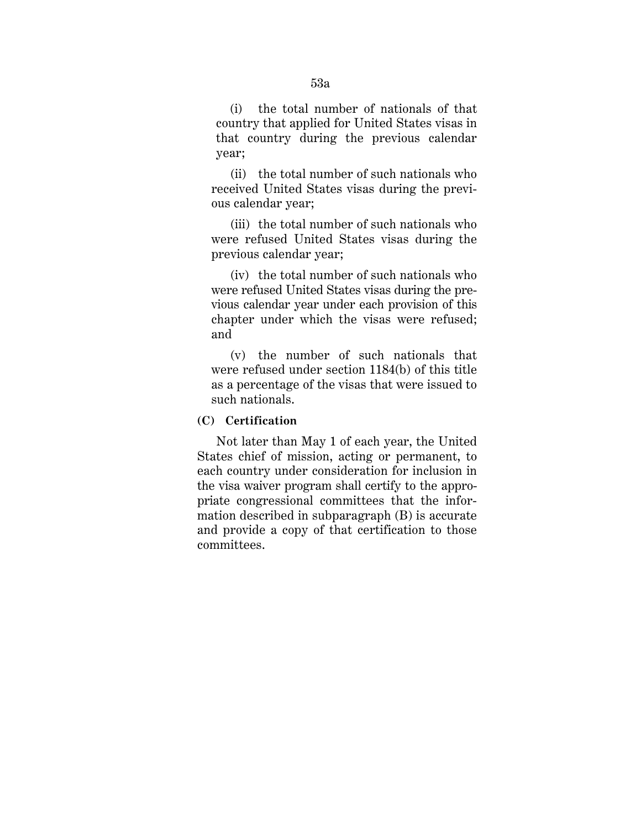(i) the total number of nationals of that country that applied for United States visas in that country during the previous calendar year;

(ii) the total number of such nationals who received United States visas during the previous calendar year;

(iii) the total number of such nationals who were refused United States visas during the previous calendar year;

(iv) the total number of such nationals who were refused United States visas during the previous calendar year under each provision of this chapter under which the visas were refused; and

(v) the number of such nationals that were refused under section 1184(b) of this title as a percentage of the visas that were issued to such nationals.

### **(C) Certification**

Not later than May 1 of each year, the United States chief of mission, acting or permanent, to each country under consideration for inclusion in the visa waiver program shall certify to the appropriate congressional committees that the information described in subparagraph (B) is accurate and provide a copy of that certification to those committees.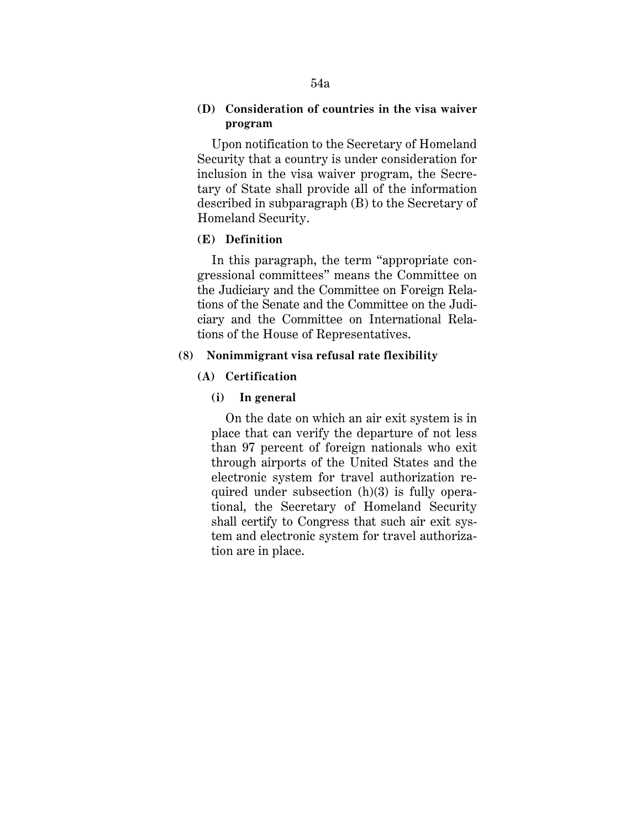# **(D) Consideration of countries in the visa waiver program**

Upon notification to the Secretary of Homeland Security that a country is under consideration for inclusion in the visa waiver program, the Secretary of State shall provide all of the information described in subparagraph (B) to the Secretary of Homeland Security.

# **(E) Definition**

In this paragraph, the term "appropriate congressional committees" means the Committee on the Judiciary and the Committee on Foreign Relations of the Senate and the Committee on the Judiciary and the Committee on International Relations of the House of Representatives.

# **(8) Nonimmigrant visa refusal rate flexibility**

# **(A) Certification**

# **(i) In general**

On the date on which an air exit system is in place that can verify the departure of not less than 97 percent of foreign nationals who exit through airports of the United States and the electronic system for travel authorization required under subsection (h)(3) is fully operational, the Secretary of Homeland Security shall certify to Congress that such air exit system and electronic system for travel authorization are in place.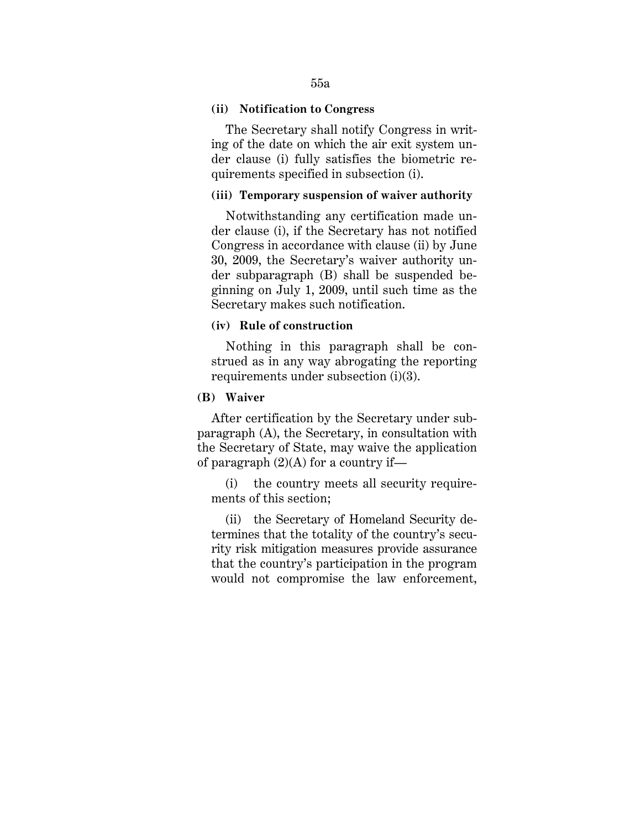#### **(ii) Notification to Congress**

The Secretary shall notify Congress in writing of the date on which the air exit system under clause (i) fully satisfies the biometric requirements specified in subsection (i).

# **(iii) Temporary suspension of waiver authority**

Notwithstanding any certification made under clause (i), if the Secretary has not notified Congress in accordance with clause (ii) by June 30, 2009, the Secretary's waiver authority under subparagraph (B) shall be suspended beginning on July 1, 2009, until such time as the Secretary makes such notification.

#### **(iv) Rule of construction**

Nothing in this paragraph shall be construed as in any way abrogating the reporting requirements under subsection (i)(3).

#### **(B) Waiver**

After certification by the Secretary under subparagraph (A), the Secretary, in consultation with the Secretary of State, may waive the application of paragraph  $(2)(A)$  for a country if—

(i) the country meets all security requirements of this section;

(ii) the Secretary of Homeland Security determines that the totality of the country's security risk mitigation measures provide assurance that the country's participation in the program would not compromise the law enforcement,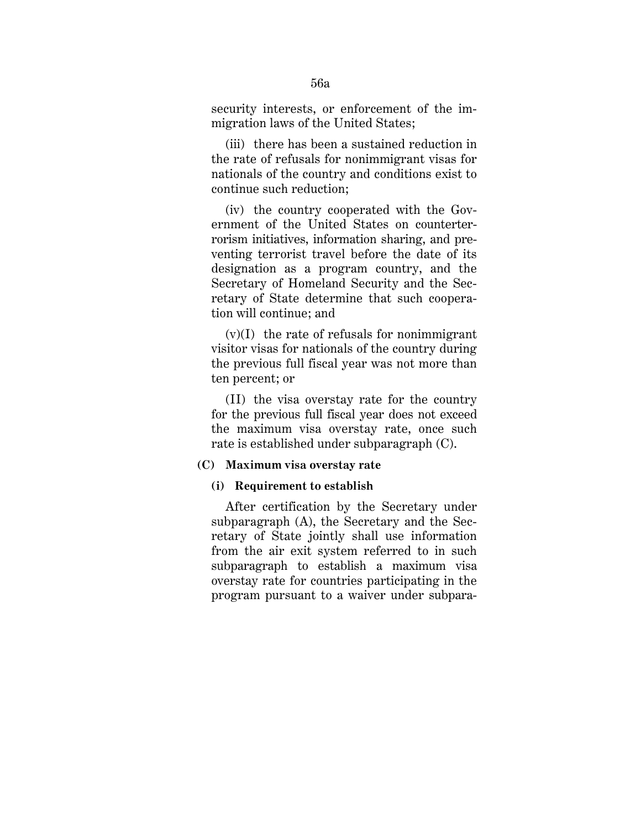security interests, or enforcement of the immigration laws of the United States;

(iii) there has been a sustained reduction in the rate of refusals for nonimmigrant visas for nationals of the country and conditions exist to continue such reduction;

(iv) the country cooperated with the Government of the United States on counterterrorism initiatives, information sharing, and preventing terrorist travel before the date of its designation as a program country, and the Secretary of Homeland Security and the Secretary of State determine that such cooperation will continue; and

 $(v)(I)$  the rate of refusals for nonimmigrant visitor visas for nationals of the country during the previous full fiscal year was not more than ten percent; or

(II) the visa overstay rate for the country for the previous full fiscal year does not exceed the maximum visa overstay rate, once such rate is established under subparagraph (C).

#### **(C) Maximum visa overstay rate**

#### **(i) Requirement to establish**

After certification by the Secretary under subparagraph (A), the Secretary and the Secretary of State jointly shall use information from the air exit system referred to in such subparagraph to establish a maximum visa overstay rate for countries participating in the program pursuant to a waiver under subpara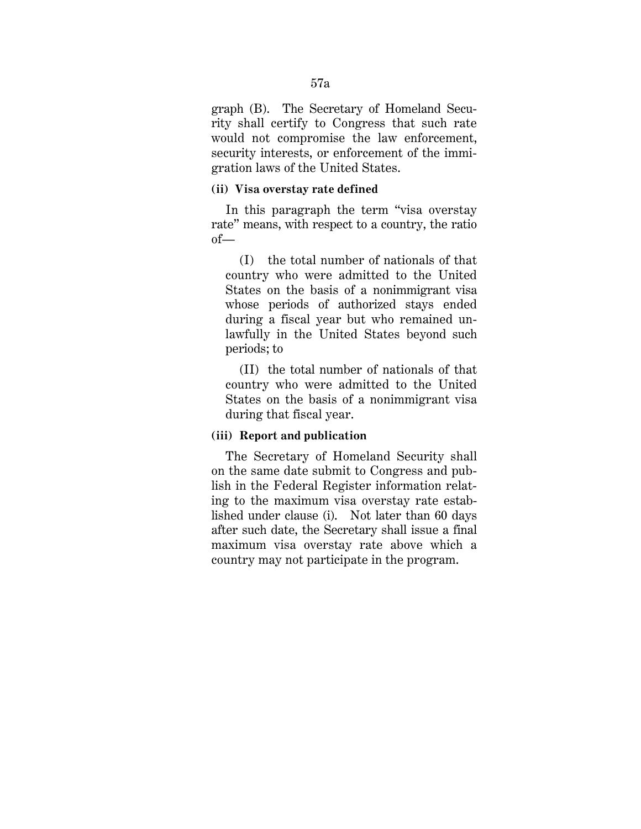graph (B). The Secretary of Homeland Security shall certify to Congress that such rate would not compromise the law enforcement, security interests, or enforcement of the immigration laws of the United States.

## **(ii) Visa overstay rate defined**

In this paragraph the term "visa overstay rate" means, with respect to a country, the ratio of—

(I) the total number of nationals of that country who were admitted to the United States on the basis of a nonimmigrant visa whose periods of authorized stays ended during a fiscal year but who remained unlawfully in the United States beyond such periods; to

(II) the total number of nationals of that country who were admitted to the United States on the basis of a nonimmigrant visa during that fiscal year.

# **(iii) Report and publication**

The Secretary of Homeland Security shall on the same date submit to Congress and publish in the Federal Register information relating to the maximum visa overstay rate established under clause (i). Not later than 60 days after such date, the Secretary shall issue a final maximum visa overstay rate above which a country may not participate in the program.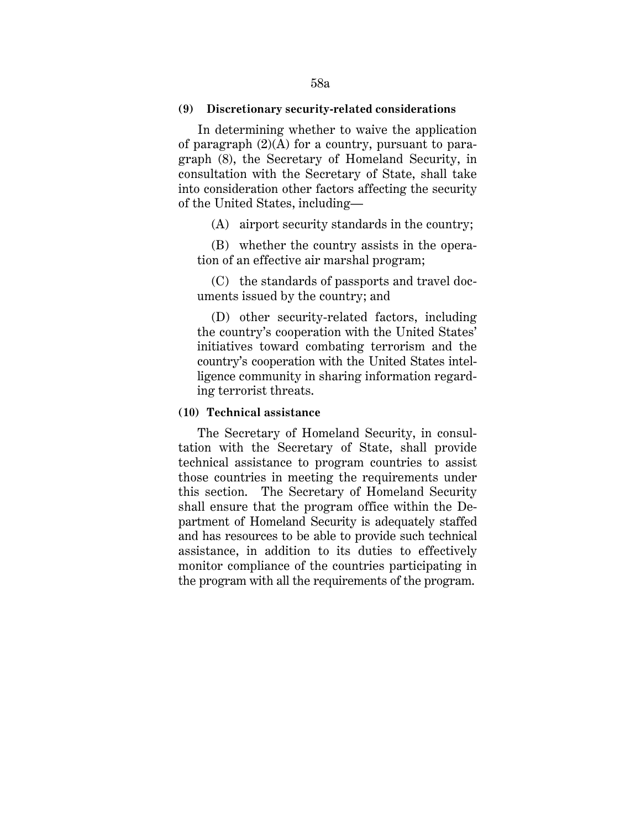#### **(9) Discretionary security-related considerations**

In determining whether to waive the application of paragraph  $(2)(A)$  for a country, pursuant to paragraph (8), the Secretary of Homeland Security, in consultation with the Secretary of State, shall take into consideration other factors affecting the security of the United States, including—

(A) airport security standards in the country;

 (B) whether the country assists in the operation of an effective air marshal program;

 (C) the standards of passports and travel documents issued by the country; and

 (D) other security-related factors, including the country's cooperation with the United States' initiatives toward combating terrorism and the country's cooperation with the United States intelligence community in sharing information regarding terrorist threats.

#### **(10) Technical assistance**

The Secretary of Homeland Security, in consultation with the Secretary of State, shall provide technical assistance to program countries to assist those countries in meeting the requirements under this section. The Secretary of Homeland Security shall ensure that the program office within the Department of Homeland Security is adequately staffed and has resources to be able to provide such technical assistance, in addition to its duties to effectively monitor compliance of the countries participating in the program with all the requirements of the program.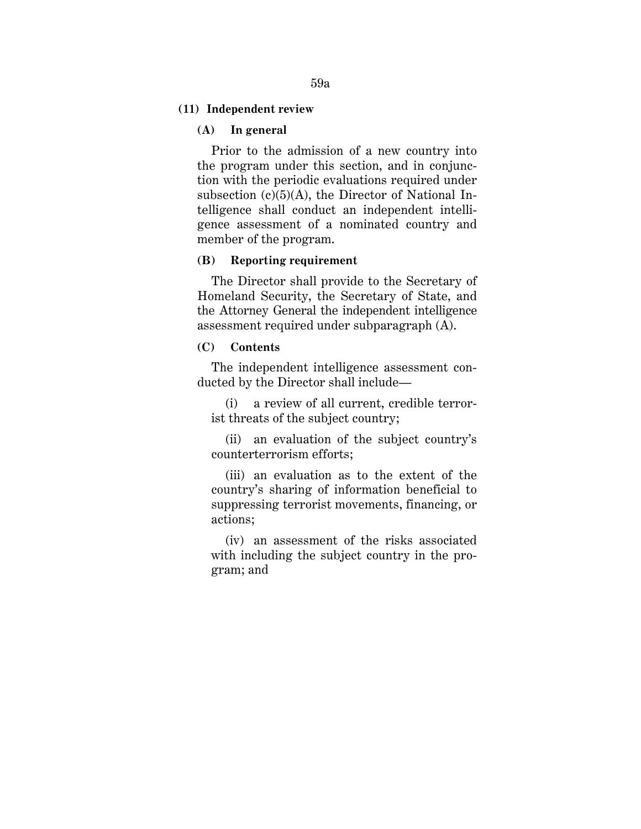# **(11) Independent review**

# **(A) In general**

Prior to the admission of a new country into the program under this section, and in conjunction with the periodic evaluations required under subsection  $(c)(5)(A)$ , the Director of National Intelligence shall conduct an independent intelligence assessment of a nominated country and member of the program.

# **(B) Reporting requirement**

The Director shall provide to the Secretary of Homeland Security, the Secretary of State, and the Attorney General the independent intelligence assessment required under subparagraph (A).

# **(C) Contents**

The independent intelligence assessment conducted by the Director shall include—

(i) a review of all current, credible terrorist threats of the subject country;

(ii) an evaluation of the subject country's counterterrorism efforts;

(iii) an evaluation as to the extent of the country's sharing of information beneficial to suppressing terrorist movements, financing, or actions;

(iv) an assessment of the risks associated with including the subject country in the program; and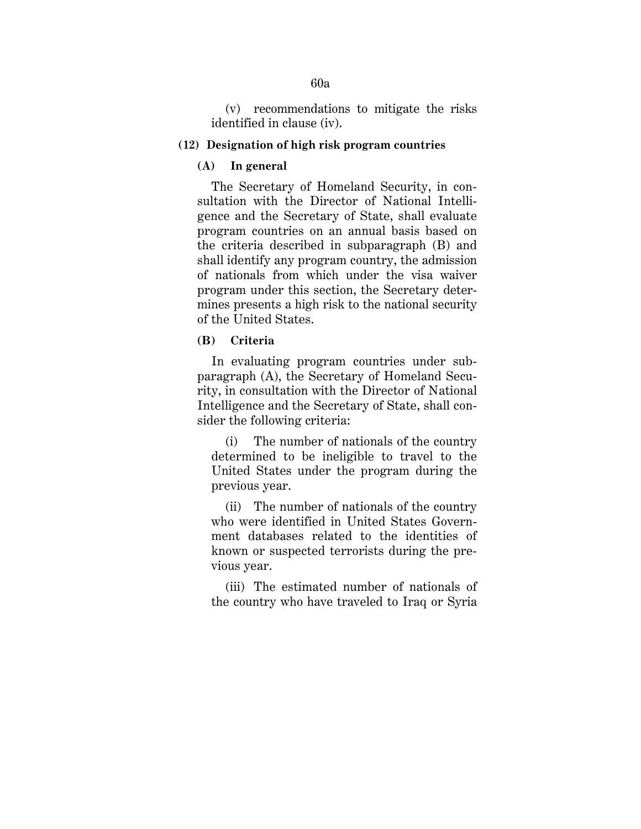# (v) recommendations to mitigate the risks identified in clause (iv).

### **(12) Designation of high risk program countries**

## **(A) In general**

 The Secretary of Homeland Security, in consultation with the Director of National Intelligence and the Secretary of State, shall evaluate program countries on an annual basis based on the criteria described in subparagraph (B) and shall identify any program country, the admission of nationals from which under the visa waiver program under this section, the Secretary determines presents a high risk to the national security of the United States.

# **(B) Criteria**

In evaluating program countries under subparagraph (A), the Secretary of Homeland Security, in consultation with the Director of National Intelligence and the Secretary of State, shall consider the following criteria:

(i) The number of nationals of the country determined to be ineligible to travel to the United States under the program during the previous year.

(ii) The number of nationals of the country who were identified in United States Government databases related to the identities of known or suspected terrorists during the previous year.

(iii) The estimated number of nationals of the country who have traveled to Iraq or Syria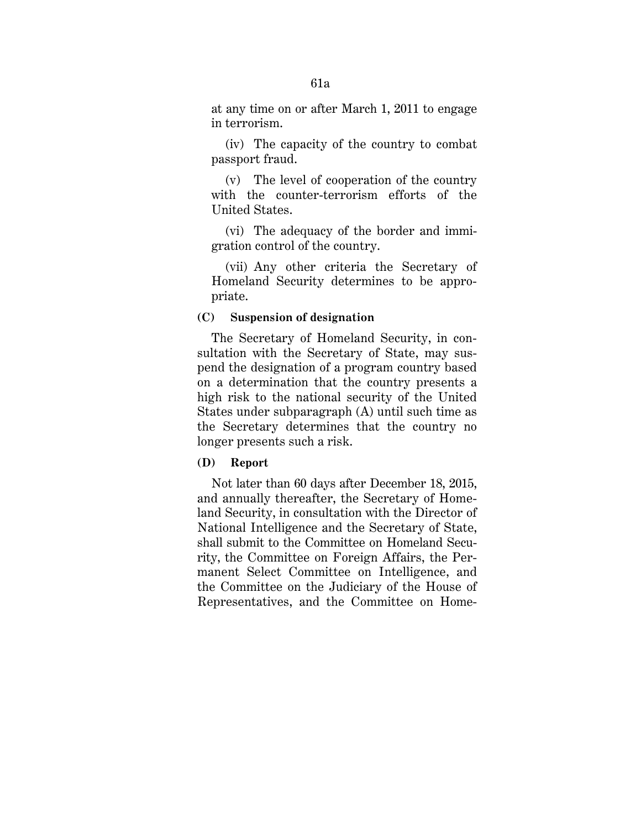at any time on or after March 1, 2011 to engage in terrorism.

(iv) The capacity of the country to combat passport fraud.

(v) The level of cooperation of the country with the counter-terrorism efforts of the United States.

(vi) The adequacy of the border and immigration control of the country.

(vii) Any other criteria the Secretary of Homeland Security determines to be appropriate.

# **(C) Suspension of designation**

The Secretary of Homeland Security, in consultation with the Secretary of State, may suspend the designation of a program country based on a determination that the country presents a high risk to the national security of the United States under subparagraph (A) until such time as the Secretary determines that the country no longer presents such a risk.

#### **(D) Report**

Not later than 60 days after December 18, 2015, and annually thereafter, the Secretary of Homeland Security, in consultation with the Director of National Intelligence and the Secretary of State, shall submit to the Committee on Homeland Security, the Committee on Foreign Affairs, the Permanent Select Committee on Intelligence, and the Committee on the Judiciary of the House of Representatives, and the Committee on Home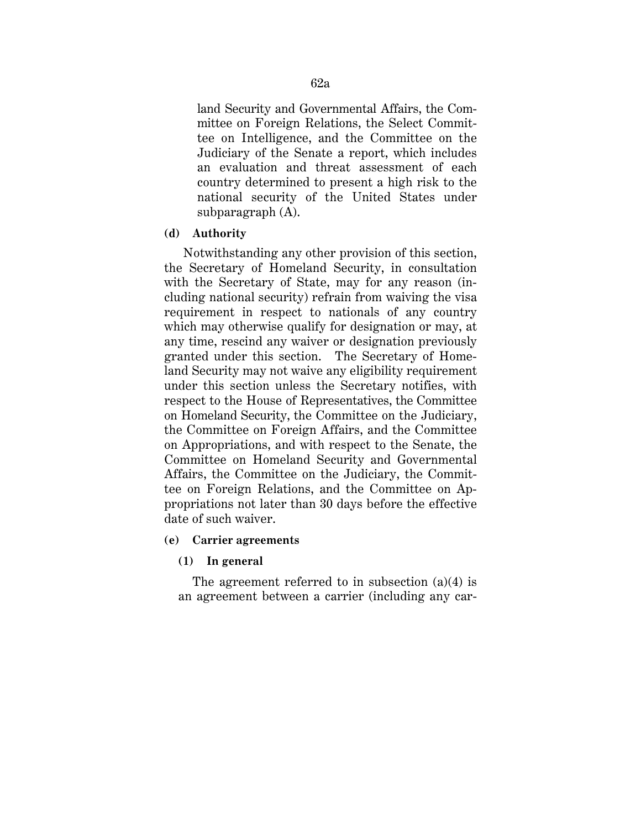land Security and Governmental Affairs, the Committee on Foreign Relations, the Select Committee on Intelligence, and the Committee on the Judiciary of the Senate a report, which includes an evaluation and threat assessment of each country determined to present a high risk to the national security of the United States under subparagraph (A).

# **(d) Authority**

Notwithstanding any other provision of this section, the Secretary of Homeland Security, in consultation with the Secretary of State, may for any reason (including national security) refrain from waiving the visa requirement in respect to nationals of any country which may otherwise qualify for designation or may, at any time, rescind any waiver or designation previously granted under this section. The Secretary of Homeland Security may not waive any eligibility requirement under this section unless the Secretary notifies, with respect to the House of Representatives, the Committee on Homeland Security, the Committee on the Judiciary, the Committee on Foreign Affairs, and the Committee on Appropriations, and with respect to the Senate, the Committee on Homeland Security and Governmental Affairs, the Committee on the Judiciary, the Committee on Foreign Relations, and the Committee on Appropriations not later than 30 days before the effective date of such waiver.

# **(e) Carrier agreements**

# **(1) In general**

The agreement referred to in subsection  $(a)(4)$  is an agreement between a carrier (including any car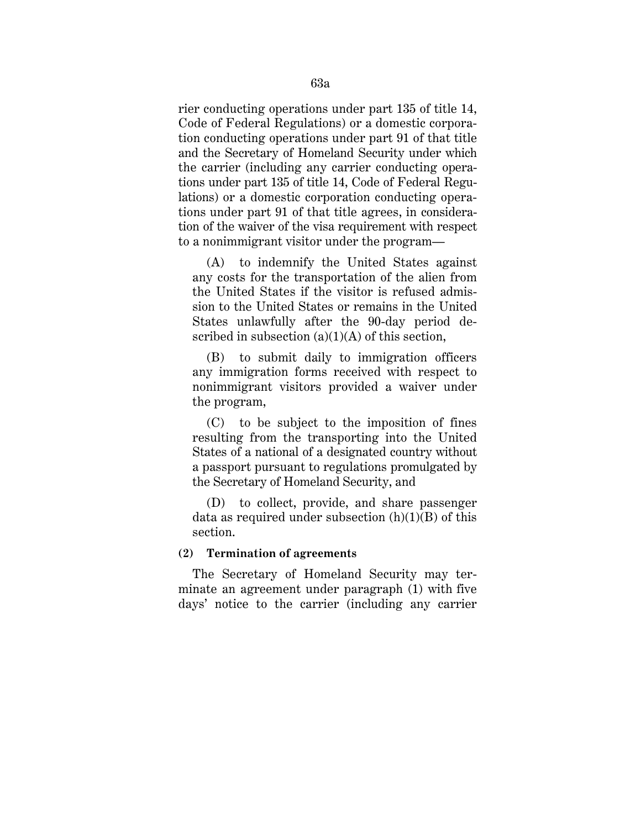rier conducting operations under part 135 of title 14, Code of Federal Regulations) or a domestic corporation conducting operations under part 91 of that title and the Secretary of Homeland Security under which the carrier (including any carrier conducting operations under part 135 of title 14, Code of Federal Regulations) or a domestic corporation conducting operations under part 91 of that title agrees, in consideration of the waiver of the visa requirement with respect to a nonimmigrant visitor under the program—

(A) to indemnify the United States against any costs for the transportation of the alien from the United States if the visitor is refused admission to the United States or remains in the United States unlawfully after the 90-day period described in subsection  $(a)(1)(A)$  of this section,

(B) to submit daily to immigration officers any immigration forms received with respect to nonimmigrant visitors provided a waiver under the program,

(C) to be subject to the imposition of fines resulting from the transporting into the United States of a national of a designated country without a passport pursuant to regulations promulgated by the Secretary of Homeland Security, and

(D) to collect, provide, and share passenger data as required under subsection  $(h)(1)(B)$  of this section.

# **(2) Termination of agreements**

The Secretary of Homeland Security may terminate an agreement under paragraph (1) with five days' notice to the carrier (including any carrier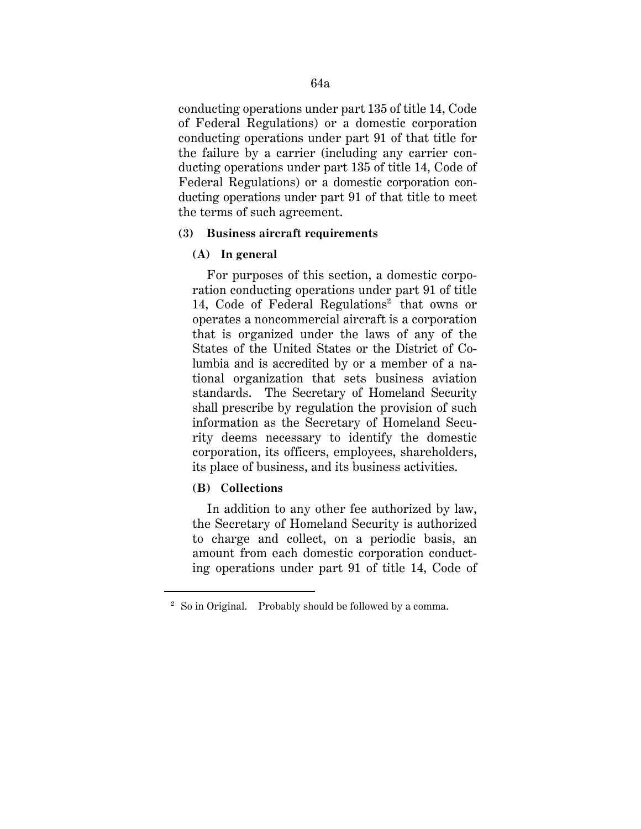conducting operations under part 135 of title 14, Code of Federal Regulations) or a domestic corporation conducting operations under part 91 of that title for the failure by a carrier (including any carrier conducting operations under part 135 of title 14, Code of Federal Regulations) or a domestic corporation conducting operations under part 91 of that title to meet the terms of such agreement.

### **(3) Business aircraft requirements**

### **(A) In general**

For purposes of this section, a domestic corporation conducting operations under part 91 of title 14, Code of Federal Regulations<sup>2</sup> that owns or operates a noncommercial aircraft is a corporation that is organized under the laws of any of the States of the United States or the District of Columbia and is accredited by or a member of a national organization that sets business aviation standards. The Secretary of Homeland Security shall prescribe by regulation the provision of such information as the Secretary of Homeland Security deems necessary to identify the domestic corporation, its officers, employees, shareholders, its place of business, and its business activities.

# **(B) Collections**

<u>.</u>

In addition to any other fee authorized by law, the Secretary of Homeland Security is authorized to charge and collect, on a periodic basis, an amount from each domestic corporation conducting operations under part 91 of title 14, Code of

<sup>2</sup> So in Original. Probably should be followed by a comma.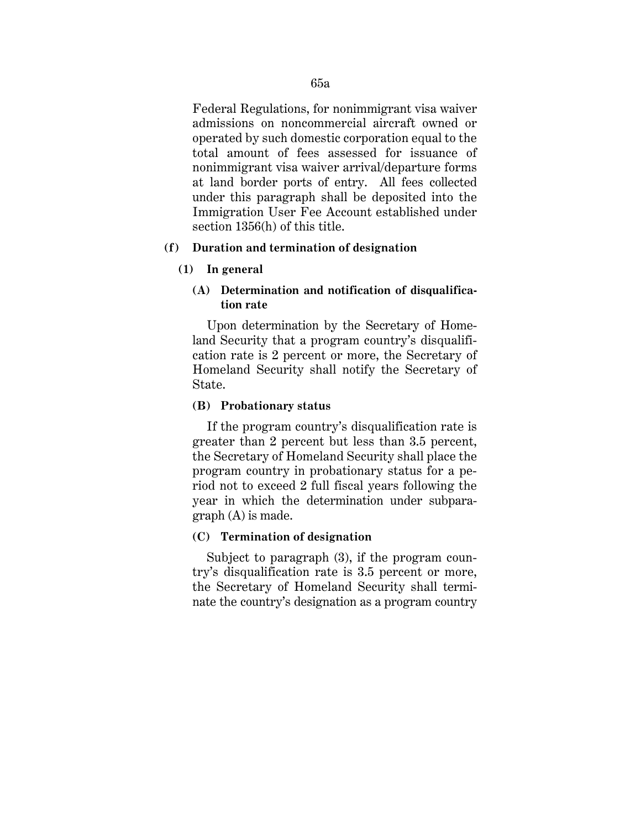Federal Regulations, for nonimmigrant visa waiver admissions on noncommercial aircraft owned or operated by such domestic corporation equal to the total amount of fees assessed for issuance of nonimmigrant visa waiver arrival/departure forms at land border ports of entry. All fees collected under this paragraph shall be deposited into the Immigration User Fee Account established under section 1356(h) of this title.

# **(f) Duration and termination of designation**

### **(1) In general**

# **(A) Determination and notification of disqualification rate**

Upon determination by the Secretary of Homeland Security that a program country's disqualification rate is 2 percent or more, the Secretary of Homeland Security shall notify the Secretary of State.

#### **(B) Probationary status**

If the program country's disqualification rate is greater than 2 percent but less than 3.5 percent, the Secretary of Homeland Security shall place the program country in probationary status for a period not to exceed 2 full fiscal years following the year in which the determination under subparagraph (A) is made.

### **(C) Termination of designation**

Subject to paragraph (3), if the program country's disqualification rate is 3.5 percent or more, the Secretary of Homeland Security shall terminate the country's designation as a program country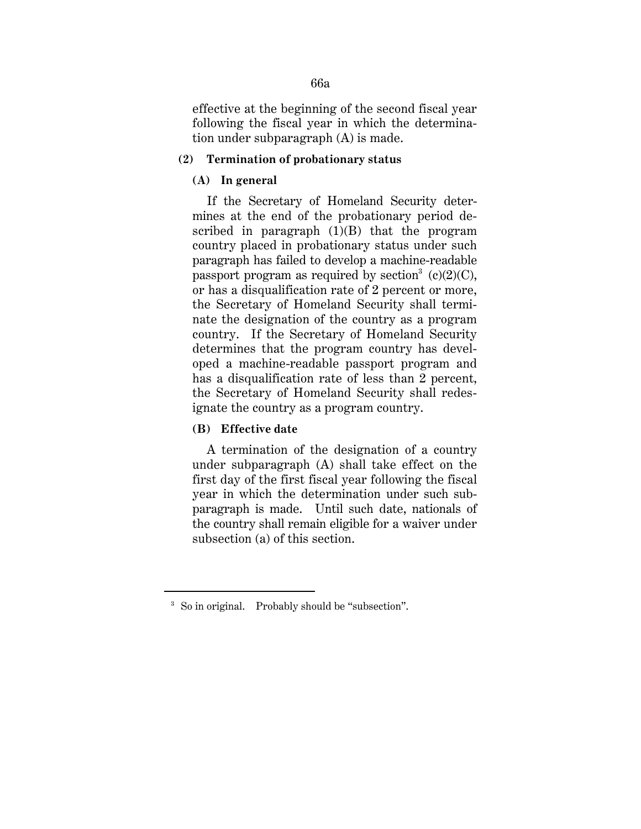effective at the beginning of the second fiscal year following the fiscal year in which the determination under subparagraph (A) is made.

#### **(2) Termination of probationary status**

#### **(A) In general**

If the Secretary of Homeland Security determines at the end of the probationary period described in paragraph  $(1)(B)$  that the program country placed in probationary status under such paragraph has failed to develop a machine-readable passport program as required by section<sup>3</sup> (c)(2)(C), or has a disqualification rate of 2 percent or more, the Secretary of Homeland Security shall terminate the designation of the country as a program country. If the Secretary of Homeland Security determines that the program country has developed a machine-readable passport program and has a disqualification rate of less than 2 percent, the Secretary of Homeland Security shall redesignate the country as a program country.

# **(B) Effective date**

<u>.</u>

A termination of the designation of a country under subparagraph (A) shall take effect on the first day of the first fiscal year following the fiscal year in which the determination under such subparagraph is made. Until such date, nationals of the country shall remain eligible for a waiver under subsection (a) of this section.

<sup>&</sup>lt;sup>3</sup> So in original. Probably should be "subsection".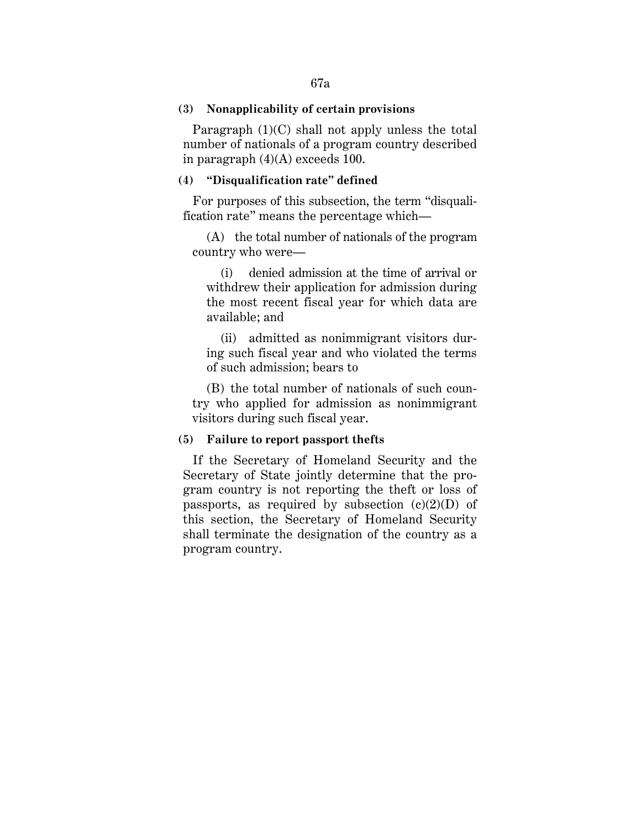### **(3) Nonapplicability of certain provisions**

Paragraph (1)(C) shall not apply unless the total number of nationals of a program country described in paragraph  $(4)(A)$  exceeds 100.

#### **(4) "Disqualification rate" defined**

For purposes of this subsection, the term "disqualification rate" means the percentage which—

(A) the total number of nationals of the program country who were—

(i) denied admission at the time of arrival or withdrew their application for admission during the most recent fiscal year for which data are available; and

(ii) admitted as nonimmigrant visitors during such fiscal year and who violated the terms of such admission; bears to

(B) the total number of nationals of such country who applied for admission as nonimmigrant visitors during such fiscal year.

#### **(5) Failure to report passport thefts**

If the Secretary of Homeland Security and the Secretary of State jointly determine that the program country is not reporting the theft or loss of passports, as required by subsection  $(c)(2)(D)$  of this section, the Secretary of Homeland Security shall terminate the designation of the country as a program country.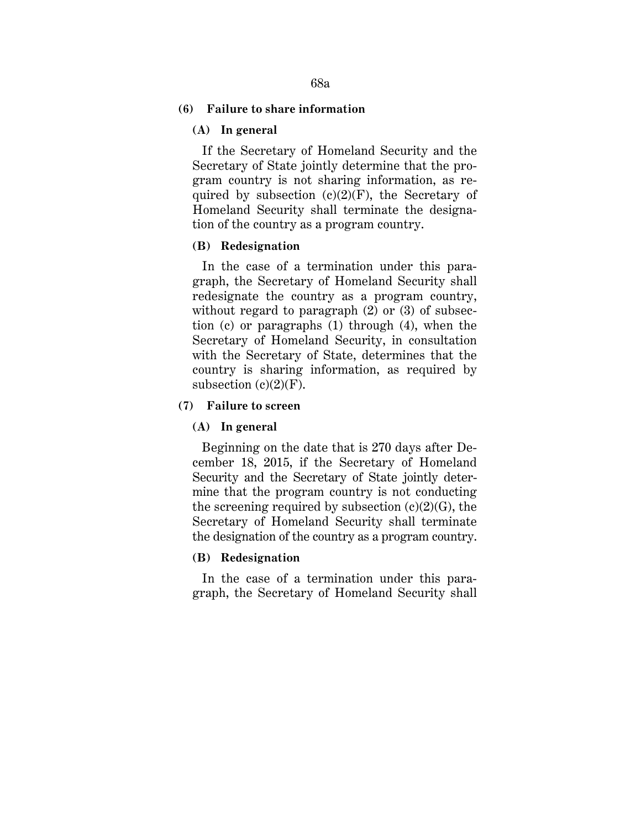# **(6) Failure to share information**

## **(A) In general**

If the Secretary of Homeland Security and the Secretary of State jointly determine that the program country is not sharing information, as required by subsection  $(c)(2)(F)$ , the Secretary of Homeland Security shall terminate the designation of the country as a program country.

### **(B) Redesignation**

In the case of a termination under this paragraph, the Secretary of Homeland Security shall redesignate the country as a program country, without regard to paragraph (2) or (3) of subsection (c) or paragraphs (1) through (4), when the Secretary of Homeland Security, in consultation with the Secretary of State, determines that the country is sharing information, as required by subsection  $(c)(2)(F)$ .

### **(7) Failure to screen**

#### **(A) In general**

Beginning on the date that is 270 days after December 18, 2015, if the Secretary of Homeland Security and the Secretary of State jointly determine that the program country is not conducting the screening required by subsection  $(c)(2)(G)$ , the Secretary of Homeland Security shall terminate the designation of the country as a program country.

# **(B) Redesignation**

In the case of a termination under this paragraph, the Secretary of Homeland Security shall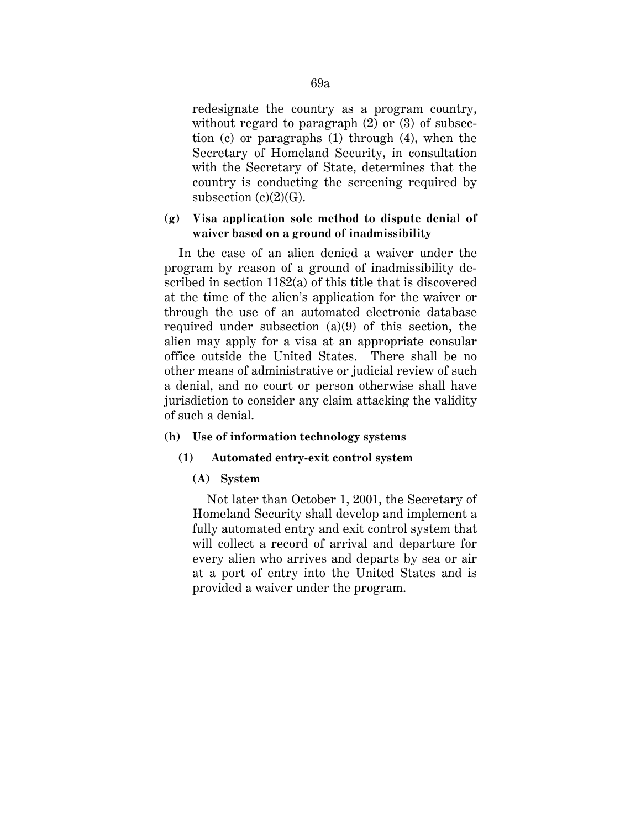redesignate the country as a program country, without regard to paragraph (2) or (3) of subsection (c) or paragraphs (1) through (4), when the Secretary of Homeland Security, in consultation with the Secretary of State, determines that the country is conducting the screening required by subsection  $(c)(2)(G)$ .

# **(g) Visa application sole method to dispute denial of waiver based on a ground of inadmissibility**

In the case of an alien denied a waiver under the program by reason of a ground of inadmissibility described in section 1182(a) of this title that is discovered at the time of the alien's application for the waiver or through the use of an automated electronic database required under subsection (a)(9) of this section, the alien may apply for a visa at an appropriate consular office outside the United States. There shall be no other means of administrative or judicial review of such a denial, and no court or person otherwise shall have jurisdiction to consider any claim attacking the validity of such a denial.

# **(h) Use of information technology systems**

# **(1) Automated entry-exit control system**

# **(A) System**

Not later than October 1, 2001, the Secretary of Homeland Security shall develop and implement a fully automated entry and exit control system that will collect a record of arrival and departure for every alien who arrives and departs by sea or air at a port of entry into the United States and is provided a waiver under the program.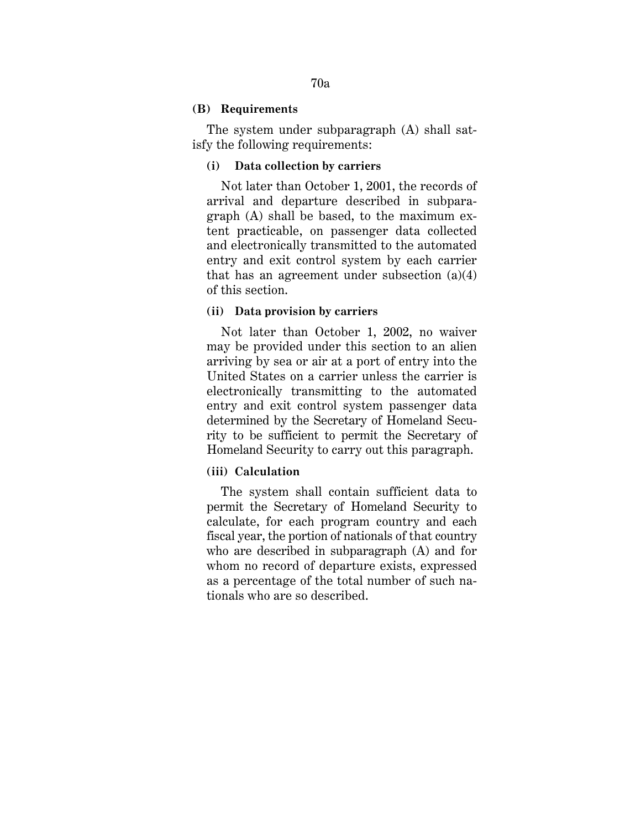### **(B) Requirements**

The system under subparagraph (A) shall satisfy the following requirements:

### **(i) Data collection by carriers**

Not later than October 1, 2001, the records of arrival and departure described in subparagraph (A) shall be based, to the maximum extent practicable, on passenger data collected and electronically transmitted to the automated entry and exit control system by each carrier that has an agreement under subsection (a)(4) of this section.

#### **(ii) Data provision by carriers**

Not later than October 1, 2002, no waiver may be provided under this section to an alien arriving by sea or air at a port of entry into the United States on a carrier unless the carrier is electronically transmitting to the automated entry and exit control system passenger data determined by the Secretary of Homeland Security to be sufficient to permit the Secretary of Homeland Security to carry out this paragraph.

# **(iii) Calculation**

The system shall contain sufficient data to permit the Secretary of Homeland Security to calculate, for each program country and each fiscal year, the portion of nationals of that country who are described in subparagraph (A) and for whom no record of departure exists, expressed as a percentage of the total number of such nationals who are so described.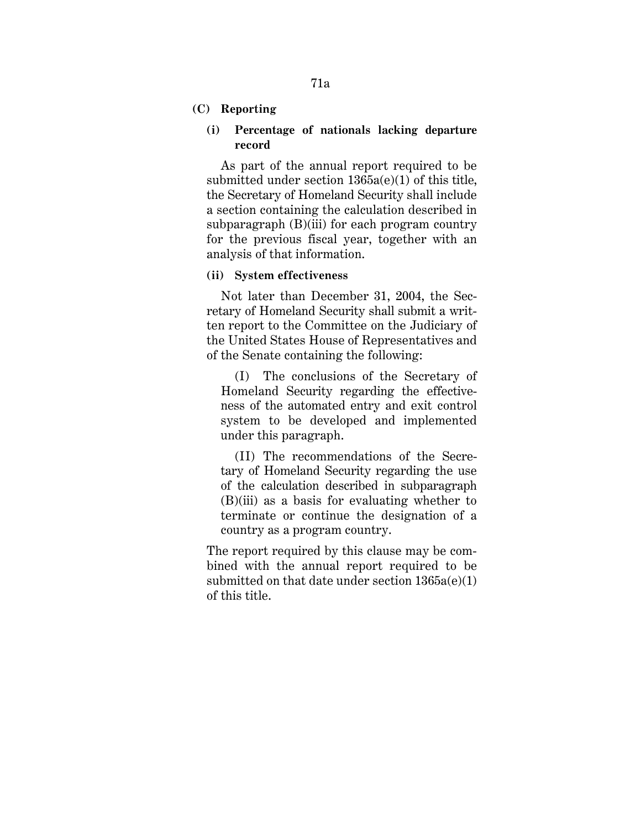# **(C) Reporting**

### **(i) Percentage of nationals lacking departure record**

As part of the annual report required to be submitted under section 1365a(e)(1) of this title, the Secretary of Homeland Security shall include a section containing the calculation described in subparagraph (B)(iii) for each program country for the previous fiscal year, together with an analysis of that information.

# **(ii) System effectiveness**

Not later than December 31, 2004, the Secretary of Homeland Security shall submit a written report to the Committee on the Judiciary of the United States House of Representatives and of the Senate containing the following:

(I) The conclusions of the Secretary of Homeland Security regarding the effectiveness of the automated entry and exit control system to be developed and implemented under this paragraph.

(II) The recommendations of the Secretary of Homeland Security regarding the use of the calculation described in subparagraph (B)(iii) as a basis for evaluating whether to terminate or continue the designation of a country as a program country.

The report required by this clause may be combined with the annual report required to be submitted on that date under section 1365a(e)(1) of this title.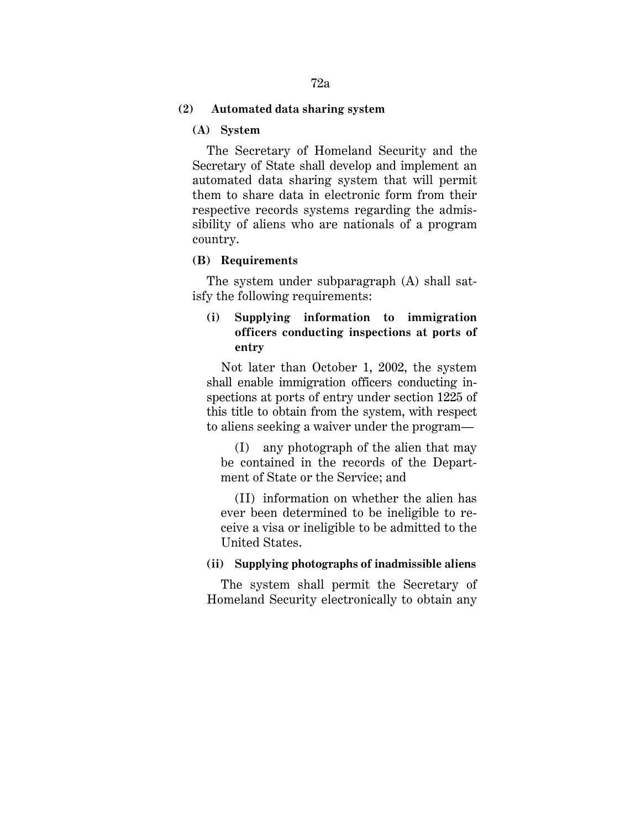# **(2) Automated data sharing system**

#### **(A) System**

The Secretary of Homeland Security and the Secretary of State shall develop and implement an automated data sharing system that will permit them to share data in electronic form from their respective records systems regarding the admissibility of aliens who are nationals of a program country.

#### **(B) Requirements**

The system under subparagraph (A) shall satisfy the following requirements:

# **(i) Supplying information to immigration officers conducting inspections at ports of entry**

Not later than October 1, 2002, the system shall enable immigration officers conducting inspections at ports of entry under section 1225 of this title to obtain from the system, with respect to aliens seeking a waiver under the program—

(I) any photograph of the alien that may be contained in the records of the Department of State or the Service; and

(II) information on whether the alien has ever been determined to be ineligible to receive a visa or ineligible to be admitted to the United States.

# **(ii) Supplying photographs of inadmissible aliens**

The system shall permit the Secretary of Homeland Security electronically to obtain any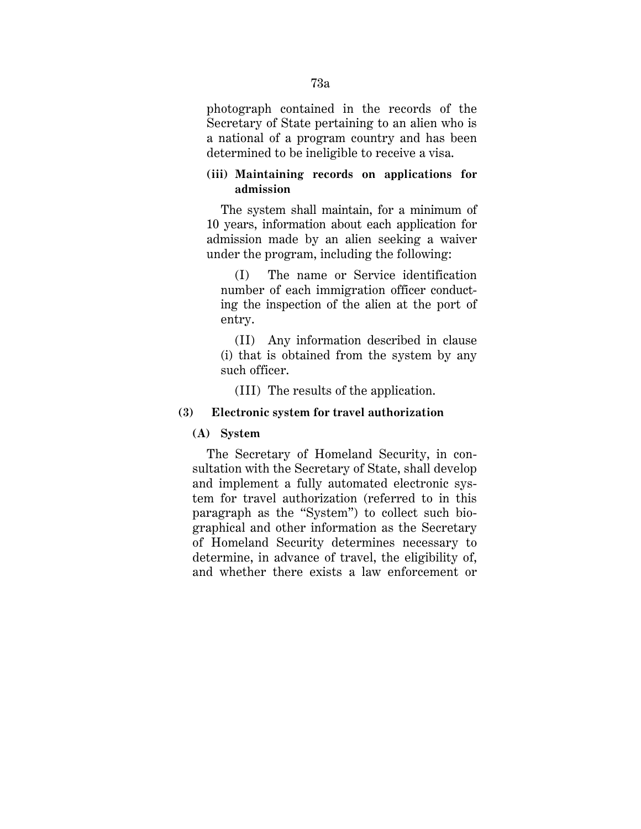photograph contained in the records of the Secretary of State pertaining to an alien who is a national of a program country and has been determined to be ineligible to receive a visa.

# **(iii) Maintaining records on applications for admission**

The system shall maintain, for a minimum of 10 years, information about each application for admission made by an alien seeking a waiver under the program, including the following:

(I) The name or Service identification number of each immigration officer conducting the inspection of the alien at the port of entry.

(II) Any information described in clause (i) that is obtained from the system by any such officer.

(III) The results of the application.

# **(3) Electronic system for travel authorization**

# **(A) System**

The Secretary of Homeland Security, in consultation with the Secretary of State, shall develop and implement a fully automated electronic system for travel authorization (referred to in this paragraph as the "System") to collect such biographical and other information as the Secretary of Homeland Security determines necessary to determine, in advance of travel, the eligibility of, and whether there exists a law enforcement or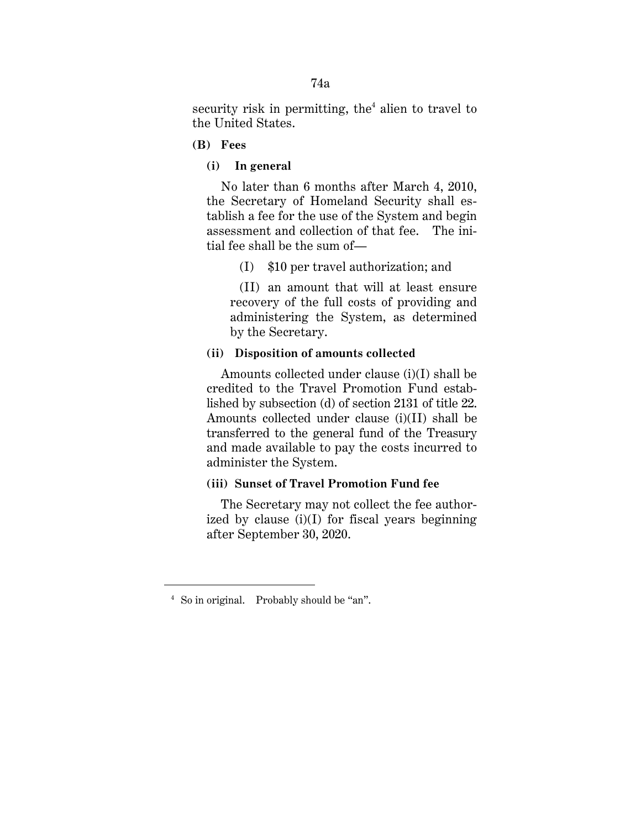security risk in permitting, the<sup>4</sup> alien to travel to the United States.

- **(B) Fees**
	- **(i) In general**

No later than 6 months after March 4, 2010, the Secretary of Homeland Security shall establish a fee for the use of the System and begin assessment and collection of that fee. The initial fee shall be the sum of—

(I) \$10 per travel authorization; and

(II) an amount that will at least ensure recovery of the full costs of providing and administering the System, as determined by the Secretary.

### **(ii) Disposition of amounts collected**

Amounts collected under clause (i)(I) shall be credited to the Travel Promotion Fund established by subsection (d) of section 2131 of title 22. Amounts collected under clause (i)(II) shall be transferred to the general fund of the Treasury and made available to pay the costs incurred to administer the System.

# **(iii) Sunset of Travel Promotion Fund fee**

The Secretary may not collect the fee authorized by clause  $(i)(I)$  for fiscal years beginning after September 30, 2020.

<u>.</u>

<sup>4</sup> So in original. Probably should be "an".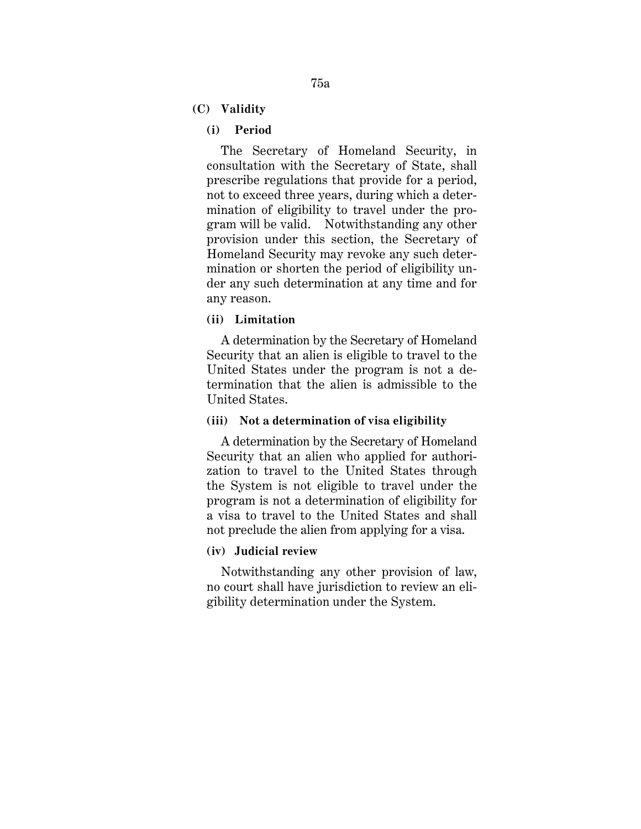**(C) Validity**

## **(i) Period**

The Secretary of Homeland Security, in consultation with the Secretary of State, shall prescribe regulations that provide for a period, not to exceed three years, during which a determination of eligibility to travel under the program will be valid. Notwithstanding any other provision under this section, the Secretary of Homeland Security may revoke any such determination or shorten the period of eligibility under any such determination at any time and for any reason.

### **(ii) Limitation**

A determination by the Secretary of Homeland Security that an alien is eligible to travel to the United States under the program is not a determination that the alien is admissible to the United States.

### **(iii) Not a determination of visa eligibility**

A determination by the Secretary of Homeland Security that an alien who applied for authorization to travel to the United States through the System is not eligible to travel under the program is not a determination of eligibility for a visa to travel to the United States and shall not preclude the alien from applying for a visa.

#### **(iv) Judicial review**

Notwithstanding any other provision of law, no court shall have jurisdiction to review an eligibility determination under the System.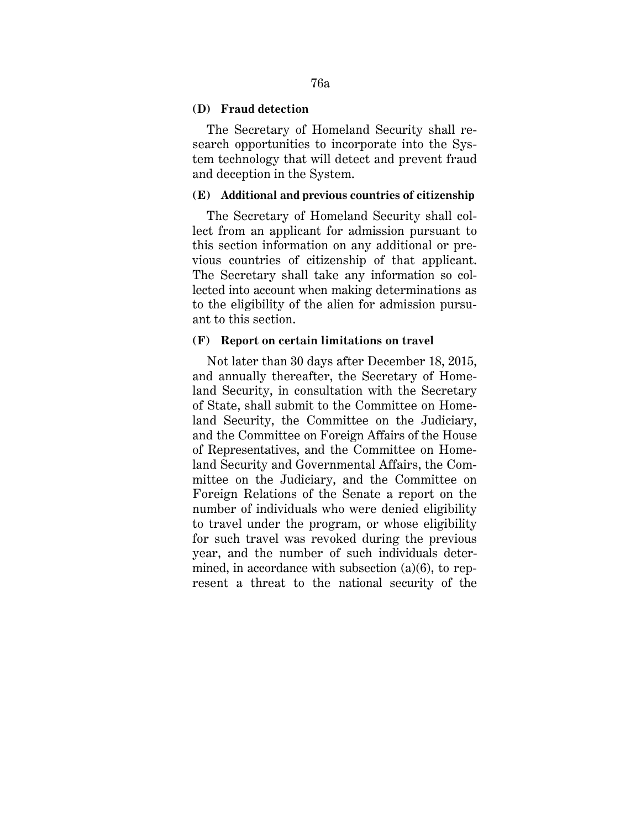### **(D) Fraud detection**

The Secretary of Homeland Security shall research opportunities to incorporate into the System technology that will detect and prevent fraud and deception in the System.

#### **(E) Additional and previous countries of citizenship**

The Secretary of Homeland Security shall collect from an applicant for admission pursuant to this section information on any additional or previous countries of citizenship of that applicant. The Secretary shall take any information so collected into account when making determinations as to the eligibility of the alien for admission pursuant to this section.

#### **(F) Report on certain limitations on travel**

Not later than 30 days after December 18, 2015, and annually thereafter, the Secretary of Homeland Security, in consultation with the Secretary of State, shall submit to the Committee on Homeland Security, the Committee on the Judiciary, and the Committee on Foreign Affairs of the House of Representatives, and the Committee on Homeland Security and Governmental Affairs, the Committee on the Judiciary, and the Committee on Foreign Relations of the Senate a report on the number of individuals who were denied eligibility to travel under the program, or whose eligibility for such travel was revoked during the previous year, and the number of such individuals determined, in accordance with subsection (a)(6), to represent a threat to the national security of the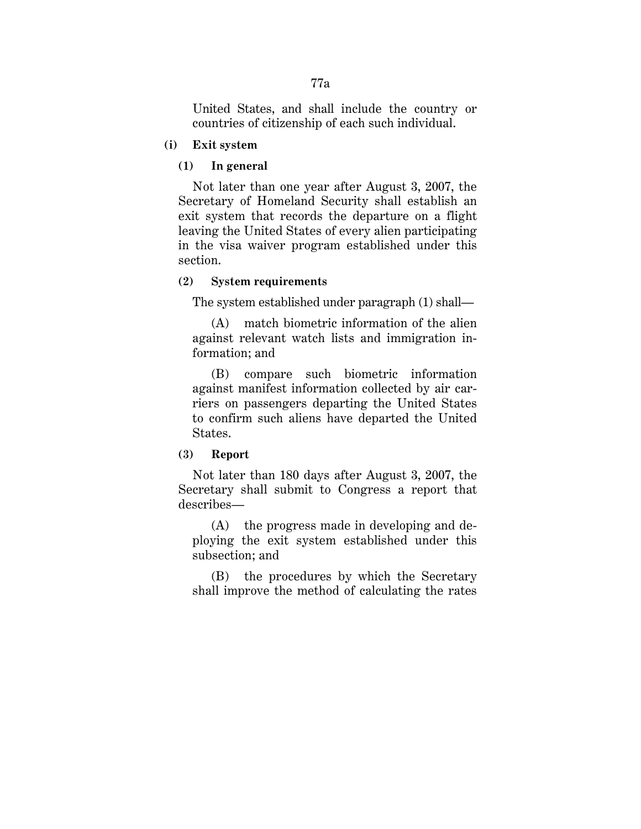United States, and shall include the country or countries of citizenship of each such individual.

**(i) Exit system**

## **(1) In general**

Not later than one year after August 3, 2007, the Secretary of Homeland Security shall establish an exit system that records the departure on a flight leaving the United States of every alien participating in the visa waiver program established under this section.

# **(2) System requirements**

The system established under paragraph (1) shall—

(A) match biometric information of the alien against relevant watch lists and immigration information; and

(B) compare such biometric information against manifest information collected by air carriers on passengers departing the United States to confirm such aliens have departed the United States.

## **(3) Report**

Not later than 180 days after August 3, 2007, the Secretary shall submit to Congress a report that describes—

(A) the progress made in developing and deploying the exit system established under this subsection; and

(B) the procedures by which the Secretary shall improve the method of calculating the rates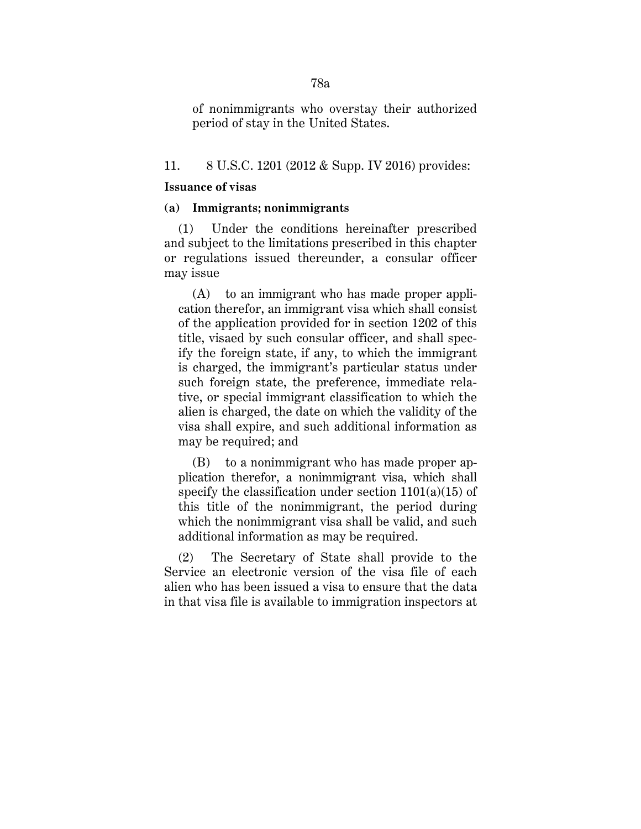of nonimmigrants who overstay their authorized period of stay in the United States.

### 11. 8 U.S.C. 1201 (2012 & Supp. IV 2016) provides:

#### **Issuance of visas**

## **(a) Immigrants; nonimmigrants**

(1) Under the conditions hereinafter prescribed and subject to the limitations prescribed in this chapter or regulations issued thereunder, a consular officer may issue

(A) to an immigrant who has made proper application therefor, an immigrant visa which shall consist of the application provided for in section 1202 of this title, visaed by such consular officer, and shall specify the foreign state, if any, to which the immigrant is charged, the immigrant's particular status under such foreign state, the preference, immediate relative, or special immigrant classification to which the alien is charged, the date on which the validity of the visa shall expire, and such additional information as may be required; and

(B) to a nonimmigrant who has made proper application therefor, a nonimmigrant visa, which shall specify the classification under section  $1101(a)(15)$  of this title of the nonimmigrant, the period during which the nonimmigrant visa shall be valid, and such additional information as may be required.

(2) The Secretary of State shall provide to the Service an electronic version of the visa file of each alien who has been issued a visa to ensure that the data in that visa file is available to immigration inspectors at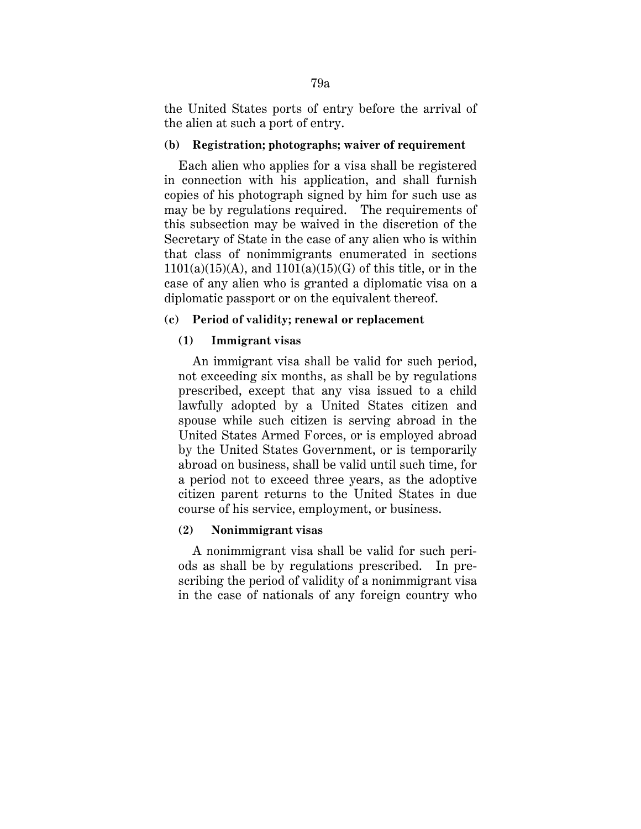the United States ports of entry before the arrival of the alien at such a port of entry.

# **(b) Registration; photographs; waiver of requirement**

 Each alien who applies for a visa shall be registered in connection with his application, and shall furnish copies of his photograph signed by him for such use as may be by regulations required. The requirements of this subsection may be waived in the discretion of the Secretary of State in the case of any alien who is within that class of nonimmigrants enumerated in sections  $1101(a)(15)(A)$ , and  $1101(a)(15)(G)$  of this title, or in the case of any alien who is granted a diplomatic visa on a diplomatic passport or on the equivalent thereof.

# **(c) Period of validity; renewal or replacement**

# **(1) Immigrant visas**

An immigrant visa shall be valid for such period, not exceeding six months, as shall be by regulations prescribed, except that any visa issued to a child lawfully adopted by a United States citizen and spouse while such citizen is serving abroad in the United States Armed Forces, or is employed abroad by the United States Government, or is temporarily abroad on business, shall be valid until such time, for a period not to exceed three years, as the adoptive citizen parent returns to the United States in due course of his service, employment, or business.

# **(2) Nonimmigrant visas**

A nonimmigrant visa shall be valid for such periods as shall be by regulations prescribed. In prescribing the period of validity of a nonimmigrant visa in the case of nationals of any foreign country who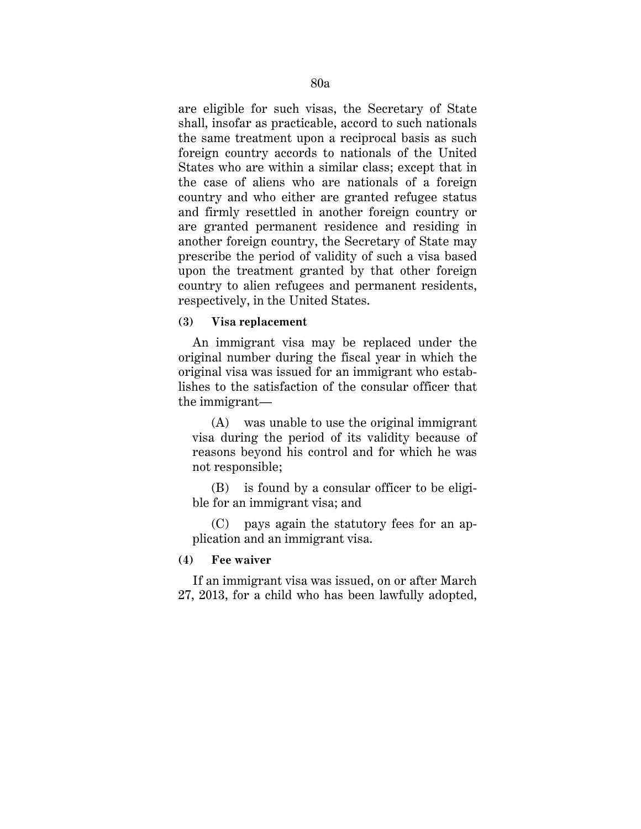are eligible for such visas, the Secretary of State shall, insofar as practicable, accord to such nationals the same treatment upon a reciprocal basis as such foreign country accords to nationals of the United States who are within a similar class; except that in the case of aliens who are nationals of a foreign country and who either are granted refugee status and firmly resettled in another foreign country or are granted permanent residence and residing in another foreign country, the Secretary of State may prescribe the period of validity of such a visa based upon the treatment granted by that other foreign country to alien refugees and permanent residents, respectively, in the United States.

### **(3) Visa replacement**

An immigrant visa may be replaced under the original number during the fiscal year in which the original visa was issued for an immigrant who establishes to the satisfaction of the consular officer that the immigrant—

(A) was unable to use the original immigrant visa during the period of its validity because of reasons beyond his control and for which he was not responsible;

(B) is found by a consular officer to be eligible for an immigrant visa; and

(C) pays again the statutory fees for an application and an immigrant visa.

**(4) Fee waiver**

If an immigrant visa was issued, on or after March 27, 2013, for a child who has been lawfully adopted,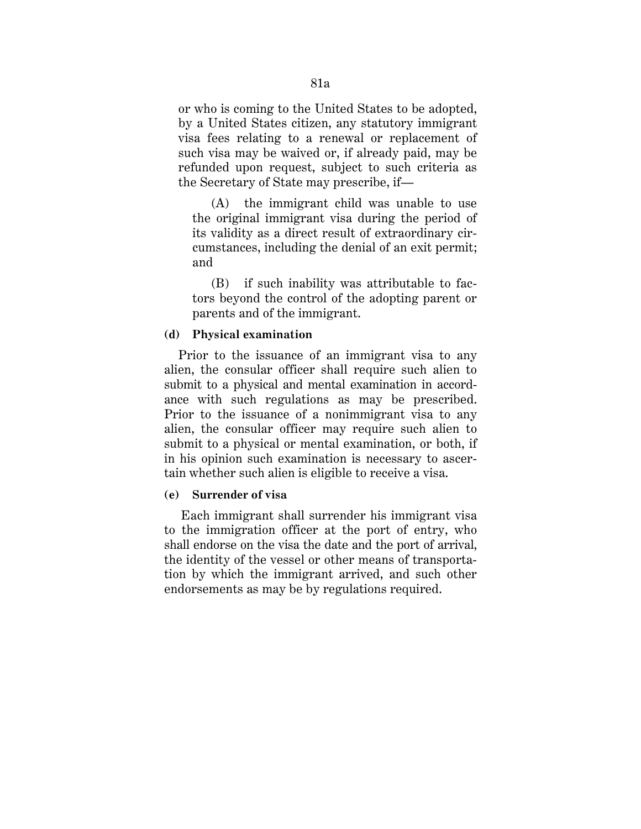or who is coming to the United States to be adopted, by a United States citizen, any statutory immigrant visa fees relating to a renewal or replacement of such visa may be waived or, if already paid, may be refunded upon request, subject to such criteria as the Secretary of State may prescribe, if—

(A) the immigrant child was unable to use the original immigrant visa during the period of its validity as a direct result of extraordinary circumstances, including the denial of an exit permit; and

(B) if such inability was attributable to factors beyond the control of the adopting parent or parents and of the immigrant.

### **(d) Physical examination**

Prior to the issuance of an immigrant visa to any alien, the consular officer shall require such alien to submit to a physical and mental examination in accordance with such regulations as may be prescribed. Prior to the issuance of a nonimmigrant visa to any alien, the consular officer may require such alien to submit to a physical or mental examination, or both, if in his opinion such examination is necessary to ascertain whether such alien is eligible to receive a visa.

# **(e) Surrender of visa**

Each immigrant shall surrender his immigrant visa to the immigration officer at the port of entry, who shall endorse on the visa the date and the port of arrival, the identity of the vessel or other means of transportation by which the immigrant arrived, and such other endorsements as may be by regulations required.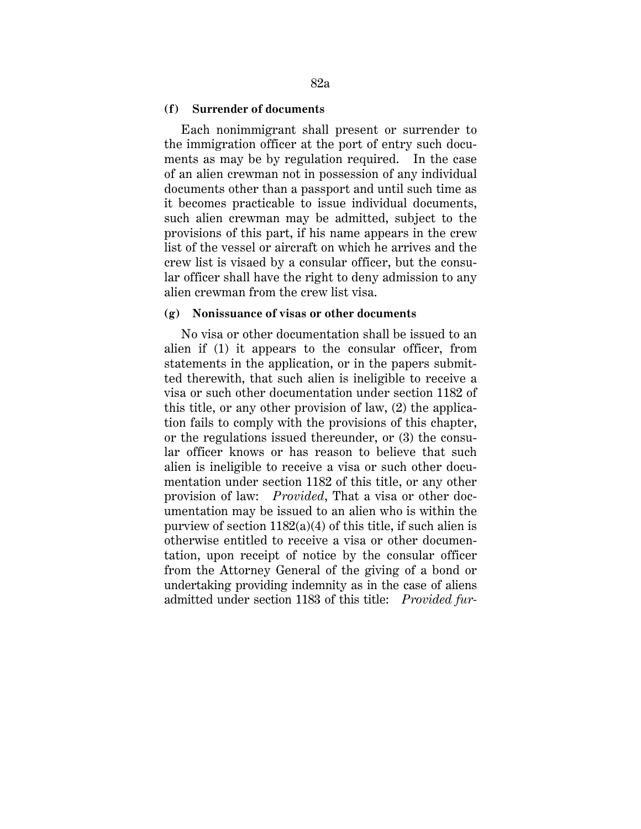#### **(f) Surrender of documents**

Each nonimmigrant shall present or surrender to the immigration officer at the port of entry such documents as may be by regulation required. In the case of an alien crewman not in possession of any individual documents other than a passport and until such time as it becomes practicable to issue individual documents, such alien crewman may be admitted, subject to the provisions of this part, if his name appears in the crew list of the vessel or aircraft on which he arrives and the crew list is visaed by a consular officer, but the consular officer shall have the right to deny admission to any alien crewman from the crew list visa.

#### **(g) Nonissuance of visas or other documents**

No visa or other documentation shall be issued to an alien if (1) it appears to the consular officer, from statements in the application, or in the papers submitted therewith, that such alien is ineligible to receive a visa or such other documentation under section 1182 of this title, or any other provision of law, (2) the application fails to comply with the provisions of this chapter, or the regulations issued thereunder, or (3) the consular officer knows or has reason to believe that such alien is ineligible to receive a visa or such other documentation under section 1182 of this title, or any other provision of law: *Provided*, That a visa or other documentation may be issued to an alien who is within the purview of section  $1182(a)(4)$  of this title, if such alien is otherwise entitled to receive a visa or other documentation, upon receipt of notice by the consular officer from the Attorney General of the giving of a bond or undertaking providing indemnity as in the case of aliens admitted under section 1183 of this title: *Provided fur-*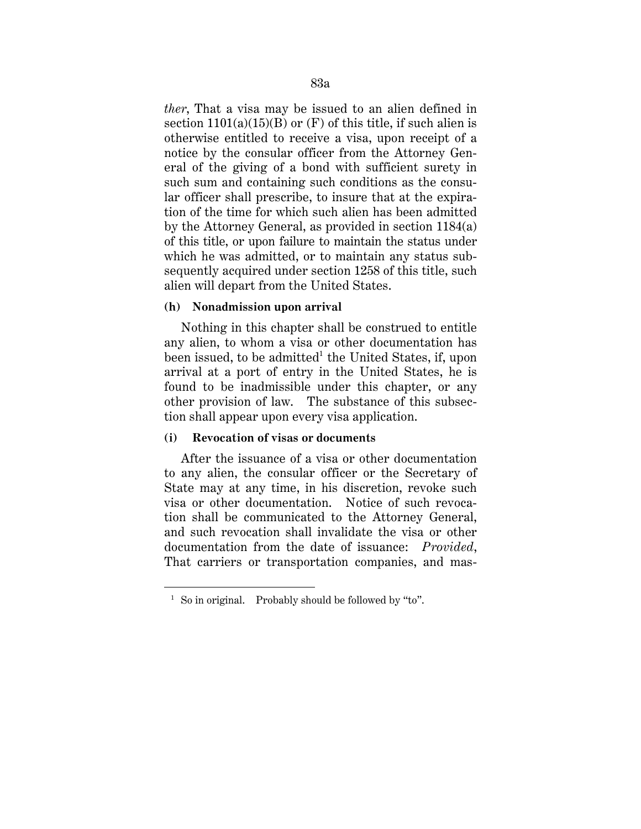*ther*, That a visa may be issued to an alien defined in section  $1101(a)(15)(B)$  or  $(F)$  of this title, if such alien is otherwise entitled to receive a visa, upon receipt of a notice by the consular officer from the Attorney General of the giving of a bond with sufficient surety in such sum and containing such conditions as the consular officer shall prescribe, to insure that at the expiration of the time for which such alien has been admitted by the Attorney General, as provided in section 1184(a) of this title, or upon failure to maintain the status under which he was admitted, or to maintain any status subsequently acquired under section 1258 of this title, such alien will depart from the United States.

# **(h) Nonadmission upon arrival**

Nothing in this chapter shall be construed to entitle any alien, to whom a visa or other documentation has been issued, to be admitted<sup>1</sup> the United States, if, upon arrival at a port of entry in the United States, he is found to be inadmissible under this chapter, or any other provision of law. The substance of this subsection shall appear upon every visa application.

# **(i) Revocation of visas or documents**

After the issuance of a visa or other documentation to any alien, the consular officer or the Secretary of State may at any time, in his discretion, revoke such visa or other documentation. Notice of such revocation shall be communicated to the Attorney General, and such revocation shall invalidate the visa or other documentation from the date of issuance: *Provided*, That carriers or transportation companies, and mas-

<u>.</u>

<sup>&</sup>lt;sup>1</sup> So in original. Probably should be followed by "to".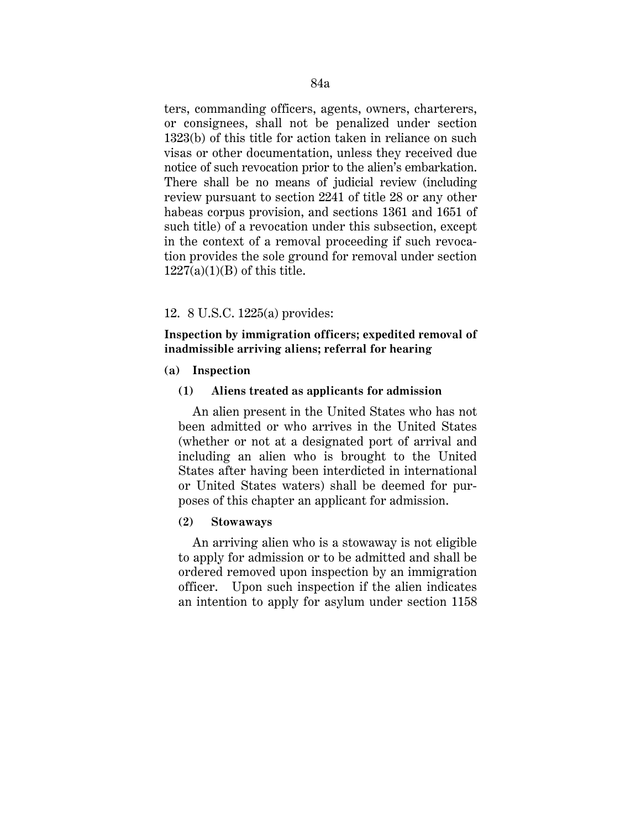ters, commanding officers, agents, owners, charterers, or consignees, shall not be penalized under section 1323(b) of this title for action taken in reliance on such visas or other documentation, unless they received due notice of such revocation prior to the alien's embarkation. There shall be no means of judicial review (including review pursuant to section 2241 of title 28 or any other habeas corpus provision, and sections 1361 and 1651 of such title) of a revocation under this subsection, except in the context of a removal proceeding if such revocation provides the sole ground for removal under section  $1227(a)(1)(B)$  of this title.

# 12. 8 U.S.C. 1225(a) provides:

**Inspection by immigration officers; expedited removal of inadmissible arriving aliens; referral for hearing**

### **(a) Inspection**

# **(1) Aliens treated as applicants for admission**

An alien present in the United States who has not been admitted or who arrives in the United States (whether or not at a designated port of arrival and including an alien who is brought to the United States after having been interdicted in international or United States waters) shall be deemed for purposes of this chapter an applicant for admission.

#### **(2) Stowaways**

An arriving alien who is a stowaway is not eligible to apply for admission or to be admitted and shall be ordered removed upon inspection by an immigration officer. Upon such inspection if the alien indicates an intention to apply for asylum under section 1158